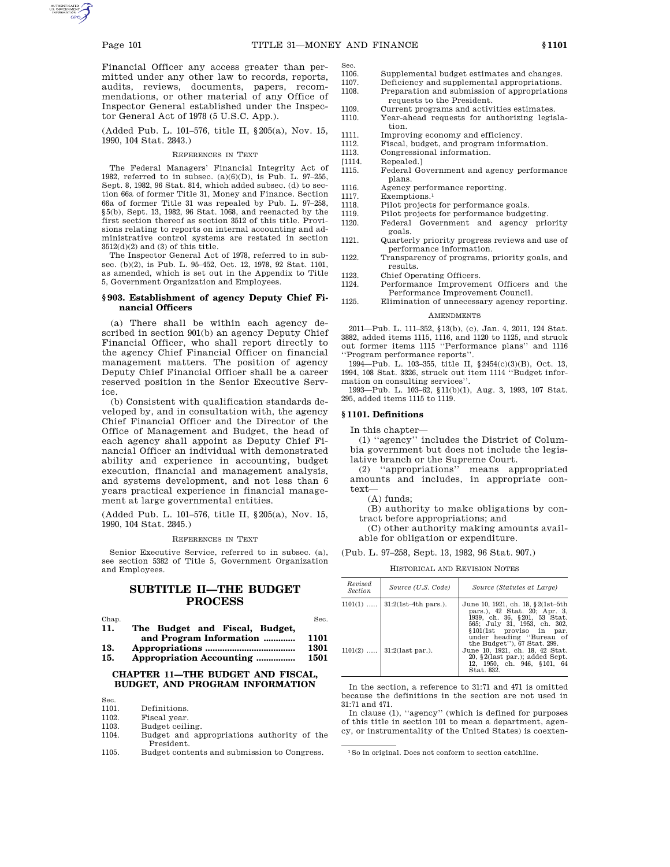Financial Officer any access greater than permitted under any other law to records, reports, audits, reviews, documents, papers, recommendations, or other material of any Office of Inspector General established under the Inspector General Act of 1978 (5 U.S.C. App.).

(Added Pub. L. 101–576, title II, §205(a), Nov. 15, 1990, 104 Stat. 2843.)

### REFERENCES IN TEXT

The Federal Managers' Financial Integrity Act of 1982, referred to in subsec.  $(a)(6)(D)$ , is Pub. L. 97-255, Sept. 8, 1982, 96 Stat. 814, which added subsec. (d) to section 66a of former Title 31, Money and Finance. Section 66a of former Title 31 was repealed by Pub. L. 97–258, §5(b), Sept. 13, 1982, 96 Stat. 1068, and reenacted by the first section thereof as section 3512 of this title. Provisions relating to reports on internal accounting and administrative control systems are restated in section  $3512(d)(2)$  and (3) of this title.

The Inspector General Act of 1978, referred to in subsec. (b)(2), is Pub. L. 95–452, Oct. 12, 1978, 92 Stat. 1101, as amended, which is set out in the Appendix to Title 5, Government Organization and Employees.

## **§ 903. Establishment of agency Deputy Chief Financial Officers**

(a) There shall be within each agency described in section 901(b) an agency Deputy Chief Financial Officer, who shall report directly to the agency Chief Financial Officer on financial management matters. The position of agency Deputy Chief Financial Officer shall be a career reserved position in the Senior Executive Service.

(b) Consistent with qualification standards developed by, and in consultation with, the agency Chief Financial Officer and the Director of the Office of Management and Budget, the head of each agency shall appoint as Deputy Chief Financial Officer an individual with demonstrated ability and experience in accounting, budget execution, financial and management analysis, and systems development, and not less than 6 years practical experience in financial management at large governmental entities.

(Added Pub. L. 101–576, title II, §205(a), Nov. 15, 1990, 104 Stat. 2845.)

#### REFERENCES IN TEXT

Senior Executive Service, referred to in subsec. (a), see section 5382 of Title 5, Government Organization and Employees.

# **SUBTITLE II—THE BUDGET PROCESS**

|                                | Sec. |
|--------------------------------|------|
| The Budget and Fiscal, Budget, |      |
| and Program Information        | 1101 |
|                                | 1301 |
| Appropriation Accounting       | 1501 |
|                                |      |

# **CHAPTER 11—THE BUDGET AND FISCAL, BUDGET, AND PROGRAM INFORMATION**

| Sec. |            |
|------|------------|
| 1101 | $D$ afinit |

- 1101. Definitions.<br>1102. Fiscal year. 1102. Fiscal year.<br>1103. Budget ceili
- Budget ceiling.
- 1104. Budget and appropriations authority of the President.
- 1105. Budget contents and submission to Congress.
- Sec.<br>1106 1106. Supplemental budget estimates and changes.<br>1107 Deficiency and supplemental appropriations
	- Deficiency and supplemental appropriations.
- 1108. Preparation and submission of appropriations requests to the President.
- 1109. Current programs and activities estimates.
- 1110. Year-ahead requests for authorizing legislation.
- 1111. Improving economy and efficiency.
- 1112. Fiscal, budget, and program information.<br>1113. Congressional information.
- 1113. Congressional information.<br>[1114. Repealed.]
- Repealed.]
- 1115. Federal Government and agency performance plans.
- 1116. Agency performance reporting.<br>1117. Exemptions.<sup>1</sup>
- 1117. Exemptions.<sup>1</sup><br>1118. Pilot projects
	-
- 1118. Pilot projects for performance goals.<br>1119. Pilot projects for performance budge Pilot projects for performance budgeting.
- 1120. Federal Government and agency priority goals.
- 1121. Quarterly priority progress reviews and use of performance information.
- 1122. Transparency of programs, priority goals, and results.
- 1123. Chief Operating Officers.<br>1124. Performance Improveme
	- Performance Improvement Officers and the Performance Improvement Council.
- 1125. Elimination of unnecessary agency reporting.

## **AMENDMENTS**

2011—Pub. L. 111–352, §13(b), (c), Jan. 4, 2011, 124 Stat. 3882, added items 1115, 1116, and 1120 to 1125, and struck out former items 1115 ''Performance plans'' and 1116 ''Program performance reports''.

1994—Pub. L. 103–355, title II, §2454(c)(3)(B), Oct. 13, 1994, 108 Stat. 3326, struck out item 1114 ''Budget information on consulting services''.

1993—Pub. L. 103–62, §11(b)(1), Aug. 3, 1993, 107 Stat. 295, added items 1115 to 1119.

### **§ 1101. Definitions**

In this chapter—

(1) ''agency'' includes the District of Columbia government but does not include the legislative branch or the Supreme Court.

(2) ''appropriations'' means appropriated amounts and includes, in appropriate context—

(A) funds;

(B) authority to make obligations by contract before appropriations; and

(C) other authority making amounts available for obligation or expenditure.

(Pub. L. 97–258, Sept. 13, 1982, 96 Stat. 907.)

HISTORICAL AND REVISION NOTES

| Revised<br><i>Section</i> | Source (U.S. Code)             | Source (Statutes at Large)                                                                                                                                                                                               |
|---------------------------|--------------------------------|--------------------------------------------------------------------------------------------------------------------------------------------------------------------------------------------------------------------------|
|                           | $1101(1)$ 31:2(1st-4th pars.). | June 10, 1921, ch. 18, §2(1st-5th<br>pars.), 42 Stat. 20; Apr. 3,<br>1939, ch. 36, §201, 53 Stat.<br>565; July 31, 1953, ch. 302,<br>§101(1st proviso in par.<br>under heading "Bureau of<br>the Budget"), 67 Stat. 299. |
|                           | $1101(2)$ 31:2(last par.).     | June 10, 1921, ch. 18, 42 Stat.<br>20, §2(last par.); added Sept.<br>12, 1950, ch. 946, §101, 64<br>Stat. 832.                                                                                                           |

In the section, a reference to 31:71 and 471 is omitted because the definitions in the section are not used in 31:71 and 471.

In clause (1), ''agency'' (which is defined for purposes of this title in section 101 to mean a department, agency, or instrumentality of the United States) is coexten-

<sup>1</sup>So in original. Does not conform to section catchline.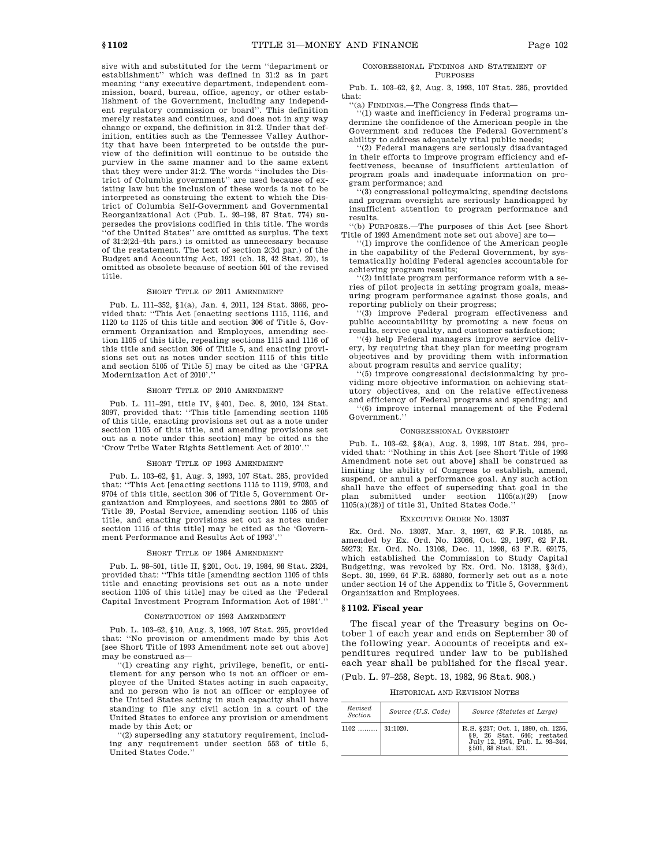sive with and substituted for the term ''department or establishment'' which was defined in 31:2 as in part meaning ''any executive department, independent commission, board, bureau, office, agency, or other establishment of the Government, including any independent regulatory commission or board''. This definition merely restates and continues, and does not in any way change or expand, the definition in 31:2. Under that definition, entities such as the Tennessee Valley Authority that have been interpreted to be outside the purview of the definition will continue to be outside the purview in the same manner and to the same extent that they were under 31:2. The words ''includes the District of Columbia government'' are used because of existing law but the inclusion of these words is not to be interpreted as construing the extent to which the District of Columbia Self-Government and Governmental Reorganizational Act (Pub. L. 93–198, 87 Stat. 774) supersedes the provisions codified in this title. The words ''of the United States'' are omitted as surplus. The text of 31:2(2d–4th pars.) is omitted as unnecessary because of the restatement. The text of section 2(3d par.) of the Budget and Accounting Act, 1921 (ch. 18, 42 Stat. 20), is omitted as obsolete because of section 501 of the revised title.

#### SHORT TITLE OF 2011 AMENDMENT

Pub. L. 111–352, §1(a), Jan. 4, 2011, 124 Stat. 3866, provided that: ''This Act [enacting sections 1115, 1116, and 1120 to 1125 of this title and section 306 of Title 5, Government Organization and Employees, amending section 1105 of this title, repealing sections 1115 and 1116 of this title and section 306 of Title 5, and enacting provisions set out as notes under section 1115 of this title and section 5105 of Title 5] may be cited as the 'GPRA Modernization Act of 2010'.

## SHORT TITLE OF 2010 AMENDMENT

Pub. L. 111–291, title IV, §401, Dec. 8, 2010, 124 Stat. 3097, provided that: ''This title [amending section 1105 of this title, enacting provisions set out as a note under section 1105 of this title, and amending provisions set out as a note under this section] may be cited as the 'Crow Tribe Water Rights Settlement Act of 2010'.''

### SHORT TITLE OF 1993 AMENDMENT

Pub. L. 103–62, §1, Aug. 3, 1993, 107 Stat. 285, provided that: ''This Act [enacting sections 1115 to 1119, 9703, and 9704 of this title, section 306 of Title 5, Government Organization and Employees, and sections 2801 to 2805 of Title 39, Postal Service, amending section 1105 of this title, and enacting provisions set out as notes under section 1115 of this title] may be cited as the 'Government Performance and Results Act of 1993'.''

### SHORT TITLE OF 1984 AMENDMENT

Pub. L. 98–501, title II, §201, Oct. 19, 1984, 98 Stat. 2324, provided that: ''This title [amending section 1105 of this title and enacting provisions set out as a note under section 1105 of this title] may be cited as the 'Federal Capital Investment Program Information Act of 1984'.''

#### CONSTRUCTION OF 1993 AMENDMENT

Pub. L. 103–62, §10, Aug. 3, 1993, 107 Stat. 295, provided that: ''No provision or amendment made by this Act [see Short Title of 1993 Amendment note set out above] may be construed as—

''(1) creating any right, privilege, benefit, or entitlement for any person who is not an officer or employee of the United States acting in such capacity, and no person who is not an officer or employee of the United States acting in such capacity shall have standing to file any civil action in a court of the United States to enforce any provision or amendment made by this Act; or

''(2) superseding any statutory requirement, including any requirement under section 553 of title 5, United States Code.''

#### CONGRESSIONAL FINDINGS AND STATEMENT OF PURPOSES

Pub. L. 103–62, §2, Aug. 3, 1993, 107 Stat. 285, provided that:

''(a) FINDINGS.—The Congress finds that—

''(1) waste and inefficiency in Federal programs undermine the confidence of the American people in the Government and reduces the Federal Government's ability to address adequately vital public needs;

''(2) Federal managers are seriously disadvantaged in their efforts to improve program efficiency and effectiveness, because of insufficient articulation of program goals and inadequate information on program performance; and

''(3) congressional policymaking, spending decisions and program oversight are seriously handicapped by insufficient attention to program performance and results.

'(b) PURPOSES.—The purposes of this Act [see Short Title of 1993 Amendment note set out above] are to—

''(1) improve the confidence of the American people in the capability of the Federal Government, by systematically holding Federal agencies accountable for achieving program results;

'(2) initiate program performance reform with a series of pilot projects in setting program goals, measuring program performance against those goals, and reporting publicly on their progress;

''(3) improve Federal program effectiveness and public accountability by promoting a new focus on results, service quality, and customer satisfaction;

''(4) help Federal managers improve service delivery, by requiring that they plan for meeting program objectives and by providing them with information about program results and service quality;

''(5) improve congressional decisionmaking by providing more objective information on achieving statutory objectives, and on the relative effectiveness

and efficiency of Federal programs and spending; and ''(6) improve internal management of the Federal Government.''

#### CONGRESSIONAL OVERSIGHT

Pub. L. 103–62, §8(a), Aug. 3, 1993, 107 Stat. 294, provided that: ''Nothing in this Act [see Short Title of 1993 Amendment note set out above] shall be construed as limiting the ability of Congress to establish, amend, suspend, or annul a performance goal. Any such action shall have the effect of superseding that goal in the plan submitted under section 1105(a)(29) [now 1105(a)(28)] of title 31, United States Code.''

#### EXECUTIVE ORDER NO. 13037

Ex. Ord. No. 13037, Mar. 3, 1997, 62 F.R. 10185, as amended by Ex. Ord. No. 13066, Oct. 29, 1997, 62 F.R. 59273; Ex. Ord. No. 13108, Dec. 11, 1998, 63 F.R. 69175, which established the Commission to Study Capital Budgeting, was revoked by Ex. Ord. No. 13138, §3(d), Sept. 30, 1999, 64 F.R. 53880, formerly set out as a note under section 14 of the Appendix to Title 5, Government Organization and Employees.

### **§ 1102. Fiscal year**

The fiscal year of the Treasury begins on October 1 of each year and ends on September 30 of the following year. Accounts of receipts and expenditures required under law to be published each year shall be published for the fiscal year.

(Pub. L. 97–258, Sept. 13, 1982, 96 Stat. 908.)

HISTORICAL AND REVISION NOTES

| Revised<br>Section | Source (U.S. Code) | Source (Statutes at Large)                                                                                                 |
|--------------------|--------------------|----------------------------------------------------------------------------------------------------------------------------|
| $1102$             | 131:1020.          | R.S. §237; Oct. 1, 1890, ch. 1256,<br>§9, 26 Stat. 646; restated<br>July 12, 1974, Pub. L. 93-344,<br>§ 501, 88 Stat, 321. |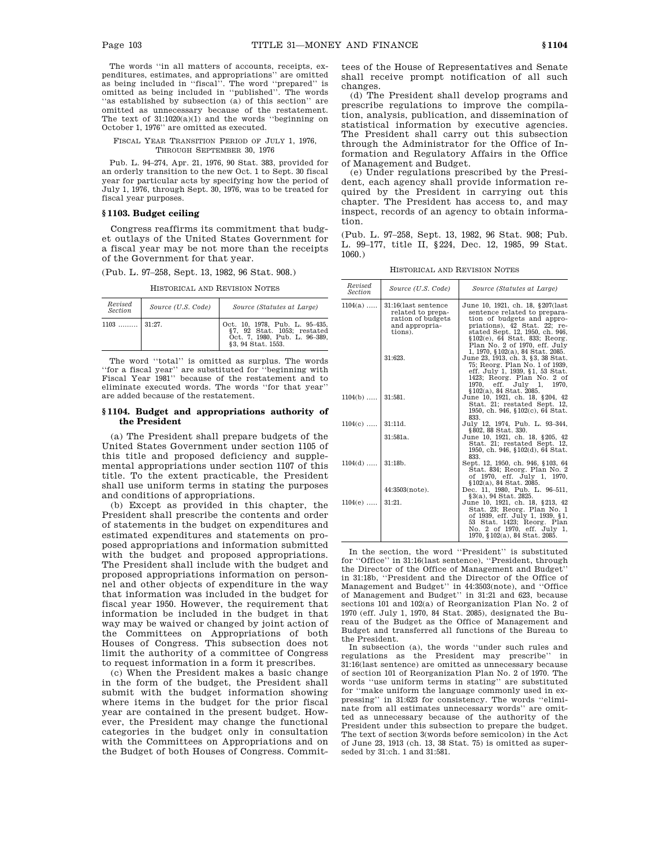The words ''in all matters of accounts, receipts, expenditures, estimates, and appropriations'' are omitted as being included in ''fiscal''. The word ''prepared'' is omitted as being included in ''published''. The words "as established by subsection (a) of this section" are omitted as unnecessary because of the restatement. The text of  $31:1020(a)(1)$  and the words "beginning on October 1, 1976'' are omitted as executed.

#### FISCAL YEAR TRANSITION PERIOD OF JULY 1, 1976, THROUGH SEPTEMBER 30, 1976

Pub. L. 94–274, Apr. 21, 1976, 90 Stat. 383, provided for an orderly transition to the new Oct. 1 to Sept. 30 fiscal year for particular acts by specifying how the period of July 1, 1976, through Sept. 30, 1976, was to be treated for fiscal year purposes.

### **§ 1103. Budget ceiling**

Congress reaffirms its commitment that budget outlays of the United States Government for a fiscal year may be not more than the receipts of the Government for that year.

(Pub. L. 97–258, Sept. 13, 1982, 96 Stat. 908.)

HISTORICAL AND REVISION NOTES

| Revised<br>Section | Source (U.S. Code) | Source (Statutes at Large)                                                                                          |
|--------------------|--------------------|---------------------------------------------------------------------------------------------------------------------|
| $1103$   31:27.    |                    | Oct. 10, 1978, Pub. L. 95-435,<br>§7, 92 Stat. 1053; restated<br>Oct. 7, 1980. Pub. L. 96-389.<br>§3.94 Stat. 1553. |

The word ''total'' is omitted as surplus. The words ''for a fiscal year'' are substituted for ''beginning with Fiscal Year 1981'' because of the restatement and to eliminate executed words. The words ''for that year'' are added because of the restatement.

### **§ 1104. Budget and appropriations authority of the President**

(a) The President shall prepare budgets of the United States Government under section 1105 of this title and proposed deficiency and supplemental appropriations under section 1107 of this title. To the extent practicable, the President shall use uniform terms in stating the purposes and conditions of appropriations.

(b) Except as provided in this chapter, the President shall prescribe the contents and order of statements in the budget on expenditures and estimated expenditures and statements on proposed appropriations and information submitted with the budget and proposed appropriations. The President shall include with the budget and proposed appropriations information on personnel and other objects of expenditure in the way that information was included in the budget for fiscal year 1950. However, the requirement that information be included in the budget in that way may be waived or changed by joint action of the Committees on Appropriations of both Houses of Congress. This subsection does not limit the authority of a committee of Congress to request information in a form it prescribes.

(c) When the President makes a basic change in the form of the budget, the President shall submit with the budget information showing where items in the budget for the prior fiscal year are contained in the present budget. However, the President may change the functional categories in the budget only in consultation with the Committees on Appropriations and on the Budget of both Houses of Congress. Committees of the House of Representatives and Senate shall receive prompt notification of all such changes.

(d) The President shall develop programs and prescribe regulations to improve the compilation, analysis, publication, and dissemination of statistical information by executive agencies. The President shall carry out this subsection through the Administrator for the Office of Information and Regulatory Affairs in the Office of Management and Budget.

(e) Under regulations prescribed by the President, each agency shall provide information required by the President in carrying out this chapter. The President has access to, and may inspect, records of an agency to obtain information.

(Pub. L. 97–258, Sept. 13, 1982, 96 Stat. 908; Pub. L. 99–177, title II, §224, Dec. 12, 1985, 99 Stat. 1060.)

HISTORICAL AND REVISION NOTES

| Revised<br>Section | Source (U.S. Code)                                                                         | Source (Statutes at Large)                                                                                                                                                                                                                |
|--------------------|--------------------------------------------------------------------------------------------|-------------------------------------------------------------------------------------------------------------------------------------------------------------------------------------------------------------------------------------------|
| $1104(a)$          | 31:16(last sentence<br>related to prepa-<br>ration of budgets<br>and appropria-<br>tions). | June 10, 1921, ch. 18, §207(last<br>sentence related to prepara-<br>tion of budgets and appro-<br>priations), $42$ Stat. $22i$ ; re-<br>stated Sept. 12, 1950, ch. 946,<br>§102(e), 64 Stat. 833; Reorg.<br>Plan No. 2 of 1970, eff. July |
|                    | 31:623.                                                                                    | 1, 1970, §102(a), 84 Stat. 2085.<br>June 23, 1913, ch. 3, §3, 38 Stat.<br>75; Reorg. Plan No. 1 of 1939,<br>eff. July 1, 1939, §1, 53 Stat.<br>1423; Reorg. Plan No. 2 of<br>1970, eff. July 1, 1970,                                     |
| $1104(b)$          | 31:581.                                                                                    | §102(a), 84 Stat. 2085.<br>June 10, 1921, ch. 18, §204, 42<br>Stat. 21; restated Sept. 12.<br>1950, ch. 946, §102(c), 64 Stat.<br>833.                                                                                                    |
| $1104(c)$          | 31:11d.                                                                                    | July 12, 1974, Pub. L. 93-344,<br>§802, 88 Stat. 330.                                                                                                                                                                                     |
|                    | 31:581a.                                                                                   | June 10, 1921, ch. 18, §205, 42<br>Stat. 21; restated Sept. 12,<br>1950, ch. 946, §102(d), 64 Stat.<br>833.                                                                                                                               |
| $1104(d)$          | 31:18b.                                                                                    | Sept. 12, 1950, ch. 946, §103, 64<br>Stat. 834; Reorg. Plan No. 2<br>of 1970, eff. July 1, 1970,<br>§102(a), 84 Stat. 2085.                                                                                                               |
|                    | 44:3503(note).                                                                             | Dec. 11, 1980, Pub. L. 96-511,<br>§3(a), 94 Stat, 2825.                                                                                                                                                                                   |
| $1104(e)$ 31:21.   |                                                                                            | June 10, 1921, ch. 18, §213, 42<br>Stat. 23; Reorg. Plan No. 1<br>of 1939, eff. July 1, 1939, §1,<br>53 Stat. 1423; Reorg. Plan<br>No. 2 of 1970, eff. July 1,<br>1970, §102(a), 84 Stat. 2085.                                           |

In the section, the word ''President'' is substituted for ''Office'' in 31:16(last sentence), ''President, through the Director of the Office of Management and Budget'' in 31:18b, ''President and the Director of the Office of Management and Budget'' in 44:3503(note), and ''Office of Management and Budget'' in 31:21 and 623, because sections 101 and 102(a) of Reorganization Plan No. 2 of 1970 (eff. July 1, 1970, 84 Stat. 2085), designated the Bureau of the Budget as the Office of Management and Budget and transferred all functions of the Bureau to the President.

In subsection (a), the words ''under such rules and regulations as the President may prescribe'' in 31:16(last sentence) are omitted as unnecessary because of section 101 of Reorganization Plan No. 2 of 1970. The words ''use uniform terms in stating'' are substituted for ''make uniform the language commonly used in expressing'' in 31:623 for consistency. The words ''eliminate from all estimates unnecessary words'' are omitted as unnecessary because of the authority of the President under this subsection to prepare the budget. The text of section 3(words before semicolon) in the Act of June 23, 1913 (ch. 13, 38 Stat. 75) is omitted as superseded by 31:ch. 1 and 31:581.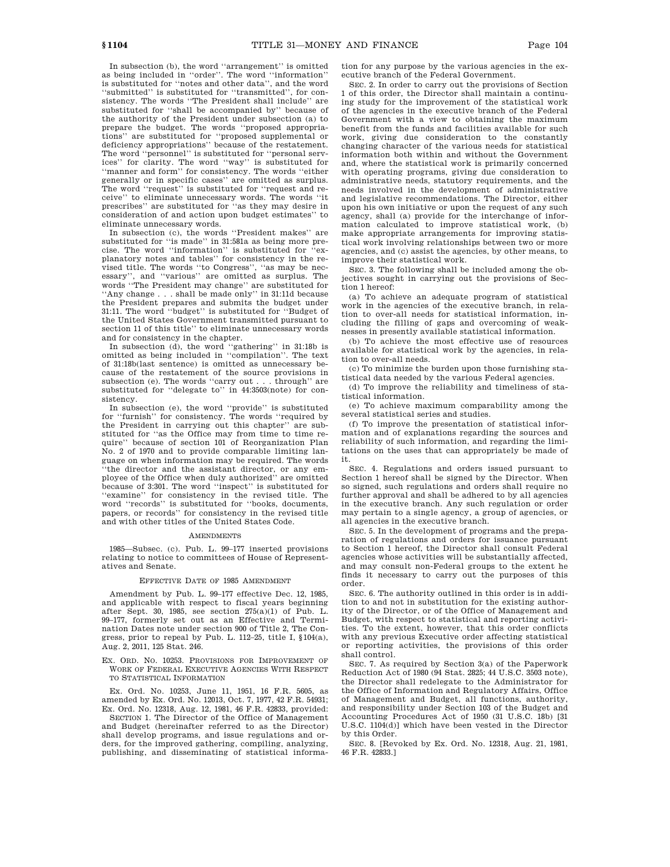the authority of the President under subsection (a) to prepare the budget. The words ''proposed appropriations'' are substituted for ''proposed supplemental or deficiency appropriations'' because of the restatement. The word ''personnel'' is substituted for ''personal services'' for clarity. The word ''way'' is substituted for ''manner and form'' for consistency. The words ''either generally or in specific cases'' are omitted as surplus. The word ''request'' is substituted for ''request and receive'' to eliminate unnecessary words. The words ''it prescribes'' are substituted for ''as they may desire in consideration of and action upon budget estimates'' to eliminate unnecessary words.

In subsection (c), the words ''President makes'' are substituted for ''is made'' in 31:581a as being more precise. The word ''information'' is substituted for ''explanatory notes and tables'' for consistency in the revised title. The words ''to Congress'', ''as may be necessary'', and ''various'' are omitted as surplus. The words ''The President may change'' are substituted for ''Any change . . . shall be made only'' in 31:11d because the President prepares and submits the budget under 31:11. The word ''budget'' is substituted for ''Budget of the United States Government transmitted pursuant to section 11 of this title'' to eliminate unnecessary words and for consistency in the chapter.

In subsection (d), the word ''gathering'' in 31:18b is omitted as being included in ''compilation''. The text of 31:18b(last sentence) is omitted as unnecessary because of the restatement of the source provisions in subsection (e). The words ''carry out . . . through'' are substituted for ''delegate to'' in 44:3503(note) for consistency.

In subsection (e), the word ''provide'' is substituted for ''furnish'' for consistency. The words ''required by the President in carrying out this chapter'' are substituted for ''as the Office may from time to time require'' because of section 101 of Reorganization Plan No. 2 of 1970 and to provide comparable limiting language on when information may be required. The words ''the director and the assistant director, or any employee of the Office when duly authorized'' are omitted because of 3:301. The word ''inspect'' is substituted for ''examine'' for consistency in the revised title. The word ''records'' is substituted for ''books, documents, papers, or records'' for consistency in the revised title and with other titles of the United States Code.

#### AMENDMENTS

1985—Subsec. (c). Pub. L. 99–177 inserted provisions relating to notice to committees of House of Representatives and Senate.

#### EFFECTIVE DATE OF 1985 AMENDMENT

Amendment by Pub. L. 99–177 effective Dec. 12, 1985, and applicable with respect to fiscal years beginning after Sept. 30, 1985, see section 275(a)(1) of Pub. L. 99–177, formerly set out as an Effective and Termination Dates note under section 900 of Title 2, The Congress, prior to repeal by Pub. L. 112–25, title I, §104(a), Aug. 2, 2011, 125 Stat. 246.

EX. ORD. NO. 10253. PROVISIONS FOR IMPROVEMENT OF WORK OF FEDERAL EXECUTIVE AGENCIES WITH RESPECT TO STATISTICAL INFORMATION

Ex. Ord. No. 10253, June 11, 1951, 16 F.R. 5605, as amended by Ex. Ord. No. 12013, Oct. 7, 1977, 42 F.R. 54931;

Ex. Ord. No. 12318, Aug. 12, 1981, 46 F.R. 42833, provided: SECTION 1. The Director of the Office of Management and Budget (hereinafter referred to as the Director) shall develop programs, and issue regulations and orders, for the improved gathering, compiling, analyzing, publishing, and disseminating of statistical information for any purpose by the various agencies in the executive branch of the Federal Government.

SEC. 2. In order to carry out the provisions of Section 1 of this order, the Director shall maintain a continuing study for the improvement of the statistical work of the agencies in the executive branch of the Federal Government with a view to obtaining the maximum benefit from the funds and facilities available for such work, giving due consideration to the constantly changing character of the various needs for statistical information both within and without the Government and, where the statistical work is primarily concerned with operating programs, giving due consideration to administrative needs, statutory requirements, and the needs involved in the development of administrative and legislative recommendations. The Director, either upon his own initiative or upon the request of any such agency, shall (a) provide for the interchange of information calculated to improve statistical work, (b) make appropriate arrangements for improving statistical work involving relationships between two or more agencies, and (c) assist the agencies, by other means, to improve their statistical work.

SEC. 3. The following shall be included among the objectives sought in carrying out the provisions of Section 1 hereof:

(a) To achieve an adequate program of statistical work in the agencies of the executive branch, in relation to over-all needs for statistical information, including the filling of gaps and overcoming of weaknesses in presently available statistical information.

(b) To achieve the most effective use of resources available for statistical work by the agencies, in relation to over-all needs.

(c) To minimize the burden upon those furnishing statistical data needed by the various Federal agencies.

(d) To improve the reliability and timeliness of statistical information.

(e) To achieve maximum comparability among the several statistical series and studies.

(f) To improve the presentation of statistical information and of explanations regarding the sources and reliability of such information, and regarding the limitations on the uses that can appropriately be made of it.

SEC. 4. Regulations and orders issued pursuant to Section 1 hereof shall be signed by the Director. When so signed, such regulations and orders shall require no further approval and shall be adhered to by all agencies in the executive branch. Any such regulation or order may pertain to a single agency, a group of agencies, or all agencies in the executive branch.

SEC. 5. In the development of programs and the preparation of regulations and orders for issuance pursuant to Section 1 hereof, the Director shall consult Federal agencies whose activities will be substantially affected, and may consult non-Federal groups to the extent he finds it necessary to carry out the purposes of this order.

SEC. 6. The authority outlined in this order is in addition to and not in substitution for the existing authority of the Director, or of the Office of Management and Budget, with respect to statistical and reporting activities. To the extent, however, that this order conflicts with any previous Executive order affecting statistical or reporting activities, the provisions of this order shall control.

SEC. 7. As required by Section 3(a) of the Paperwork Reduction Act of 1980 (94 Stat. 2825; 44 U.S.C. 3503 note), the Director shall redelegate to the Administrator for the Office of Information and Regulatory Affairs, Office of Management and Budget, all functions, authority, and responsibility under Section 103 of the Budget and Accounting Procedures Act of 1950 (31 U.S.C. 18b) [31 U.S.C. 1104(d)] which have been vested in the Director by this Order.

SEC. 8. [Revoked by Ex. Ord. No. 12318, Aug. 21, 1981, 46 F.R. 42833.]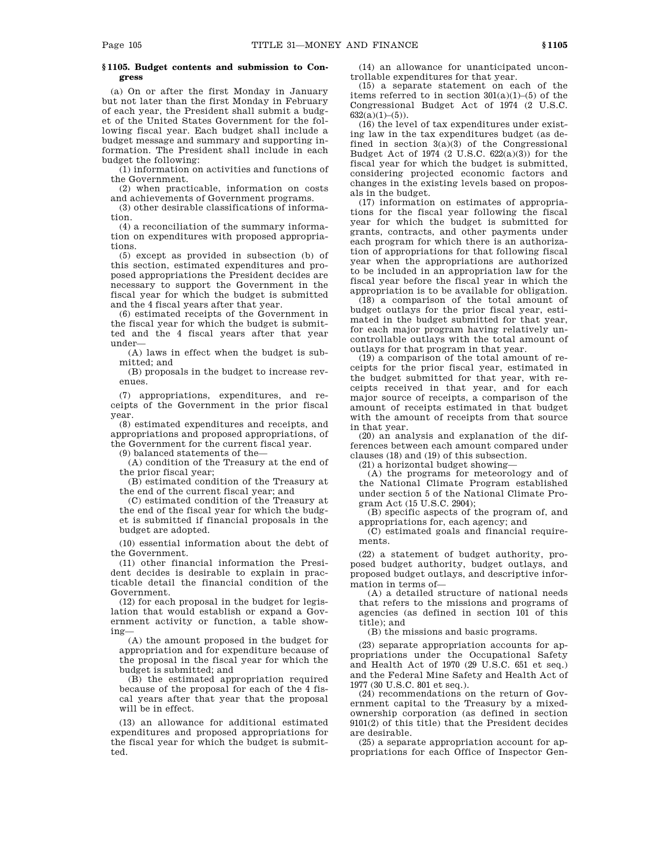# **§ 1105. Budget contents and submission to Congress**

(a) On or after the first Monday in January but not later than the first Monday in February of each year, the President shall submit a budget of the United States Government for the following fiscal year. Each budget shall include a budget message and summary and supporting information. The President shall include in each budget the following:

(1) information on activities and functions of the Government.

(2) when practicable, information on costs and achievements of Government programs.

(3) other desirable classifications of information.

(4) a reconciliation of the summary information on expenditures with proposed appropriations.

(5) except as provided in subsection (b) of this section, estimated expenditures and proposed appropriations the President decides are necessary to support the Government in the fiscal year for which the budget is submitted and the 4 fiscal years after that year.

(6) estimated receipts of the Government in the fiscal year for which the budget is submitted and the 4 fiscal years after that year under—

(A) laws in effect when the budget is submitted; and

(B) proposals in the budget to increase revenues.

(7) appropriations, expenditures, and receipts of the Government in the prior fiscal year.

(8) estimated expenditures and receipts, and appropriations and proposed appropriations, of the Government for the current fiscal year.

(9) balanced statements of the—

(A) condition of the Treasury at the end of the prior fiscal year;

(B) estimated condition of the Treasury at the end of the current fiscal year; and

(C) estimated condition of the Treasury at the end of the fiscal year for which the budget is submitted if financial proposals in the budget are adopted.

(10) essential information about the debt of the Government.

(11) other financial information the President decides is desirable to explain in practicable detail the financial condition of the Government.

(12) for each proposal in the budget for legislation that would establish or expand a Government activity or function, a table showing—

(A) the amount proposed in the budget for appropriation and for expenditure because of the proposal in the fiscal year for which the budget is submitted; and

(B) the estimated appropriation required because of the proposal for each of the 4 fiscal years after that year that the proposal will be in effect.

(13) an allowance for additional estimated expenditures and proposed appropriations for the fiscal year for which the budget is submitted.

(14) an allowance for unanticipated uncontrollable expenditures for that year.

(15) a separate statement on each of the items referred to in section  $301(a)(1)$ –(5) of the Congressional Budget Act of 1974 (2 U.S.C.  $632(a)(1)–(5)$ .

(16) the level of tax expenditures under existing law in the tax expenditures budget (as defined in section 3(a)(3) of the Congressional Budget Act of 1974 (2 U.S.C. 622(a)(3)) for the fiscal year for which the budget is submitted, considering projected economic factors and changes in the existing levels based on proposals in the budget.

(17) information on estimates of appropriations for the fiscal year following the fiscal year for which the budget is submitted for grants, contracts, and other payments under each program for which there is an authorization of appropriations for that following fiscal year when the appropriations are authorized to be included in an appropriation law for the fiscal year before the fiscal year in which the appropriation is to be available for obligation.

(18) a comparison of the total amount of budget outlays for the prior fiscal year, estimated in the budget submitted for that year, for each major program having relatively uncontrollable outlays with the total amount of outlays for that program in that year.

(19) a comparison of the total amount of receipts for the prior fiscal year, estimated in the budget submitted for that year, with receipts received in that year, and for each major source of receipts, a comparison of the amount of receipts estimated in that budget with the amount of receipts from that source in that year.

(20) an analysis and explanation of the differences between each amount compared under clauses (18) and (19) of this subsection.

(21) a horizontal budget showing—

(A) the programs for meteorology and of the National Climate Program established under section 5 of the National Climate Program Act (15 U.S.C. 2904);

(B) specific aspects of the program of, and appropriations for, each agency; and

(C) estimated goals and financial requirements.

(22) a statement of budget authority, proposed budget authority, budget outlays, and proposed budget outlays, and descriptive information in terms of—

(A) a detailed structure of national needs that refers to the missions and programs of agencies (as defined in section 101 of this title); and

(B) the missions and basic programs.

(23) separate appropriation accounts for appropriations under the Occupational Safety and Health Act of 1970 (29 U.S.C. 651 et seq.) and the Federal Mine Safety and Health Act of 1977 (30 U.S.C. 801 et seq.).

(24) recommendations on the return of Government capital to the Treasury by a mixedownership corporation (as defined in section 9101(2) of this title) that the President decides are desirable.

(25) a separate appropriation account for appropriations for each Office of Inspector Gen-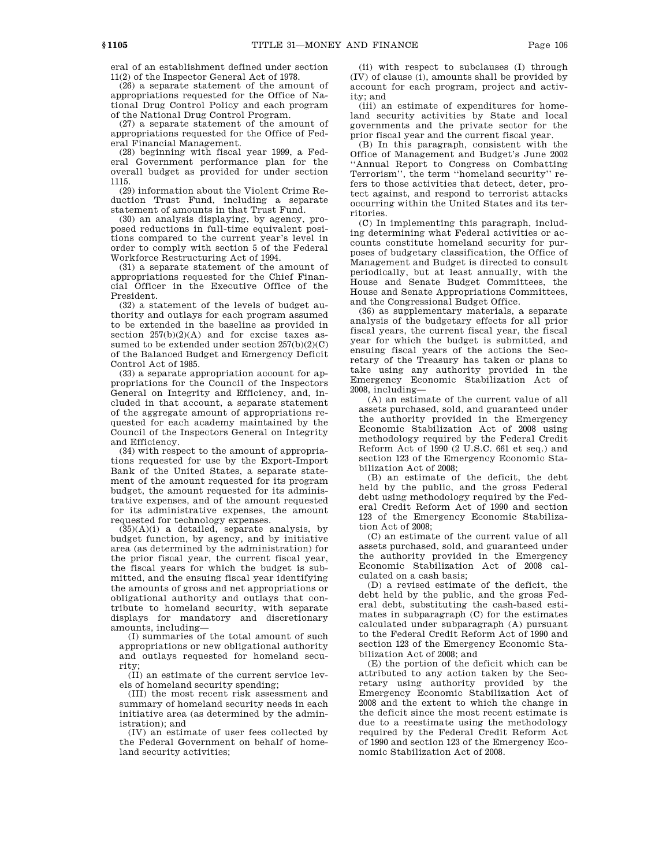eral of an establishment defined under section 11(2) of the Inspector General Act of 1978.

(26) a separate statement of the amount of appropriations requested for the Office of National Drug Control Policy and each program of the National Drug Control Program.

(27) a separate statement of the amount of appropriations requested for the Office of Federal Financial Management.

(28) beginning with fiscal year 1999, a Federal Government performance plan for the overall budget as provided for under section 1115.

(29) information about the Violent Crime Reduction Trust Fund, including a separate statement of amounts in that Trust Fund.

(30) an analysis displaying, by agency, proposed reductions in full-time equivalent positions compared to the current year's level in order to comply with section 5 of the Federal Workforce Restructuring Act of 1994.

(31) a separate statement of the amount of appropriations requested for the Chief Financial Officer in the Executive Office of the President.

(32) a statement of the levels of budget authority and outlays for each program assumed to be extended in the baseline as provided in section  $257(b)(2)(A)$  and for excise taxes assumed to be extended under section  $257(b)(2)(C)$ of the Balanced Budget and Emergency Deficit Control Act of 1985.

(33) a separate appropriation account for appropriations for the Council of the Inspectors General on Integrity and Efficiency, and, included in that account, a separate statement of the aggregate amount of appropriations requested for each academy maintained by the Council of the Inspectors General on Integrity and Efficiency.

(34) with respect to the amount of appropriations requested for use by the Export-Import Bank of the United States, a separate statement of the amount requested for its program budget, the amount requested for its administrative expenses, and of the amount requested for its administrative expenses, the amount requested for technology expenses.

 $(35)(A)(i)$  a detailed, separate analysis, by budget function, by agency, and by initiative area (as determined by the administration) for the prior fiscal year, the current fiscal year, the fiscal years for which the budget is submitted, and the ensuing fiscal year identifying the amounts of gross and net appropriations or obligational authority and outlays that contribute to homeland security, with separate displays for mandatory and discretionary amounts, including—

(I) summaries of the total amount of such appropriations or new obligational authority and outlays requested for homeland security;

(II) an estimate of the current service levels of homeland security spending;

(III) the most recent risk assessment and summary of homeland security needs in each initiative area (as determined by the administration); and

(IV) an estimate of user fees collected by the Federal Government on behalf of homeland security activities;

(ii) with respect to subclauses (I) through (IV) of clause (i), amounts shall be provided by account for each program, project and activity; and

(iii) an estimate of expenditures for homeland security activities by State and local governments and the private sector for the prior fiscal year and the current fiscal year.

(B) In this paragraph, consistent with the Office of Management and Budget's June 2002 ''Annual Report to Congress on Combatting Terrorism'', the term ''homeland security'' refers to those activities that detect, deter, protect against, and respond to terrorist attacks occurring within the United States and its territories.

(C) In implementing this paragraph, including determining what Federal activities or accounts constitute homeland security for purposes of budgetary classification, the Office of Management and Budget is directed to consult periodically, but at least annually, with the House and Senate Budget Committees, the House and Senate Appropriations Committees, and the Congressional Budget Office.

(36) as supplementary materials, a separate analysis of the budgetary effects for all prior fiscal years, the current fiscal year, the fiscal year for which the budget is submitted, and ensuing fiscal years of the actions the Secretary of the Treasury has taken or plans to take using any authority provided in the Emergency Economic Stabilization Act of 2008, including—

(A) an estimate of the current value of all assets purchased, sold, and guaranteed under the authority provided in the Emergency Economic Stabilization Act of 2008 using methodology required by the Federal Credit Reform Act of 1990 (2 U.S.C. 661 et seq.) and section 123 of the Emergency Economic Stabilization Act of 2008;

(B) an estimate of the deficit, the debt held by the public, and the gross Federal debt using methodology required by the Federal Credit Reform Act of 1990 and section 123 of the Emergency Economic Stabilization Act of 2008;

(C) an estimate of the current value of all assets purchased, sold, and guaranteed under the authority provided in the Emergency Economic Stabilization Act of 2008 calculated on a cash basis;

(D) a revised estimate of the deficit, the debt held by the public, and the gross Federal debt, substituting the cash-based estimates in subparagraph (C) for the estimates calculated under subparagraph (A) pursuant to the Federal Credit Reform Act of 1990 and section 123 of the Emergency Economic Stabilization Act of 2008; and

(E) the portion of the deficit which can be attributed to any action taken by the Secretary using authority provided by the Emergency Economic Stabilization Act of 2008 and the extent to which the change in the deficit since the most recent estimate is due to a reestimate using the methodology required by the Federal Credit Reform Act of 1990 and section 123 of the Emergency Economic Stabilization Act of 2008.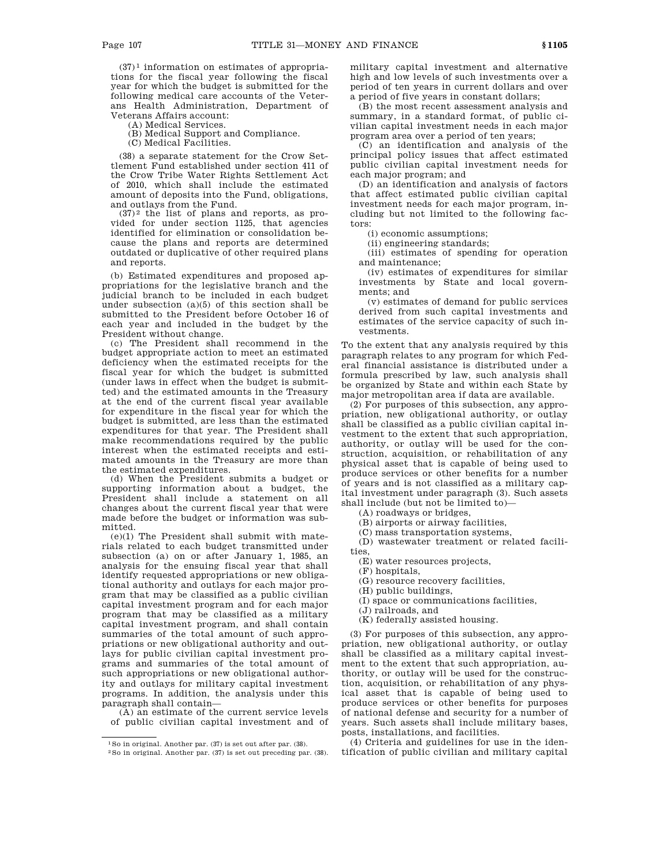$(37)^1$  information on estimates of appropriations for the fiscal year following the fiscal year for which the budget is submitted for the following medical care accounts of the Veterans Health Administration, Department of Veterans Affairs account:

(A) Medical Services.

(B) Medical Support and Compliance.

(C) Medical Facilities.

(38) a separate statement for the Crow Settlement Fund established under section 411 of the Crow Tribe Water Rights Settlement Act of 2010, which shall include the estimated amount of deposits into the Fund, obligations, and outlays from the Fund.

 $(37)^2$  the list of plans and reports, as provided for under section 1125, that agencies identified for elimination or consolidation because the plans and reports are determined outdated or duplicative of other required plans and reports.

(b) Estimated expenditures and proposed appropriations for the legislative branch and the judicial branch to be included in each budget under subsection  $(a)(5)$  of this section shall be submitted to the President before October 16 of each year and included in the budget by the President without change.

(c) The President shall recommend in the budget appropriate action to meet an estimated deficiency when the estimated receipts for the fiscal year for which the budget is submitted (under laws in effect when the budget is submitted) and the estimated amounts in the Treasury at the end of the current fiscal year available for expenditure in the fiscal year for which the budget is submitted, are less than the estimated expenditures for that year. The President shall make recommendations required by the public interest when the estimated receipts and estimated amounts in the Treasury are more than the estimated expenditures.

(d) When the President submits a budget or supporting information about a budget, the President shall include a statement on all changes about the current fiscal year that were made before the budget or information was submitted.

(e)(1) The President shall submit with materials related to each budget transmitted under subsection (a) on or after January 1, 1985, an analysis for the ensuing fiscal year that shall identify requested appropriations or new obligational authority and outlays for each major program that may be classified as a public civilian capital investment program and for each major program that may be classified as a military capital investment program, and shall contain summaries of the total amount of such appropriations or new obligational authority and outlays for public civilian capital investment programs and summaries of the total amount of such appropriations or new obligational authority and outlays for military capital investment programs. In addition, the analysis under this paragraph shall contain—

(A) an estimate of the current service levels of public civilian capital investment and of military capital investment and alternative high and low levels of such investments over a period of ten years in current dollars and over a period of five years in constant dollars;

(B) the most recent assessment analysis and summary, in a standard format, of public civilian capital investment needs in each major program area over a period of ten years;

(C) an identification and analysis of the principal policy issues that affect estimated public civilian capital investment needs for each major program; and

(D) an identification and analysis of factors that affect estimated public civilian capital investment needs for each major program, including but not limited to the following factors:

(i) economic assumptions;

(ii) engineering standards;

(iii) estimates of spending for operation and maintenance;

(iv) estimates of expenditures for similar investments by State and local governments; and

(v) estimates of demand for public services derived from such capital investments and estimates of the service capacity of such investments.

To the extent that any analysis required by this paragraph relates to any program for which Federal financial assistance is distributed under a formula prescribed by law, such analysis shall be organized by State and within each State by major metropolitan area if data are available.

(2) For purposes of this subsection, any appropriation, new obligational authority, or outlay shall be classified as a public civilian capital investment to the extent that such appropriation, authority, or outlay will be used for the construction, acquisition, or rehabilitation of any physical asset that is capable of being used to produce services or other benefits for a number of years and is not classified as a military capital investment under paragraph (3). Such assets shall include (but not be limited to)—

(A) roadways or bridges,

(B) airports or airway facilities,

(C) mass transportation systems,

(D) wastewater treatment or related facilities,

(E) water resources projects,

(F) hospitals,

(G) resource recovery facilities,

(H) public buildings,

(I) space or communications facilities,

(J) railroads, and

(K) federally assisted housing.

(3) For purposes of this subsection, any appropriation, new obligational authority, or outlay shall be classified as a military capital investment to the extent that such appropriation, authority, or outlay will be used for the construction, acquisition, or rehabilitation of any physical asset that is capable of being used to produce services or other benefits for purposes of national defense and security for a number of years. Such assets shall include military bases, posts, installations, and facilities.

(4) Criteria and guidelines for use in the identification of public civilian and military capital

<sup>1</sup>So in original. Another par. (37) is set out after par. (38).

<sup>2</sup>So in original. Another par. (37) is set out preceding par. (38).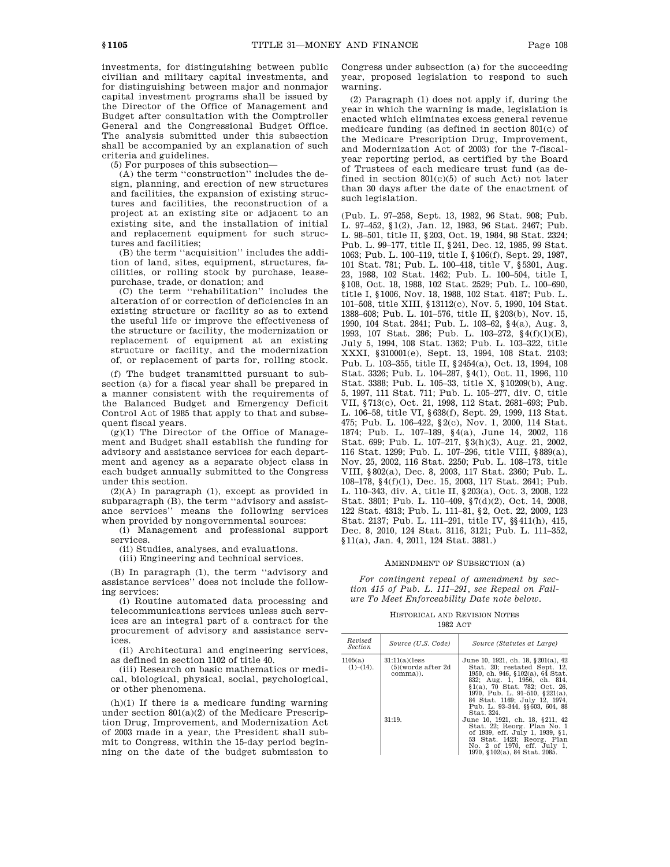investments, for distinguishing between public civilian and military capital investments, and for distinguishing between major and nonmajor capital investment programs shall be issued by the Director of the Office of Management and Budget after consultation with the Comptroller General and the Congressional Budget Office. The analysis submitted under this subsection shall be accompanied by an explanation of such criteria and guidelines.

(5) For purposes of this subsection—

(A) the term ''construction'' includes the design, planning, and erection of new structures and facilities, the expansion of existing structures and facilities, the reconstruction of a project at an existing site or adjacent to an existing site, and the installation of initial and replacement equipment for such structures and facilities;

(B) the term ''acquisition'' includes the addition of land, sites, equipment, structures, facilities, or rolling stock by purchase, leasepurchase, trade, or donation; and

(C) the term ''rehabilitation'' includes the alteration of or correction of deficiencies in an existing structure or facility so as to extend the useful life or improve the effectiveness of the structure or facility, the modernization or replacement of equipment at an existing structure or facility, and the modernization of, or replacement of parts for, rolling stock.

(f) The budget transmitted pursuant to subsection (a) for a fiscal year shall be prepared in a manner consistent with the requirements of the Balanced Budget and Emergency Deficit Control Act of 1985 that apply to that and subsequent fiscal years.

 $(g)(1)$  The Director of the Office of Management and Budget shall establish the funding for advisory and assistance services for each department and agency as a separate object class in each budget annually submitted to the Congress under this section.

 $(2)(A)$  In paragraph  $(1)$ , except as provided in subparagraph (B), the term ''advisory and assistance services'' means the following services when provided by nongovernmental sources:

(i) Management and professional support services.

(ii) Studies, analyses, and evaluations.

(iii) Engineering and technical services.

(B) In paragraph (1), the term ''advisory and assistance services'' does not include the following services:

(i) Routine automated data processing and telecommunications services unless such services are an integral part of a contract for the procurement of advisory and assistance services.

(ii) Architectural and engineering services, as defined in section 1102 of title 40.

(iii) Research on basic mathematics or medical, biological, physical, social, psychological, or other phenomena.

 $(h)(1)$  If there is a medicare funding warning under section  $801(a)(2)$  of the Medicare Prescription Drug, Improvement, and Modernization Act of 2003 made in a year, the President shall submit to Congress, within the 15-day period beginning on the date of the budget submission to

Congress under subsection (a) for the succeeding year, proposed legislation to respond to such warning.

(2) Paragraph (1) does not apply if, during the year in which the warning is made, legislation is enacted which eliminates excess general revenue medicare funding (as defined in section 801(c) of the Medicare Prescription Drug, Improvement, and Modernization Act of 2003) for the 7-fiscalyear reporting period, as certified by the Board of Trustees of each medicare trust fund (as defined in section  $801(c)(5)$  of such Act) not later than 30 days after the date of the enactment of such legislation.

(Pub. L. 97–258, Sept. 13, 1982, 96 Stat. 908; Pub. L. 97–452, §1(2), Jan. 12, 1983, 96 Stat. 2467; Pub. L. 98–501, title II, §203, Oct. 19, 1984, 98 Stat. 2324; Pub. L. 99–177, title II, §241, Dec. 12, 1985, 99 Stat. 1063; Pub. L. 100–119, title I, §106(f), Sept. 29, 1987, 101 Stat. 781; Pub. L. 100–418, title V, §5301, Aug. 23, 1988, 102 Stat. 1462; Pub. L. 100–504, title I, §108, Oct. 18, 1988, 102 Stat. 2529; Pub. L. 100-690, title I, §1006, Nov. 18, 1988, 102 Stat. 4187; Pub. L. 101–508, title XIII, §13112(c), Nov. 5, 1990, 104 Stat. 1388–608; Pub. L. 101–576, title II, §203(b), Nov. 15, 1990, 104 Stat. 2841; Pub. L. 103–62, §4(a), Aug. 3, 1993, 107 Stat. 286; Pub. L. 103–272, §4(f)(1)(E), July 5, 1994, 108 Stat. 1362; Pub. L. 103–322, title XXXI, §310001(e), Sept. 13, 1994, 108 Stat. 2103; Pub. L. 103–355, title II, §2454(a), Oct. 13, 1994, 108 Stat. 3326; Pub. L. 104–287, §4(1), Oct. 11, 1996, 110 Stat. 3388; Pub. L. 105–33, title X, §10209(b), Aug. 5, 1997, 111 Stat. 711; Pub. L. 105–277, div. C, title VII, §713(c), Oct. 21, 1998, 112 Stat. 2681–693; Pub. L. 106–58, title VI, §638(f), Sept. 29, 1999, 113 Stat. 475; Pub. L. 106–422, §2(c), Nov. 1, 2000, 114 Stat. 1874; Pub. L. 107–189, §4(a), June 14, 2002, 116 Stat. 699; Pub. L. 107–217, §3(h)(3), Aug. 21, 2002, 116 Stat. 1299; Pub. L. 107–296, title VIII, §889(a), Nov. 25, 2002, 116 Stat. 2250; Pub. L. 108–173, title VIII, §802(a), Dec. 8, 2003, 117 Stat. 2360; Pub. L. 108–178, §4(f)(1), Dec. 15, 2003, 117 Stat. 2641; Pub. L. 110–343, div. A, title II, §203(a), Oct. 3, 2008, 122 Stat. 3801; Pub. L. 110–409, §7(d)(2), Oct. 14, 2008, 122 Stat. 4313; Pub. L. 111–81, §2, Oct. 22, 2009, 123 Stat. 2137; Pub. L. 111–291, title IV, §§411(h), 415, Dec. 8, 2010, 124 Stat. 3116, 3121; Pub. L. 111–352, §11(a), Jan. 4, 2011, 124 Stat. 3881.)

#### AMENDMENT OF SUBSECTION (a)

*For contingent repeal of amendment by section 415 of Pub. L. 111–291, see Repeal on Failure To Meet Enforceability Date note below.*

HISTORICAL AND REVISION NOTES 1982 ACT

| Revised<br><i>Section</i> | Source (U.S. Code)                                            | Source (Statutes at Large)                                                                                                                                                                                                                                                                                                                                                                                                                                                                    |
|---------------------------|---------------------------------------------------------------|-----------------------------------------------------------------------------------------------------------------------------------------------------------------------------------------------------------------------------------------------------------------------------------------------------------------------------------------------------------------------------------------------------------------------------------------------------------------------------------------------|
| 1105(a)<br>$(1)–(14)$ .   | 31:11(a)(less<br>$(5)$ (words after 2d)<br>comma)).<br>31:19. | June 10, 1921, ch. 18, §201(a), 42<br>Stat. 20; restated Sept. 12.<br>1950, ch. 946, §102(a), 64 Stat.<br>832; Aug. 1, 1956, ch. 814,<br>§1(a), 70 Stat, 782; Oct, 26.<br>1970. Pub. L. 91–510. §221(a).<br>84 Stat. 1169: July 12, 1974.<br>Pub. L. 93-344, §§ 603, 604, 88<br>Stat. 324.<br>June 10, 1921, ch. 18, §211, 42<br>Stat. 22: Reorg. Plan No. 1<br>of 1939, eff. July 1, 1939, §1,<br>53 Stat. 1423: Reorg. Plan<br>No. 2 of 1970, eff. July 1,<br>1970, §102(a), 84 Stat. 2085. |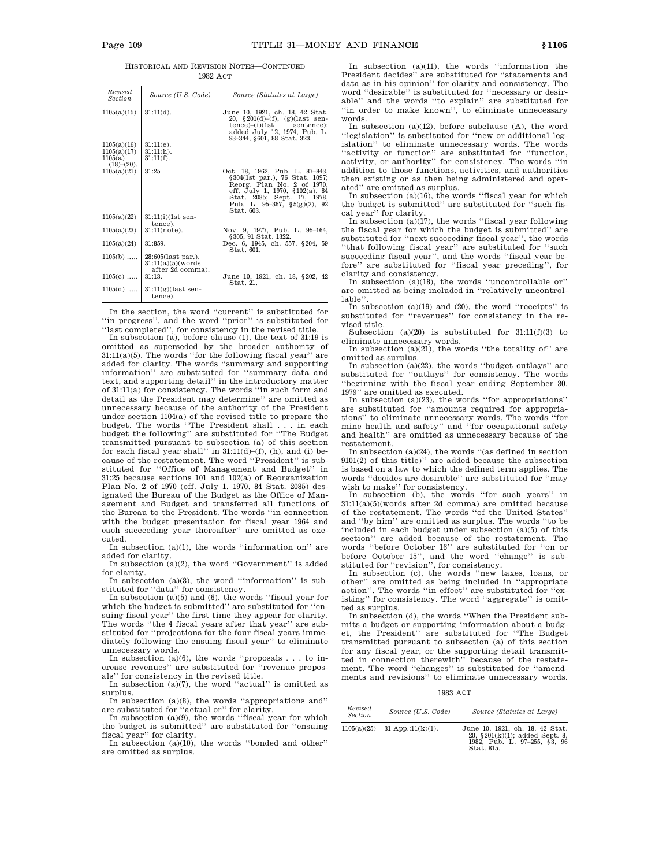### HISTORICAL AND REVISION NOTES—CONTINUED 1982 ACT

| Revised<br><b>Section</b> | Source (U.S. Code)                                           | Source (Statutes at Large)                                                                                                                                                                                        |
|---------------------------|--------------------------------------------------------------|-------------------------------------------------------------------------------------------------------------------------------------------------------------------------------------------------------------------|
| 1105(a)(15)               | $31:11(d)$ .                                                 | June 10, 1921, ch. 18, 42 Stat.<br>20, §201(d)–(f), (g)(last sen-<br>$tence) - (i)(1st$ sentence);<br>added July 12, 1974, Pub. L.<br>93-344, §601, 88 Stat, 323.                                                 |
| 1105(a)(16)               | $31:11(e)$ .                                                 |                                                                                                                                                                                                                   |
| 1105(a)(17)               | $31:11(h)$ .                                                 |                                                                                                                                                                                                                   |
| 1105(a)                   | $31:11(f)$ .                                                 |                                                                                                                                                                                                                   |
| $(18)–(20)$ .             |                                                              |                                                                                                                                                                                                                   |
| 1105(a)(21)               | 31:25                                                        | Oct. 18, 1962. Pub. L. 87-843.<br>§304(1st par.), 76 Stat. 1097;<br>Reorg. Plan No. 2 of 1970,<br>eff. July 1, 1970, §102(a), 84<br>Stat. 2085; Sept. 17, 1978.<br>Pub. L. 95-367, $\S5(g)(2)$ , 92<br>Stat. 603. |
| 1105(a)(22)               | $31:11(i)(1st sen-$                                          |                                                                                                                                                                                                                   |
|                           | tence).                                                      |                                                                                                                                                                                                                   |
| 1105(a)(23)               | $31:11$ (note).                                              | Nov. 9, 1977, Pub. L. 95-164,<br>§305, 91 Stat. 1322.                                                                                                                                                             |
| 1105(a)(24)               | 31:859.                                                      | Dec. 6, 1945, ch. 557, §204, 59<br>Stat. 601.                                                                                                                                                                     |
| $1105(b)$                 | 28:605(last par.).<br>31:11(a)(5)(words)<br>after 2d comma). |                                                                                                                                                                                                                   |
| $1105(c)$                 | 31:13.                                                       | June 10, 1921, ch. 18, §202, 42<br>Stat. 21.                                                                                                                                                                      |
| $1105(d)$                 | $31:11(g)(last sen-$<br>tence).                              |                                                                                                                                                                                                                   |

In the section, the word ''current'' is substituted for ''in progress'', and the word ''prior'' is substituted for ''last completed'', for consistency in the revised title.

In subsection (a), before clause (1), the text of 31:19 is omitted as superseded by the broader authority of  $31:11(a)(5)$ . The words "for the following fiscal year" are added for clarity. The words ''summary and supporting information'' are substituted for ''summary data and text, and supporting detail'' in the introductory matter of 31:11(a) for consistency. The words ''in such form and detail as the President may determine'' are omitted as unnecessary because of the authority of the President under section 1104(a) of the revised title to prepare the budget. The words ''The President shall . . . in each budget the following'' are substituted for ''The Budget transmitted pursuant to subsection (a) of this section for each fiscal year shall'' in 31:11(d)–(f), (h), and (i) because of the restatement. The word ''President'' is substituted for ''Office of Management and Budget'' in 31:25 because sections 101 and 102(a) of Reorganization Plan No. 2 of 1970 (eff. July 1, 1970, 84 Stat. 2085) designated the Bureau of the Budget as the Office of Management and Budget and transferred all functions of the Bureau to the President. The words ''in connection with the budget presentation for fiscal year 1964 and each succeeding year thereafter'' are omitted as executed.

In subsection  $(a)(1)$ , the words "information on" are added for clarity.

In subsection  $(a)(2)$ , the word "Government" is added for clarity.

In subsection (a)(3), the word ''information'' is substituted for ''data'' for consistency.

In subsection (a)(5) and (6), the words ''fiscal year for which the budget is submitted'' are substituted for ''ensuing fiscal year'' the first time they appear for clarity. The words ''the 4 fiscal years after that year'' are substituted for ''projections for the four fiscal years immediately following the ensuing fiscal year'' to eliminate unnecessary words.

In subsection  $(a)(6)$ , the words "proposals . . . to increase revenues'' are substituted for ''revenue propos-

als'' for consistency in the revised title. In subsection  $(a)(7)$ , the word "actual" is omitted as surplus.

In subsection (a)(8), the words ''appropriations and''

are substituted for ''actual or'' for clarity. In subsection (a)(9), the words ''fiscal year for which the budget is submitted'' are substituted for ''ensuing fiscal year'' for clarity.

In subsection  $(a)(10)$ , the words "bonded and other" are omitted as surplus.

In subsection (a)(11), the words ''information the President decides'' are substituted for ''statements and data as in his opinion'' for clarity and consistency. The word ''desirable'' is substituted for ''necessary or desirable'' and the words ''to explain'' are substituted for ''in order to make known'', to eliminate unnecessary words.

In subsection (a)(12), before subclause (A), the word ''legislation'' is substituted for ''new or additional legislation'' to eliminate unnecessary words. The words ''activity or function'' are substituted for ''function, activity, or authority'' for consistency. The words ''in addition to those functions, activities, and authorities then existing or as then being administered and operated'' are omitted as surplus.

In subsection (a)(16), the words ''fiscal year for which the budget is submitted'' are substituted for ''such fiscal year'' for clarity.

In subsection  $(a)(17)$ , the words "fiscal year following" the fiscal year for which the budget is submitted'' are substituted for ''next succeeding fiscal year'', the words ''that following fiscal year'' are substituted for ''such succeeding fiscal year'', and the words "fiscal year before'' are substituted for ''fiscal year preceding'', for

clarity and consistency. In subsection (a)(18), the words ''uncontrollable or'' are omitted as being included in ''relatively uncontrollable''.

In subsection  $(a)(19)$  and  $(20)$ , the word "receipts" is substituted for "revenues" for consistency in the revised title.

Subsection  $(a)(20)$  is substituted for  $31:11(f)(3)$  to eliminate unnecessary words.

In subsection  $(a)(21)$ , the words "the totality of" are omitted as surplus.

In subsection (a)(22), the words "budget outlays" are substituted for ''outlays'' for consistency. The words ''beginning with the fiscal year ending September 30, 1979'' are omitted as executed.

In subsection (a)(23), the words ''for appropriations'' are substituted for ''amounts required for appropriations'' to eliminate unnecessary words. The words ''for mine health and safety" and "for occupational safety" and health'' are omitted as unnecessary because of the restatement.

In subsection (a)(24), the words ''(as defined in section 9101(2) of this title)'' are added because the subsection is based on a law to which the defined term applies. The words ''decides are desirable'' are substituted for ''may wish to make'' for consistency.

In subsection (b), the words ''for such years'' in 31:11(a)(5)(words after 2d comma) are omitted because of the restatement. The words ''of the United States'' and ''by him'' are omitted as surplus. The words ''to be included in each budget under subsection (a)(5) of this section'' are added because of the restatement. The words ''before October 16'' are substituted for ''on or before October 15'', and the word ''change'' is sub-

stituted for ''revision'', for consistency. In subsection (c), the words ''new taxes, loans, or other'' are omitted as being included in ''appropriate action''. The words ''in effect'' are substituted for ''existing'' for consistency. The word ''aggregate'' is omitted as surplus.

In subsection (d), the words ''When the President submits a budget or supporting information about a budget, the President'' are substituted for ''The Budget transmitted pursuant to subsection (a) of this section for any fiscal year, or the supporting detail transmitted in connection therewith'' because of the restatement. The word ''changes'' is substituted for ''amendments and revisions'' to eliminate unnecessary words.

1983 ACT

| Revised<br>Section | Source (U.S. Code)    | Source (Statutes at Large)                                                                                      |
|--------------------|-----------------------|-----------------------------------------------------------------------------------------------------------------|
| 1105(a)(25)        | 31 App.: $11(k)(1)$ . | June 10, 1921, ch. 18, 42 Stat.<br>20, §201(k)(1); added Sept. 8,<br>1982. Pub. L. 97-255. §3. 96<br>Stat. 815. |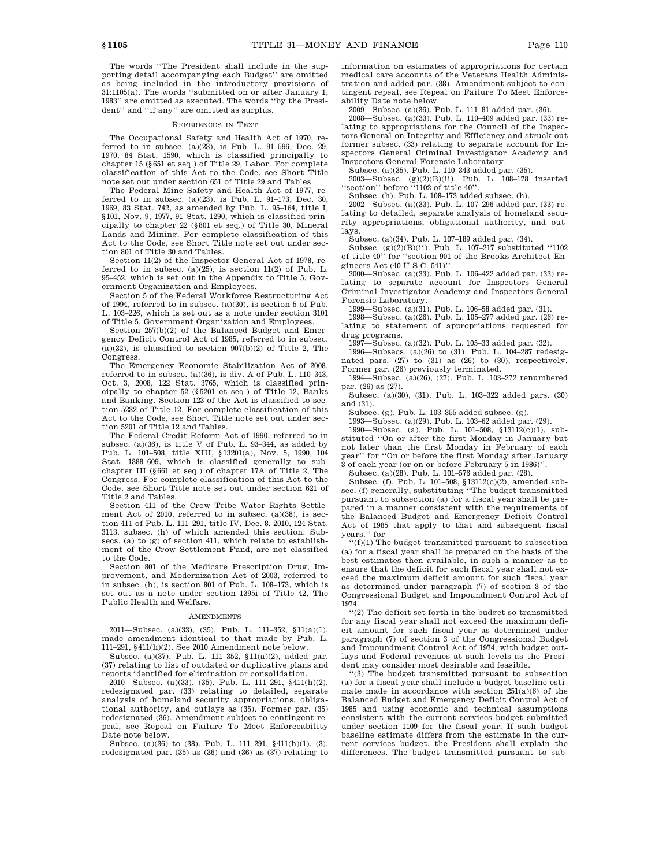The words ''The President shall include in the supporting detail accompanying each Budget'' are omitted as being included in the introductory provisions of 31:1105(a). The words ''submitted on or after January 1, 1983'' are omitted as executed. The words ''by the President'' and ''if any'' are omitted as surplus.

## REFERENCES IN TEXT

The Occupational Safety and Health Act of 1970, referred to in subsec. (a)(23), is Pub. L. 91–596, Dec. 29, 1970, 84 Stat. 1590, which is classified principally to chapter 15 (§651 et seq.) of Title 29, Labor. For complete classification of this Act to the Code, see Short Title note set out under section 651 of Title 29 and Tables.

The Federal Mine Safety and Health Act of 1977, referred to in subsec.  $(a)(23)$ , is Pub. L. 91-173, Dec. 30, 1969, 83 Stat. 742, as amended by Pub. L. 95–164, title I, §101, Nov. 9, 1977, 91 Stat. 1290, which is classified principally to chapter 22 (§801 et seq.) of Title 30, Mineral Lands and Mining. For complete classification of this Act to the Code, see Short Title note set out under section 801 of Title 30 and Tables.

Section 11(2) of the Inspector General Act of 1978, referred to in subsec. (a)(25), is section 11(2) of Pub. L. 95–452, which is set out in the Appendix to Title 5, Government Organization and Employees.

Section 5 of the Federal Workforce Restructuring Act of 1994, referred to in subsec. (a)(30), is section 5 of Pub. L. 103–226, which is set out as a note under section 3101 of Title 5, Government Organization and Employees.

Section 257(b)(2) of the Balanced Budget and Emergency Deficit Control Act of 1985, referred to in subsec.  $(a)(32)$ , is classified to section  $907(b)(2)$  of Title 2, The Congress.

The Emergency Economic Stabilization Act of 2008, referred to in subsec. (a)(36), is div. A of Pub. L. 110–343, Oct. 3, 2008, 122 Stat. 3765, which is classified principally to chapter 52 (§5201 et seq.) of Title 12, Banks and Banking. Section 123 of the Act is classified to section 5232 of Title 12. For complete classification of this Act to the Code, see Short Title note set out under section 5201 of Title 12 and Tables.

The Federal Credit Reform Act of 1990, referred to in subsec. (a)(36), is title V of Pub. L. 93–344, as added by Pub. L. 101–508, title XIII, §13201(a), Nov. 5, 1990, 104 Stat. 1388–609, which is classified generally to subchapter III (§661 et seq.) of chapter 17A of Title 2, The Congress. For complete classification of this Act to the Code, see Short Title note set out under section 621 of Title 2 and Tables.

Section 411 of the Crow Tribe Water Rights Settlement Act of 2010, referred to in subsec. (a)(38), is section 411 of Pub. L. 111–291, title IV, Dec. 8, 2010, 124 Stat. 3113, subsec. (h) of which amended this section. Subsecs. (a) to (g) of section 411, which relate to establishment of the Crow Settlement Fund, are not classified to the Code.

Section 801 of the Medicare Prescription Drug, Improvement, and Modernization Act of 2003, referred to in subsec. (h), is section 801 of Pub. L. 108–173, which is set out as a note under section 1395i of Title 42, The Public Health and Welfare.

#### AMENDMENTS

2011—Subsec. (a)(33), (35). Pub. L. 111–352, §11(a)(1), made amendment identical to that made by Pub. L. 111–291, §411(h)(2). See 2010 Amendment note below.

Subsec. (a)(37). Pub. L. 111–352, §11(a)(2), added par. (37) relating to list of outdated or duplicative plans and reports identified for elimination or consolidation.

2010—Subsec. (a)(33), (35). Pub. L. 111–291, §411(h)(2), redesignated par. (33) relating to detailed, separate analysis of homeland security appropriations, obligational authority, and outlays as (35). Former par. (35) redesignated (36). Amendment subject to contingent repeal, see Repeal on Failure To Meet Enforceability Date note below.

Subsec. (a)(36) to (38). Pub. L. 111–291, §411(h)(1), (3), redesignated par. (35) as (36) and (36) as (37) relating to information on estimates of appropriations for certain medical care accounts of the Veterans Health Administration and added par. (38). Amendment subject to contingent repeal, see Repeal on Failure To Meet Enforceability Date note below.

2009—Subsec. (a)(36). Pub. L. 111–81 added par. (36).

2008—Subsec. (a)(33). Pub. L. 110–409 added par. (33) relating to appropriations for the Council of the Inspectors General on Integrity and Efficiency and struck out former subsec. (33) relating to separate account for Inspectors General Criminal Investigator Academy and Inspectors General Forensic Laboratory.

Subsec. (a)(35). Pub. L. 110–343 added par. (35).

2003—Subsec. (g)(2)(B)(ii). Pub. L. 108–178 inserted 'section" before "1102 of title 40".

Subsec. (h). Pub. L. 108–173 added subsec. (h).

2002—Subsec. (a)(33). Pub. L. 107–296 added par. (33) relating to detailed, separate analysis of homeland security appropriations, obligational authority, and outlays.

Subsec. (a)(34). Pub. L. 107–189 added par. (34).

Subsec. (g)(2)(B)(ii). Pub. L. 107–217 substituted ''1102 of title 40'' for ''section 901 of the Brooks Architect-Engineers Act (40 U.S.C. 541)''.

2000—Subsec. (a)(33). Pub. L. 106–422 added par. (33) relating to separate account for Inspectors General Criminal Investigator Academy and Inspectors General Forensic Laboratory.

1999—Subsec. (a)(31). Pub. L. 106–58 added par. (31).

1998—Subsec. (a)(26). Pub. L. 105–277 added par. (26) relating to statement of appropriations requested for drug programs.

1997—Subsec. (a)(32). Pub. L. 105–33 added par. (32).

1996—Subsecs. (a)(26) to (31). Pub. L. 104–287 redesig-

nated pars. (27) to (31) as (26) to (30), respectively. Former par. (26) previously terminated.

1994—Subsec. (a)(26), (27). Pub. L. 103–272 renumbered par. (26) as (27).

Subsec. (a)(30), (31). Pub. L. 103–322 added pars. (30) and (31).

Subsec. (g). Pub. L. 103–355 added subsec. (g).

1993—Subsec. (a)(29). Pub. L. 103–62 added par. (29).

1990—Subsec. (a). Pub. L. 101–508, §13112(c)(1), substituted ''On or after the first Monday in January but not later than the first Monday in February of each year'' for ''On or before the first Monday after January 3 of each year (or on or before February 5 in 1986)''.

Subsec. (a)(28). Pub. L. 101–576 added par. (28).

Subsec. (f). Pub. L. 101–508, §13112(c)(2), amended subsec. (f) generally, substituting ''The budget transmitted pursuant to subsection (a) for a fiscal year shall be prepared in a manner consistent with the requirements of the Balanced Budget and Emergency Deficit Control Act of 1985 that apply to that and subsequent fiscal years.'' for

 $``(f)(1)$  The budget transmitted pursuant to subsection (a) for a fiscal year shall be prepared on the basis of the best estimates then available, in such a manner as to ensure that the deficit for such fiscal year shall not exceed the maximum deficit amount for such fiscal year as determined under paragraph (7) of section 3 of the Congressional Budget and Impoundment Control Act of 1974.

''(2) The deficit set forth in the budget so transmitted for any fiscal year shall not exceed the maximum deficit amount for such fiscal year as determined under paragraph (7) of section 3 of the Congressional Budget and Impoundment Control Act of 1974, with budget outlays and Federal revenues at such levels as the President may consider most desirable and feasible.

'(3) The budget transmitted pursuant to subsection (a) for a fiscal year shall include a budget baseline estimate made in accordance with section  $251(a)(6)$  of the Balanced Budget and Emergency Deficit Control Act of 1985 and using economic and technical assumptions consistent with the current services budget submitted under section 1109 for the fiscal year. If such budget baseline estimate differs from the estimate in the current services budget, the President shall explain the differences. The budget transmitted pursuant to sub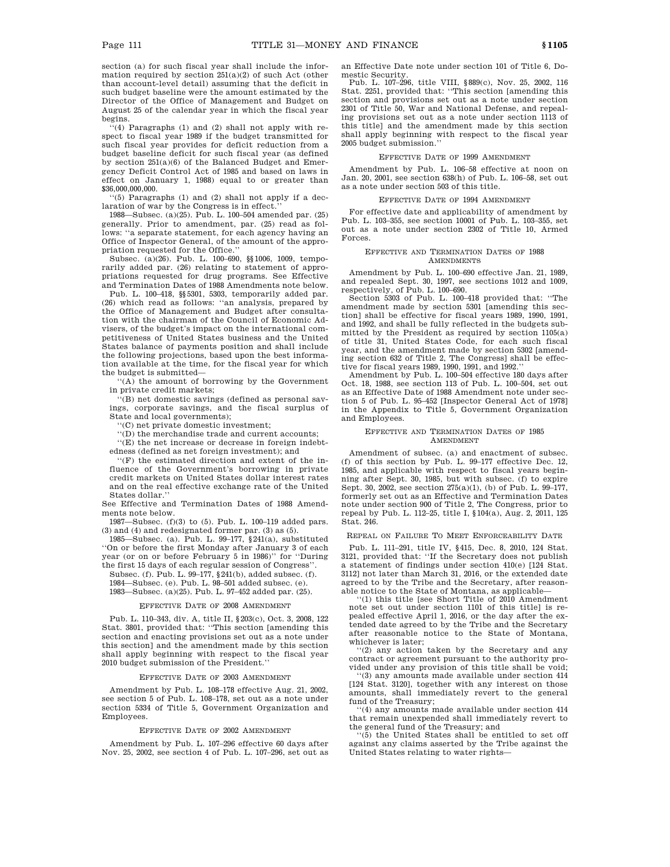section (a) for such fiscal year shall include the information required by section 251(a)(2) of such Act (other than account-level detail) assuming that the deficit in such budget baseline were the amount estimated by the Director of the Office of Management and Budget on August 25 of the calendar year in which the fiscal year begins.

 $\cdot$ <sup>(4)</sup> Paragraphs (1) and (2) shall not apply with respect to fiscal year 1989 if the budget transmitted for such fiscal year provides for deficit reduction from a budget baseline deficit for such fiscal year (as defined by section 251(a)(6) of the Balanced Budget and Emergency Deficit Control Act of 1985 and based on laws in effect on January 1, 1988) equal to or greater than \$36,000,000,000.

''(5) Paragraphs (1) and (2) shall not apply if a declaration of war by the Congress is in effect.

1988—Subsec. (a)(25). Pub. L. 100–504 amended par. (25) generally. Prior to amendment, par. (25) read as follows: ''a separate statement, for each agency having an Office of Inspector General, of the amount of the appropriation requested for the Office.''

Subsec. (a)(26). Pub. L. 100–690, §§1006, 1009, temporarily added par. (26) relating to statement of appropriations requested for drug programs. See Effective and Termination Dates of 1988 Amendments note below.

Pub. L. 100–418, §§5301, 5303, temporarily added par. (26) which read as follows: ''an analysis, prepared by the Office of Management and Budget after consultation with the chairman of the Council of Economic Advisers, of the budget's impact on the international competitiveness of United States business and the United States balance of payments position and shall include the following projections, based upon the best information available at the time, for the fiscal year for which the budget is submitted—

''(A) the amount of borrowing by the Government in private credit markets;

''(B) net domestic savings (defined as personal savings, corporate savings, and the fiscal surplus of State and local governments);

''(C) net private domestic investment;

''(D) the merchandise trade and current accounts;

''(E) the net increase or decrease in foreign indebtedness (defined as net foreign investment); and

''(F) the estimated direction and extent of the influence of the Government's borrowing in private credit markets on United States dollar interest rates and on the real effective exchange rate of the United States dollar.''

See Effective and Termination Dates of 1988 Amendments note below.

1987—Subsec. (f)(3) to (5). Pub. L. 100–119 added pars. (3) and (4) and redesignated former par. (3) as (5).

1985—Subsec. (a). Pub. L. 99–177, §241(a), substituted ''On or before the first Monday after January 3 of each year (or on or before February 5 in 1986)'' for ''During the first 15 days of each regular session of Congress''.

Subsec. (f). Pub. L. 99–177, §241(b), added subsec. (f).

1984—Subsec. (e). Pub. L. 98–501 added subsec. (e). 1983—Subsec. (a)(25). Pub. L. 97–452 added par. (25).

#### EFFECTIVE DATE OF 2008 AMENDMENT

Pub. L. 110–343, div. A, title II, §203(c), Oct. 3, 2008, 122 Stat. 3801, provided that: ''This section [amending this section and enacting provisions set out as a note under this section] and the amendment made by this section shall apply beginning with respect to the fiscal year 2010 budget submission of the President.''

#### EFFECTIVE DATE OF 2003 AMENDMENT

Amendment by Pub. L. 108–178 effective Aug. 21, 2002, see section 5 of Pub. L. 108–178, set out as a note under section 5334 of Title 5, Government Organization and Employees.

#### EFFECTIVE DATE OF 2002 AMENDMENT

Amendment by Pub. L. 107–296 effective 60 days after Nov. 25, 2002, see section 4 of Pub. L. 107–296, set out as an Effective Date note under section 101 of Title 6, Do-

mestic Security. Pub. L. 107–296, title VIII, §889(c), Nov. 25, 2002, 116 Stat. 2251, provided that: ''This section [amending this section and provisions set out as a note under section 2301 of Title 50, War and National Defense, and repealing provisions set out as a note under section 1113 of this title] and the amendment made by this section shall apply beginning with respect to the fiscal year 2005 budget submission.''

## EFFECTIVE DATE OF 1999 AMENDMENT

Amendment by Pub. L. 106–58 effective at noon on Jan. 20, 2001, see section 638(h) of Pub. L. 106–58, set out as a note under section 503 of this title.

#### EFFECTIVE DATE OF 1994 AMENDMENT

For effective date and applicability of amendment by Pub. L. 103–355, see section 10001 of Pub. L. 103–355, set out as a note under section 2302 of Title 10, Armed Forces.

### EFFECTIVE AND TERMINATION DATES OF 1988 **AMENDMENTS**

Amendment by Pub. L. 100–690 effective Jan. 21, 1989, and repealed Sept. 30, 1997, see sections 1012 and 1009,

respectively, of Pub. L. 100–690. Section 5303 of Pub. L. 100–418 provided that: ''The amendment made by section 5301 [amending this section] shall be effective for fiscal years 1989, 1990, 1991, and 1992, and shall be fully reflected in the budgets submitted by the President as required by section 1105(a) of title 31, United States Code, for each such fiscal year, and the amendment made by section 5302 [amending section 632 of Title 2, The Congress] shall be effective for fiscal years 1989, 1990, 1991, and 1992.''

Amendment by Pub. L. 100–504 effective 180 days after Oct. 18, 1988, see section 113 of Pub. L. 100–504, set out as an Effective Date of 1988 Amendment note under section 5 of Pub. L. 95–452 [Inspector General Act of 1978] in the Appendix to Title 5, Government Organization and Employees.

#### EFFECTIVE AND TERMINATION DATES OF 1985 AMENDMENT

Amendment of subsec. (a) and enactment of subsec. (f) of this section by Pub. L. 99–177 effective Dec. 12, 1985, and applicable with respect to fiscal years beginning after Sept. 30, 1985, but with subsec. (f) to expire Sept. 30, 2002, see section 275(a)(1), (b) of Pub. L. 99–177, formerly set out as an Effective and Termination Dates note under section 900 of Title 2, The Congress, prior to repeal by Pub. L. 112–25, title I, §104(a), Aug. 2, 2011, 125 Stat. 246.

#### REPEAL ON FAILURE TO MEET ENFORCEABILITY DATE

Pub. L. 111–291, title IV, §415, Dec. 8, 2010, 124 Stat. 3121, provided that: ''If the Secretary does not publish a statement of findings under section 410(e) [124 Stat. 3112] not later than March 31, 2016, or the extended date agreed to by the Tribe and the Secretary, after reasonable notice to the State of Montana, as applicable—

''(1) this title [see Short Title of 2010 Amendment note set out under section 1101 of this title] is repealed effective April 1, 2016, or the day after the extended date agreed to by the Tribe and the Secretary after reasonable notice to the State of Montana,

whichever is later;<br>"(2) any action taken by the Secretary and any contract or agreement pursuant to the authority provided under any provision of this title shall be void;

''(3) any amounts made available under section 414 [124 Stat. 3120], together with any interest on those amounts, shall immediately revert to the general fund of the Treasury;

''(4) any amounts made available under section 414 that remain unexpended shall immediately revert to the general fund of the Treasury; and

''(5) the United States shall be entitled to set off against any claims asserted by the Tribe against the United States relating to water rights—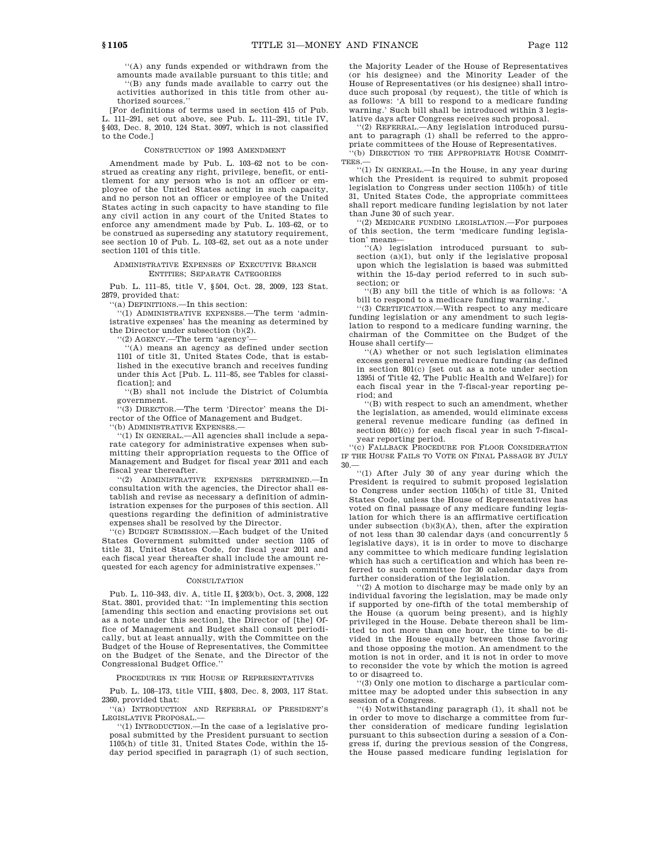''(A) any funds expended or withdrawn from the amounts made available pursuant to this title; and ''(B) any funds made available to carry out the activities authorized in this title from other authorized sources.''

[For definitions of terms used in section 415 of Pub. L. 111–291, set out above, see Pub. L. 111–291, title IV, §403, Dec. 8, 2010, 124 Stat. 3097, which is not classified to the Code.]

## CONSTRUCTION OF 1993 AMENDMENT

Amendment made by Pub. L. 103–62 not to be construed as creating any right, privilege, benefit, or entitlement for any person who is not an officer or employee of the United States acting in such capacity, and no person not an officer or employee of the United States acting in such capacity to have standing to file any civil action in any court of the United States to enforce any amendment made by Pub. L. 103–62, or to be construed as superseding any statutory requirement, see section 10 of Pub. L. 103–62, set out as a note under section 1101 of this title.

#### ADMINISTRATIVE EXPENSES OF EXECUTIVE BRANCH ENTITIES; SEPARATE CATEGORIES

Pub. L. 111–85, title V, §504, Oct. 28, 2009, 123 Stat. 2879, provided that:

''(a) DEFINITIONS.—In this section:

''(1) ADMINISTRATIVE EXPENSES.—The term 'administrative expenses' has the meaning as determined by the Director under subsection (b)(2).

'(2) AGENCY.—The term 'agency'-

'(A) means an agency as defined under section 1101 of title 31, United States Code, that is established in the executive branch and receives funding under this Act [Pub. L. 111–85, see Tables for classification]; and

''(B) shall not include the District of Columbia government.

''(3) DIRECTOR.—The term 'Director' means the Director of the Office of Management and Budget.

''(b) ADMINISTRATIVE EXPENSES.—

''(1) IN GENERAL.—All agencies shall include a separate category for administrative expenses when submitting their appropriation requests to the Office of Management and Budget for fiscal year 2011 and each fiscal year thereafter.<br>"(2) ADMINISTRATIV

ADMINISTRATIVE EXPENSES DETERMINED.-In consultation with the agencies, the Director shall establish and revise as necessary a definition of administration expenses for the purposes of this section. All questions regarding the definition of administrative expenses shall be resolved by the Director.

''(c) BUDGET SUBMISSION.—Each budget of the United States Government submitted under section 1105 of title 31, United States Code, for fiscal year 2011 and each fiscal year thereafter shall include the amount requested for each agency for administrative expenses.''

#### **CONSULTATION**

Pub. L. 110–343, div. A, title II, §203(b), Oct. 3, 2008, 122 Stat. 3801, provided that: ''In implementing this section [amending this section and enacting provisions set out as a note under this section], the Director of [the] Office of Management and Budget shall consult periodically, but at least annually, with the Committee on the Budget of the House of Representatives, the Committee on the Budget of the Senate, and the Director of the Congressional Budget Office.''

PROCEDURES IN THE HOUSE OF REPRESENTATIVES

Pub. L. 108–173, title VIII, §803, Dec. 8, 2003, 117 Stat. 2360, provided that:

''(a) INTRODUCTION AND REFERRAL OF PRESIDENT'S LEGISLATIVE PROPOSAL.—

''(1) INTRODUCTION.—In the case of a legislative proposal submitted by the President pursuant to section 1105(h) of title 31, United States Code, within the 15 day period specified in paragraph (1) of such section, the Majority Leader of the House of Representatives (or his designee) and the Minority Leader of the House of Representatives (or his designee) shall introduce such proposal (by request), the title of which is as follows: 'A bill to respond to a medicare funding warning.' Such bill shall be introduced within 3 legislative days after Congress receives such proposal.

'(2) REFERRAL.—Any legislation introduced pursuant to paragraph (1) shall be referred to the appropriate committees of the House of Representatives. ''(b) DIRECTION TO THE APPROPRIATE HOUSE COMMIT-TEES.—

''(1) IN GENERAL.—In the House, in any year during which the President is required to submit proposed legislation to Congress under section 1105(h) of title 31, United States Code, the appropriate committees shall report medicare funding legislation by not later than June 30 of such year.

''(2) MEDICARE FUNDING LEGISLATION.—For purposes of this section, the term 'medicare funding legislation' means—

''(A) legislation introduced pursuant to subsection (a)(1), but only if the legislative proposal upon which the legislation is based was submitted within the 15-day period referred to in such subsection; or

''(B) any bill the title of which is as follows: 'A bill to respond to a medicare funding warning.

''(3) CERTIFICATION.—With respect to any medicare funding legislation or any amendment to such legislation to respond to a medicare funding warning, the chairman of the Committee on the Budget of the House shall certify—

''(A) whether or not such legislation eliminates excess general revenue medicare funding (as defined in section 801(c) [set out as a note under section 1395i of Title 42, The Public Health and Welfare]) for each fiscal year in the 7-fiscal-year reporting period; and

''(B) with respect to such an amendment, whether the legislation, as amended, would eliminate excess general revenue medicare funding (as defined in section 801(c)) for each fiscal year in such 7-fiscalyear reporting period.

''(c) FALLBACK PROCEDURE FOR FLOOR CONSIDERATION IF THE HOUSE FAILS TO VOTE ON FINAL PASSAGE BY JULY 30.—

''(1) After July 30 of any year during which the President is required to submit proposed legislation to Congress under section 1105(h) of title 31, United States Code, unless the House of Representatives has voted on final passage of any medicare funding legislation for which there is an affirmative certification under subsection  $(b)(3)(A)$ , then, after the expiration of not less than 30 calendar days (and concurrently 5 legislative days), it is in order to move to discharge any committee to which medicare funding legislation which has such a certification and which has been referred to such committee for 30 calendar days from further consideration of the legislation.

'(2) A motion to discharge may be made only by an individual favoring the legislation, may be made only if supported by one-fifth of the total membership of the House (a quorum being present), and is highly privileged in the House. Debate thereon shall be limited to not more than one hour, the time to be divided in the House equally between those favoring and those opposing the motion. An amendment to the motion is not in order, and it is not in order to move to reconsider the vote by which the motion is agreed to or disagreed to.

''(3) Only one motion to discharge a particular committee may be adopted under this subsection in any session of a Congress.

''(4) Notwithstanding paragraph (1), it shall not be in order to move to discharge a committee from further consideration of medicare funding legislation pursuant to this subsection during a session of a Congress if, during the previous session of the Congress, the House passed medicare funding legislation for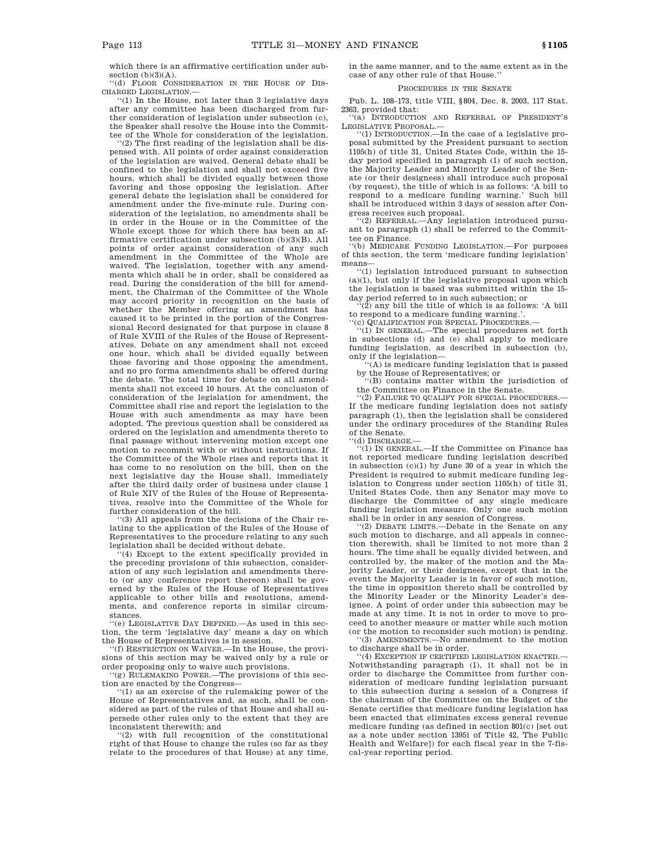which there is an affirmative certification under subsection  $(b)(3)(A)$ .

''(d) FLOOR CONSIDERATION IN THE HOUSE OF DIS-CHARGED LEGISLATION.—

''(1) In the House, not later than 3 legislative days after any committee has been discharged from further consideration of legislation under subsection (c), the Speaker shall resolve the House into the Committee of the Whole for consideration of the legislation.

''(2) The first reading of the legislation shall be dispensed with. All points of order against consideration of the legislation are waived. General debate shall be confined to the legislation and shall not exceed five hours, which shall be divided equally between those favoring and those opposing the legislation. After general debate the legislation shall be considered for amendment under the five-minute rule. During consideration of the legislation, no amendments shall be in order in the House or in the Committee of the Whole except those for which there has been an affirmative certification under subsection (b)(3)(B). All points of order against consideration of any such amendment in the Committee of the Whole are waived. The legislation, together with any amendments which shall be in order, shall be considered as read. During the consideration of the bill for amendment, the Chairman of the Committee of the Whole may accord priority in recognition on the basis of whether the Member offering an amendment has caused it to be printed in the portion of the Congressional Record designated for that purpose in clause 8 of Rule XVIII of the Rules of the House of Representatives. Debate on any amendment shall not exceed one hour, which shall be divided equally between those favoring and those opposing the amendment, and no pro forma amendments shall be offered during the debate. The total time for debate on all amendments shall not exceed 10 hours. At the conclusion of consideration of the legislation for amendment, the Committee shall rise and report the legislation to the House with such amendments as may have been adopted. The previous question shall be considered as ordered on the legislation and amendments thereto to final passage without intervening motion except one motion to recommit with or without instructions. If the Committee of the Whole rises and reports that it has come to no resolution on the bill, then on the next legislative day the House shall, immediately after the third daily order of business under clause 1 of Rule XIV of the Rules of the House of Representatives, resolve into the Committee of the Whole for further consideration of the bill.

''(3) All appeals from the decisions of the Chair relating to the application of the Rules of the House of Representatives to the procedure relating to any such legislation shall be decided without debate.

'(4) Except to the extent specifically provided in the preceding provisions of this subsection, consideration of any such legislation and amendments thereto (or any conference report thereon) shall be governed by the Rules of the House of Representatives applicable to other bills and resolutions, amendments, and conference reports in similar circumstances.

'(e) LEGISLATIVE DAY DEFINED.—As used in this section, the term 'legislative day' means a day on which the House of Representatives is in session.

'(f) RESTRICTION ON WAIVER.—In the House, the provisions of this section may be waived only by a rule or order proposing only to waive such provisions.

 $'(g)$  RULEMAKING POWER.—The provisions of this section are enacted by the Congress—

''(1) as an exercise of the rulemaking power of the House of Representatives and, as such, shall be considered as part of the rules of that House and shall supersede other rules only to the extent that they are inconsistent therewith; and

'(2) with full recognition of the constitutional right of that House to change the rules (so far as they relate to the procedures of that House) at any time, in the same manner, and to the same extent as in the case of any other rule of that House.''

# PROCEDURES IN THE SENATE

Pub. L. 108–173, title VIII, §804, Dec. 8, 2003, 117 Stat. 2363, provided that:

'(a) INTRODUCTION AND REFERRAL OF PRESIDENT'S LEGISLATIVE PROPOSAL.

''(1) INTRODUCTION.—In the case of a legislative proposal submitted by the President pursuant to section 1105(h) of title 31, United States Code, within the 15 day period specified in paragraph (1) of such section, the Majority Leader and Minority Leader of the Senate (or their designees) shall introduce such proposal (by request), the title of which is as follows: 'A bill to respond to a medicare funding warning.' Such bill shall be introduced within 3 days of session after Congress receives such proposal.

'(2) REFERRAL.—Any legislation introduced pursuant to paragraph (1) shall be referred to the Commit-

tee on Finance. ''(b) MEDICARE FUNDING LEGISLATION.—For purposes of this section, the term 'medicare funding legislation' means—

'(1) legislation introduced pursuant to subsection  $(a)(1)$ , but only if the legislative proposal upon which the legislation is based was submitted within the 15 day period referred to in such subsection; or

 $\mathcal{L}(2)$  any bill the title of which is as follows: 'A bill to respond to a medicare funding warning.'.

''(c) QUALIFICATION FOR SPECIAL PROCEDURES.—

''(1) IN GENERAL.—The special procedures set forth in subsections (d) and (e) shall apply to medicare funding legislation, as described in subsection (b), only if the legislation—

 $(A)$  is medicare funding legislation that is passed by the House of Representatives; or<br>
"(B) contains matter within the jurisdiction of

the Committee on Finance in the Senate.

'(2) FAILURE TO QUALIFY FOR SPECIAL PROCEDURES. If the medicare funding legislation does not satisfy paragraph (1), then the legislation shall be considered under the ordinary procedures of the Standing Rules of the Senate.

''(d) DISCHARGE.—

''(1) IN GENERAL.—If the Committee on Finance has not reported medicare funding legislation described in subsection (c)(1) by June 30 of a year in which the President is required to submit medicare funding legislation to Congress under section 1105(h) of title 31, United States Code, then any Senator may move to discharge the Committee of any single medicare funding legislation measure. Only one such motion

shall be in order in any session of Congress. ''(2) DEBATE LIMITS.—Debate in the Senate on any such motion to discharge, and all appeals in connection therewith, shall be limited to not more than 2 hours. The time shall be equally divided between, and controlled by, the maker of the motion and the Majority Leader, or their designees, except that in the event the Majority Leader is in favor of such motion, the time in opposition thereto shall be controlled by the Minority Leader or the Minority Leader's designee. A point of order under this subsection may be made at any time. It is not in order to move to proceed to another measure or matter while such motion (or the motion to reconsider such motion) is pending. ''(3) AMENDMENTS.—No amendment to the motion

to discharge shall be in order.

'(4) EXCEPTION IF CERTIFIED LEGISLATION ENACTED. Notwithstanding paragraph (1), it shall not be in order to discharge the Committee from further consideration of medicare funding legislation pursuant to this subsection during a session of a Congress if the chairman of the Committee on the Budget of the Senate certifies that medicare funding legislation has been enacted that eliminates excess general revenue medicare funding (as defined in section 801(c) [set out as a note under section 1395i of Title 42, The Public Health and Welfare]) for each fiscal year in the 7-fiscal-year reporting period.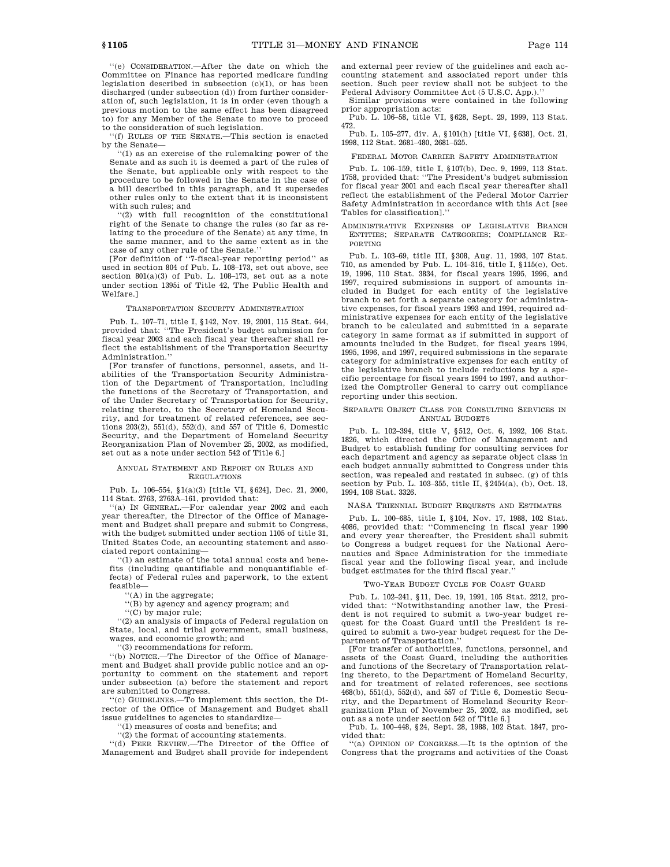''(e) CONSIDERATION.—After the date on which the Committee on Finance has reported medicare funding legislation described in subsection (c)(1), or has been discharged (under subsection (d)) from further consideration of, such legislation, it is in order (even though a previous motion to the same effect has been disagreed to) for any Member of the Senate to move to proceed to the consideration of such legislation.

''(f) RULES OF THE SENATE.—This section is enacted by the Senate—

''(1) as an exercise of the rulemaking power of the Senate and as such it is deemed a part of the rules of the Senate, but applicable only with respect to the procedure to be followed in the Senate in the case of a bill described in this paragraph, and it supersedes other rules only to the extent that it is inconsistent with such rules; and

''(2) with full recognition of the constitutional right of the Senate to change the rules (so far as relating to the procedure of the Senate) at any time, in the same manner, and to the same extent as in the case of any other rule of the Senate.''

[For definition of ''7-fiscal-year reporting period'' as used in section 804 of Pub. L. 108–173, set out above, see section 801(a)(3) of Pub. L. 108-173, set out as a note under section 1395i of Title 42, The Public Health and Welfare.]

### TRANSPORTATION SECURITY ADMINISTRATION

Pub. L. 107–71, title I, §142, Nov. 19, 2001, 115 Stat. 644, provided that: ''The President's budget submission for fiscal year 2003 and each fiscal year thereafter shall reflect the establishment of the Transportation Security Administration.''

[For transfer of functions, personnel, assets, and liabilities of the Transportation Security Administration of the Department of Transportation, including the functions of the Secretary of Transportation, and of the Under Secretary of Transportation for Security, relating thereto, to the Secretary of Homeland Security, and for treatment of related references, see sections 203(2), 551(d), 552(d), and 557 of Title 6, Domestic Security, and the Department of Homeland Security Reorganization Plan of November 25, 2002, as modified, set out as a note under section 542 of Title 6.]

## ANNUAL STATEMENT AND REPORT ON RULES AND REGULATIONS

Pub. L. 106–554, §1(a)(3) [title VI, §624], Dec. 21, 2000, 114 Stat. 2763, 2763A–161, provided that:

''(a) IN GENERAL.—For calendar year 2002 and each year thereafter, the Director of the Office of Management and Budget shall prepare and submit to Congress, with the budget submitted under section 1105 of title 31, United States Code, an accounting statement and associated report containing—

''(1) an estimate of the total annual costs and benefits (including quantifiable and nonquantifiable effects) of Federal rules and paperwork, to the extent feasible—

''(A) in the aggregate;

''(B) by agency and agency program; and

''(C) by major rule;

''(2) an analysis of impacts of Federal regulation on State, local, and tribal government, small business, wages, and economic growth; and

''(3) recommendations for reform.

''(b) NOTICE.—The Director of the Office of Management and Budget shall provide public notice and an opportunity to comment on the statement and report under subsection (a) before the statement and report are submitted to Congress.

''(c) GUIDELINES.—To implement this section, the Director of the Office of Management and Budget shall issue guidelines to agencies to standardize—

''(1) measures of costs and benefits; and

''(2) the format of accounting statements.

''(d) PEER REVIEW.—The Director of the Office of Management and Budget shall provide for independent and external peer review of the guidelines and each accounting statement and associated report under this section. Such peer review shall not be subject to the Federal Advisory Committee Act (5 U.S.C. App.).

Similar provisions were contained in the following prior appropriation acts:

Pub. L. 106–58, title VI, §628, Sept. 29, 1999, 113 Stat. 472.

Pub. L. 105–277, div. A, §101(h) [title VI, §638], Oct. 21, 1998, 112 Stat. 2681–480, 2681–525.

FEDERAL MOTOR CARRIER SAFETY ADMINISTRATION

Pub. L. 106–159, title I, §107(b), Dec. 9, 1999, 113 Stat. 1758, provided that: "The President's budget submission for fiscal year 2001 and each fiscal year thereafter shall reflect the establishment of the Federal Motor Carrier Safety Administration in accordance with this Act [see Tables for classification].''

ADMINISTRATIVE EXPENSES OF LEGISLATIVE BRANCH ENTITIES; SEPARATE CATEGORIES; COMPLIANCE RE-PORTING

Pub. L. 103–69, title III, §308, Aug. 11, 1993, 107 Stat. 710, as amended by Pub. L. 104–316, title I, §115(c), Oct. 19, 1996, 110 Stat. 3834, for fiscal years 1995, 1996, and 1997, required submissions in support of amounts included in Budget for each entity of the legislative branch to set forth a separate category for administrative expenses, for fiscal years 1993 and 1994, required administrative expenses for each entity of the legislative branch to be calculated and submitted in a separate category in same format as if submitted in support of amounts included in the Budget, for fiscal years 1994, 1995, 1996, and 1997, required submissions in the separate category for administrative expenses for each entity of the legislative branch to include reductions by a specific percentage for fiscal years 1994 to 1997, and authorized the Comptroller General to carry out compliance reporting under this section.

#### SEPARATE OBJECT CLASS FOR CONSULTING SERVICES IN ANNUAL BUDGETS

Pub. L. 102–394, title V, §512, Oct. 6, 1992, 106 Stat. 1826, which directed the Office of Management and Budget to establish funding for consulting services for each department and agency as separate object class in each budget annually submitted to Congress under this section, was repealed and restated in subsec. (g) of this section by Pub. L. 103–355, title II, §2454(a), (b), Oct. 13, 1994, 108 Stat. 3326.

NASA TRIENNIAL BUDGET REQUESTS AND ESTIMATES

Pub. L. 100–685, title I, §104, Nov. 17, 1988, 102 Stat. 4086, provided that: ''Commencing in fiscal year 1990 and every year thereafter, the President shall submit to Congress a budget request for the National Aeronautics and Space Administration for the immediate fiscal year and the following fiscal year, and include budget estimates for the third fiscal year.'

#### TWO-YEAR BUDGET CYCLE FOR COAST GUARD

Pub. L. 102–241, §11, Dec. 19, 1991, 105 Stat. 2212, provided that: ''Notwithstanding another law, the President is not required to submit a two-year budget request for the Coast Guard until the President is required to submit a two-year budget request for the Department of Transportation.''

[For transfer of authorities, functions, personnel, and assets of the Coast Guard, including the authorities and functions of the Secretary of Transportation relating thereto, to the Department of Homeland Security, and for treatment of related references, see sections 468(b), 551(d), 552(d), and 557 of Title 6, Domestic Security, and the Department of Homeland Security Reorganization Plan of November 25, 2002, as modified, set out as a note under section 542 of Title 6.]

Pub. L. 100–448, §24, Sept. 28, 1988, 102 Stat. 1847, provided that:

''(a) OPINION OF CONGRESS.—It is the opinion of the Congress that the programs and activities of the Coast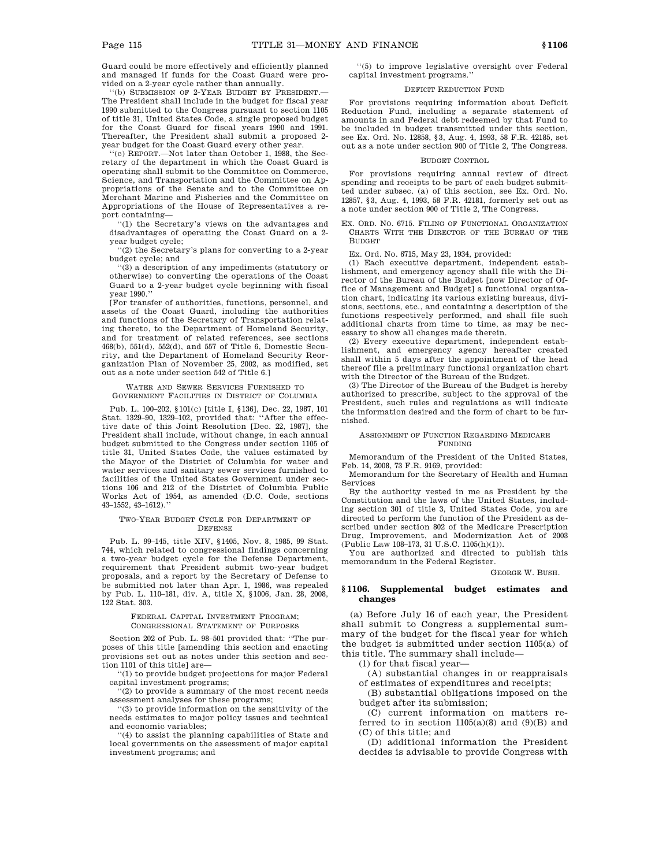Guard could be more effectively and efficiently planned and managed if funds for the Coast Guard were provided on a 2-year cycle rather than annually.

''(b) SUBMISSION OF 2-YEAR BUDGET BY PRESIDENT.— The President shall include in the budget for fiscal year 1990 submitted to the Congress pursuant to section 1105 of title 31, United States Code, a single proposed budget for the Coast Guard for fiscal years 1990 and 1991. Thereafter, the President shall submit a proposed 2 year budget for the Coast Guard every other year.

''(c) REPORT.—Not later than October 1, 1988, the Secretary of the department in which the Coast Guard is operating shall submit to the Committee on Commerce, Science, and Transportation and the Committee on Appropriations of the Senate and to the Committee on Merchant Marine and Fisheries and the Committee on Appropriations of the House of Representatives a report containing—

''(1) the Secretary's views on the advantages and disadvantages of operating the Coast Guard on a 2 year budget cycle;

''(2) the Secretary's plans for converting to a 2-year budget cycle; and

''(3) a description of any impediments (statutory or otherwise) to converting the operations of the Coast Guard to a 2-year budget cycle beginning with fiscal year 1990.''

[For transfer of authorities, functions, personnel, and assets of the Coast Guard, including the authorities and functions of the Secretary of Transportation relating thereto, to the Department of Homeland Security, and for treatment of related references, see sections 468(b), 551(d), 552(d), and 557 of Title 6, Domestic Security, and the Department of Homeland Security Reorganization Plan of November 25, 2002, as modified, set out as a note under section 542 of Title 6.]

### WATER AND SEWER SERVICES FURNISHED TO GOVERNMENT FACILITIES IN DISTRICT OF COLUMBIA

Pub. L. 100–202, §101(c) [title I, §136], Dec. 22, 1987, 101 Stat. 1329–90, 1329–102, provided that: ''After the effective date of this Joint Resolution [Dec. 22, 1987], the President shall include, without change, in each annual budget submitted to the Congress under section 1105 of title 31, United States Code, the values estimated by the Mayor of the District of Columbia for water and water services and sanitary sewer services furnished to facilities of the United States Government under sections 106 and 212 of the District of Columbia Public Works Act of 1954, as amended (D.C. Code, sections 43–1552, 43–1612).''

#### TWO-YEAR BUDGET CYCLE FOR DEPARTMENT OF DEFENSE

Pub. L. 99–145, title XIV, §1405, Nov. 8, 1985, 99 Stat. 744, which related to congressional findings concerning a two-year budget cycle for the Defense Department, requirement that President submit two-year budget proposals, and a report by the Secretary of Defense to be submitted not later than Apr. 1, 1986, was repealed by Pub. L. 110–181, div. A, title X, §1006, Jan. 28, 2008, 122 Stat. 303.

#### FEDERAL CAPITAL INVESTMENT PROGRAM; CONGRESSIONAL STATEMENT OF PURPOSES

Section 202 of Pub. L. 98–501 provided that: ''The purposes of this title [amending this section and enacting provisions set out as notes under this section and section 1101 of this title] are—

''(1) to provide budget projections for major Federal capital investment programs;

 $f''(2)$  to provide a summary of the most recent needs assessment analyses for these programs;

''(3) to provide information on the sensitivity of the needs estimates to major policy issues and technical and economic variables;

''(4) to assist the planning capabilities of State and local governments on the assessment of major capital investment programs; and

''(5) to improve legislative oversight over Federal capital investment programs.''

## DEFICIT REDUCTION FUND

For provisions requiring information about Deficit Reduction Fund, including a separate statement of amounts in and Federal debt redeemed by that Fund to be included in budget transmitted under this section, see Ex. Ord. No. 12858, §3, Aug. 4, 1993, 58 F.R. 42185, set out as a note under section 900 of Title 2, The Congress.

## BUDGET CONTROL

For provisions requiring annual review of direct spending and receipts to be part of each budget submitted under subsec. (a) of this section, see Ex. Ord. No. 12857, §3, Aug. 4, 1993, 58 F.R. 42181, formerly set out as a note under section 900 of Title 2, The Congress.

EX. ORD. NO. 6715. FILING OF FUNCTIONAL ORGANIZATION CHARTS WITH THE DIRECTOR OF THE BUREAU OF THE **BUDGET** 

Ex. Ord. No. 6715, May 23, 1934, provided:

(1) Each executive department, independent establishment, and emergency agency shall file with the Director of the Bureau of the Budget [now Director of Office of Management and Budget] a functional organization chart, indicating its various existing bureaus, divisions, sections, etc., and containing a description of the functions respectively performed, and shall file such additional charts from time to time, as may be necessary to show all changes made therein.

(2) Every executive department, independent establishment, and emergency agency hereafter created shall within 5 days after the appointment of the head thereof file a preliminary functional organization chart with the Director of the Bureau of the Budget.

(3) The Director of the Bureau of the Budget is hereby authorized to prescribe, subject to the approval of the President, such rules and regulations as will indicate the information desired and the form of chart to be furnished.

### ASSIGNMENT OF FUNCTION REGARDING MEDICARE FUNDING

Memorandum of the President of the United States, Feb. 14, 2008, 73 F.R. 9169, provided:

Memorandum for the Secretary of Health and Human Services

By the authority vested in me as President by the Constitution and the laws of the United States, including section 301 of title 3, United States Code, you are directed to perform the function of the President as described under section 802 of the Medicare Prescription Drug, Improvement, and Modernization Act of 2003 (Public Law 108–173, 31 U.S.C. 1105(h)(1)).

You are authorized and directed to publish this memorandum in the Federal Register.

## GEORGE W. BUSH.

## **§ 1106. Supplemental budget estimates and changes**

(a) Before July 16 of each year, the President shall submit to Congress a supplemental summary of the budget for the fiscal year for which the budget is submitted under section 1105(a) of this title. The summary shall include—

(1) for that fiscal year—

(A) substantial changes in or reappraisals

of estimates of expenditures and receipts; (B) substantial obligations imposed on the budget after its submission;

(C) current information on matters referred to in section  $1105(a)(8)$  and  $(9)(B)$  and (C) of this title; and

(D) additional information the President decides is advisable to provide Congress with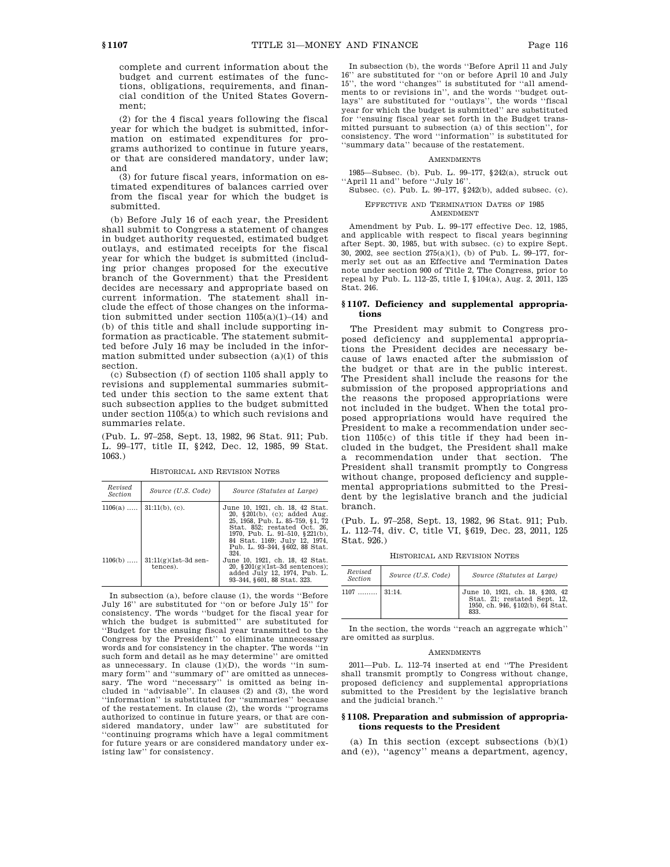complete and current information about the budget and current estimates of the functions, obligations, requirements, and financial condition of the United States Government;

(2) for the 4 fiscal years following the fiscal year for which the budget is submitted, information on estimated expenditures for programs authorized to continue in future years, or that are considered mandatory, under law; and

(3) for future fiscal years, information on estimated expenditures of balances carried over from the fiscal year for which the budget is submitted.

(b) Before July 16 of each year, the President shall submit to Congress a statement of changes in budget authority requested, estimated budget outlays, and estimated receipts for the fiscal year for which the budget is submitted (including prior changes proposed for the executive branch of the Government) that the President decides are necessary and appropriate based on current information. The statement shall include the effect of those changes on the information submitted under section  $1105(a)(1)–(14)$  and (b) of this title and shall include supporting information as practicable. The statement submitted before July 16 may be included in the information submitted under subsection  $(a)(1)$  of this section.

(c) Subsection (f) of section 1105 shall apply to revisions and supplemental summaries submitted under this section to the same extent that such subsection applies to the budget submitted under section 1105(a) to which such revisions and summaries relate.

(Pub. L. 97–258, Sept. 13, 1982, 96 Stat. 911; Pub. L. 99–177, title II, §242, Dec. 12, 1985, 99 Stat. 1063.)

HISTORICAL AND REVISION NOTES

| Revised<br><i>Section</i> | Source (U.S. Code)                 | Source (Statutes at Large)                                                                                                                                                                                                                       |
|---------------------------|------------------------------------|--------------------------------------------------------------------------------------------------------------------------------------------------------------------------------------------------------------------------------------------------|
| $1106(a)$                 | $31:11(b)$ , (c).                  | June 10, 1921, ch. 18, 42 Stat.<br>20, §201(b), (c); added Aug.<br>25, 1958, Pub. L. 85-759, §1, 72<br>Stat. 852: restated Oct. 26.<br>1970. Pub. L. 91–510. §221(b).<br>84 Stat. 1169: July 12, 1974.<br>Pub. L. 93-344, §602, 88 Stat.<br>324. |
| $1106(b)$                 | $31:11(g)(1st-3d$ sen-<br>tences). | June 10, 1921, ch. 18, 42 Stat.<br>$20,$ § $201(g)(1st-3d$ sentences);<br>added July 12, 1974, Pub. L.<br>93-344, §601, 88 Stat. 323.                                                                                                            |

In subsection (a), before clause (1), the words ''Before July 16'' are substituted for ''on or before July 15'' for consistency. The words ''budget for the fiscal year for which the budget is submitted'' are substituted for ''Budget for the ensuing fiscal year transmitted to the Congress by the President'' to eliminate unnecessary words and for consistency in the chapter. The words ''in such form and detail as he may determine'' are omitted as unnecessary. In clause  $(1)(D)$ , the words "in summary form'' and "summary of" are omitted as unnecessary. The word ''necessary'' is omitted as being included in ''advisable''. In clauses (2) and (3), the word ''information'' is substituted for ''summaries'' because of the restatement. In clause (2), the words ''programs authorized to continue in future years, or that are considered mandatory, under law'' are substituted for ''continuing programs which have a legal commitment for future years or are considered mandatory under existing law'' for consistency.

In subsection (b), the words ''Before April 11 and July 16'' are substituted for ''on or before April 10 and July 15'', the word ''changes'' is substituted for ''all amendments to or revisions in'', and the words ''budget outlays'' are substituted for ''outlays'', the words ''fiscal year for which the budget is submitted'' are substituted for ''ensuing fiscal year set forth in the Budget transmitted pursuant to subsection (a) of this section'', for consistency. The word ''information'' is substituted for 'summary data'' because of the restatement.

#### **AMENDMENTS**

1985—Subsec. (b). Pub. L. 99–177, §242(a), struck out ''April 11 and'' before ''July 16''.

Subsec. (c). Pub. L. 99–177, §242(b), added subsec. (c).

### EFFECTIVE AND TERMINATION DATES OF 1985 AMENDMENT

Amendment by Pub. L. 99–177 effective Dec. 12, 1985, and applicable with respect to fiscal years beginning after Sept. 30, 1985, but with subsec. (c) to expire Sept. 30, 2002, see section 275(a)(1), (b) of Pub. L. 99–177, formerly set out as an Effective and Termination Dates note under section 900 of Title 2, The Congress, prior to repeal by Pub. L. 112–25, title I, §104(a), Aug. 2, 2011, 125 Stat. 246.

## **§ 1107. Deficiency and supplemental appropriations**

The President may submit to Congress proposed deficiency and supplemental appropriations the President decides are necessary because of laws enacted after the submission of the budget or that are in the public interest. The President shall include the reasons for the submission of the proposed appropriations and the reasons the proposed appropriations were not included in the budget. When the total proposed appropriations would have required the President to make a recommendation under section 1105(c) of this title if they had been included in the budget, the President shall make a recommendation under that section. The President shall transmit promptly to Congress without change, proposed deficiency and supplemental appropriations submitted to the President by the legislative branch and the judicial branch.

(Pub. L. 97–258, Sept. 13, 1982, 96 Stat. 911; Pub. L. 112–74, div. C, title VI, §619, Dec. 23, 2011, 125 Stat. 926.)

HISTORICAL AND REVISION NOTES

| Revised<br><b>Section</b> | Source (U.S. Code) | Source (Statutes at Large)                                                                                  |
|---------------------------|--------------------|-------------------------------------------------------------------------------------------------------------|
| $1107$                    | 31:14.             | June 10, 1921, ch. 18, §203, 42<br>Stat. 21; restated Sept. 12,<br>1950, ch. 946, §102(b), 64 Stat.<br>833. |

In the section, the words ''reach an aggregate which'' are omitted as surplus.

## AMENDMENTS

2011—Pub. L. 112–74 inserted at end ''The President shall transmit promptly to Congress without change, proposed deficiency and supplemental appropriations submitted to the President by the legislative branch and the judicial branch.''

## **§ 1108. Preparation and submission of appropriations requests to the President**

(a) In this section (except subsections (b)(1) and (e)), ''agency'' means a department, agency,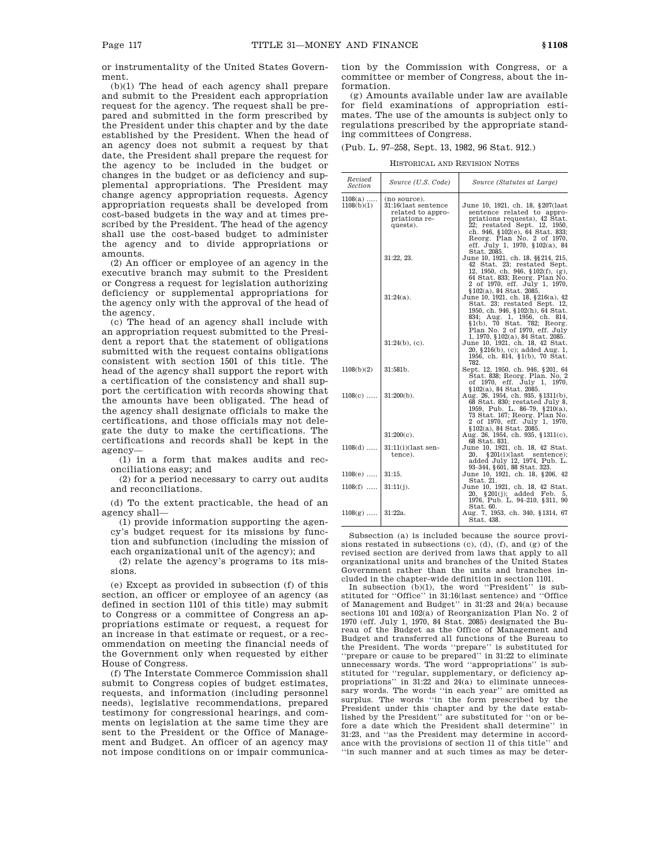or instrumentality of the United States Government.

(b)(1) The head of each agency shall prepare and submit to the President each appropriation request for the agency. The request shall be prepared and submitted in the form prescribed by the President under this chapter and by the date established by the President. When the head of an agency does not submit a request by that date, the President shall prepare the request for the agency to be included in the budget or changes in the budget or as deficiency and supplemental appropriations. The President may change agency appropriation requests. Agency appropriation requests shall be developed from cost-based budgets in the way and at times prescribed by the President. The head of the agency shall use the cost-based budget to administer the agency and to divide appropriations or amounts.

(2) An officer or employee of an agency in the executive branch may submit to the President or Congress a request for legislation authorizing deficiency or supplemental appropriations for the agency only with the approval of the head of the agency.

(c) The head of an agency shall include with an appropriation request submitted to the President a report that the statement of obligations submitted with the request contains obligations consistent with section 1501 of this title. The head of the agency shall support the report with a certification of the consistency and shall support the certification with records showing that the amounts have been obligated. The head of the agency shall designate officials to make the certifications, and those officials may not delegate the duty to make the certifications. The certifications and records shall be kept in the agency—

(1) in a form that makes audits and reconciliations easy; and

(2) for a period necessary to carry out audits and reconciliations.

(d) To the extent practicable, the head of an agency shall—

(1) provide information supporting the agency's budget request for its missions by function and subfunction (including the mission of each organizational unit of the agency); and

(2) relate the agency's programs to its missions.

(e) Except as provided in subsection (f) of this section, an officer or employee of an agency (as defined in section 1101 of this title) may submit to Congress or a committee of Congress an appropriations estimate or request, a request for an increase in that estimate or request, or a recommendation on meeting the financial needs of the Government only when requested by either House of Congress.

(f) The Interstate Commerce Commission shall submit to Congress copies of budget estimates, requests, and information (including personnel needs), legislative recommendations, prepared testimony for congressional hearings, and comments on legislation at the same time they are sent to the President or the Office of Management and Budget. An officer of an agency may not impose conditions on or impair communication by the Commission with Congress, or a committee or member of Congress, about the information.

(g) Amounts available under law are available for field examinations of appropriation estimates. The use of the amounts is subject only to regulations prescribed by the appropriate standing committees of Congress.

# (Pub. L. 97–258, Sept. 13, 1982, 96 Stat. 912.)

HISTORICAL AND REVISION NOTES

| Revised<br>Section      | Source (U.S. Code)                                                                    | Source (Statutes at Large)                                                                                                                                                                                                            |
|-------------------------|---------------------------------------------------------------------------------------|---------------------------------------------------------------------------------------------------------------------------------------------------------------------------------------------------------------------------------------|
| $1108(a)$<br>1108(b)(1) | (no source).<br>31:16(last sentence<br>related to appro-<br>priations re-<br>quests). | June 10, 1921, ch. 18, §207(last<br>sentence related to appro-<br>priations requests), 42 Stat.<br>22; restated Sept. 12, 1950,<br>ch. 946, §102(e), 64 Stat. 833;<br>Reorg. Plan No. 2 of 1970,<br>eff. July 1, 1970, $$102(a)$ , 84 |
|                         | 31:22, 23.                                                                            | Stat. 2085.<br>June 10, 1921, ch. 18, §§ 214, 215,<br>42 Stat. 23; restated Sept.<br>12, 1950, ch. 946, $$102(f)$ , $(g)$ ,<br>64 Stat. 833; Reorg. Plan No.<br>2 of 1970, eff. July 1, 1970,                                         |
|                         | $31:24(a)$ .                                                                          | §102(a), 84 Stat. 2085.<br>June 10, 1921, ch. 18, §216(a), 42<br>Stat. 23; restated Sept. 12,<br>1950, ch. 946, §102(h), 64 Stat.<br>834; Aug. 1, 1956, ch. 814, §1(b), 70 Stat. 782; Reorg.<br>Plan No. 2 of 1970, eff. July         |
|                         | $31:24(b)$ , (c).                                                                     | 1, 1970, §102(a), 84 Stat. 2085.<br>June 10, 1921, ch. 18, 42 Stat.<br>20, §216(b), (c); added Aug. 1,<br>1956, ch. 814, §1(b), 70 Stat.<br>782.                                                                                      |
| 1108(b)(2)              | 31:581b.                                                                              | Sept. 12, 1950, ch. 946, §201, 64<br>Stat. 838; Reorg. Plan. No. 2<br>of 1970, eff. July 1, 1970,<br>§102(a), 84 Stat. 2085.                                                                                                          |
| $1108(c)$               | $31:200(b)$ .                                                                         | Aug. 26, 1954, ch. 935, §1311(b),<br>68 Stat. 830; restated July 8,<br>1959, Pub. L. 86-79, §210(a),<br>73 Stat. 167; Reorg. Plan No.<br>2 of 1970, eff. July 1, 1970,<br>§102(a), 84 Stat. 2085.                                     |
|                         | $31:200(c)$ .                                                                         | Aug. 26, 1954, ch. 935, §1311(c),<br>68 Stat. 831.                                                                                                                                                                                    |
| $1108(d)$               | $31:11(i)(last sen-$<br>tence).                                                       | June 10, 1921, ch. 18, 42 Stat.<br>20.<br>§201(i)(last sentence);<br>added July 12, 1974, Pub. L.                                                                                                                                     |
| $1108(e)$               | 31:15.                                                                                | 93-344, §601, 88 Stat. 323.<br>June 10, 1921, ch. 18, §206, 42                                                                                                                                                                        |
| $1108(f)$               | $31:11(j)$ .                                                                          | Stat. 21.<br>June 10, 1921, ch. 18, 42 Stat.<br>20, §201(j); added Feb. 5,<br>1976, Pub. L. 94-210, §311, 90                                                                                                                          |
| $1108(g)$               | $31:22a$ .                                                                            | Stat. 60.<br>Aug. 7, 1953, ch. 340, §1314, 67<br>Stat. 438.                                                                                                                                                                           |

Subsection (a) is included because the source provisions restated in subsections  $(c)$ ,  $(d)$ ,  $(f)$ , and  $(g)$  of the revised section are derived from laws that apply to all organizational units and branches of the United States Government rather than the units and branches included in the chapter-wide definition in section 1101. In subsection (b)(1), the word ''President'' is sub-

stituted for ''Office'' in 31:16(last sentence) and ''Office of Management and Budget'' in 31:23 and 24(a) because sections 101 and 102(a) of Reorganization Plan No. 2 of 1970 (eff. July 1, 1970, 84 Stat. 2085) designated the Bureau of the Budget as the Office of Management and Budget and transferred all functions of the Bureau to the President. The words ''prepare'' is substituted for ''prepare or cause to be prepared'' in 31:22 to eliminate unnecessary words. The word ''appropriations'' is substituted for "regular, supplementary, or deficiency appropriations'' in 31:22 and 24(a) to eliminate unnecessary words. The words "in each year" are omitted as surplus. The words ''in the form prescribed by the President under this chapter and by the date established by the President'' are substituted for ''on or before a date which the President shall determine'' in 31:23, and ''as the President may determine in accordance with the provisions of section 11 of this title'' and ''in such manner and at such times as may be deter-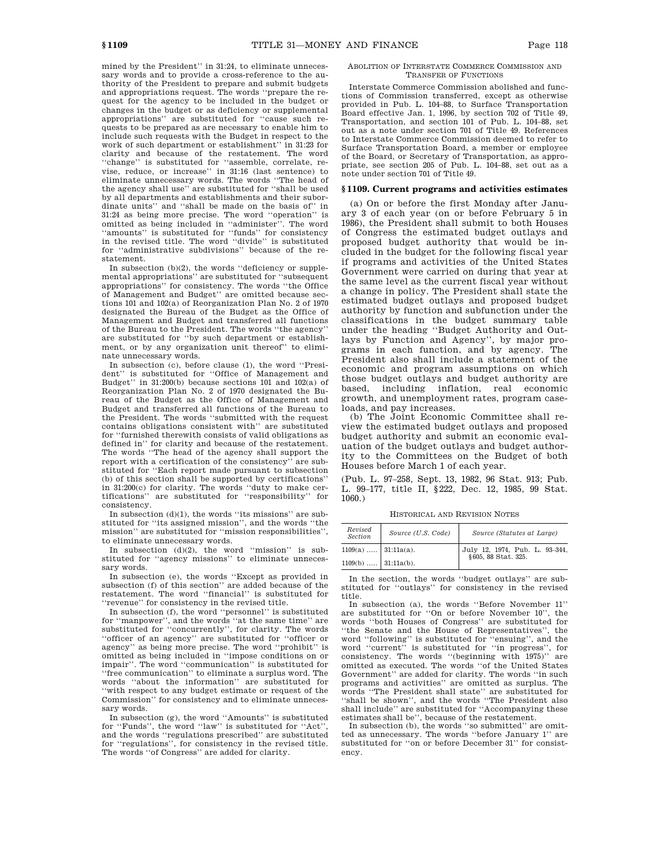mined by the President'' in 31:24, to eliminate unnecessary words and to provide a cross-reference to the authority of the President to prepare and submit budgets and appropriations request. The words ''prepare the request for the agency to be included in the budget or changes in the budget or as deficiency or supplemental appropriations'' are substituted for ''cause such requests to be prepared as are necessary to enable him to include such requests with the Budget in respect to the work of such department or establishment'' in 31:23 for clarity and because of the restatement. The word ''change'' is substituted for ''assemble, correlate, revise, reduce, or increase'' in 31:16 (last sentence) to eliminate unnecessary words. The words ''The head of the agency shall use'' are substituted for ''shall be used by all departments and establishments and their subordinate units'' and ''shall be made on the basis of'' in 31:24 as being more precise. The word ''operation'' is omitted as being included in ''administer''. The word ''amounts'' is substituted for ''funds'' for consistency in the revised title. The word ''divide'' is substituted for ''administrative subdivisions'' because of the restatement.

In subsection (b)(2), the words ''deficiency or supplemental appropriations'' are substituted for ''subsequent appropriations'' for consistency. The words ''the Office of Management and Budget'' are omitted because sections 101 and 102(a) of Reorganization Plan No. 2 of 1970 designated the Bureau of the Budget as the Office of Management and Budget and transferred all functions of the Bureau to the President. The words ''the agency'' are substituted for ''by such department or establishment, or by any organization unit thereof'' to eliminate unnecessary words.

In subsection (c), before clause (1), the word ''President'' is substituted for ''Office of Management and Budget'' in 31:200(b) because sections 101 and 102(a) of Reorganization Plan No. 2 of 1970 designated the Bureau of the Budget as the Office of Management and Budget and transferred all functions of the Bureau to the President. The words ''submitted with the request contains obligations consistent with'' are substituted for ''furnished therewith consists of valid obligations as defined in'' for clarity and because of the restatement. The words ''The head of the agency shall support the report with a certification of the consistency'' are substituted for ''Each report made pursuant to subsection (b) of this section shall be supported by certifications'' in 31:200(c) for clarity. The words ''duty to make certifications'' are substituted for ''responsibility'' for consistency.

In subsection  $(d)(1)$ , the words "its missions" are substituted for ''its assigned mission'', and the words ''the mission'' are substituted for ''mission responsibilities'', to eliminate unnecessary words.

In subsection  $(d)(2)$ , the word "mission" is substituted for ''agency missions'' to eliminate unnecessary words.

In subsection (e), the words ''Except as provided in subsection (f) of this section'' are added because of the restatement. The word ''financial'' is substituted for ''revenue'' for consistency in the revised title.

In subsection (f), the word ''personnel'' is substituted for ''manpower'', and the words ''at the same time'' are substituted for ''concurrently'', for clarity. The words ''officer of an agency'' are substituted for ''officer or agency'' as being more precise. The word ''prohibit'' is omitted as being included in ''impose conditions on or impair''. The word ''communication'' is substituted for ''free communication'' to eliminate a surplus word. The words ''about the information'' are substituted for ''with respect to any budget estimate or request of the Commission'' for consistency and to eliminate unnecessary words.

In subsection (g), the word ''Amounts'' is substituted for ''Funds'', the word ''law'' is substituted for ''Act'', and the words ''regulations prescribed'' are substituted for ''regulations'', for consistency in the revised title. The words ''of Congress'' are added for clarity.

### ABOLITION OF INTERSTATE COMMERCE COMMISSION AND TRANSFER OF FUNCTIONS

Interstate Commerce Commission abolished and functions of Commission transferred, except as otherwise provided in Pub. L. 104–88, to Surface Transportation Board effective Jan. 1, 1996, by section 702 of Title 49, Transportation, and section 101 of Pub. L. 104–88, set out as a note under section 701 of Title 49. References to Interstate Commerce Commission deemed to refer to Surface Transportation Board, a member or employee of the Board, or Secretary of Transportation, as appropriate, see section 205 of Pub. L. 104–88, set out as a note under section 701 of Title 49.

#### **§ 1109. Current programs and activities estimates**

(a) On or before the first Monday after January 3 of each year (on or before February 5 in 1986), the President shall submit to both Houses of Congress the estimated budget outlays and proposed budget authority that would be included in the budget for the following fiscal year if programs and activities of the United States Government were carried on during that year at the same level as the current fiscal year without a change in policy. The President shall state the estimated budget outlays and proposed budget authority by function and subfunction under the classifications in the budget summary table under the heading ''Budget Authority and Outlays by Function and Agency'', by major programs in each function, and by agency. The President also shall include a statement of the economic and program assumptions on which those budget outlays and budget authority are based, including inflation, real economic growth, and unemployment rates, program caseloads, and pay increases.

(b) The Joint Economic Committee shall review the estimated budget outlays and proposed budget authority and submit an economic evaluation of the budget outlays and budget authority to the Committees on the Budget of both Houses before March 1 of each year.

(Pub. L. 97–258, Sept. 13, 1982, 96 Stat. 913; Pub. L. 99–177, title II, §222, Dec. 12, 1985, 99 Stat. 1060.)

HISTORICAL AND REVISION NOTES

| Revised<br>Section     | Source (U.S. Code) | Source (Statutes at Large)                            |
|------------------------|--------------------|-------------------------------------------------------|
| $1109(a)$   31:11a(a). |                    | July 12, 1974, Pub. L. 93-344,<br>§605, 88 Stat. 325. |
| $1109(b)$ 31:11a(b).   |                    |                                                       |

In the section, the words ''budget outlays'' are sub-stituted for ''outlays'' for consistency in the revised title.

In subsection (a), the words ''Before November 11'' are substituted for "On or before November  $10$ ", words ''both Houses of Congress'' are substituted for ''the Senate and the House of Representatives'', the word ''following'' is substituted for ''ensuing'', and the word ''current'' is substituted for ''in progress'', for consistency. The words ''(beginning with 1975)'' are omitted as executed. The words ''of the United States Government'' are added for clarity. The words ''in such programs and activities'' are omitted as surplus. The words ''The President shall state'' are substituted for ''shall be shown'', and the words ''The President also shall include'' are substituted for ''Accompanying these

estimates shall be'', because of the restatement. In subsection (b), the words ''so submitted'' are omitted as unnecessary. The words ''before January 1'' are substituted for ''on or before December 31'' for consistency.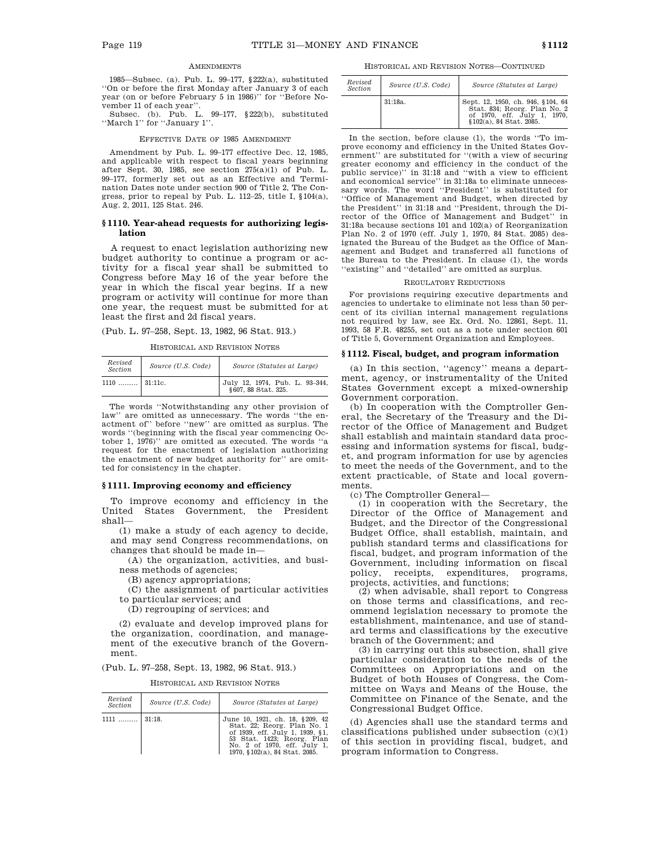## **AMENDMENTS**

1985—Subsec. (a). Pub. L. 99–177, §222(a), substituted ''On or before the first Monday after January 3 of each year (on or before February 5 in 1986)'' for ''Before November 11 of each year''.

Subsec. (b). Pub. L. 99–177, §222(b), substituted ''March 1'' for ''January 1''.

#### EFFECTIVE DATE OF 1985 AMENDMENT

Amendment by Pub. L. 99–177 effective Dec. 12, 1985, and applicable with respect to fiscal years beginning after Sept. 30, 1985, see section 275(a)(1) of Pub. L. 99–177, formerly set out as an Effective and Termination Dates note under section 900 of Title 2, The Congress, prior to repeal by Pub. L. 112–25, title I, §104(a), Aug. 2, 2011, 125 Stat. 246.

## **§ 1110. Year-ahead requests for authorizing legislation**

A request to enact legislation authorizing new budget authority to continue a program or activity for a fiscal year shall be submitted to Congress before May 16 of the year before the year in which the fiscal year begins. If a new program or activity will continue for more than one year, the request must be submitted for at least the first and 2d fiscal years.

(Pub. L. 97–258, Sept. 13, 1982, 96 Stat. 913.)

HISTORICAL AND REVISION NOTES

| Revised<br><b>Section</b> | Source (U.S. Code) | Source (Statutes at Large)                            |
|---------------------------|--------------------|-------------------------------------------------------|
| $1110$   31:11e.          |                    | July 12, 1974, Pub. L. 93-344,<br>§607, 88 Stat. 325. |

The words ''Notwithstanding any other provision of law'' are omitted as unnecessary. The words ''the enactment of'' before ''new'' are omitted as surplus. The words ''(beginning with the fiscal year commencing October 1, 1976)'' are omitted as executed. The words ''a request for the enactment of legislation authorizing the enactment of new budget authority for'' are omitted for consistency in the chapter.

# **§ 1111. Improving economy and efficiency**

To improve economy and efficiency in the United States Government, the President shall—

(1) make a study of each agency to decide, and may send Congress recommendations, on changes that should be made in—

(A) the organization, activities, and business methods of agencies;

(B) agency appropriations;

(C) the assignment of particular activities

to particular services; and

(D) regrouping of services; and

(2) evaluate and develop improved plans for the organization, coordination, and management of the executive branch of the Government.

(Pub. L. 97–258, Sept. 13, 1982, 96 Stat. 913.)

HISTORICAL AND REVISION NOTES

| Revised<br>Section | Source (U.S. Code) | Source (Statutes at Large)                                                                                                                                                                      |
|--------------------|--------------------|-------------------------------------------------------------------------------------------------------------------------------------------------------------------------------------------------|
| 1111               | 131:18             | June 10, 1921, ch. 18, §209, 42<br>Stat. 22: Reorg. Plan No. 1<br>of 1939, eff. July 1, 1939, §1,<br>53 Stat. 1423: Reorg. Plan<br>No. 2 of 1970, eff. July 1,<br>1970, §102(a), 84 Stat. 2085. |

HISTORICAL AND REVISION NOTES—CONTINUED

| Revised<br>Section | Source (U.S. Code) | Source (Statutes at Large)                                                                                                  |
|--------------------|--------------------|-----------------------------------------------------------------------------------------------------------------------------|
|                    | 31:18a.            | Sept. 12, 1950, ch. 946, §104, 64<br>Stat. 834; Reorg. Plan No. 2<br>of 1970, eff. July 1, 1970.<br>§102(a), 84 Stat. 2085. |

In the section, before clause (1), the words ''To improve economy and efficiency in the United States Government'' are substituted for ''(with a view of securing greater economy and efficiency in the conduct of the public service)'' in 31:18 and ''with a view to efficient and economical service'' in 31:18a to eliminate unnecessary words. The word ''President'' is substituted for ''Office of Management and Budget, when directed by the President'' in 31:18 and ''President, through the Director of the Office of Management and Budget'' in 31:18a because sections 101 and 102(a) of Reorganization Plan No. 2 of 1970 (eff. July 1, 1970, 84 Stat. 2085) designated the Bureau of the Budget as the Office of Management and Budget and transferred all functions of the Bureau to the President. In clause (1), the words ''existing'' and ''detailed'' are omitted as surplus.

### REGULATORY REDUCTIONS

For provisions requiring executive departments and agencies to undertake to eliminate not less than 50 percent of its civilian internal management regulations not required by law, see Ex. Ord. No. 12861, Sept. 11, 1993, 58 F.R. 48255, set out as a note under section 601 of Title 5, Government Organization and Employees.

### **§ 1112. Fiscal, budget, and program information**

(a) In this section, ''agency'' means a department, agency, or instrumentality of the United States Government except a mixed-ownership Government corporation.

(b) In cooperation with the Comptroller General, the Secretary of the Treasury and the Director of the Office of Management and Budget shall establish and maintain standard data processing and information systems for fiscal, budget, and program information for use by agencies to meet the needs of the Government, and to the extent practicable, of State and local governments.

(c) The Comptroller General—

(1) in cooperation with the Secretary, the Director of the Office of Management and Budget, and the Director of the Congressional Budget Office, shall establish, maintain, and publish standard terms and classifications for fiscal, budget, and program information of the Government, including information on fiscal policy, receipts, expenditures, programs, projects, activities, and functions;

(2) when advisable, shall report to Congress on those terms and classifications, and recommend legislation necessary to promote the establishment, maintenance, and use of standard terms and classifications by the executive branch of the Government; and

(3) in carrying out this subsection, shall give particular consideration to the needs of the Committees on Appropriations and on the Budget of both Houses of Congress, the Committee on Ways and Means of the House, the Committee on Finance of the Senate, and the Congressional Budget Office.

(d) Agencies shall use the standard terms and classifications published under subsection (c)(1) of this section in providing fiscal, budget, and program information to Congress.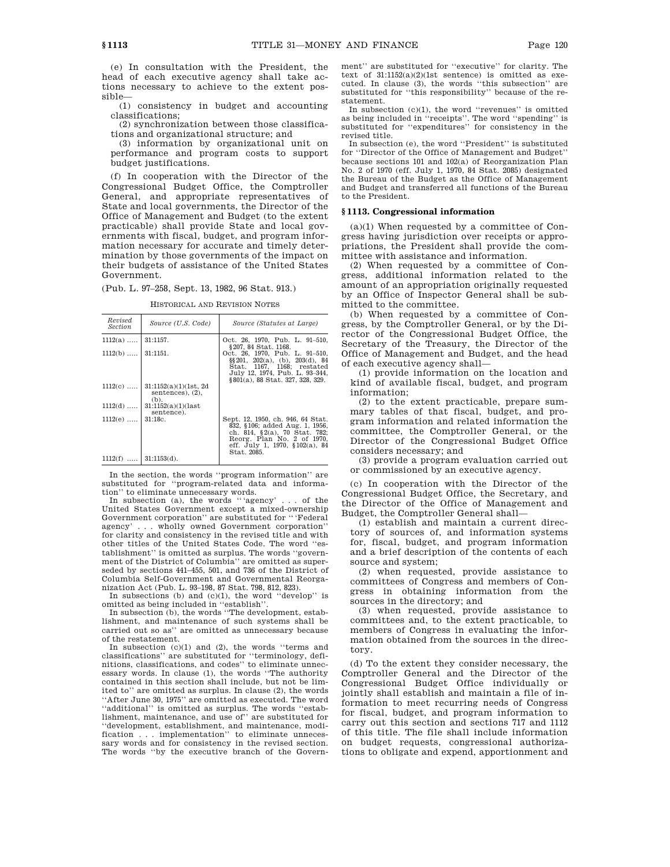(e) In consultation with the President, the head of each executive agency shall take actions necessary to achieve to the extent possible—

(1) consistency in budget and accounting classifications;

(2) synchronization between those classifications and organizational structure; and

(3) information by organizational unit on performance and program costs to support budget justifications.

(f) In cooperation with the Director of the Congressional Budget Office, the Comptroller General, and appropriate representatives of State and local governments, the Director of the Office of Management and Budget (to the extent practicable) shall provide State and local governments with fiscal, budget, and program information necessary for accurate and timely determination by those governments of the impact on their budgets of assistance of the United States Government.

(Pub. L. 97–258, Sept. 13, 1982, 96 Stat. 913.)

HISTORICAL AND REVISION NOTES

| Revised<br>Section         | Source (U.S. Code)                                                  | Source (Statutes at Large)                                                                                                                                                          |
|----------------------------|---------------------------------------------------------------------|-------------------------------------------------------------------------------------------------------------------------------------------------------------------------------------|
| $1112(a)$   31:1157.       |                                                                     | Oct. 26, 1970, Pub. L. 91-510,<br>§ 207, 84 Stat. 1168.                                                                                                                             |
| $1112(b)$ 31:1151.         |                                                                     | Oct. 26, 1970. Pub. L. 91-510.<br>$\S$ \$201, 202(a), (b), 203(d), 84<br>Stat. 1167, 1168; restated<br>July 12, 1974, Pub. L. 93-344,<br>§801(a), 88 Stat, 327, 328, 329.           |
|                            | $1112(c)$   31:1152(a)(1)(1st, 2d<br>sentences), $(2)$ ,<br>$(b)$ . |                                                                                                                                                                                     |
|                            | $1112(d)$   $31:1152(a)(1)(last)$                                   |                                                                                                                                                                                     |
|                            | $1112(e)$ 31:18c.                                                   | Sept. 12, 1950, ch. 946, 64 Stat.<br>832, §106; added Aug. 1, 1956,<br>ch. 814, §2(a), 70 Stat. 782;<br>Reorg. Plan No. 2 of 1970,<br>eff. July 1, 1970, §102(a), 84<br>Stat. 2085. |
| $1112(f)$ , $31:1153(d)$ . |                                                                     |                                                                                                                                                                                     |

In the section, the words ''program information'' are substituted for ''program-related data and information'' to eliminate unnecessary words.

In subsection (a), the words "'agency' . . . of the United States Government except a mixed-ownership Government corporation'' are substituted for '''Federal agency' . . . wholly owned Government corporation'' for clarity and consistency in the revised title and with other titles of the United States Code. The word ''establishment'' is omitted as surplus. The words ''government of the District of Columbia'' are omitted as superseded by sections 441–455, 501, and 736 of the District of Columbia Self-Government and Governmental Reorganization Act (Pub. L. 93–198, 87 Stat. 798, 812, 823).

In subsections (b) and  $(c)(1)$ , the word "develop" is omitted as being included in ''establish''.

In subsection (b), the words ''The development, establishment, and maintenance of such systems shall be carried out so as'' are omitted as unnecessary because of the restatement.

In subsection (c)(1) and (2), the words ''terms and classifications'' are substituted for ''terminology, definitions, classifications, and codes'' to eliminate unnecessary words. In clause (1), the words ''The authority contained in this section shall include, but not be limited to'' are omitted as surplus. In clause (2), the words 'After June 30, 1975" are omitted as executed. The word ''additional'' is omitted as surplus. The words ''establishment, maintenance, and use of'' are substituted for ''development, establishment, and maintenance, modification . . . implementation" to eliminate unnecessary words and for consistency in the revised section. The words ''by the executive branch of the Government'' are substituted for ''executive'' for clarity. The text of  $31:1152(a)(2)(1st sentence)$  is omitted as executed. In clause (3), the words ''this subsection'' are substituted for ''this responsibility'' because of the restatement.

In subsection (c)(1), the word ''revenues'' is omitted as being included in ''receipts''. The word ''spending'' is substituted for ''expenditures'' for consistency in the revised title.

In subsection (e), the word ''President'' is substituted for ''Director of the Office of Management and Budget'' because sections 101 and 102(a) of Reorganization Plan No. 2 of 1970 (eff. July 1, 1970, 84 Stat. 2085) designated the Bureau of the Budget as the Office of Management and Budget and transferred all functions of the Bureau to the President.

### **§ 1113. Congressional information**

(a)(1) When requested by a committee of Congress having jurisdiction over receipts or appropriations, the President shall provide the committee with assistance and information.

(2) When requested by a committee of Congress, additional information related to the amount of an appropriation originally requested by an Office of Inspector General shall be submitted to the committee.

(b) When requested by a committee of Congress, by the Comptroller General, or by the Director of the Congressional Budget Office, the Secretary of the Treasury, the Director of the Office of Management and Budget, and the head of each executive agency shall—

(1) provide information on the location and kind of available fiscal, budget, and program information;

(2) to the extent practicable, prepare summary tables of that fiscal, budget, and program information and related information the committee, the Comptroller General, or the Director of the Congressional Budget Office considers necessary; and

(3) provide a program evaluation carried out or commissioned by an executive agency.

(c) In cooperation with the Director of the Congressional Budget Office, the Secretary, and the Director of the Office of Management and Budget, the Comptroller General shall—

(1) establish and maintain a current directory of sources of, and information systems for, fiscal, budget, and program information and a brief description of the contents of each source and system;

(2) when requested, provide assistance to committees of Congress and members of Congress in obtaining information from the sources in the directory; and

(3) when requested, provide assistance to committees and, to the extent practicable, to members of Congress in evaluating the information obtained from the sources in the directory.

(d) To the extent they consider necessary, the Comptroller General and the Director of the Congressional Budget Office individually or jointly shall establish and maintain a file of information to meet recurring needs of Congress for fiscal, budget, and program information to carry out this section and sections 717 and 1112 of this title. The file shall include information on budget requests, congressional authorizations to obligate and expend, apportionment and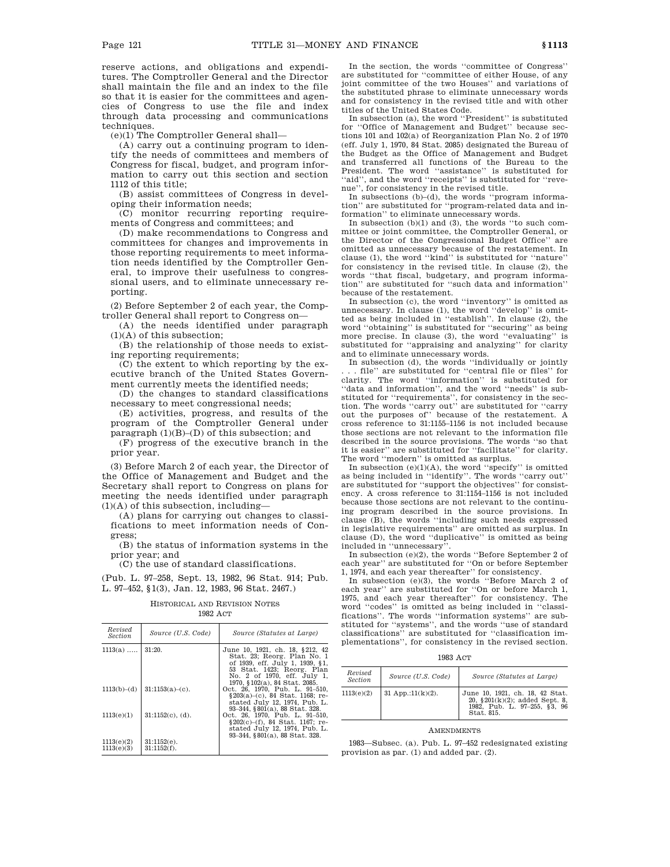reserve actions, and obligations and expenditures. The Comptroller General and the Director shall maintain the file and an index to the file so that it is easier for the committees and agencies of Congress to use the file and index through data processing and communications techniques.

(e)(1) The Comptroller General shall—

(A) carry out a continuing program to identify the needs of committees and members of Congress for fiscal, budget, and program information to carry out this section and section 1112 of this title;

(B) assist committees of Congress in developing their information needs;

(C) monitor recurring reporting requirements of Congress and committees; and

(D) make recommendations to Congress and committees for changes and improvements in those reporting requirements to meet information needs identified by the Comptroller General, to improve their usefulness to congressional users, and to eliminate unnecessary reporting.

(2) Before September 2 of each year, the Comptroller General shall report to Congress on—

(A) the needs identified under paragraph (1)(A) of this subsection;

(B) the relationship of those needs to existing reporting requirements;

(C) the extent to which reporting by the executive branch of the United States Government currently meets the identified needs;

(D) the changes to standard classifications necessary to meet congressional needs;

(E) activities, progress, and results of the program of the Comptroller General under paragraph (1)(B)–(D) of this subsection; and

(F) progress of the executive branch in the prior year.

(3) Before March 2 of each year, the Director of the Office of Management and Budget and the Secretary shall report to Congress on plans for meeting the needs identified under paragraph  $(1)(A)$  of this subsection, including-

(A) plans for carrying out changes to classifications to meet information needs of Congress;

(B) the status of information systems in the prior year; and

(C) the use of standard classifications.

(Pub. L. 97–258, Sept. 13, 1982, 96 Stat. 914; Pub. L. 97–452, §1(3), Jan. 12, 1983, 96 Stat. 2467.)

HISTORICAL AND REVISION NOTES 1982 ACT

| Revised<br><i>Section</i> | Source (U.S. Code)            | Source (Statutes at Large)                                                                                                                                                                      |
|---------------------------|-------------------------------|-------------------------------------------------------------------------------------------------------------------------------------------------------------------------------------------------|
| $1113(a)$   31:20.        |                               | June 10, 1921, ch. 18, §212, 42<br>Stat. 23: Reorg. Plan No. 1<br>of 1939, eff. July 1, 1939, §1,<br>53 Stat. 1423: Reorg. Plan<br>No. 2 of 1970, eff. July 1.<br>1970, §102(a), 84 Stat. 2085. |
| 1113(b)–(d)               | $31:1153(a)-(c)$ .            | Oct. 26, 1970. Pub. L. 91-510.<br>§203(a)-(c), 84 Stat, 1168; re-<br>stated July 12, 1974. Pub. L.<br>93-344, §801(a), 88 Stat. 328.                                                            |
| 1113(e)(1)                | $31:1152(c)$ , (d).           | Oct. 26, 1970. Pub. L. 91-510.<br>§202(c)-(f), 84 Stat. 1167; re-<br>stated July 12, 1974. Pub. L.<br>93-344, §801(a), 88 Stat, 328.                                                            |
| 1113(e)(2)<br>1113(e)(3)  | $31:1152(e)$ .<br>31:1152(f). |                                                                                                                                                                                                 |

In the section, the words ''committee of Congress'' are substituted for ''committee of either House, of any joint committee of the two Houses'' and variations of the substituted phrase to eliminate unnecessary words and for consistency in the revised title and with other titles of the United States Code.

In subsection (a), the word ''President'' is substituted for ''Office of Management and Budget'' because sections 101 and 102(a) of Reorganization Plan No. 2 of 1970 (eff. July 1, 1970, 84 Stat. 2085) designated the Bureau of the Budget as the Office of Management and Budget and transferred all functions of the Bureau to the President. The word ''assistance'' is substituted for "aid", and the word "receipts" is substituted for "revenue'', for consistency in the revised title.

In subsections (b)–(d), the words ''program information'' are substituted for ''program-related data and information'' to eliminate unnecessary words.

In subsection (b)(1) and (3), the words ''to such committee or joint committee, the Comptroller General, or the Director of the Congressional Budget Office'' are omitted as unnecessary because of the restatement. In clause (1), the word ''kind'' is substituted for ''nature'' for consistency in the revised title. In clause (2), the words ''that fiscal, budgetary, and program information'' are substituted for ''such data and information'' because of the restatement.

In subsection (c), the word ''inventory'' is omitted as unnecessary. In clause (1), the word "develop" is omitted as being included in ''establish''. In clause (2), the word "obtaining" is substituted for "securing" as being more precise. In clause (3), the word ''evaluating'' is substituted for ''appraising and analyzing'' for clarity and to eliminate unnecessary words.

In subsection (d), the words ''individually or jointly . . . file'' are substituted for ''central file or files'' for clarity. The word ''information'' is substituted for ''data and information'', and the word ''needs'' is substituted for ''requirements'', for consistency in the section. The words ''carry out'' are substituted for ''carry out the purposes of'' because of the restatement. A cross reference to 31:1155–1156 is not included because those sections are not relevant to the information file described in the source provisions. The words ''so that it is easier'' are substituted for ''facilitate'' for clarity. The word ''modern'' is omitted as surplus.

In subsection  $(e)(1)(A)$ , the word "specify" is omitted as being included in ''identify''. The words ''carry out'' are substituted for ''support the objectives'' for consistency. A cross reference to 31:1154–1156 is not included because those sections are not relevant to the continuing program described in the source provisions. In clause (B), the words ''including such needs expressed in legislative requirements'' are omitted as surplus. In clause (D), the word ''duplicative'' is omitted as being included in ''unnecessary''.

In subsection (e)(2), the words ''Before September 2 of each year'' are substituted for ''On or before September 1, 1974, and each year thereafter'' for consistency.

In subsection (e)(3), the words ''Before March 2 of each year'' are substituted for ''On or before March 1, 1975, and each year thereafter'' for consistency. The word ''codes'' is omitted as being included in ''classifications''. The words ''information systems'' are substituted for ''systems'', and the words ''use of standard classifications'' are substituted for ''classification implementations'', for consistency in the revised section.

1983 ACT

| Revised<br><b>Section</b> | Source (U.S. Code)    | Source (Statutes at Large)                                                                                              |
|---------------------------|-----------------------|-------------------------------------------------------------------------------------------------------------------------|
| 1113(e)(2)                | 31 App.:11 $(k)(2)$ . | June 10, 1921, ch. 18, 42 Stat.<br>$20, \, \S 201(k)(2)$ ; added Sept. 8.<br>1982. Pub. L. 97-255. §3. 96<br>Stat. 815. |

# **AMENDMENTS**

1983—Subsec. (a). Pub. L. 97–452 redesignated existing provision as par. (1) and added par. (2).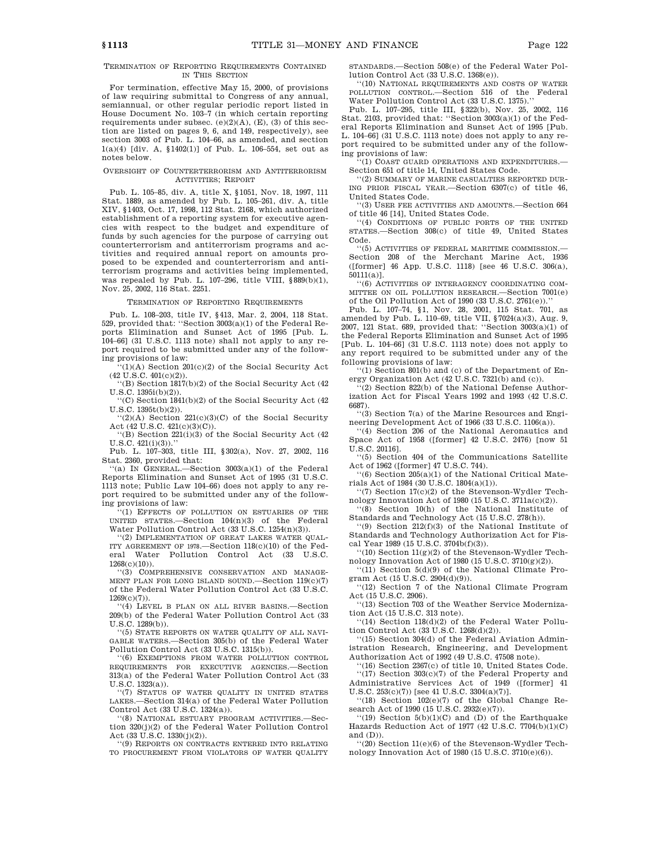### TERMINATION OF REPORTING REQUIREMENTS CONTAINED IN THIS SECTION

For termination, effective May 15, 2000, of provisions of law requiring submittal to Congress of any annual, semiannual, or other regular periodic report listed in House Document No. 103–7 (in which certain reporting requirements under subsec.  $(e)(2)(A)$ ,  $(E)$ ,  $(3)$  of this section are listed on pages 9, 6, and 149, respectively), see section 3003 of Pub. L. 104–66, as amended, and section 1(a)(4) [div. A, §1402(1)] of Pub. L. 106–554, set out as notes below.

#### OVERSIGHT OF COUNTERTERRORISM AND ANTITERRORISM ACTIVITIES; REPORT

Pub. L. 105–85, div. A, title X, §1051, Nov. 18, 1997, 111 Stat. 1889, as amended by Pub. L. 105–261, div. A, title XIV, §1403, Oct. 17, 1998, 112 Stat. 2168, which authorized establishment of a reporting system for executive agencies with respect to the budget and expenditure of funds by such agencies for the purpose of carrying out counterterrorism and antiterrorism programs and activities and required annual report on amounts proposed to be expended and counterterrorism and antiterrorism programs and activities being implemented, was repealed by Pub. L. 107-296, title VIII,  $\S 889(b)(1)$ , Nov. 25, 2002, 116 Stat. 2251.

### TERMINATION OF REPORTING REQUIREMENTS

Pub. L. 108–203, title IV, §413, Mar. 2, 2004, 118 Stat. 529, provided that: ''Section 3003(a)(1) of the Federal Reports Elimination and Sunset Act of 1995 [Pub. L. 104–66] (31 U.S.C. 1113 note) shall not apply to any report required to be submitted under any of the following provisions of law:

 $(1)(A)$  Section  $201(c)(2)$  of the Social Security Act (42 U.S.C. 401(c)(2)).

''(B) Section 1817(b)(2) of the Social Security Act (42 U.S.C. 1395i(b)(2)).

''(C) Section 1841(b)(2) of the Social Security Act (42 U.S.C. 1395t(b)(2)).

 $\frac{1}{2}(2)$ (A) Section 221(c)(3)(C) of the Social Security Act (42 U.S.C. 421(c)(3)(C)).

 $\lq\lq$  (B) Section 221(i)(3) of the Social Security Act (42 U.S.C. 421(i)(3)).''

Pub. L. 107–303, title III, §302(a), Nov. 27, 2002, 116 Stat. 2360, provided that:

'(a) IN GENERAL.—Section  $3003(a)(1)$  of the Federal Reports Elimination and Sunset Act of 1995 (31 U.S.C. 1113 note; Public Law 104–66) does not apply to any report required to be submitted under any of the following provisions of law:

'(1) EFFECTS OF POLLUTION ON ESTUARIES OF THE UNITED STATES.—Section 104(n)(3) of the Federal Water Pollution Control Act  $(33 \text{ U.S.C. } 1254(n)(3))$ .

'(2) IMPLEMENTATION OF GREAT LAKES WATER QUAL-ITY AGREEMENT OF 1978.—Section  $118(c)(10)$  of the Federal Water Pollution Control Act (33 U.S.C. Water Pollution Control Act 1268(c)(10)).

''(3) COMPREHENSIVE CONSERVATION AND MANAGE-MENT PLAN FOR LONG ISLAND SOUND.—Section 119(c)(7) of the Federal Water Pollution Control Act (33 U.S.C. 1269(c)(7)).

''(4) LEVEL B PLAN ON ALL RIVER BASINS.—Section 209(b) of the Federal Water Pollution Control Act (33 U.S.C. 1289(b)).

''(5) STATE REPORTS ON WATER QUALITY OF ALL NAVI-GABLE WATERS.—Section 305(b) of the Federal Water Pollution Control Act (33 U.S.C. 1315(b)).

''(6) EXEMPTIONS FROM WATER POLLUTION CONTROL REQUIREMENTS FOR EXECUTIVE AGENCIES.—Section 313(a) of the Federal Water Pollution Control Act (33 U.S.C. 1323(a)).

''(7) STATUS OF WATER QUALITY IN UNITED STATES LAKES.—Section 314(a) of the Federal Water Pollution Control Act (33 U.S.C. 1324(a)).

'(8) NATIONAL ESTUARY PROGRAM ACTIVITIES.-Section 320(j)(2) of the Federal Water Pollution Control Act (33 U.S.C.  $1330(j)(2)$ ).

''(9) REPORTS ON CONTRACTS ENTERED INTO RELATING TO PROCUREMENT FROM VIOLATORS OF WATER QUALITY STANDARDS.—Section 508(e) of the Federal Water Pollution Control Act (33 U.S.C. 1368(e)).

''(10) NATIONAL REQUIREMENTS AND COSTS OF WATER POLLUTION CONTROL.—Section 516 of the Federal Water Pollution Control Act (33 U.S.C. 1375).''

Pub. L. 107–295, title III, §322(b), Nov. 25, 2002, 116 Stat. 2103, provided that: ''Section 3003(a)(1) of the Federal Reports Elimination and Sunset Act of 1995 [Pub. L. 104–66] (31 U.S.C. 1113 note) does not apply to any report required to be submitted under any of the following provisions of law:

'(1) COAST GUARD OPERATIONS AND EXPENDITURES. Section 651 of title 14, United States Code.

''(2) SUMMARY OF MARINE CASUALTIES REPORTED DUR-ING PRIOR FISCAL YEAR.—Section 6307(c) of title 46, United States Code.

''(3) USER FEE ACTIVITIES AND AMOUNTS.—Section 664 of title 46 [14], United States Code.

''(4) CONDITIONS OF PUBLIC PORTS OF THE UNITED STATES.—Section 308(c) of title 49, United States Code.

''(5) ACTIVITIES OF FEDERAL MARITIME COMMISSION.— Section 208 of the Merchant Marine Act, 1936 ([former] 46 App. U.S.C. 1118) [see 46 U.S.C. 306(a), 50111(a)].

''(6) ACTIVITIES OF INTERAGENCY COORDINATING COM-MITTEE ON OIL POLLUTION RESEARCH.—Section 7001(e) of the Oil Pollution Act of  $1990(33 \text{ U.S.C. } 2761(e)).$ 

Pub. L. 107–74, §1, Nov. 28, 2001, 115 Stat. 701, as amended by Pub. L. 110–69, title VII, §7024(a)(3), Aug. 9, 2007, 121 Stat. 689, provided that: ''Section 3003(a)(1) of the Federal Reports Elimination and Sunset Act of 1995 [Pub. L. 104–66] (31 U.S.C. 1113 note) does not apply to any report required to be submitted under any of the following provisions of law:

''(1) Section 801(b) and (c) of the Department of Energy Organization Act  $(42 \text{ U.S.C. } 7321(\text{b}) \text{ and } (\text{c}))$ .

''(2) Section 822(b) of the National Defense Authorization Act for Fiscal Years 1992 and 1993 (42 U.S.C. 6687).

''(3) Section 7(a) of the Marine Resources and Engineering Development Act of 1966 (33 U.S.C. 1106(a)).

''(4) Section 206 of the National Aeronautics and Space Act of 1958 ([former] 42 U.S.C. 2476) [now 51 U.S.C. 20116].

''(5) Section 404 of the Communications Satellite Act of 1962 ([former] 47 U.S.C. 744).

 $(6)$  Section 205(a)(1) of the National Critical Materials Act of 1984 (30 U.S.C. 1804(a)(1)).

 $''(7)$  Section  $17(c)(2)$  of the Stevenson-Wydler Technology Innovation Act of 1980 (15 U.S.C. 3711a(c)(2)).

''(8) Section 10(h) of the National Institute of Standards and Technology Act (15 U.S.C. 278(h)).

''(9) Section 212(f)(3) of the National Institute of Standards and Technology Authorization Act for Fiscal Year 1989 (15 U.S.C. 3704b(f)(3)).

 $''(10)$  Section  $11(g)(2)$  of the Stevenson-Wydler Technology Innovation Act of 1980 (15 U.S.C. 3710(g)(2)).

 $(11)$  Section  $5(d)(9)$  of the National Climate Program Act (15 U.S.C. 2904(d)(9)).

''(12) Section 7 of the National Climate Program Act (15 U.S.C. 2906).

''(13) Section 703 of the Weather Service Moderniza-

tion Act (15 U.S.C. 313 note). ''(14) Section 118(d)(2) of the Federal Water Pollu-

tion Control Act (33 U.S.C. 1268(d)(2)). ''(15) Section 304(d) of the Federal Aviation Administration Research, Engineering, and Development

Authorization Act of 1992 (49 U.S.C. 47508 note). ''(16) Section 2367(c) of title 10, United States Code.

 $(17)$  Section 303(c)(7) of the Federal Property and Administrative Services Act of 1949 ([former] 41  ${\rm U.S.C.}$   $253({\rm c})(7))$  [see 41  ${\rm U.S.C.}$   $3304({\rm a})(7)]$ 

''(18) Section 102(e)(7) of the Global Change Research Act of 1990 (15 U.S.C. 2932(e)(7)).

 $(19)$  Section  $5(b)(1)(C)$  and  $(D)$  of the Earthquake Hazards Reduction Act of 1977 (42 U.S.C. 7704(b)(1)(C) and (D)).

''(20) Section 11(e)(6) of the Stevenson-Wydler Technology Innovation Act of 1980 (15 U.S.C. 3710(e)(6)).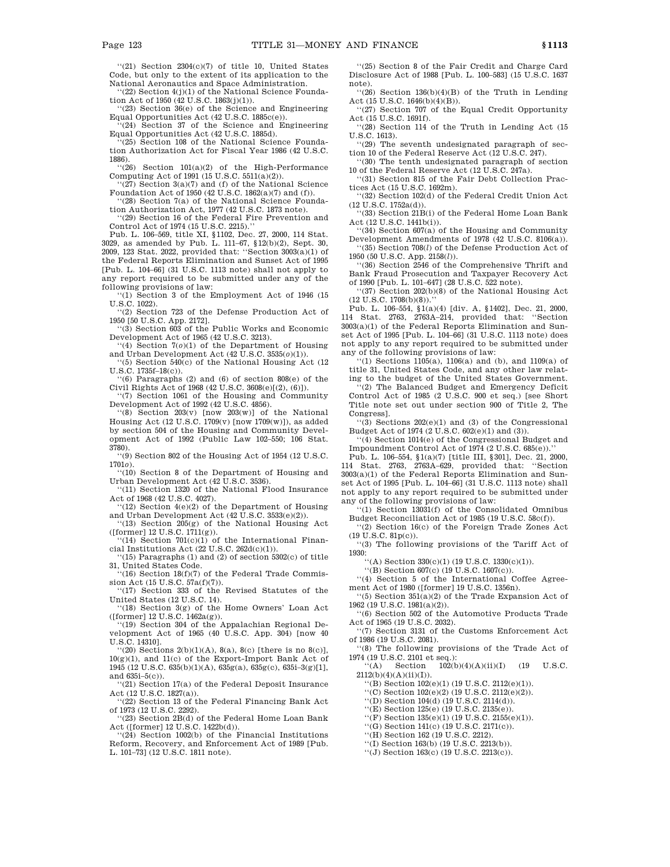''(21) Section 2304(c)(7) of title 10, United States Code, but only to the extent of its application to the National Aeronautics and Space Administration.

''(22) Section 4(j)(1) of the National Science Foundation Act of 1950 (42 U.S.C. 1863(j)(1)).

'(23) Section  $36(e)$  of the Science and Engineering Equal Opportunities Act (42 U.S.C. 1885c(e)).

''(24) Section 37 of the Science and Engineering Equal Opportunities Act (42 U.S.C. 1885d). ''(25) Section 108 of the National Science Founda-

tion Authorization Act for Fiscal Year 1986 (42 U.S.C.  $1886$ ).<br> $(26)$ 

Section  $101(a)(2)$  of the High-Performance Computing Act of 1991 (15 U.S.C. 5511(a)(2)).

 $''(27)$  Section 3(a)(7) and (f) of the National Science Foundation Act of 1950 (42 U.S.C. 1862(a)(7) and (f)).

''(28) Section 7(a) of the National Science Foundation Authorization Act, 1977 (42 U.S.C. 1873 note).

''(29) Section 16 of the Federal Fire Prevention and Control Act of 1974 (15 U.S.C. 2215).''

Pub. L. 106–569, title XI, §1102, Dec. 27, 2000, 114 Stat. 3029, as amended by Pub. L. 111–67, §12(b)(2), Sept. 30, 2009, 123 Stat. 2022, provided that: ''Section 3003(a)(1) of the Federal Reports Elimination and Sunset Act of 1995 [Pub. L. 104–66] (31 U.S.C. 1113 note) shall not apply to any report required to be submitted under any of the

following provisions of law:<br>"(1) Section 3 of the Employment Act of 1946 (15 U.S.C. 1022).

''(2) Section 723 of the Defense Production Act of 1950 [50 U.S.C. App. 2172]. ''(3) Section 603 of the Public Works and Economic

Development Act of 1965 (42 U.S.C. 3213).

''(4) Section 7(*o*)(1) of the Department of Housing and Urban Development Act (42 U.S.C. 3535(*o*)(1)).

''(5) Section 540(c) of the National Housing Act (12 U.S.C. 1735f–18(c)).

 $(6)$  Paragraphs (2) and (6) of section 808(e) of the Civil Rights Act of 1968 (42 U.S.C. 3608(e)[(2), (6)]).

''(7) Section 1061 of the Housing and Community Development Act of 1992 (42 U.S.C. 4856).

 $(8)$  Section 203(v) [now 203(w)] of the National Housing Act (12 U.S.C. 1709(v) [now 1709(w)]), as added by section 504 of the Housing and Community Development Act of 1992 (Public Law 102–550; 106 Stat. 3780).

''(9) Section 802 of the Housing Act of 1954 (12 U.S.C. 1701*o*).

''(10) Section 8 of the Department of Housing and Urban Development Act (42 U.S.C. 3536).

''(11) Section 1320 of the National Flood Insurance Act of 1968 (42 U.S.C. 4027).

 $(12)$  Section  $4(e)(2)$  of the Department of Housing and Urban Development Act  $(42 \overline{U} S.C. 3533(e)(2))$ .

 $(13)$  Section  $205(g)$  of the National Housing Act  $(f \text{former} | 12 \text{ U.S.C. } 1711(g)).$ 

 $\frac{1}{14}$  Section 701(c)(1) of the International Financial Institutions Act (22 U.S.C. 262d(c)(1)).

''(15) Paragraphs (1) and (2) of section 5302(c) of title 31, United States Code. ''(16) Section 18(f)(7) of the Federal Trade Commis-

sion Act (15 U.S.C. 57a(f)(7)).

''(17) Section 333 of the Revised Statutes of the

United States (12 U.S.C. 14). ''(18) Section 3(g) of the Home Owners' Loan Act  $($ [former] 12 U.S.C. 1462a $(g)$ ).

'(19) Section 304 of the Appalachian Regional Development Act of 1965 (40 U.S.C. App. 304) [now 40 U.S.C. 14310].

 $\frac{1}{20}$  Sections 2(b)(1)(A), 8(a), 8(c) [there is no 8(c)],  $10(g)(1)$ , and  $11(c)$  of the Export-Import Bank Act of 1945 (12 U.S.C. 635(b)(1)(A), 635g(a), 635g(c), 635i–3(g)[1], and 635i–5(c)).

''(21) Section 17(a) of the Federal Deposit Insurance Act (12 U.S.C. 1827(a)).

''(22) Section 13 of the Federal Financing Bank Act of 1973 (12 U.S.C. 2292).

''(23) Section 2B(d) of the Federal Home Loan Bank

Act ([former] 12 U.S.C. 1422b(d)). ''(24) Section 1002(b) of the Financial Institutions Reform, Recovery, and Enforcement Act of 1989 [Pub. L. 101–73] (12 U.S.C. 1811 note).

''(25) Section 8 of the Fair Credit and Charge Card Disclosure Act of 1988 [Pub. L. 100–583] (15 U.S.C. 1637 note).

 $(26)$  Section  $136(b)(4)(B)$  of the Truth in Lending Act (15 U.S.C. 1646(b)(4)(B)).

''(27) Section 707 of the Equal Credit Opportunity Act (15 U.S.C. 1691f).

''(28) Section 114 of the Truth in Lending Act (15 U.S.C. 1613).

''(29) The seventh undesignated paragraph of section 10 of the Federal Reserve Act (12 U.S.C. 247).

''(30) The tenth undesignated paragraph of section 10 of the Federal Reserve Act (12 U.S.C. 247a).

(31) Section 815 of the Fair Debt Collection Practices Act (15 U.S.C. 1692m).

''(32) Section 102(d) of the Federal Credit Union Act (12 U.S.C. 1752a(d)).

''(33) Section 21B(i) of the Federal Home Loan Bank Act (12 U.S.C. 1441b(i)).

''(34) Section 607(a) of the Housing and Community Development Amendments of 1978 (42 U.S.C. 8106(a)).

''(35) Section 708(*l*) of the Defense Production Act of 1950 (50 U.S.C. App. 2158(*l*)).

''(36) Section 2546 of the Comprehensive Thrift and Bank Fraud Prosecution and Taxpayer Recovery Act of 1990 [Pub. L. 101–647] (28 U.S.C. 522 note).

''(37) Section 202(b)(8) of the National Housing Act (12 U.S.C. 1708(b)(8)).''

Pub. L. 106–554, §1(a)(4) [div. A, §1402], Dec. 21, 2000, 114 Stat. 2763, 2763A–214, provided that: ''Section 3003(a)(1) of the Federal Reports Elimination and Sunset Act of 1995 [Pub. L. 104–66] (31 U.S.C. 1113 note) does not apply to any report required to be submitted under any of the following provisions of law:

 $''(1)$  Sections  $1105(a)$ ,  $1106(a)$  and  $(b)$ , and  $1109(a)$  of title 31, United States Code, and any other law relating to the budget of the United States Government.

(2) The Balanced Budget and Emergency Deficit Control Act of 1985 (2 U.S.C. 900 et seq.) [see Short Title note set out under section 900 of Title 2, The Congress].

'(3) Sections  $202(e)(1)$  and (3) of the Congressional Budget Act of 1974 (2 U.S.C. 602(e)(1) and (3)).

''(4) Section 1014(e) of the Congressional Budget and Impoundment Control Act of  $1974$  (2 U.S.C.  $685(e)$ ).

Pub. L. 106–554, §1(a)(7) [title III, §301], Dec. 21, 2000, 114 Stat. 2763, 2763A–629, provided that: ''Section  $3003(a)(1)$  of the Federal Reports Elimination and Sunset Act of 1995 [Pub. L. 104–66] (31 U.S.C. 1113 note) shall not apply to any report required to be submitted under any of the following provisions of law:

''(1) Section 13031(f) of the Consolidated Omnibus Budget Reconciliation Act of 1985 (19 U.S.C. 58c(f)).

''(2) Section 16(c) of the Foreign Trade Zones Act (19 U.S.C. 81p(c)).

''(3) The following provisions of the Tariff Act of 1930:

''(A) Section 330(c)(1) (19 U.S.C. 1330(c)(1)).

''(B) Section 607(c) (19 U.S.C. 1607(c)).

''(4) Section 5 of the International Coffee Agreement Act of 1980 ([former] 19 U.S.C. 1356n).

 $\lq\lq 5$  Section 351(a)(2) of the Trade Expansion Act of 1962 (19 U.S.C. 1981(a)(2)).

''(6) Section 502 of the Automotive Products Trade Act of 1965 (19 U.S.C. 2032).

''(7) Section 3131 of the Customs Enforcement Act of 1986 (19 U.S.C. 2081).

''(8) The following provisions of the Trade Act of 1974 (19 U.S.C. 2101 et seq.):

 $((A)$  Section  $102(b)(4)(A)(ii)(I)$  (19 U.S.C.  $2112(b)(4)(A)(ii)(I)).$ 

''(B) Section 102(e)(1) (19 U.S.C. 2112(e)(1)).

 $((C)$  Section  $102(e)(2)$  (19 U.S.C.  $2112(e)(2)$ ).

''(D) Section 104(d) (19 U.S.C. 2114(d)).

''(E) Section 125(e) (19 U.S.C. 2135(e)).

''(F) Section 135(e)(1) (19 U.S.C. 2155(e)(1)).

''(G) Section 141(c) (19 U.S.C. 2171(c)).

''(H) Section 162 (19 U.S.C. 2212).

''(I) Section 163(b) (19 U.S.C. 2213(b)).

 $''(J)$  Section 163(c) (19 U.S.C. 2213(c)).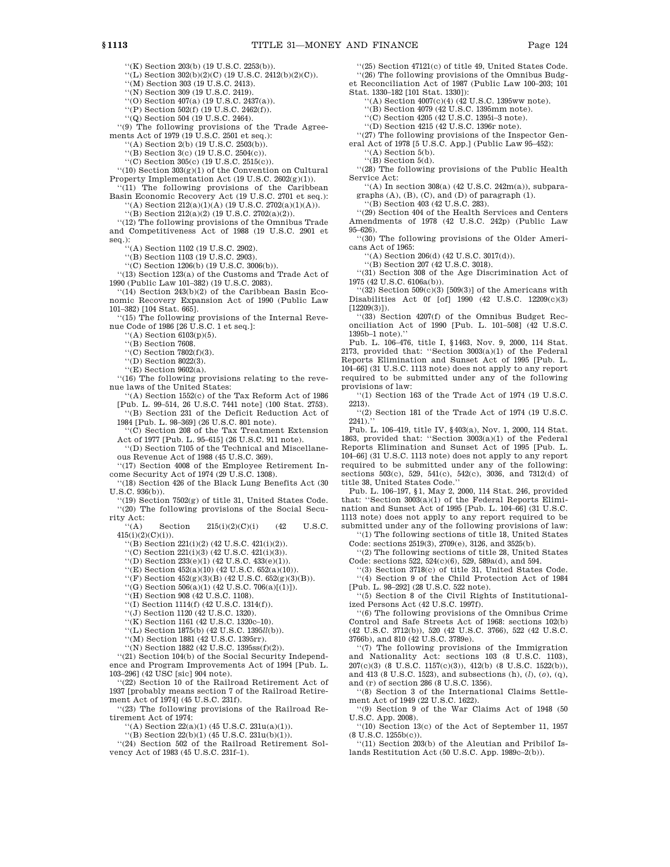''(K) Section 203(b) (19 U.S.C. 2253(b)).

''(L) Section 302(b)(2)(C) (19 U.S.C. 2412(b)(2)(C)).

''(M) Section 303 (19 U.S.C. 2413).

''(N) Section 309 (19 U.S.C. 2419).

''(O) Section 407(a) (19 U.S.C. 2437(a)).

''(P) Section 502(f) (19 U.S.C. 2462(f)).

''(Q) Section 504 (19 U.S.C. 2464).

''(9) The following provisions of the Trade Agreements Act of 1979 (19 U.S.C. 2501 et seq.):

 $f(A)$  Section 2(b) (19 U.S.C. 2503(b)).

''(B) Section 3(c) (19 U.S.C. 2504(c)).

''(C) Section 305(c) (19 U.S.C. 2515(c)).

''(10) Section 303(g)(1) of the Convention on Cultural Property Implementation Act (19 U.S.C. 2602(g)(1)).

''(11) The following provisions of the Caribbean Basin Economic Recovery Act (19 U.S.C. 2701 et seq.):

 $((A)$  Section 212(a)(1)(A) (19 U.S.C. 2702(a)(1)(A)).

''(B) Section 212(a)(2) (19 U.S.C. 2702(a)(2)).

''(12) The following provisions of the Omnibus Trade and Competitiveness Act of 1988 (19 U.S.C. 2901 et seq.):

''(A) Section 1102 (19 U.S.C. 2902).

''(B) Section 1103 (19 U.S.C. 2903).

''(C) Section 1206(b) (19 U.S.C. 3006(b)).

''(13) Section 123(a) of the Customs and Trade Act of 1990 (Public Law 101–382) (19 U.S.C. 2083).

''(14) Section 243(b)(2) of the Caribbean Basin Economic Recovery Expansion Act of 1990 (Public Law 101–382) [104 Stat. 665].

''(15) The following provisions of the Internal Revenue Code of 1986 [26 U.S.C. 1 et seq.]:

 $'(A)$  Section  $6103(p)(5)$ .

''(B) Section 7608.

 $\lq\lq$ <sup>'</sup>(C) Section 7802(f)(3).

''(D) Section 8022(3).

''(E) Section 9602(a).

''(16) The following provisions relating to the revenue laws of the United States:

 $'(A)$  Section 1552 $(c)$  of the Tax Reform Act of 1986 [Pub. L. 99–514, 26 U.S.C. 7441 note] (100 Stat. 2753).

''(B) Section 231 of the Deficit Reduction Act of 1984 [Pub. L. 98–369] (26 U.S.C. 801 note).

''(C) Section 208 of the Tax Treatment Extension

Act of 1977 [Pub. L. 95–615] (26 U.S.C. 911 note). ''(D) Section 7105 of the Technical and Miscellane-

ous Revenue Act of 1988 (45 U.S.C. 369). ''(17) Section 4008 of the Employee Retirement In-

come Security Act of 1974 (29 U.S.C. 1308). ''(18) Section 426 of the Black Lung Benefits Act (30 U.S.C. 936(b)).

''(19) Section 7502(g) of title 31, United States Code.

''(20) The following provisions of the Social Security Act:

 $C(A)$  Section  $215(i)(2)(C)(i)$  (42 U.S.C.)  $415(i)(2)(C)(i)$ ).

''(B) Section 221(i)(2) (42 U.S.C. 421(i)(2)).

 $''(C)$  Section 221(i)(3) (42 U.S.C. 421(i)(3)).

''(D) Section 233(e)(1) (42 U.S.C. 433(e)(1)).

 $((E)$  Section  $452(a)(10)$  (42 U.S.C.  $652(a)(10)$ ).

 $''(F)$  Section  $452(g)(3)(B)$  (42 U.S.C.  $652(g)(3)(B)$ ).

 $((G)$  Section 506(a)(1) (42 U.S.C. 706(a)[(1)]).

''(H) Section 908 (42 U.S.C. 1108).

''(I) Section 1114(f) (42 U.S.C. 1314(f)).

''(J) Section 1120 (42 U.S.C. 1320).

''(K) Section 1161 (42 U.S.C. 1320c–10).

''(L) Section 1875(b) (42 U.S.C. 1395*ll*(b)).

''(M) Section 1881 (42 U.S.C. 1395rr).

''(N) Section 1882 (42 U.S.C. 1395ss(f)(2)).

''(21) Section 104(b) of the Social Security Independence and Program Improvements Act of 1994 [Pub. L. 103–296] (42 USC [sic] 904 note).

''(22) Section 10 of the Railroad Retirement Act of 1937 [probably means section 7 of the Railroad Retirement Act of 1974] (45 U.S.C. 231f).

''(23) The following provisions of the Railroad Retirement Act of 1974:

''(A) Section 22(a)(1) (45 U.S.C. 231u(a)(1)).

 $\lq\lq (B)$  Section 22(b)(1) (45 U.S.C. 231u(b)(1)).

''(24) Section 502 of the Railroad Retirement Solvency Act of 1983 (45 U.S.C. 231f–1).

''(25) Section 47121(c) of title 49, United States Code. ''(26) The following provisions of the Omnibus Budget Reconciliation Act of 1987 (Public Law 100–203; 101 Stat. 1330–182 [101 Stat. 1330]):

''(A) Section 4007(c)(4) (42 U.S.C. 1395ww note).

''(B) Section 4079 (42 U.S.C. 1395mm note).

''(C) Section 4205 (42 U.S.C. 1395i–3 note).

''(D) Section 4215 (42 U.S.C. 1396r note).

''(27) The following provisions of the Inspector General Act of 1978 [5 U.S.C. App.] (Public Law 95–452):  $``(A)$  Section  $5(b)$ .

 $\cdot$ (B) Section 5(d).

''(28) The following provisions of the Public Health Service Act:

''(A) In section 308(a) (42 U.S.C. 242m(a)), subparagraphs (A), (B), (C), and (D) of paragraph (1).

''(B) Section 403 (42 U.S.C. 283).

''(29) Section 404 of the Health Services and Centers Amendments of 1978 (42 U.S.C. 242p) (Public Law 95–626).

''(30) The following provisions of the Older Americans Act of 1965:

''(A) Section 206(d) (42 U.S.C. 3017(d)).

''(B) Section 207 (42 U.S.C. 3018).

''(31) Section 308 of the Age Discrimination Act of  $1975 (42 \text{ H S C } 6106a(b))$ 

''(32) Section  $509(c)(3)$  [509(3)] of the Americans with Disabilities Act 0f [of] 1990 (42 U.S.C. 12209(c)(3)  $[12209(3)]$ .

''(33) Section 4207(f) of the Omnibus Budget Reconciliation Act of 1990 [Pub. L. 101–508] (42 U.S.C. 1395b–1 note).''

Pub. L. 106–476, title I, §1463, Nov. 9, 2000, 114 Stat. 2173, provided that: ''Section 3003(a)(1) of the Federal Reports Elimination and Sunset Act of 1995 [Pub. L. 104–66] (31 U.S.C. 1113 note) does not apply to any report required to be submitted under any of the following provisions of law:

''(1) Section 163 of the Trade Act of 1974 (19 U.S.C. 2213).

''(2) Section 181 of the Trade Act of 1974 (19 U.S.C. 2241).''

Pub. L. 106–419, title IV, §403(a), Nov. 1, 2000, 114 Stat. 1863, provided that: ''Section 3003(a)(1) of the Federal Reports Elimination and Sunset Act of 1995 [Pub. L. 104–66] (31 U.S.C. 1113 note) does not apply to any report required to be submitted under any of the following: sections 503(c), 529, 541(c), 542(c), 3036, and 7312(d) of title 38, United States Code.''

Pub. L. 106–197, §1, May 2, 2000, 114 Stat. 246, provided that: ''Section 3003(a)(1) of the Federal Reports Elimination and Sunset Act of 1995 [Pub. L. 104–66] (31 U.S.C. 1113 note) does not apply to any report required to be submitted under any of the following provisions of law:

''(1) The following sections of title 18, United States Code: sections 2519(3), 2709(e), 3126, and 3525(b).

''(2) The following sections of title 28, United States Code: sections 522, 524(c)(6), 529, 589a(d), and 594.

''(3) Section 3718(c) of title 31, United States Code. ''(4) Section 9 of the Child Protection Act of 1984

[Pub. L. 98–292] (28 U.S.C. 522 note). ''(5) Section 8 of the Civil Rights of Institutional-

ized Persons Act (42 U.S.C. 1997f).

''(6) The following provisions of the Omnibus Crime Control and Safe Streets Act of 1968: sections 102(b) (42 U.S.C. 3712(b)), 520 (42 U.S.C. 3766), 522 (42 U.S.C. 3766b), and 810 (42 U.S.C. 3789e).

''(7) The following provisions of the Immigration and Nationality Act: sections 103 (8 U.S.C. 1103), 207(c)(3) (8 U.S.C. 1157(c)(3)), 412(b) (8 U.S.C. 1522(b)), and 413 (8 U.S.C. 1523), and subsections (h), (*l*), (*o*), (q), and (r) of section 286 (8 U.S.C. 1356).

''(8) Section 3 of the International Claims Settlement Act of 1949 (22 U.S.C. 1622).

''(9) Section 9 of the War Claims Act of 1948 (50 U.S.C. App. 2008).

 $\frac{1}{2}$ (10) Section 13(c) of the Act of September 11, 1957 (8 U.S.C. 1255b(c)).

''(11) Section 203(b) of the Aleutian and Pribilof Islands Restitution Act (50 U.S.C. App. 1989c–2(b)).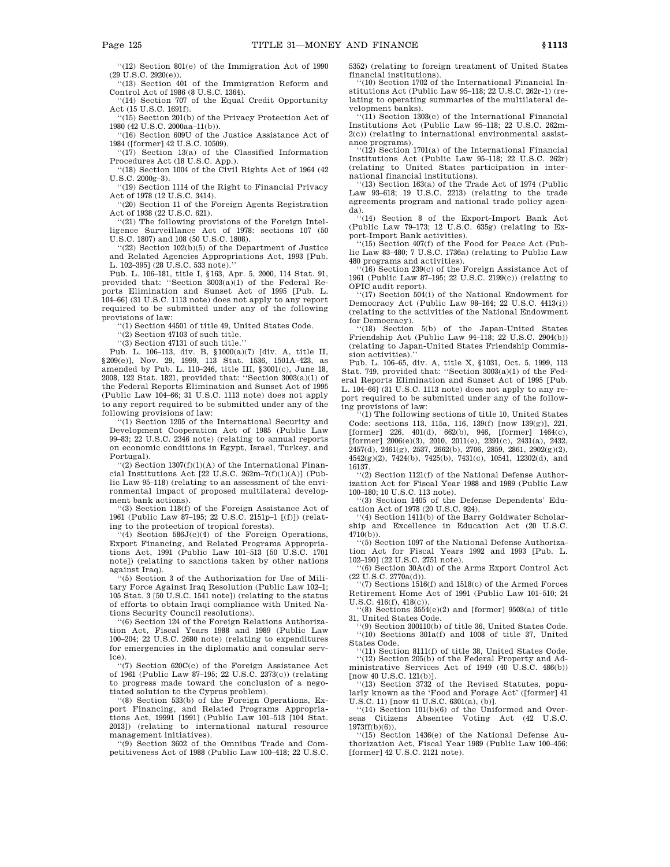''(12) Section 801(e) of the Immigration Act of 1990 (29 U.S.C. 2920(e)).

''(13) Section 401 of the Immigration Reform and Control Act of 1986 (8 U.S.C. 1364).

''(14) Section 707 of the Equal Credit Opportunity Act (15 U.S.C. 1691f).

''(15) Section 201(b) of the Privacy Protection Act of 1980 (42 U.S.C. 2000aa–11(b)).

''(16) Section 609U of the Justice Assistance Act of 1984 ([former] 42 U.S.C. 10509).

''(17) Section 13(a) of the Classified Information Procedures Act (18 U.S.C. App.).

''(18) Section 1004 of the Civil Rights Act of 1964 (42 U.S.C. 2000g–3).

''(19) Section 1114 of the Right to Financial Privacy Act of 1978 (12 U.S.C. 3414).

''(20) Section 11 of the Foreign Agents Registration Act of 1938 (22 U.S.C. 621).

''(21) The following provisions of the Foreign Intelligence Surveillance Act of 1978: sections 107 (50 U.S.C. 1807) and 108 (50 U.S.C. 1808).

''(22) Section 102(b)(5) of the Department of Justice and Related Agencies Appropriations Act, 1993 [Pub. L. 102–395] (28 U.S.C. 533 note).''

Pub. L. 106–181, title I, §163, Apr. 5, 2000, 114 Stat. 91, provided that: ''Section 3003(a)(1) of the Federal Reports Elimination and Sunset Act of 1995 [Pub. L. 104–66] (31 U.S.C. 1113 note) does not apply to any report required to be submitted under any of the following provisions of law:

''(1) Section 44501 of title 49, United States Code.

''(2) Section 47103 of such title. ''(3) Section 47131 of such title.''

Pub. L. 106–113, div. B, §1000(a)(7) [div. A, title II, §209(e)], Nov. 29, 1999, 113 Stat. 1536, 1501A–423, as amended by Pub. L. 110–246, title III, §3001(c), June 18, 2008, 122 Stat. 1821, provided that: ''Section 3003(a)(1) of the Federal Reports Elimination and Sunset Act of 1995 (Public Law 104–66; 31 U.S.C. 1113 note) does not apply to any report required to be submitted under any of the following provisions of law:

''(1) Section 1205 of the International Security and Development Cooperation Act of 1985 (Public Law 99–83; 22 U.S.C. 2346 note) (relating to annual reports on economic conditions in Egypt, Israel, Turkey, and Portugal).

 $''(2)$  Section 1307(f)(1)(A) of the International Financial Institutions Act [22 U.S.C. 262m–7(f)(1)(A)] (Public Law 95–118) (relating to an assessment of the environmental impact of proposed multilateral development bank actions).

'(3) Section 118(f) of the Foreign Assistance Act of 1961 (Public Law 87–195; 22 U.S.C. 2151p–1 [(f)]) (relating to the protection of tropical forests).

 $``(4)$  Section 586J(c)(4) of the Foreign Operations, Export Financing, and Related Programs Appropriations Act, 1991 (Public Law 101–513 [50 U.S.C. 1701 note]) (relating to sanctions taken by other nations against Iraq).

''(5) Section 3 of the Authorization for Use of Military Force Against Iraq Resolution (Public Law 102–1; 105 Stat. 3 [50 U.S.C. 1541 note]) (relating to the status of efforts to obtain Iraqi compliance with United Nations Security Council resolutions).

''(6) Section 124 of the Foreign Relations Authorization Act, Fiscal Years 1988 and 1989 (Public Law 100–204; 22 U.S.C. 2680 note) (relating to expenditures for emergencies in the diplomatic and consular service).

''(7) Section 620C(c) of the Foreign Assistance Act of 1961 (Public Law 87–195; 22 U.S.C. 2373(c)) (relating to progress made toward the conclusion of a negotiated solution to the Cyprus problem).

''(8) Section 533(b) of the Foreign Operations, Export Financing, and Related Programs Appropriations Act, 19991 [1991] (Public Law 101–513 [104 Stat. 2013]) (relating to international natural resource management initiatives).

''(9) Section 3602 of the Omnibus Trade and Competitiveness Act of 1988 (Public Law 100–418; 22 U.S.C. 5352) (relating to foreign treatment of United States financial institutions). ''(10) Section 1702 of the International Financial In-

stitutions Act (Public Law 95–118; 22 U.S.C. 262r-1) (relating to operating summaries of the multilateral development banks).

 $(11)$  Section 1303(c) of the International Financial Institutions Act (Public Law 95–118; 22 U.S.C. 262m-2(c)) (relating to international environmental assistance programs).

 $(12)$  Section 1701(a) of the International Financial Institutions Act (Public Law 95–118; 22 U.S.C. 262r) (relating to United States participation in international financial institutions).

''(13) Section 163(a) of the Trade Act of 1974 (Public Law 93–618; 19 U.S.C. 2213) (relating to the trade agreements program and national trade policy agen-

da). ''(14) Section 8 of the Export-Import Bank Act (Public Law 79–173; 12 U.S.C. 635g) (relating to Ex-

port-Import Bank activities). ''(15) Section 407(f) of the Food for Peace Act (Public Law 83–480; 7 U.S.C. 1736a) (relating to Public Law

480 programs and activities). ''(16) Section 239(c) of the Foreign Assistance Act of 1961 (Public Law 87–195; 22 U.S.C. 2199(c)) (relating to OPIC audit report).

 $(17)$  Section 504 $(i)$  of the National Endowment for Democracy Act (Public Law 98–164; 22 U.S.C. 4413(i)) (relating to the activities of the National Endowment for Democracy).

''(18) Section 5(b) of the Japan-United States Friendship Act (Public Law 94–118; 22 U.S.C. 2904(b)) (relating to Japan-United States Friendship Commission activities).

Pub. L. 106–65, div. A, title X, §1031, Oct. 5, 1999, 113 Stat. 749, provided that: ''Section 3003(a)(1) of the Federal Reports Elimination and Sunset Act of 1995 [Pub. L. 104–66] (31 U.S.C. 1113 note) does not apply to any report required to be submitted under any of the following provisions of law:

 $(1)$  The following sections of title 10, United States Code: sections 113, 115a, 116, 139(f) [now 139(g)], 221,  $[former] \quad 226, \quad 401(d), \quad 662(b), \quad 946, \quad [former] \quad 1464(c),$ [former] 2006(e)(3), 2010, 2011(e), 2391(c), 2431(a), 2432, 2457(d), 2461(g), 2537, 2662(b), 2706, 2859, 2861, 2902(g)(2), 4542(g)(2), 7424(b), 7425(b), 7431(c), 10541, 12302(d), and 16137.

''(2) Section 1121(f) of the National Defense Authorization Act for Fiscal Year 1988 and 1989 (Public Law 100–180; 10 U.S.C. 113 note).

''(3) Section 1405 of the Defense Dependents' Education Act of 1978 (20 U.S.C. 924).

''(4) Section 1411(b) of the Barry Goldwater Scholarship and Excellence in Education Act (20 U.S.C.  $4710(b)$ ).

''(5) Section 1097 of the National Defense Authorization Act for Fiscal Years 1992 and 1993 [Pub. L. 102–190] (22 U.S.C. 2751 note).

''(6) Section 30A(d) of the Arms Export Control Act

 $(22 \text{ U.S.C. } 2770a(d)).$ <br>"(7) Sections 1516(f) and 1518(c) of the Armed Forces Retirement Home Act of 1991 (Public Law 101–510; 24

U.S.C. 416(f), 418(c)). ''(8) Sections 3554(e)(2) and [former] 9503(a) of title

31, United States Code. ''(9) Section 300110(b) of title 36, United States Code. ''(10) Sections 301a(f) and 1008 of title 37, United

States Code. ''(11) Section 8111(f) of title 38, United States Code. ''(12) Section 205(b) of the Federal Property and Administrative Services Act of 1949 (40 U.S.C. 486(b)) [now 40 U.S.C. 121(b)].

''(13) Section 3732 of the Revised Statutes, popularly known as the 'Food and Forage Act' ([former] 41

U.S.C. 11) [now 41 U.S.C. 6301(a), (b)].<br>
"(14) Section 101(b)(6) of the Uniformed and Overseas Citizens Absentee Voting Act (42 U.S.C. 1973ff(b)(6)).

''(15) Section 1436(e) of the National Defense Authorization Act, Fiscal Year 1989 (Public Law 100–456; [former] 42 U.S.C. 2121 note).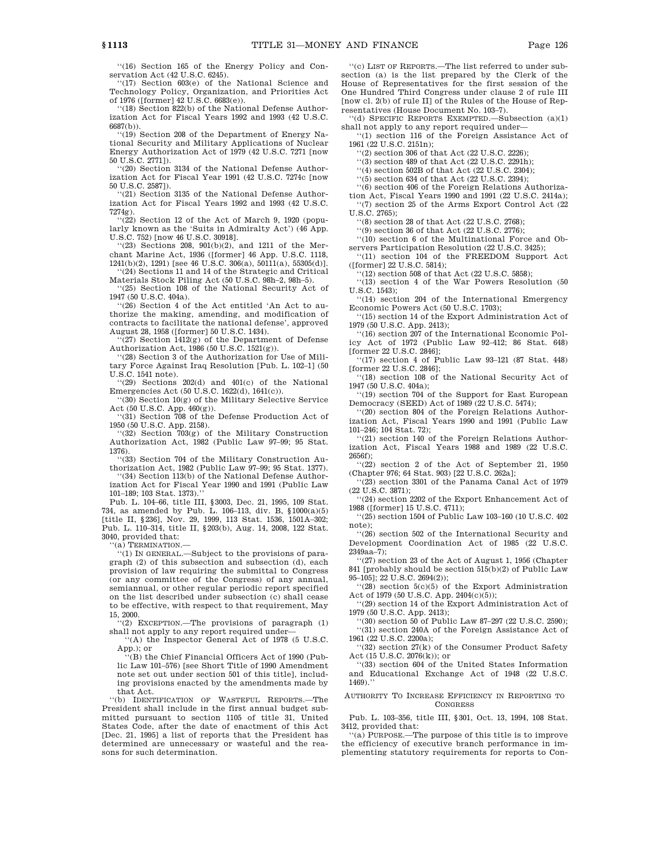''(16) Section 165 of the Energy Policy and Conservation Act (42 U.S.C. 6245).

''(17) Section 603(e) of the National Science and Technology Policy, Organization, and Priorities Act of 1976 ([former] 42 U.S.C. 6683(e)).

''(18) Section 822(b) of the National Defense Authorization Act for Fiscal Years 1992 and 1993 (42 U.S.C. 6687(b)).

''(19) Section 208 of the Department of Energy National Security and Military Applications of Nuclear Energy Authorization Act of 1979 (42 U.S.C. 7271 [now 50 U.S.C. 2771]).

''(20) Section 3134 of the National Defense Authorization Act for Fiscal Year 1991 (42 U.S.C. 7274c [now 50 U.S.C. 2587]).

''(21) Section 3135 of the National Defense Authorization Act for Fiscal Years 1992 and 1993 (42 U.S.C. 7274g).

 $\cdot$ (22) Section 12 of the Act of March 9, 1920 (popularly known as the 'Suits in Admiralty Act') (46 App. U.S.C. 752) [now 46 U.S.C. 30918].

 $(23)$  Sections 208, 901(b)(2), and 1211 of the Merchant Marine Act, 1936 ([former] 46 App. U.S.C. 1118,  $1241(b)(2)$ ,  $1291$ ) [see 46 U.S.C.  $306(a)$ ,  $50111(a)$ ,  $55305(d)$ ]. '(24) Sections 11 and 14 of the Strategic and Critical

Materials Stock Piling Act (50 U.S.C. 98h–2, 98h–5).

''(25) Section 108 of the National Security Act of 1947 (50 U.S.C. 404a).

''(26) Section 4 of the Act entitled 'An Act to authorize the making, amending, and modification of contracts to facilitate the national defense', approved August 28, 1958 ([former] 50 U.S.C. 1434).

''(27) Section 1412(g) of the Department of Defense Authorization Act, 1986 (50 U.S.C. 1521(g)).

''(28) Section 3 of the Authorization for Use of Military Force Against Iraq Resolution [Pub. L. 102–1] (50 U.S.C. 1541 note).

 $\mathcal{L}(29)$  Sections 202(d) and 401(c) of the National Emergencies Act (50 U.S.C. 1622(d), 1641(c)).

''(30) Section 10(g) of the Military Selective Service Act (50 U.S.C. App. 460(g)). ''(31) Section 708 of the Defense Production Act of

1950 (50 U.S.C. App. 2158). ''(32) Section 703(g) of the Military Construction

Authorization Act, 1982 (Public Law 97–99; 95 Stat. 1376).

''(33) Section 704 of the Military Construction Authorization Act, 1982 (Public Law 97–99; 95 Stat. 1377).

''(34) Section 113(b) of the National Defense Authorization Act for Fiscal Year 1990 and 1991 (Public Law 101–189; 103 Stat. 1373).''

Pub. L. 104–66, title III, §3003, Dec. 21, 1995, 109 Stat. 734, as amended by Pub. L. 106–113, div. B, §1000(a)(5) [title II, §236], Nov. 29, 1999, 113 Stat. 1536, 1501A–302; Pub. L. 110–314, title II, §203(b), Aug. 14, 2008, 122 Stat. 3040, provided that:

''(a) TERMINATION.—

''(1) IN GENERAL.—Subject to the provisions of paragraph (2) of this subsection and subsection (d), each provision of law requiring the submittal to Congress (or any committee of the Congress) of any annual, semiannual, or other regular periodic report specified on the list described under subsection (c) shall cease to be effective, with respect to that requirement, May

15, 2000. ''(2) EXCEPTION.—The provisions of paragraph (1) shall not apply to any report required under—

''(A) the Inspector General Act of 1978 (5 U.S.C.

App.); or ''(B) the Chief Financial Officers Act of 1990 (Public Law 101–576) [see Short Title of 1990 Amendment note set out under section 501 of this title], including provisions enacted by the amendments made by that Act.

''(b) IDENTIFICATION OF WASTEFUL REPORTS.—The President shall include in the first annual budget submitted pursuant to section 1105 of title 31, United States Code, after the date of enactment of this Act [Dec. 21, 1995] a list of reports that the President has determined are unnecessary or wasteful and the reasons for such determination.

''(c) LIST OF REPORTS.—The list referred to under subsection (a) is the list prepared by the Clerk of the House of Representatives for the first session of the One Hundred Third Congress under clause 2 of rule III [now cl. 2(b) of rule II] of the Rules of the House of Representatives (House Document No. 103–7).

''(d) SPECIFIC REPORTS EXEMPTED.—Subsection (a)(1) shall not apply to any report required under—

''(1) section 116 of the Foreign Assistance Act of 1961 (22 U.S.C. 2151n);

''(2) section 306 of that Act (22 U.S.C. 2226);

''(3) section 489 of that Act (22 U.S.C. 2291h);

''(4) section 502B of that Act (22 U.S.C. 2304);

''(5) section 634 of that Act (22 U.S.C. 2394);

''(6) section 406 of the Foreign Relations Authoriza-

tion Act, Fiscal Years 1990 and 1991 (22 U.S.C. 2414a); ''(7) section 25 of the Arms Export Control Act (22 U.S.C. 2765);

''(8) section 28 of that Act (22 U.S.C. 2768);

''(9) section 36 of that Act (22 U.S.C. 2776);

''(10) section 6 of the Multinational Force and Observers Participation Resolution (22 U.S.C. 3425);

''(11) section 104 of the FREEDOM Support Act ([former] 22 U.S.C. 5814);

''(12) section 508 of that Act (22 U.S.C. 5858);

''(13) section 4 of the War Powers Resolution (50 U.S.C. 1543);

''(14) section 204 of the International Emergency Economic Powers Act (50 U.S.C. 1703);

''(15) section 14 of the Export Administration Act of 1979 (50 U.S.C. App. 2413);

''(16) section 207 of the International Economic Policy Act of 1972 (Public Law 92–412; 86 Stat. 648) [former 22 U.S.C. 2846];

''(17) section 4 of Public Law 93–121 (87 Stat. 448) [former 22 U.S.C. 2846];

''(18) section 108 of the National Security Act of 1947 (50 U.S.C. 404a);

''(19) section 704 of the Support for East European Democracy (SEED) Act of 1989 (22 U.S.C. 5474);

''(20) section 804 of the Foreign Relations Authorization Act, Fiscal Years 1990 and 1991 (Public Law 101–246; 104 Stat. 72);

''(21) section 140 of the Foreign Relations Authorization Act, Fiscal Years 1988 and 1989 (22 U.S.C. 2656f);

''(22) section 2 of the Act of September 21, 1950 (Chapter 976; 64 Stat. 903) [22 U.S.C. 262a];

''(23) section 3301 of the Panama Canal Act of 1979 (22 U.S.C. 3871);

''(24) section 2202 of the Export Enhancement Act of 1988 ([former] 15 U.S.C. 4711);

''(25) section 1504 of Public Law 103–160 (10 U.S.C. 402 note);

''(26) section 502 of the International Security and Development Coordination Act of 1985 (22 U.S.C. 2349aa–7);

''(27) section 23 of the Act of August 1, 1956 (Chapter 841 [probably should be section 515(b)(2) of Public Law 95–105]; 22 U.S.C. 2694(2));

''(28) section 5(c)(5) of the Export Administration Act of 1979 (50 U.S.C. App. 2404(c)(5));

''(29) section 14 of the Export Administration Act of 1979 (50 U.S.C. App. 2413);

''(30) section 50 of Public Law 87–297 (22 U.S.C. 2590); ''(31) section 240A of the Foreign Assistance Act of 1961 (22 U.S.C. 2200a);

''(32) section 27(k) of the Consumer Product Safety Act (15 U.S.C. 2076 $(k)$ ); or

''(33) section 604 of the United States Information and Educational Exchange Act of 1948 (22 U.S.C.  $1469$ ).

AUTHORITY TO INCREASE EFFICIENCY IN REPORTING TO **CONGRESS** 

Pub. L. 103–356, title III, §301, Oct. 13, 1994, 108 Stat. 3412, provided that:

''(a) PURPOSE.—The purpose of this title is to improve the efficiency of executive branch performance in implementing statutory requirements for reports to Con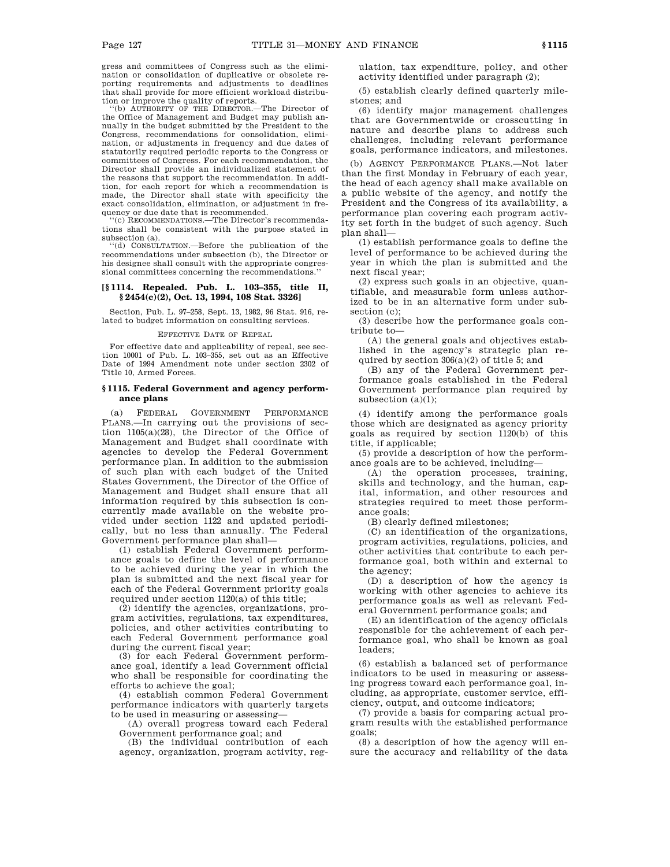gress and committees of Congress such as the elimination or consolidation of duplicative or obsolete reporting requirements and adjustments to deadlines that shall provide for more efficient workload distribu-

tion or improve the quality of reports. ''(b) AUTHORITY OF THE DIRECTOR.—The Director of the Office of Management and Budget may publish annually in the budget submitted by the President to the Congress, recommendations for consolidation, elimination, or adjustments in frequency and due dates of statutorily required periodic reports to the Congress or committees of Congress. For each recommendation, the Director shall provide an individualized statement of the reasons that support the recommendation. In addition, for each report for which a recommendation is made, the Director shall state with specificity the exact consolidation, elimination, or adjustment in frequency or due date that is recommended.

''(c) RECOMMENDATIONS.—The Director's recommenda-tions shall be consistent with the purpose stated in subsection (a).

''(d) CONSULTATION.—Before the publication of the recommendations under subsection (b), the Director or his designee shall consult with the appropriate congressional committees concerning the recommendations.''

## **[§ 1114. Repealed. Pub. L. 103–355, title II, § 2454(c)(2), Oct. 13, 1994, 108 Stat. 3326]**

Section, Pub. L. 97–258, Sept. 13, 1982, 96 Stat. 916, related to budget information on consulting services.

### EFFECTIVE DATE OF REPEAL

For effective date and applicability of repeal, see section 10001 of Pub. L. 103–355, set out as an Effective Date of 1994 Amendment note under section 2302 of Title 10, Armed Forces.

# **§ 1115. Federal Government and agency performance plans**

(a) FEDERAL GOVERNMENT PERFORMANCE PLANS.—In carrying out the provisions of section 1105(a)(28), the Director of the Office of Management and Budget shall coordinate with agencies to develop the Federal Government performance plan. In addition to the submission of such plan with each budget of the United States Government, the Director of the Office of Management and Budget shall ensure that all information required by this subsection is concurrently made available on the website provided under section 1122 and updated periodically, but no less than annually. The Federal Government performance plan shall—

(1) establish Federal Government performance goals to define the level of performance to be achieved during the year in which the plan is submitted and the next fiscal year for each of the Federal Government priority goals required under section 1120(a) of this title;

(2) identify the agencies, organizations, program activities, regulations, tax expenditures, policies, and other activities contributing to each Federal Government performance goal during the current fiscal year;

(3) for each Federal Government performance goal, identify a lead Government official who shall be responsible for coordinating the efforts to achieve the goal;

(4) establish common Federal Government performance indicators with quarterly targets to be used in measuring or assessing—

(A) overall progress toward each Federal Government performance goal; and

(B) the individual contribution of each agency, organization, program activity, regulation, tax expenditure, policy, and other activity identified under paragraph (2);

(5) establish clearly defined quarterly milestones; and

(6) identify major management challenges that are Governmentwide or crosscutting in nature and describe plans to address such challenges, including relevant performance goals, performance indicators, and milestones.

(b) AGENCY PERFORMANCE PLANS.—Not later than the first Monday in February of each year, the head of each agency shall make available on a public website of the agency, and notify the President and the Congress of its availability, a performance plan covering each program activity set forth in the budget of such agency. Such plan shall—

(1) establish performance goals to define the level of performance to be achieved during the year in which the plan is submitted and the next fiscal year;

(2) express such goals in an objective, quantifiable, and measurable form unless authorized to be in an alternative form under subsection (c);

(3) describe how the performance goals contribute to—

(A) the general goals and objectives established in the agency's strategic plan required by section 306(a)(2) of title 5; and

(B) any of the Federal Government performance goals established in the Federal Government performance plan required by subsection  $(a)(1)$ ;

(4) identify among the performance goals those which are designated as agency priority goals as required by section 1120(b) of this title, if applicable;

(5) provide a description of how the performance goals are to be achieved, including—

(A) the operation processes, training, skills and technology, and the human, capital, information, and other resources and strategies required to meet those performance goals;

(B) clearly defined milestones;

(C) an identification of the organizations, program activities, regulations, policies, and other activities that contribute to each performance goal, both within and external to the agency;

(D) a description of how the agency is working with other agencies to achieve its performance goals as well as relevant Federal Government performance goals; and

(E) an identification of the agency officials responsible for the achievement of each performance goal, who shall be known as goal leaders;

(6) establish a balanced set of performance indicators to be used in measuring or assessing progress toward each performance goal, including, as appropriate, customer service, efficiency, output, and outcome indicators;

(7) provide a basis for comparing actual program results with the established performance goals;

(8) a description of how the agency will ensure the accuracy and reliability of the data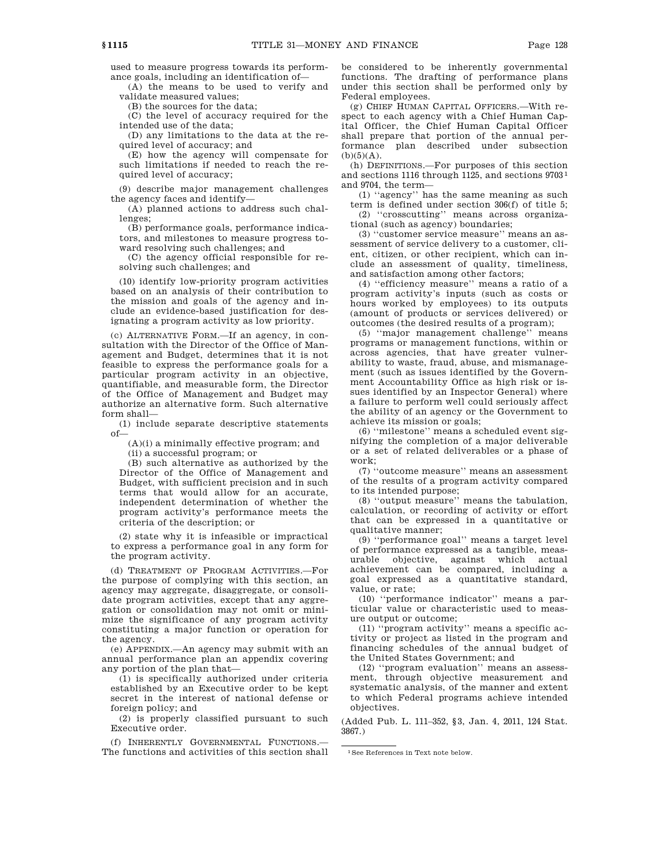used to measure progress towards its performance goals, including an identification of—

(A) the means to be used to verify and validate measured values;

(B) the sources for the data;

(C) the level of accuracy required for the intended use of the data;

(D) any limitations to the data at the required level of accuracy; and

(E) how the agency will compensate for such limitations if needed to reach the required level of accuracy;

(9) describe major management challenges the agency faces and identify—

(A) planned actions to address such challenges;

(B) performance goals, performance indicators, and milestones to measure progress toward resolving such challenges; and

(C) the agency official responsible for resolving such challenges; and

(10) identify low-priority program activities based on an analysis of their contribution to the mission and goals of the agency and include an evidence-based justification for designating a program activity as low priority.

(c) ALTERNATIVE FORM.—If an agency, in consultation with the Director of the Office of Management and Budget, determines that it is not feasible to express the performance goals for a particular program activity in an objective, quantifiable, and measurable form, the Director of the Office of Management and Budget may authorize an alternative form. Such alternative form shall—

(1) include separate descriptive statements of—

(A)(i) a minimally effective program; and

(ii) a successful program; or

(B) such alternative as authorized by the Director of the Office of Management and Budget, with sufficient precision and in such terms that would allow for an accurate, independent determination of whether the program activity's performance meets the criteria of the description; or

(2) state why it is infeasible or impractical to express a performance goal in any form for the program activity.

(d) TREATMENT OF PROGRAM ACTIVITIES.—For the purpose of complying with this section, an agency may aggregate, disaggregate, or consolidate program activities, except that any aggregation or consolidation may not omit or minimize the significance of any program activity constituting a major function or operation for the agency.

(e) APPENDIX.—An agency may submit with an annual performance plan an appendix covering any portion of the plan that—

(1) is specifically authorized under criteria established by an Executive order to be kept secret in the interest of national defense or foreign policy; and

(2) is properly classified pursuant to such Executive order.

(f) INHERENTLY GOVERNMENTAL FUNCTIONS.— The functions and activities of this section shall be considered to be inherently governmental functions. The drafting of performance plans under this section shall be performed only by Federal employees.

(g) CHIEF HUMAN CAPITAL OFFICERS.—With respect to each agency with a Chief Human Capital Officer, the Chief Human Capital Officer shall prepare that portion of the annual performance plan described under subsection  $(b)(5)(A)$ .

(h) DEFINITIONS.—For purposes of this section and sections 1116 through 1125, and sections 9703 1 and 9704, the term—

(1) ''agency'' has the same meaning as such term is defined under section 306(f) of title 5;

(2) ''crosscutting'' means across organizational (such as agency) boundaries;

(3) ''customer service measure'' means an assessment of service delivery to a customer, client, citizen, or other recipient, which can include an assessment of quality, timeliness, and satisfaction among other factors;

(4) ''efficiency measure'' means a ratio of a program activity's inputs (such as costs or hours worked by employees) to its outputs (amount of products or services delivered) or outcomes (the desired results of a program);

(5) ''major management challenge'' means programs or management functions, within or across agencies, that have greater vulnerability to waste, fraud, abuse, and mismanagement (such as issues identified by the Government Accountability Office as high risk or issues identified by an Inspector General) where a failure to perform well could seriously affect the ability of an agency or the Government to achieve its mission or goals;

(6) ''milestone'' means a scheduled event signifying the completion of a major deliverable or a set of related deliverables or a phase of work;

(7) ''outcome measure'' means an assessment of the results of a program activity compared to its intended purpose;

(8) ''output measure'' means the tabulation, calculation, or recording of activity or effort that can be expressed in a quantitative or qualitative manner;

(9) ''performance goal'' means a target level of performance expressed as a tangible, measurable objective, against which actual achievement can be compared, including a goal expressed as a quantitative standard, value, or rate;

(10) ''performance indicator'' means a particular value or characteristic used to measure output or outcome;

(11) ''program activity'' means a specific activity or project as listed in the program and financing schedules of the annual budget of the United States Government; and

(12) ''program evaluation'' means an assessment, through objective measurement and systematic analysis, of the manner and extent to which Federal programs achieve intended objectives.

(Added Pub. L. 111–352, §3, Jan. 4, 2011, 124 Stat. 3867.)

 $^{\rm 1}\!$  See References in Text note below.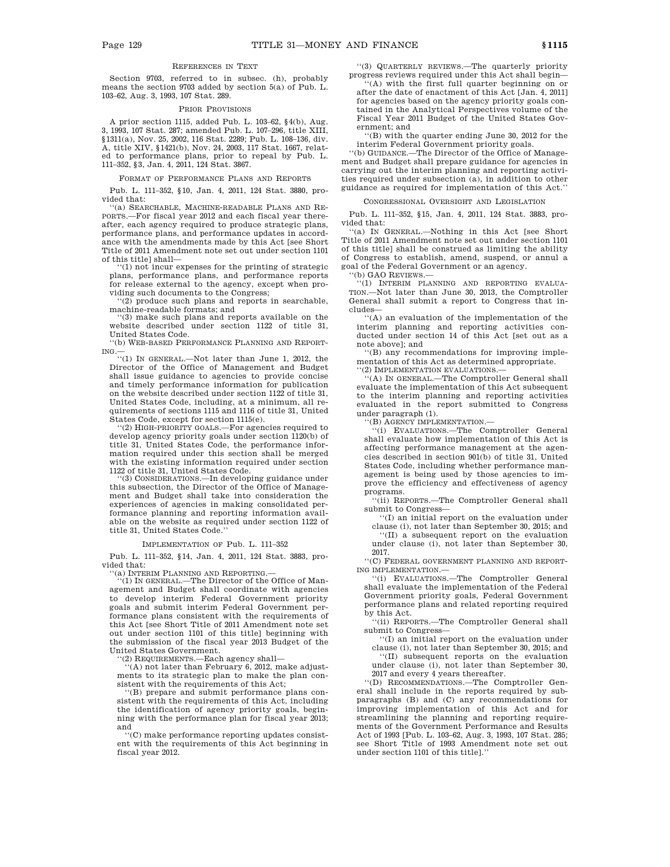### REFERENCES IN TEXT

Section 9703, referred to in subsec. (h), probably means the section 9703 added by section 5(a) of Pub. L. 103–62, Aug. 3, 1993, 107 Stat. 289.

### PRIOR PROVISIONS

A prior section 1115, added Pub. L. 103–62, §4(b), Aug. 3, 1993, 107 Stat. 287; amended Pub. L. 107–296, title XIII, §1311(a), Nov. 25, 2002, 116 Stat. 2289; Pub. L. 108–136, div. A, title XIV, §1421(b), Nov. 24, 2003, 117 Stat. 1667, related to performance plans, prior to repeal by Pub. L. 111–352, §3, Jan. 4, 2011, 124 Stat. 3867.

FORMAT OF PERFORMANCE PLANS AND REPORTS

Pub. L. 111–352, §10, Jan. 4, 2011, 124 Stat. 3880, provided that:

''(a) SEARCHABLE, MACHINE-READABLE PLANS AND RE-PORTS.—For fiscal year 2012 and each fiscal year thereafter, each agency required to produce strategic plans, performance plans, and performance updates in accordance with the amendments made by this Act [see Short Title of 2011 Amendment note set out under section 1101 of this title] shall—

''(1) not incur expenses for the printing of strategic plans, performance plans, and performance reports for release external to the agency, except when providing such documents to the Congress;

''(2) produce such plans and reports in searchable, machine-readable formats; and

''(3) make such plans and reports available on the website described under section 1122 of title 31, United States Code.

''(b) WEB-BASED PERFORMANCE PLANNING AND REPORT-ING.—

''(1) IN GENERAL.—Not later than June 1, 2012, the Director of the Office of Management and Budget shall issue guidance to agencies to provide concise and timely performance information for publication on the website described under section 1122 of title 31, United States Code, including, at a minimum, all requirements of sections 1115 and 1116 of title 31, United States Code, except for section 1115(e).

''(2) HIGH-PRIORITY GOALS.—For agencies required to develop agency priority goals under section 1120(b) of title 31, United States Code, the performance information required under this section shall be merged with the existing information required under section 1122 of title 31, United States Code.

''(3) CONSIDERATIONS.—In developing guidance under this subsection, the Director of the Office of Management and Budget shall take into consideration the experiences of agencies in making consolidated performance planning and reporting information available on the website as required under section 1122 of title 31, United States Code.''

IMPLEMENTATION OF Pub. L. 111–352

Pub. L. 111–352, §14, Jan. 4, 2011, 124 Stat. 3883, provided that:

''(a) INTERIM PLANNING AND REPORTING.—

''(1) IN GENERAL.—The Director of the Office of Management and Budget shall coordinate with agencies to develop interim Federal Government priority goals and submit interim Federal Government performance plans consistent with the requirements of this Act [see Short Title of 2011 Amendment note set out under section 1101 of this title] beginning with the submission of the fiscal year 2013 Budget of the United States Government.

''(2) REQUIREMENTS.—Each agency shall— ''(A) not later than February 6, 2012, make adjustments to its strategic plan to make the plan consistent with the requirements of this Act;

''(B) prepare and submit performance plans consistent with the requirements of this Act, including the identification of agency priority goals, beginning with the performance plan for fiscal year 2013; and

''(C) make performance reporting updates consistent with the requirements of this Act beginning in fiscal year 2012.

''(3) QUARTERLY REVIEWS.—The quarterly priority progress reviews required under this Act shall begin—

''(A) with the first full quarter beginning on or after the date of enactment of this Act [Jan. 4, 2011] for agencies based on the agency priority goals contained in the Analytical Perspectives volume of the Fiscal Year 2011 Budget of the United States Government; and

''(B) with the quarter ending June 30, 2012 for the interim Federal Government priority goals.

''(b) GUIDANCE.—The Director of the Office of Management and Budget shall prepare guidance for agencies in carrying out the interim planning and reporting activities required under subsection (a), in addition to other guidance as required for implementation of this Act.''

#### CONGRESSIONAL OVERSIGHT AND LEGISLATION

Pub. L. 111–352, §15, Jan. 4, 2011, 124 Stat. 3883, provided that:

'(a) IN GENERAL.—Nothing in this Act [see Short Title of 2011 Amendment note set out under section 1101 of this title] shall be construed as limiting the ability of Congress to establish, amend, suspend, or annul a goal of the Federal Government or an agency.

''(b) GAO REVIEWS.—

''(1) INTERIM PLANNING AND REPORTING EVALUA-TION.—Not later than June 30, 2013, the Comptroller General shall submit a report to Congress that includes—

''(A) an evaluation of the implementation of the interim planning and reporting activities conducted under section 14 of this Act [set out as a note above]; and

''(B) any recommendations for improving implementation of this Act as determined appropriate. '(2) IMPLEMENTATION EVALUATIONS.

''(A) IN GENERAL.—The Comptroller General shall evaluate the implementation of this Act subsequent to the interim planning and reporting activities evaluated in the report submitted to Congress under paragraph (1).

'(B) AGENCY IMPLEMENTATION.

''(i) EVALUATIONS.—The Comptroller General shall evaluate how implementation of this Act is affecting performance management at the agencies described in section 901(b) of title 31, United States Code, including whether performance management is being used by those agencies to improve the efficiency and effectiveness of agency programs.

''(ii) REPORTS.—The Comptroller General shall submit to Congress—

''(I) an initial report on the evaluation under clause (i), not later than September 30, 2015; and ''(II) a subsequent report on the evaluation under clause (i), not later than September 30, 2017.

''(C) FEDERAL GOVERNMENT PLANNING AND REPORT-ING IMPLEMENTATION.—

''(i) EVALUATIONS.—The Comptroller General shall evaluate the implementation of the Federal Government priority goals, Federal Government performance plans and related reporting required by this Act.

''(ii) REPORTS.—The Comptroller General shall submit to Congress—

''(I) an initial report on the evaluation under clause (i), not later than September 30, 2015; and ''(II) subsequent reports on the evaluation under clause (i), not later than September 30, 2017 and every 4 years thereafter.

''(D) RECOMMENDATIONS.—The Comptroller General shall include in the reports required by subparagraphs (B) and (C) any recommendations for improving implementation of this Act and for streamlining the planning and reporting requirements of the Government Performance and Results Act of 1993 [Pub. L. 103–62, Aug. 3, 1993, 107 Stat. 285; see Short Title of 1993 Amendment note set out under section 1101 of this title].''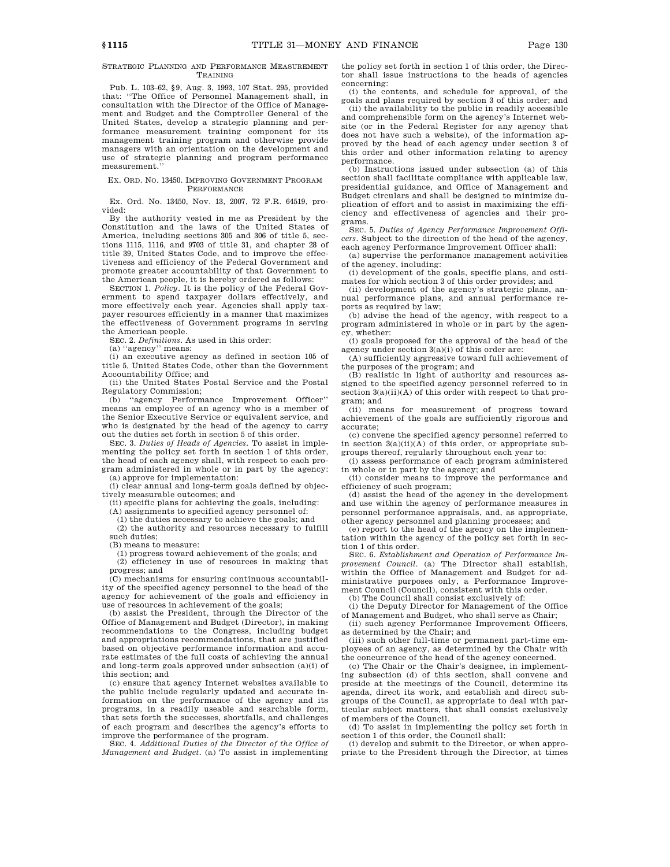Pub. L. 103–62, §9, Aug. 3, 1993, 107 Stat. 295, provided that: ''The Office of Personnel Management shall, in consultation with the Director of the Office of Management and Budget and the Comptroller General of the United States, develop a strategic planning and performance measurement training component for its management training program and otherwise provide managers with an orientation on the development and use of strategic planning and program performance measurement.''

### EX. ORD. NO. 13450. IMPROVING GOVERNMENT PROGRAM PERFORMANCE

Ex. Ord. No. 13450, Nov. 13, 2007, 72 F.R. 64519, provided:

By the authority vested in me as President by the Constitution and the laws of the United States of America, including sections 305 and 306 of title 5, sections 1115, 1116, and 9703 of title 31, and chapter 28 of title 39, United States Code, and to improve the effectiveness and efficiency of the Federal Government and promote greater accountability of that Government to the American people, it is hereby ordered as follows:

SECTION 1. *Policy*. It is the policy of the Federal Government to spend taxpayer dollars effectively, and more effectively each year. Agencies shall apply taxpayer resources efficiently in a manner that maximizes the effectiveness of Government programs in serving the American people.

SEC. 2. *Definitions*. As used in this order:

(a) ''agency'' means:

(i) an executive agency as defined in section 105 of title 5, United States Code, other than the Government Accountability Office; and

(ii) the United States Postal Service and the Postal Regulatory Commission;

(b) ''agency Performance Improvement Officer'' means an employee of an agency who is a member of the Senior Executive Service or equivalent service, and who is designated by the head of the agency to carry out the duties set forth in section 5 of this order.

SEC. 3. *Duties of Heads of Agencies*. To assist in implementing the policy set forth in section 1 of this order, the head of each agency shall, with respect to each program administered in whole or in part by the agency: (a) approve for implementation:

(i) clear annual and long-term goals defined by objectively measurable outcomes; and

(ii) specific plans for achieving the goals, including:

(A) assignments to specified agency personnel of:

(1) the duties necessary to achieve the goals; and (2) the authority and resources necessary to fulfill such duties;

(B) means to measure:

(1) progress toward achievement of the goals; and

(2) efficiency in use of resources in making that progress; and

(C) mechanisms for ensuring continuous accountability of the specified agency personnel to the head of the agency for achievement of the goals and efficiency in use of resources in achievement of the goals;

(b) assist the President, through the Director of the Office of Management and Budget (Director), in making recommendations to the Congress, including budget and appropriations recommendations, that are justified based on objective performance information and accurate estimates of the full costs of achieving the annual and long-term goals approved under subsection (a)(i) of this section; and

(c) ensure that agency Internet websites available to the public include regularly updated and accurate information on the performance of the agency and its programs, in a readily useable and searchable form, that sets forth the successes, shortfalls, and challenges of each program and describes the agency's efforts to improve the performance of the program.

SEC. 4. *Additional Duties of the Director of the Office of Management and Budget*. (a) To assist in implementing the policy set forth in section 1 of this order, the Director shall issue instructions to the heads of agencies concerning:

(i) the contents, and schedule for approval, of the goals and plans required by section 3 of this order; and (ii) the availability to the public in readily accessible

and comprehensible form on the agency's Internet website (or in the Federal Register for any agency that does not have such a website), of the information approved by the head of each agency under section 3 of this order and other information relating to agency performance.

(b) Instructions issued under subsection (a) of this section shall facilitate compliance with applicable law, presidential guidance, and Office of Management and Budget circulars and shall be designed to minimize duplication of effort and to assist in maximizing the efficiency and effectiveness of agencies and their programs.

SEC. 5. *Duties of Agency Performance Improvement Officers*. Subject to the direction of the head of the agency, each agency Performance Improvement Officer shall:

(a) supervise the performance management activities of the agency, including:

(i) development of the goals, specific plans, and estimates for which section 3 of this order provides; and

(ii) development of the agency's strategic plans, annual performance plans, and annual performance reports as required by law;

(b) advise the head of the agency, with respect to a program administered in whole or in part by the agency, whether:

(i) goals proposed for the approval of the head of the agency under section 3(a)(i) of this order are:

(A) sufficiently aggressive toward full achievement of the purposes of the program; and

(B) realistic in light of authority and resources assigned to the specified agency personnel referred to in section  $3(a)(ii)(A)$  of this order with respect to that program; and

(ii) means for measurement of progress toward achievement of the goals are sufficiently rigorous and accurate;

(c) convene the specified agency personnel referred to in section 3(a)(ii)(A) of this order, or appropriate subgroups thereof, regularly throughout each year to:

(i) assess performance of each program administered in whole or in part by the agency; and

(ii) consider means to improve the performance and efficiency of such program;

(d) assist the head of the agency in the development and use within the agency of performance measures in personnel performance appraisals, and, as appropriate, other agency personnel and planning processes; and

(e) report to the head of the agency on the implementation within the agency of the policy set forth in section 1 of this order.

SEC. 6. *Establishment and Operation of Performance Improvement Council*. (a) The Director shall establish, within the Office of Management and Budget for administrative purposes only, a Performance Improvement Council (Council), consistent with this order.

(b) The Council shall consist exclusively of:

(i) the Deputy Director for Management of the Office of Management and Budget, who shall serve as Chair;

(ii) such agency Performance Improvement Officers, as determined by the Chair; and

(iii) such other full-time or permanent part-time employees of an agency, as determined by the Chair with the concurrence of the head of the agency concerned.

(c) The Chair or the Chair's designee, in implementing subsection (d) of this section, shall convene and preside at the meetings of the Council, determine its agenda, direct its work, and establish and direct subgroups of the Council, as appropriate to deal with particular subject matters, that shall consist exclusively of members of the Council.

(d) To assist in implementing the policy set forth in section 1 of this order, the Council shall:

(i) develop and submit to the Director, or when appropriate to the President through the Director, at times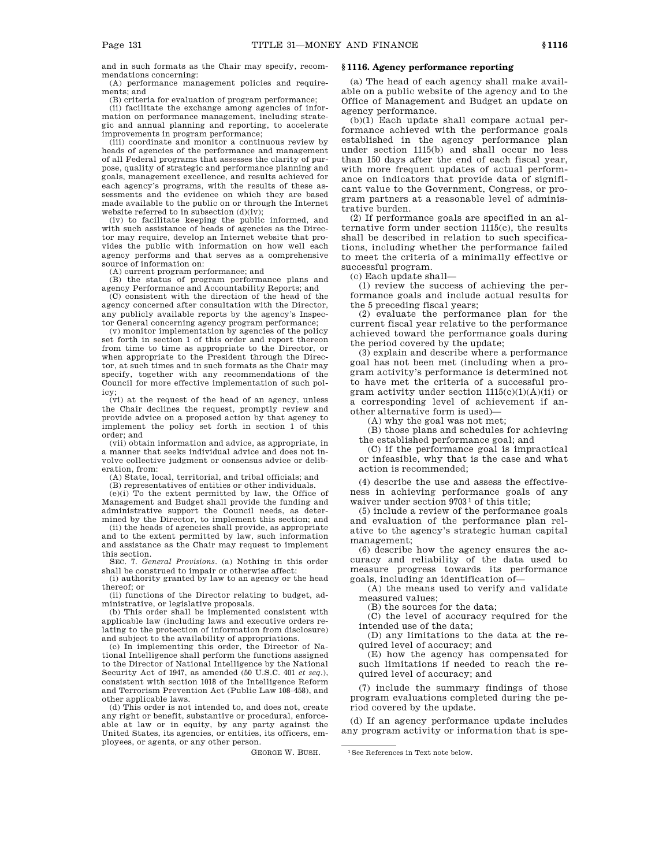and in such formats as the Chair may specify, recommendations concerning:

(A) performance management policies and requirements; and

(B) criteria for evaluation of program performance;

(ii) facilitate the exchange among agencies of information on performance management, including strategic and annual planning and reporting, to accelerate

improvements in program performance; (iii) coordinate and monitor a continuous review by heads of agencies of the performance and management of all Federal programs that assesses the clarity of purpose, quality of strategic and performance planning and goals, management excellence, and results achieved for each agency's programs, with the results of these assessments and the evidence on which they are based made available to the public on or through the Internet

website referred to in subsection  $(d)(iv)$ ;<br>(iv) to facilitate keeping the public informed, and with such assistance of heads of agencies as the Director may require, develop an Internet website that provides the public with information on how well each agency performs and that serves as a comprehensive source of information on:

(A) current program performance; and

(B) the status of program performance plans and agency Performance and Accountability Reports; and

(C) consistent with the direction of the head of the agency concerned after consultation with the Director, any publicly available reports by the agency's Inspec-

tor General concerning agency program performance; (v) monitor implementation by agencies of the policy set forth in section 1 of this order and report thereon from time to time as appropriate to the Director, or when appropriate to the President through the Director, at such times and in such formats as the Chair may specify, together with any recommendations of the Council for more effective implementation of such policy;

(vi) at the request of the head of an agency, unless the Chair declines the request, promptly review and provide advice on a proposed action by that agency to implement the policy set forth in section 1 of this order; and

(vii) obtain information and advice, as appropriate, in a manner that seeks individual advice and does not involve collective judgment or consensus advice or deliberation, from:

(A) State, local, territorial, and tribal officials; and

(B) representatives of entities or other individuals.

(e)(i) To the extent permitted by law, the Office of Management and Budget shall provide the funding and administrative support the Council needs, as determined by the Director, to implement this section; and

(ii) the heads of agencies shall provide, as appropriate and to the extent permitted by law, such information and assistance as the Chair may request to implement this section.

SEC. 7. *General Provisions*. (a) Nothing in this order shall be construed to impair or otherwise affect:

(i) authority granted by law to an agency or the head thereof; or

(ii) functions of the Director relating to budget, administrative, or legislative proposals.

(b) This order shall be implemented consistent with applicable law (including laws and executive orders relating to the protection of information from disclosure) and subject to the availability of appropriations.

(c) In implementing this order, the Director of National Intelligence shall perform the functions assigned to the Director of National Intelligence by the National Security Act of 1947, as amended (50 U.S.C. 401 *et seq*.), consistent with section 1018 of the Intelligence Reform and Terrorism Prevention Act (Public Law 108–458), and other applicable laws.

(d) This order is not intended to, and does not, create any right or benefit, substantive or procedural, enforceable at law or in equity, by any party against the United States, its agencies, or entities, its officers, employees, or agents, or any other person.

GEORGE W. BUSH.

# **§ 1116. Agency performance reporting**

(a) The head of each agency shall make available on a public website of the agency and to the Office of Management and Budget an update on agency performance.

 $(b)(1)$  Each update shall compare actual performance achieved with the performance goals established in the agency performance plan under section 1115(b) and shall occur no less than 150 days after the end of each fiscal year, with more frequent updates of actual performance on indicators that provide data of significant value to the Government, Congress, or program partners at a reasonable level of administrative burden.

(2) If performance goals are specified in an alternative form under section 1115(c), the results shall be described in relation to such specifications, including whether the performance failed to meet the criteria of a minimally effective or successful program.

(c) Each update shall—

(1) review the success of achieving the performance goals and include actual results for the 5 preceding fiscal years;

(2) evaluate the performance plan for the current fiscal year relative to the performance achieved toward the performance goals during the period covered by the update;

(3) explain and describe where a performance goal has not been met (including when a program activity's performance is determined not to have met the criteria of a successful program activity under section  $1115(c)(1)(A)(ii)$  or a corresponding level of achievement if another alternative form is used)—

(A) why the goal was not met;

(B) those plans and schedules for achieving the established performance goal; and

(C) if the performance goal is impractical or infeasible, why that is the case and what action is recommended;

(4) describe the use and assess the effectiveness in achieving performance goals of any waiver under section 9703<sup>1</sup> of this title;

(5) include a review of the performance goals and evaluation of the performance plan relative to the agency's strategic human capital management;

(6) describe how the agency ensures the accuracy and reliability of the data used to measure progress towards its performance goals, including an identification of—

(A) the means used to verify and validate measured values;

(B) the sources for the data;

(C) the level of accuracy required for the intended use of the data;

(D) any limitations to the data at the required level of accuracy; and

(E) how the agency has compensated for such limitations if needed to reach the required level of accuracy; and

(7) include the summary findings of those program evaluations completed during the period covered by the update.

(d) If an agency performance update includes any program activity or information that is spe-

<sup>1</sup>See References in Text note below.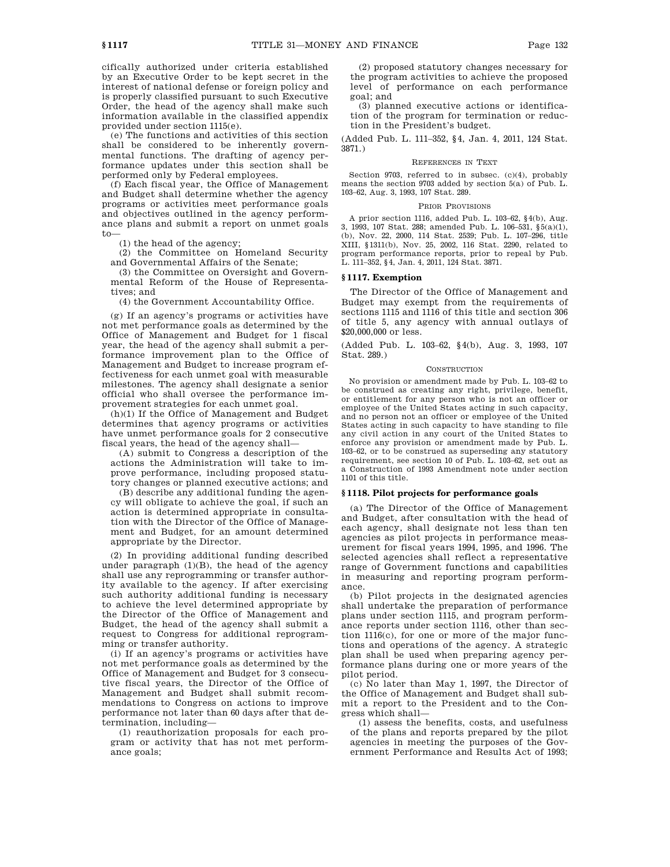cifically authorized under criteria established by an Executive Order to be kept secret in the interest of national defense or foreign policy and is properly classified pursuant to such Executive Order, the head of the agency shall make such information available in the classified appendix provided under section 1115(e).

(e) The functions and activities of this section shall be considered to be inherently governmental functions. The drafting of agency performance updates under this section shall be performed only by Federal employees.

(f) Each fiscal year, the Office of Management and Budget shall determine whether the agency programs or activities meet performance goals and objectives outlined in the agency performance plans and submit a report on unmet goals to—

(1) the head of the agency;

(2) the Committee on Homeland Security and Governmental Affairs of the Senate;

(3) the Committee on Oversight and Governmental Reform of the House of Representatives; and

(4) the Government Accountability Office.

(g) If an agency's programs or activities have not met performance goals as determined by the Office of Management and Budget for 1 fiscal year, the head of the agency shall submit a performance improvement plan to the Office of Management and Budget to increase program effectiveness for each unmet goal with measurable milestones. The agency shall designate a senior official who shall oversee the performance improvement strategies for each unmet goal.

(h)(1) If the Office of Management and Budget determines that agency programs or activities have unmet performance goals for 2 consecutive fiscal years, the head of the agency shall—

(A) submit to Congress a description of the actions the Administration will take to improve performance, including proposed statutory changes or planned executive actions; and

(B) describe any additional funding the agency will obligate to achieve the goal, if such an action is determined appropriate in consultation with the Director of the Office of Management and Budget, for an amount determined appropriate by the Director.

(2) In providing additional funding described under paragraph  $(1)(B)$ , the head of the agency shall use any reprogramming or transfer authority available to the agency. If after exercising such authority additional funding is necessary to achieve the level determined appropriate by the Director of the Office of Management and Budget, the head of the agency shall submit a request to Congress for additional reprogramming or transfer authority.

(i) If an agency's programs or activities have not met performance goals as determined by the Office of Management and Budget for 3 consecutive fiscal years, the Director of the Office of Management and Budget shall submit recommendations to Congress on actions to improve performance not later than 60 days after that determination, including—

(1) reauthorization proposals for each program or activity that has not met performance goals;

(2) proposed statutory changes necessary for the program activities to achieve the proposed level of performance on each performance goal; and

(3) planned executive actions or identification of the program for termination or reduction in the President's budget.

(Added Pub. L. 111–352, §4, Jan. 4, 2011, 124 Stat. 3871.)

## REFERENCES IN TEXT

Section 9703, referred to in subsec. (c)(4), probably means the section 9703 added by section 5(a) of Pub. L. 103–62, Aug. 3, 1993, 107 Stat. 289.

### PRIOR PROVISIONS

A prior section 1116, added Pub. L. 103–62, §4(b), Aug. 3, 1993, 107 Stat. 288; amended Pub. L. 106–531, §5(a)(1), (b), Nov. 22, 2000, 114 Stat. 2539; Pub. L. 107–296, title XIII, §1311(b), Nov. 25, 2002, 116 Stat. 2290, related to program performance reports, prior to repeal by Pub. L. 111–352, §4, Jan. 4, 2011, 124 Stat. 3871.

## **§ 1117. Exemption**

The Director of the Office of Management and Budget may exempt from the requirements of sections 1115 and 1116 of this title and section 306 of title 5, any agency with annual outlays of \$20,000,000 or less.

(Added Pub. L. 103–62, §4(b), Aug. 3, 1993, 107 Stat. 289.)

### **CONSTRUCTION**

No provision or amendment made by Pub. L. 103–62 to be construed as creating any right, privilege, benefit, or entitlement for any person who is not an officer or employee of the United States acting in such capacity, and no person not an officer or employee of the United States acting in such capacity to have standing to file any civil action in any court of the United States to enforce any provision or amendment made by Pub. L. 103–62, or to be construed as superseding any statutory requirement, see section 10 of Pub. L. 103–62, set out as a Construction of 1993 Amendment note under section 1101 of this title.

## **§ 1118. Pilot projects for performance goals**

(a) The Director of the Office of Management and Budget, after consultation with the head of each agency, shall designate not less than ten agencies as pilot projects in performance measurement for fiscal years 1994, 1995, and 1996. The selected agencies shall reflect a representative range of Government functions and capabilities in measuring and reporting program performance.

(b) Pilot projects in the designated agencies shall undertake the preparation of performance plans under section 1115, and program performance reports under section 1116, other than section 1116(c), for one or more of the major functions and operations of the agency. A strategic plan shall be used when preparing agency performance plans during one or more years of the pilot period.

(c) No later than May 1, 1997, the Director of the Office of Management and Budget shall submit a report to the President and to the Congress which shall—

(1) assess the benefits, costs, and usefulness of the plans and reports prepared by the pilot agencies in meeting the purposes of the Government Performance and Results Act of 1993;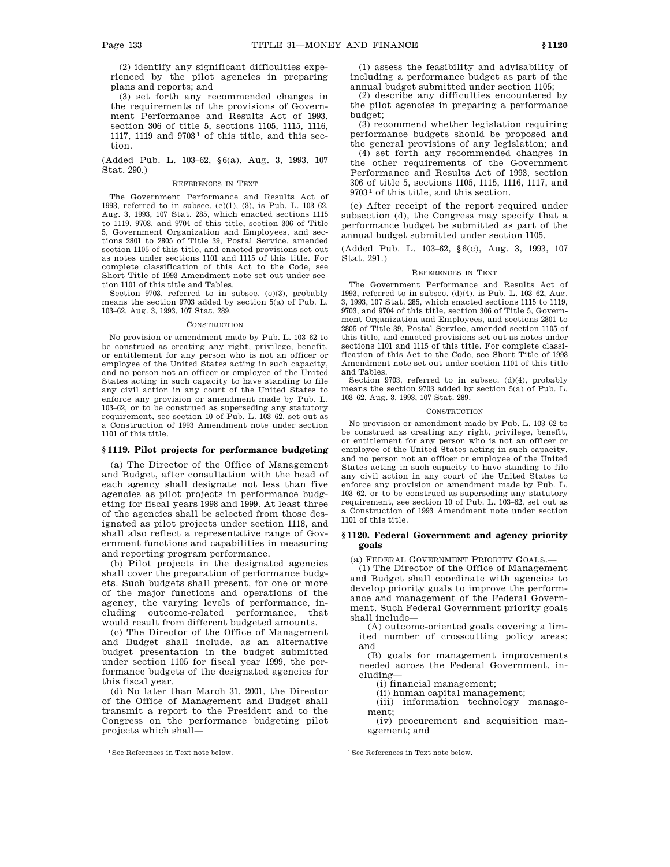(2) identify any significant difficulties experienced by the pilot agencies in preparing plans and reports; and

(3) set forth any recommended changes in the requirements of the provisions of Government Performance and Results Act of 1993, section 306 of title 5, sections 1105, 1115, 1116, 1117, 1119 and  $9703<sup>1</sup>$  of this title, and this section.

(Added Pub. L. 103–62, §6(a), Aug. 3, 1993, 107 Stat. 290.)

#### REFERENCES IN TEXT

The Government Performance and Results Act of 1993, referred to in subsec. (c)(1), (3), is Pub. L. 103–62, Aug. 3, 1993, 107 Stat. 285, which enacted sections 1115 to 1119, 9703, and 9704 of this title, section 306 of Title 5, Government Organization and Employees, and sections 2801 to 2805 of Title 39, Postal Service, amended section 1105 of this title, and enacted provisions set out as notes under sections 1101 and 1115 of this title. For complete classification of this Act to the Code, see Short Title of 1993 Amendment note set out under section 1101 of this title and Tables.

Section 9703, referred to in subsec. (c)(3), probably means the section 9703 added by section 5(a) of Pub. L. 103–62, Aug. 3, 1993, 107 Stat. 289.

## **CONSTRUCTION**

No provision or amendment made by Pub. L. 103–62 to be construed as creating any right, privilege, benefit, or entitlement for any person who is not an officer or employee of the United States acting in such capacity, and no person not an officer or employee of the United States acting in such capacity to have standing to file any civil action in any court of the United States to enforce any provision or amendment made by Pub. L. 103–62, or to be construed as superseding any statutory requirement, see section 10 of Pub. L. 103–62, set out as a Construction of 1993 Amendment note under section 1101 of this title.

### **§ 1119. Pilot projects for performance budgeting**

(a) The Director of the Office of Management and Budget, after consultation with the head of each agency shall designate not less than five agencies as pilot projects in performance budgeting for fiscal years 1998 and 1999. At least three of the agencies shall be selected from those designated as pilot projects under section 1118, and shall also reflect a representative range of Government functions and capabilities in measuring and reporting program performance.

(b) Pilot projects in the designated agencies shall cover the preparation of performance budgets. Such budgets shall present, for one or more of the major functions and operations of the agency, the varying levels of performance, including outcome-related performance, that would result from different budgeted amounts.

(c) The Director of the Office of Management and Budget shall include, as an alternative budget presentation in the budget submitted under section 1105 for fiscal year 1999, the performance budgets of the designated agencies for this fiscal year.

(d) No later than March 31, 2001, the Director of the Office of Management and Budget shall transmit a report to the President and to the Congress on the performance budgeting pilot projects which shall—

(1) assess the feasibility and advisability of including a performance budget as part of the annual budget submitted under section 1105;

(2) describe any difficulties encountered by the pilot agencies in preparing a performance budget;

(3) recommend whether legislation requiring performance budgets should be proposed and the general provisions of any legislation; and

(4) set forth any recommended changes in the other requirements of the Government Performance and Results Act of 1993, section 306 of title 5, sections 1105, 1115, 1116, 1117, and 9703 1 of this title, and this section.

(e) After receipt of the report required under subsection (d), the Congress may specify that a performance budget be submitted as part of the annual budget submitted under section 1105.

(Added Pub. L. 103–62, §6(c), Aug. 3, 1993, 107 Stat. 291.)

#### REFERENCES IN TEXT

The Government Performance and Results Act of 1993, referred to in subsec. (d)(4), is Pub. L. 103–62, Aug. 3, 1993, 107 Stat. 285, which enacted sections 1115 to 1119, 9703, and 9704 of this title, section 306 of Title 5, Government Organization and Employees, and sections 2801 to 2805 of Title 39, Postal Service, amended section 1105 of this title, and enacted provisions set out as notes under sections 1101 and 1115 of this title. For complete classification of this Act to the Code, see Short Title of 1993 Amendment note set out under section 1101 of this title

and Tables. Section 9703, referred to in subsec. (d)(4), probably means the section 9703 added by section 5(a) of Pub. L. 103–62, Aug. 3, 1993, 107 Stat. 289.

#### **CONSTRUCTION**

No provision or amendment made by Pub. L. 103–62 to be construed as creating any right, privilege, benefit, or entitlement for any person who is not an officer or employee of the United States acting in such capacity, and no person not an officer or employee of the United States acting in such capacity to have standing to file any civil action in any court of the United States to enforce any provision or amendment made by Pub. L. 103–62, or to be construed as superseding any statutory requirement, see section 10 of Pub. L. 103–62, set out as a Construction of 1993 Amendment note under section 1101 of this title.

## **§ 1120. Federal Government and agency priority goals**

(a) FEDERAL GOVERNMENT PRIORITY GOALS.—

(1) The Director of the Office of Management and Budget shall coordinate with agencies to develop priority goals to improve the performance and management of the Federal Government. Such Federal Government priority goals shall include—

(A) outcome-oriented goals covering a limited number of crosscutting policy areas; and

(B) goals for management improvements needed across the Federal Government, including—

(i) financial management;

(ii) human capital management;

(iii) information technology management;

(iv) procurement and acquisition management; and

<sup>1</sup>See References in Text note below. 1See References in Text note below.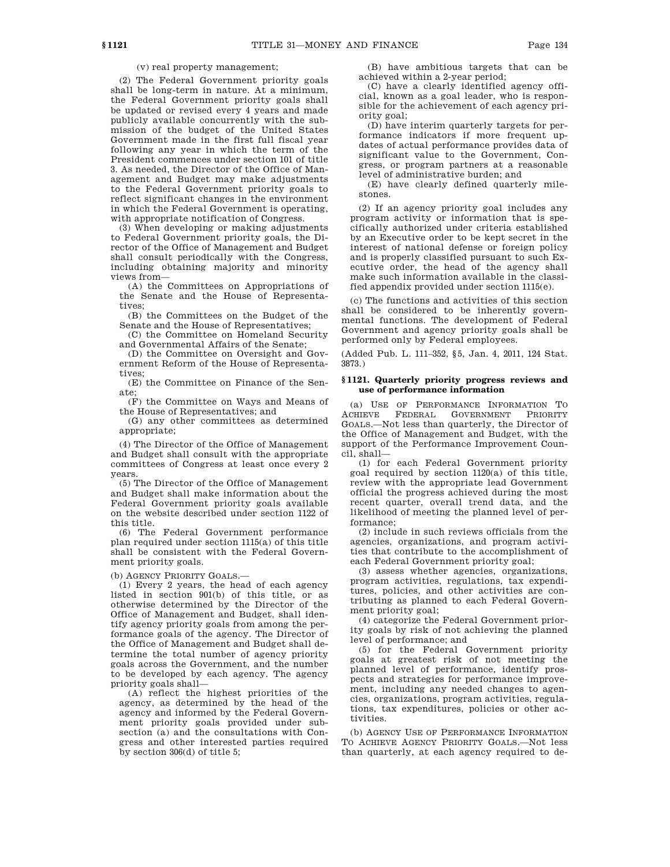# (v) real property management;

(2) The Federal Government priority goals shall be long-term in nature. At a minimum, the Federal Government priority goals shall be updated or revised every 4 years and made publicly available concurrently with the submission of the budget of the United States Government made in the first full fiscal year following any year in which the term of the President commences under section 101 of title 3. As needed, the Director of the Office of Management and Budget may make adjustments to the Federal Government priority goals to reflect significant changes in the environment in which the Federal Government is operating, with appropriate notification of Congress.

(3) When developing or making adjustments to Federal Government priority goals, the Director of the Office of Management and Budget shall consult periodically with the Congress, including obtaining majority and minority views from—

(A) the Committees on Appropriations of the Senate and the House of Representatives;

(B) the Committees on the Budget of the Senate and the House of Representatives;

(C) the Committee on Homeland Security and Governmental Affairs of the Senate;

(D) the Committee on Oversight and Government Reform of the House of Representatives;

(E) the Committee on Finance of the Senate;

(F) the Committee on Ways and Means of the House of Representatives; and

(G) any other committees as determined appropriate;

(4) The Director of the Office of Management and Budget shall consult with the appropriate committees of Congress at least once every 2 years.

(5) The Director of the Office of Management and Budget shall make information about the Federal Government priority goals available on the website described under section 1122 of this title.

(6) The Federal Government performance plan required under section 1115(a) of this title shall be consistent with the Federal Government priority goals.

(b) AGENCY PRIORITY GOALS.—

(1) Every 2 years, the head of each agency listed in section 901(b) of this title, or as otherwise determined by the Director of the Office of Management and Budget, shall identify agency priority goals from among the performance goals of the agency. The Director of the Office of Management and Budget shall determine the total number of agency priority goals across the Government, and the number to be developed by each agency. The agency priority goals shall—

(A) reflect the highest priorities of the agency, as determined by the head of the agency and informed by the Federal Government priority goals provided under subsection (a) and the consultations with Congress and other interested parties required by section 306(d) of title 5;

(B) have ambitious targets that can be achieved within a 2-year period;

(C) have a clearly identified agency official, known as a goal leader, who is responsible for the achievement of each agency priority goal;

(D) have interim quarterly targets for performance indicators if more frequent updates of actual performance provides data of significant value to the Government, Congress, or program partners at a reasonable level of administrative burden; and

(E) have clearly defined quarterly milestones.

(2) If an agency priority goal includes any program activity or information that is specifically authorized under criteria established by an Executive order to be kept secret in the interest of national defense or foreign policy and is properly classified pursuant to such Executive order, the head of the agency shall make such information available in the classified appendix provided under section 1115(e).

(c) The functions and activities of this section shall be considered to be inherently governmental functions. The development of Federal Government and agency priority goals shall be performed only by Federal employees.

(Added Pub. L. 111–352, §5, Jan. 4, 2011, 124 Stat. 3873.)

## **§ 1121. Quarterly priority progress reviews and use of performance information**

(a) USE OF PERFORMANCE INFORMATION TO<br>CHIEVE FEDERAL GOVERNMENT PRIORITY ACHIEVE FEDERAL GOVERNMENT GOALS.—Not less than quarterly, the Director of the Office of Management and Budget, with the support of the Performance Improvement Council, shall—

(1) for each Federal Government priority goal required by section 1120(a) of this title, review with the appropriate lead Government official the progress achieved during the most recent quarter, overall trend data, and the likelihood of meeting the planned level of performance;

(2) include in such reviews officials from the agencies, organizations, and program activities that contribute to the accomplishment of each Federal Government priority goal;

(3) assess whether agencies, organizations, program activities, regulations, tax expenditures, policies, and other activities are contributing as planned to each Federal Government priority goal;

(4) categorize the Federal Government priority goals by risk of not achieving the planned level of performance; and

(5) for the Federal Government priority goals at greatest risk of not meeting the planned level of performance, identify prospects and strategies for performance improvement, including any needed changes to agencies, organizations, program activities, regulations, tax expenditures, policies or other activities.

(b) AGENCY USE OF PERFORMANCE INFORMATION TO ACHIEVE AGENCY PRIORITY GOALS.—Not less than quarterly, at each agency required to de-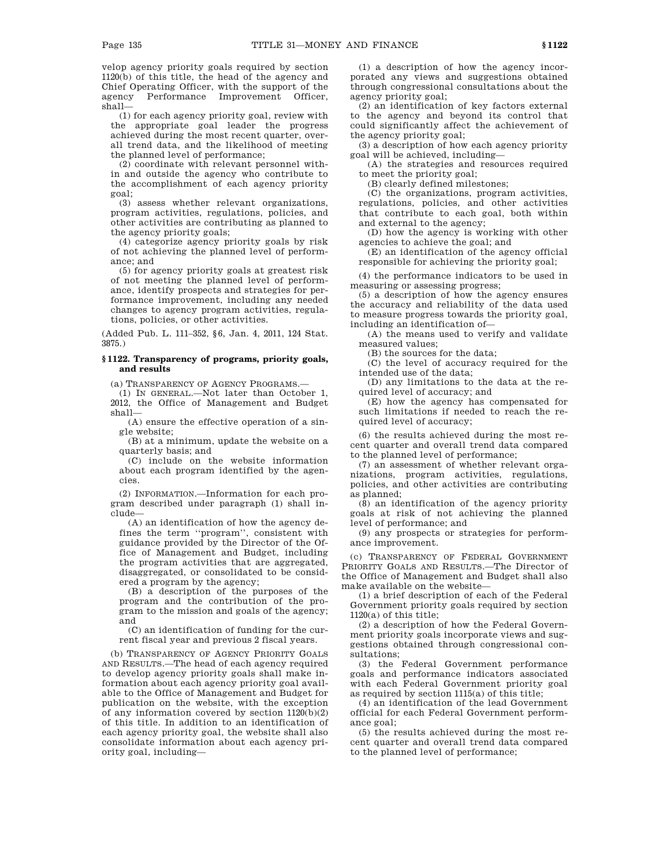velop agency priority goals required by section 1120(b) of this title, the head of the agency and Chief Operating Officer, with the support of the agency Performance Improvement Officer, shall—

(1) for each agency priority goal, review with the appropriate goal leader the progress achieved during the most recent quarter, overall trend data, and the likelihood of meeting the planned level of performance;

(2) coordinate with relevant personnel within and outside the agency who contribute to the accomplishment of each agency priority goal;

(3) assess whether relevant organizations, program activities, regulations, policies, and other activities are contributing as planned to the agency priority goals;

(4) categorize agency priority goals by risk of not achieving the planned level of performance; and

(5) for agency priority goals at greatest risk of not meeting the planned level of performance, identify prospects and strategies for performance improvement, including any needed changes to agency program activities, regulations, policies, or other activities.

(Added Pub. L. 111–352, §6, Jan. 4, 2011, 124 Stat. 3875.)

# **§ 1122. Transparency of programs, priority goals, and results**

(a) TRANSPARENCY OF AGENCY PROGRAMS.—

(1) IN GENERAL.—Not later than October 1, 2012, the Office of Management and Budget shall—

(A) ensure the effective operation of a single website;

(B) at a minimum, update the website on a quarterly basis; and

(C) include on the website information about each program identified by the agencies.

(2) INFORMATION.—Information for each program described under paragraph (1) shall include—

(A) an identification of how the agency defines the term ''program'', consistent with guidance provided by the Director of the Office of Management and Budget, including the program activities that are aggregated, disaggregated, or consolidated to be considered a program by the agency;

(B) a description of the purposes of the program and the contribution of the program to the mission and goals of the agency; and

(C) an identification of funding for the current fiscal year and previous 2 fiscal years.

(b) TRANSPARENCY OF AGENCY PRIORITY GOALS AND RESULTS.—The head of each agency required to develop agency priority goals shall make information about each agency priority goal available to the Office of Management and Budget for publication on the website, with the exception of any information covered by section 1120(b)(2) of this title. In addition to an identification of each agency priority goal, the website shall also consolidate information about each agency priority goal, including—

(1) a description of how the agency incorporated any views and suggestions obtained through congressional consultations about the agency priority goal;

(2) an identification of key factors external to the agency and beyond its control that could significantly affect the achievement of the agency priority goal;

(3) a description of how each agency priority goal will be achieved, including—

(A) the strategies and resources required to meet the priority goal;

(B) clearly defined milestones;

(C) the organizations, program activities, regulations, policies, and other activities that contribute to each goal, both within and external to the agency;

(D) how the agency is working with other agencies to achieve the goal; and

(E) an identification of the agency official responsible for achieving the priority goal;

(4) the performance indicators to be used in measuring or assessing progress;

(5) a description of how the agency ensures the accuracy and reliability of the data used to measure progress towards the priority goal, including an identification of—

(A) the means used to verify and validate measured values;

(B) the sources for the data;

(C) the level of accuracy required for the intended use of the data;

(D) any limitations to the data at the required level of accuracy; and

(E) how the agency has compensated for such limitations if needed to reach the required level of accuracy;

(6) the results achieved during the most recent quarter and overall trend data compared to the planned level of performance;

(7) an assessment of whether relevant organizations, program activities, regulations, policies, and other activities are contributing as planned;

(8) an identification of the agency priority goals at risk of not achieving the planned level of performance; and

(9) any prospects or strategies for performance improvement.

(c) TRANSPARENCY OF FEDERAL GOVERNMENT PRIORITY GOALS AND RESULTS.—The Director of the Office of Management and Budget shall also make available on the website—

(1) a brief description of each of the Federal Government priority goals required by section 1120(a) of this title;

(2) a description of how the Federal Government priority goals incorporate views and suggestions obtained through congressional consultations;

(3) the Federal Government performance goals and performance indicators associated with each Federal Government priority goal as required by section 1115(a) of this title;

(4) an identification of the lead Government official for each Federal Government performance goal;

(5) the results achieved during the most recent quarter and overall trend data compared to the planned level of performance;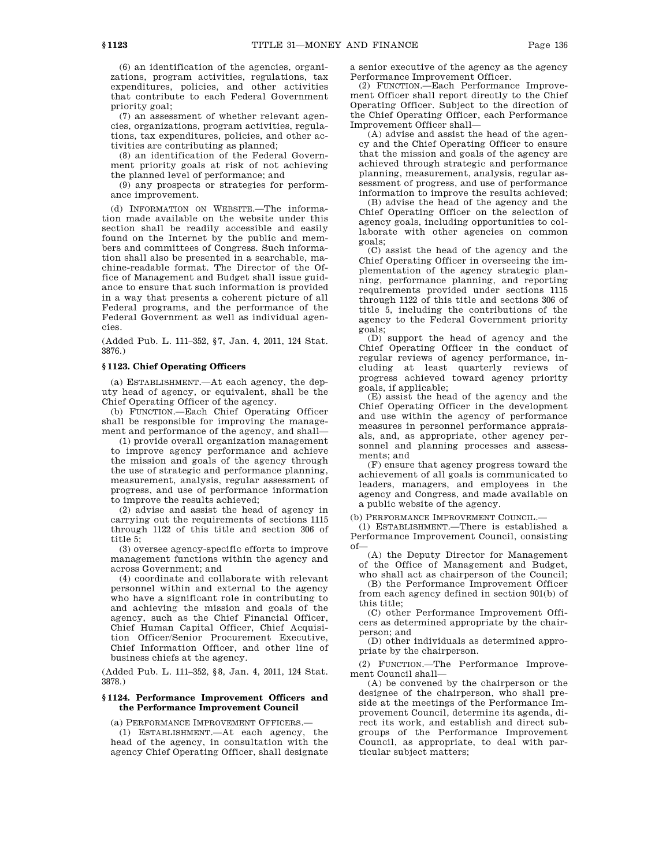(6) an identification of the agencies, organizations, program activities, regulations, tax expenditures, policies, and other activities that contribute to each Federal Government priority goal;

(7) an assessment of whether relevant agencies, organizations, program activities, regulations, tax expenditures, policies, and other activities are contributing as planned;

(8) an identification of the Federal Government priority goals at risk of not achieving the planned level of performance; and

(9) any prospects or strategies for performance improvement.

(d) INFORMATION ON WEBSITE.—The information made available on the website under this section shall be readily accessible and easily found on the Internet by the public and members and committees of Congress. Such information shall also be presented in a searchable, machine-readable format. The Director of the Office of Management and Budget shall issue guidance to ensure that such information is provided in a way that presents a coherent picture of all Federal programs, and the performance of the Federal Government as well as individual agencies.

(Added Pub. L. 111–352, §7, Jan. 4, 2011, 124 Stat. 3876.)

# **§ 1123. Chief Operating Officers**

(a) ESTABLISHMENT.—At each agency, the deputy head of agency, or equivalent, shall be the Chief Operating Officer of the agency.

(b) FUNCTION.—Each Chief Operating Officer shall be responsible for improving the management and performance of the agency, and shall—

(1) provide overall organization management to improve agency performance and achieve the mission and goals of the agency through the use of strategic and performance planning, measurement, analysis, regular assessment of progress, and use of performance information to improve the results achieved;

(2) advise and assist the head of agency in carrying out the requirements of sections 1115 through 1122 of this title and section 306 of title 5;

(3) oversee agency-specific efforts to improve management functions within the agency and across Government; and

(4) coordinate and collaborate with relevant personnel within and external to the agency who have a significant role in contributing to and achieving the mission and goals of the agency, such as the Chief Financial Officer, Chief Human Capital Officer, Chief Acquisition Officer/Senior Procurement Executive, Chief Information Officer, and other line of business chiefs at the agency.

(Added Pub. L. 111–352, §8, Jan. 4, 2011, 124 Stat. 3878.)

## **§ 1124. Performance Improvement Officers and the Performance Improvement Council**

(a) PERFORMANCE IMPROVEMENT OFFICERS.—

(1) ESTABLISHMENT.—At each agency, the head of the agency, in consultation with the agency Chief Operating Officer, shall designate

a senior executive of the agency as the agency Performance Improvement Officer.

(2) FUNCTION.—Each Performance Improvement Officer shall report directly to the Chief Operating Officer. Subject to the direction of the Chief Operating Officer, each Performance Improvement Officer shall—

(A) advise and assist the head of the agency and the Chief Operating Officer to ensure that the mission and goals of the agency are achieved through strategic and performance planning, measurement, analysis, regular assessment of progress, and use of performance information to improve the results achieved;

(B) advise the head of the agency and the Chief Operating Officer on the selection of agency goals, including opportunities to collaborate with other agencies on common goals;

(C) assist the head of the agency and the Chief Operating Officer in overseeing the implementation of the agency strategic planning, performance planning, and reporting requirements provided under sections 1115 through 1122 of this title and sections 306 of title 5, including the contributions of the agency to the Federal Government priority goals;

(D) support the head of agency and the Chief Operating Officer in the conduct of regular reviews of agency performance, including at least quarterly reviews of progress achieved toward agency priority goals, if applicable;

(E) assist the head of the agency and the Chief Operating Officer in the development and use within the agency of performance measures in personnel performance appraisals, and, as appropriate, other agency personnel and planning processes and assessments; and

(F) ensure that agency progress toward the achievement of all goals is communicated to leaders, managers, and employees in the agency and Congress, and made available on a public website of the agency.

(b) PERFORMANCE IMPROVEMENT COUNCIL.—

(1) ESTABLISHMENT.—There is established a Performance Improvement Council, consisting of—

(A) the Deputy Director for Management of the Office of Management and Budget, who shall act as chairperson of the Council;

(B) the Performance Improvement Officer from each agency defined in section 901(b) of this title;

(C) other Performance Improvement Officers as determined appropriate by the chairperson; and

(D) other individuals as determined appropriate by the chairperson.

(2) FUNCTION.—The Performance Improvement Council shall—

(A) be convened by the chairperson or the designee of the chairperson, who shall preside at the meetings of the Performance Improvement Council, determine its agenda, direct its work, and establish and direct subgroups of the Performance Improvement Council, as appropriate, to deal with particular subject matters;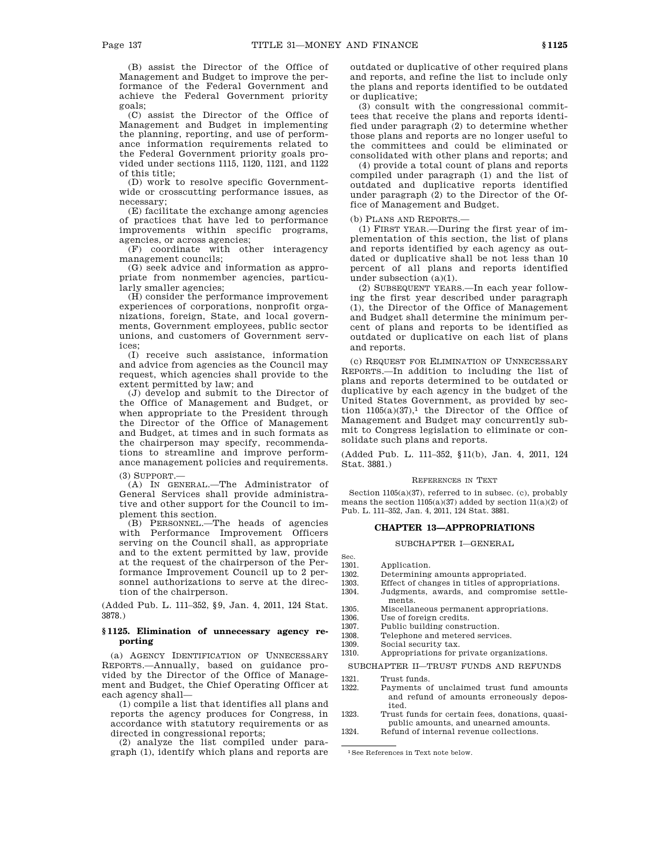(B) assist the Director of the Office of Management and Budget to improve the performance of the Federal Government and achieve the Federal Government priority goals;

(C) assist the Director of the Office of Management and Budget in implementing the planning, reporting, and use of performance information requirements related to the Federal Government priority goals provided under sections 1115, 1120, 1121, and 1122 of this title;

(D) work to resolve specific Governmentwide or crosscutting performance issues, as necessary;

(E) facilitate the exchange among agencies of practices that have led to performance improvements within specific programs, agencies, or across agencies;

(F) coordinate with other interagency management councils;

(G) seek advice and information as appropriate from nonmember agencies, particularly smaller agencies;

(H) consider the performance improvement experiences of corporations, nonprofit organizations, foreign, State, and local governments, Government employees, public sector unions, and customers of Government services;

(I) receive such assistance, information and advice from agencies as the Council may request, which agencies shall provide to the extent permitted by law; and

(J) develop and submit to the Director of the Office of Management and Budget, or when appropriate to the President through the Director of the Office of Management and Budget, at times and in such formats as the chairperson may specify, recommendations to streamline and improve performance management policies and requirements. (3) SUPPORT.—

(A) IN GENERAL.—The Administrator of General Services shall provide administrative and other support for the Council to implement this section.

(B) PERSONNEL.—The heads of agencies with Performance Improvement Officers serving on the Council shall, as appropriate and to the extent permitted by law, provide at the request of the chairperson of the Performance Improvement Council up to 2 personnel authorizations to serve at the direction of the chairperson.

(Added Pub. L. 111–352, §9, Jan. 4, 2011, 124 Stat. 3878.)

# **§ 1125. Elimination of unnecessary agency reporting**

(a) AGENCY IDENTIFICATION OF UNNECESSARY REPORTS.—Annually, based on guidance provided by the Director of the Office of Management and Budget, the Chief Operating Officer at each agency shall—

(1) compile a list that identifies all plans and reports the agency produces for Congress, in accordance with statutory requirements or as directed in congressional reports;

(2) analyze the list compiled under paragraph (1), identify which plans and reports are outdated or duplicative of other required plans and reports, and refine the list to include only the plans and reports identified to be outdated or duplicative;

(3) consult with the congressional committees that receive the plans and reports identified under paragraph (2) to determine whether those plans and reports are no longer useful to the committees and could be eliminated or consolidated with other plans and reports; and

(4) provide a total count of plans and reports compiled under paragraph (1) and the list of outdated and duplicative reports identified under paragraph (2) to the Director of the Office of Management and Budget.

# (b) PLANS AND REPORTS.—

(1) FIRST YEAR.—During the first year of implementation of this section, the list of plans and reports identified by each agency as outdated or duplicative shall be not less than 10 percent of all plans and reports identified under subsection (a)(1).

(2) SUBSEQUENT YEARS.—In each year following the first year described under paragraph (1), the Director of the Office of Management and Budget shall determine the minimum percent of plans and reports to be identified as outdated or duplicative on each list of plans and reports.

(c) REQUEST FOR ELIMINATION OF UNNECESSARY REPORTS.—In addition to including the list of plans and reports determined to be outdated or duplicative by each agency in the budget of the United States Government, as provided by section  $1105(a)(37)$ ,<sup>1</sup> the Director of the Office of Management and Budget may concurrently submit to Congress legislation to eliminate or consolidate such plans and reports.

(Added Pub. L. 111–352, §11(b), Jan. 4, 2011, 124 Stat. 3881.)

# REFERENCES IN TEXT

Section 1105(a)(37), referred to in subsec. (c), probably means the section  $1105(a)(37)$  added by section  $11(a)(2)$  of Pub. L. 111–352, Jan. 4, 2011, 124 Stat. 3881.

# **CHAPTER 13—APPROPRIATIONS**

# SUBCHAPTER I—GENERAL

1301. Application.

Sec.

- 1302. Determining amounts appropriated.<br>1303 Effect of changes in titles of appropriated.
	-
- 1303. Effect of changes in titles of appropriations.<br>1304. Judgments, awards, and compromise settl 1304. Judgments, awards, and compromise settlements.
- 1305. Miscellaneous permanent appropriations.<br>1306. Use of foreign credits.
- Use of foreign credits.
- 
- 1307. Public building construction.<br>1308. Telephone and metered servic
- 1308. Telephone and metered services.<br>1309. Social security tax. Social security tax.
- 1310. Appropriations for private organizations.

SUBCHAPTER II—TRUST FUNDS AND REFUNDS

- 
- 1321. Trust funds.<br>1322. Payments of Payments of unclaimed trust fund amounts and refund of amounts erroneously deposited.
- 1323. Trust funds for certain fees, donations, quasipublic amounts, and unearned amounts.
- 1324. Refund of internal revenue collections.

<sup>1</sup>See References in Text note below.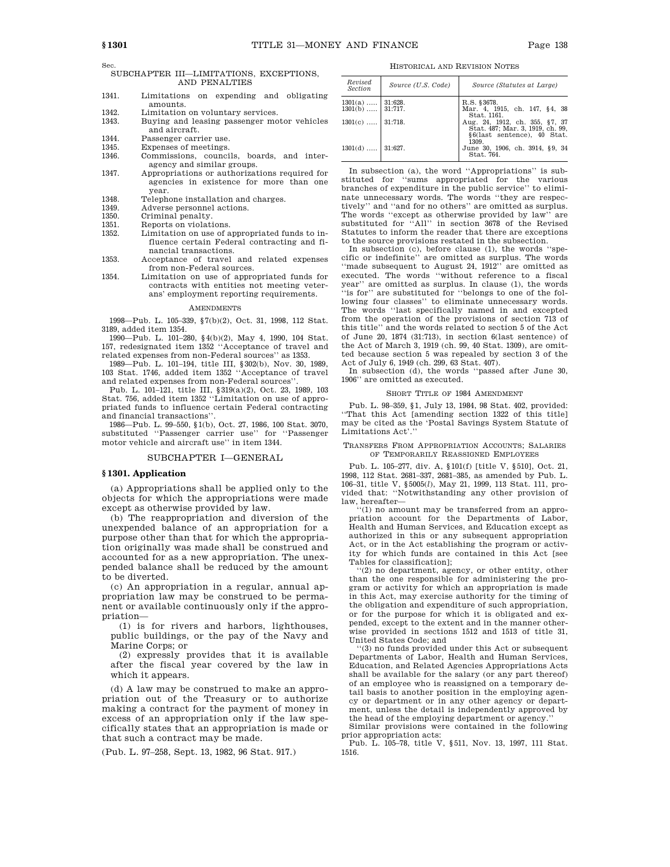#### Sec. SUBCHAPTER III—LIMITATIONS, EXCEPTIONS, AND PENALTIES

- 1341. Limitations on expending and obligating amounts.
- 1342. Limitation on voluntary services.<br>1343. Buving and leasing passenger mo
- 1343. Buying and leasing passenger motor vehicles and aircraft.
- 1344. Passenger carrier use.<br>1345. Expenses of meetings.
- 1345. Expenses of meetings.<br>1346. Commissions, counci
- Commissions, councils, boards, and interagency and similar groups. 1347. Appropriations or authorizations required for
- agencies in existence for more than one year.
- 1348. Telephone installation and charges.<br>1349. Adverse personnel actions.
- 1349. Adverse personnel actions.<br>1350. Criminal penalty.
- 1350. Criminal penalty.<br>1351. Reports on violati
- 1351. Reports on violations.<br>1352 Limitation on use of a Limitation on use of appropriated funds to influence certain Federal contracting and financial transactions.
- 1353. Acceptance of travel and related expenses from non-Federal sources.
- 1354. Limitation on use of appropriated funds for contracts with entities not meeting veterans' employment reporting requirements.

#### AMENDMENTS

1998—Pub. L. 105–339, §7(b)(2), Oct. 31, 1998, 112 Stat. 3189, added item 1354.

1990—Pub. L. 101–280, §4(b)(2), May 4, 1990, 104 Stat. 157, redesignated item 1352 ''Acceptance of travel and related expenses from non-Federal sources'' as 1353.

1989—Pub. L. 101–194, title III, §302(b), Nov. 30, 1989, 103 Stat. 1746, added item 1352 ''Acceptance of travel and related expenses from non-Federal sources''.

Pub. L. 101–121, title III, §319(a)(2), Oct. 23, 1989, 103 Stat. 756, added item 1352 ''Limitation on use of appropriated funds to influence certain Federal contracting and financial transactions''.

1986—Pub. L. 99–550, §1(b), Oct. 27, 1986, 100 Stat. 3070, substituted ''Passenger carrier use'' for ''Passenger motor vehicle and aircraft use'' in item 1344.

# SUBCHAPTER I—GENERAL

# **§ 1301. Application**

(a) Appropriations shall be applied only to the objects for which the appropriations were made except as otherwise provided by law.

(b) The reappropriation and diversion of the unexpended balance of an appropriation for a purpose other than that for which the appropriation originally was made shall be construed and accounted for as a new appropriation. The unexpended balance shall be reduced by the amount to be diverted.

(c) An appropriation in a regular, annual appropriation law may be construed to be permanent or available continuously only if the appropriation—

(1) is for rivers and harbors, lighthouses, public buildings, or the pay of the Navy and Marine Corps; or

(2) expressly provides that it is available after the fiscal year covered by the law in which it appears.

(d) A law may be construed to make an appropriation out of the Treasury or to authorize making a contract for the payment of money in excess of an appropriation only if the law specifically states that an appropriation is made or that such a contract may be made.

(Pub. L. 97–258, Sept. 13, 1982, 96 Stat. 917.)

HISTORICAL AND REVISION NOTES

| Revised<br>Section                    | Source (U.S. Code) | Source (Statutes at Large)                                                                                 |
|---------------------------------------|--------------------|------------------------------------------------------------------------------------------------------------|
|                                       |                    | R.S. §3678.                                                                                                |
| $1301(a)$ 31:628.<br>1301(b)  31:717. |                    | Mar. 4, 1915, ch. 147, §4, 38<br>Stat. 1161.                                                               |
| $1301(c)$   31:718.                   |                    | Aug. 24, 1912, ch. 355, §7, 37<br>Stat. 487; Mar. 3, 1919, ch. 99,<br>§6(last sentence), 40 Stat.<br>1309. |
| $1301(d)$   31:627.                   |                    | June 30, 1906, ch. 3914, §9, 34<br>Stat. 764.                                                              |

In subsection (a), the word ''Appropriations'' is substituted for ''sums appropriated for the various branches of expenditure in the public service'' to eliminate unnecessary words. The words ''they are respectively'' and ''and for no others'' are omitted as surplus. The words ''except as otherwise provided by law'' are substituted for ''All'' in section 3678 of the Revised Statutes to inform the reader that there are exceptions to the source provisions restated in the subsection.

In subsection (c), before clause (1), the words ''specific or indefinite'' are omitted as surplus. The words ''made subsequent to August 24, 1912'' are omitted as executed. The words ''without reference to a fiscal year'' are omitted as surplus. In clause (1), the words ''is for'' are substituted for ''belongs to one of the following four classes'' to eliminate unnecessary words. The words ''last specifically named in and excepted from the operation of the provisions of section 713 of this title'' and the words related to section 5 of the Act of June 20, 1874 (31:713), in section 6(last sentence) of the Act of March 3, 1919 (ch. 99, 40 Stat. 1309), are omitted because section 5 was repealed by section 3 of the Act of July 6, 1949 (ch. 299, 63 Stat. 407).

In subsection (d), the words ''passed after June 30, 1906'' are omitted as executed.

#### SHORT TITLE OF 1984 AMENDMENT

Pub. L. 98–359, §1, July 13, 1984, 98 Stat. 402, provided: ''That this Act [amending section 1322 of this title] may be cited as the 'Postal Savings System Statute of Limitations Act'.

TRANSFERS FROM APPROPRIATION ACCOUNTS; SALARIES OF TEMPORARILY REASSIGNED EMPLOYEES

Pub. L. 105–277, div. A, §101(f) [title V, §510], Oct. 21, 1998, 112 Stat. 2681–337, 2681–385, as amended by Pub. L. 106–31, title V, §5005(*l*), May 21, 1999, 113 Stat. 111, provided that: ''Notwithstanding any other provision of law, hereafter—

''(1) no amount may be transferred from an appropriation account for the Departments of Labor, Health and Human Services, and Education except as authorized in this or any subsequent appropriation Act, or in the Act establishing the program or activity for which funds are contained in this Act [see Tables for classification];

''(2) no department, agency, or other entity, other than the one responsible for administering the program or activity for which an appropriation is made in this Act, may exercise authority for the timing of the obligation and expenditure of such appropriation, or for the purpose for which it is obligated and expended, except to the extent and in the manner otherwise provided in sections 1512 and 1513 of title 31, United States Code; and

'(3) no funds provided under this  $\operatorname{Act}$  or subsequent Departments of Labor, Health and Human Services, Education, and Related Agencies Appropriations Acts shall be available for the salary (or any part thereof) of an employee who is reassigned on a temporary detail basis to another position in the employing agency or department or in any other agency or department, unless the detail is independently approved by the head of the employing department or agency.

Similar provisions were contained in the following prior appropriation acts:

Pub. L. 105–78, title V, §511, Nov. 13, 1997, 111 Stat. 1516.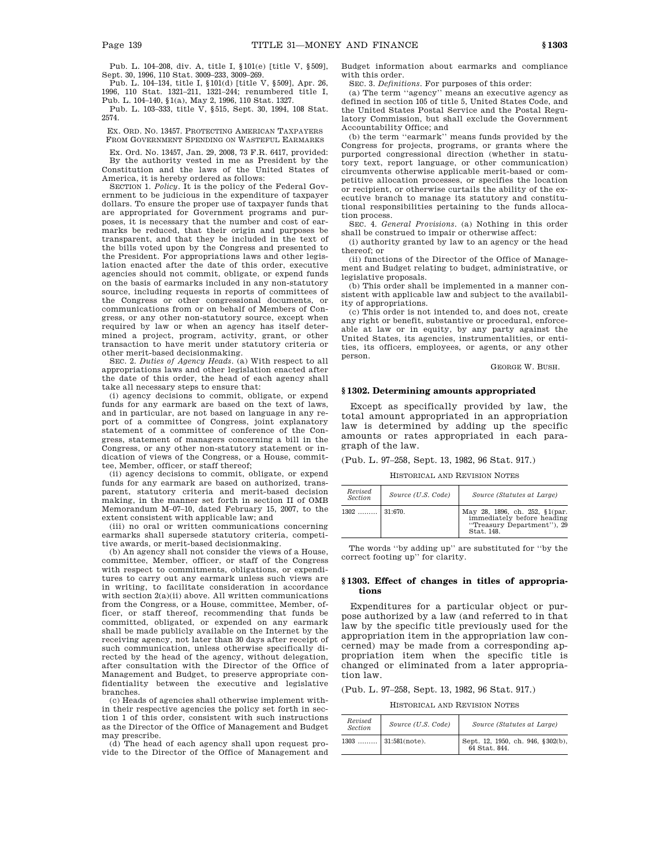Pub. L. 104–208, div. A, title I, §101(e) [title V, §509], Sept. 30, 1996, 110 Stat. 3009–233, 3009–269.

Pub. L. 104–134, title I, §101(d) [title V, §509], Apr. 26, 1996, 110 Stat. 1321–211, 1321–244; renumbered title I, Pub. L. 104–140, §1(a), May 2, 1996, 110 Stat. 1327.

Pub. L. 103–333, title V, §515, Sept. 30, 1994, 108 Stat. 2574.

EX. ORD. NO. 13457. PROTECTING AMERICAN TAXPAYERS FROM GOVERNMENT SPENDING ON WASTEFUL EARMARKS

Ex. Ord. No. 13457, Jan. 29, 2008, 73 F.R. 6417, provided: By the authority vested in me as President by the Constitution and the laws of the United States of America, it is hereby ordered as follows:

SECTION 1. *Policy*. It is the policy of the Federal Government to be judicious in the expenditure of taxpayer dollars. To ensure the proper use of taxpayer funds that are appropriated for Government programs and purposes, it is necessary that the number and cost of earmarks be reduced, that their origin and purposes be transparent, and that they be included in the text of the bills voted upon by the Congress and presented to the President. For appropriations laws and other legislation enacted after the date of this order, executive agencies should not commit, obligate, or expend funds on the basis of earmarks included in any non-statutory source, including requests in reports of committees of the Congress or other congressional documents, or communications from or on behalf of Members of Congress, or any other non-statutory source, except when required by law or when an agency has itself determined a project, program, activity, grant, or other transaction to have merit under statutory criteria or other merit-based decisionmaking.

SEC. 2. *Duties of Agency Heads*. (a) With respect to all appropriations laws and other legislation enacted after the date of this order, the head of each agency shall take all necessary steps to ensure that:

(i) agency decisions to commit, obligate, or expend funds for any earmark are based on the text of laws, and in particular, are not based on language in any report of a committee of Congress, joint explanatory statement of a committee of conference of the Congress, statement of managers concerning a bill in the Congress, or any other non-statutory statement or indication of views of the Congress, or a House, committee, Member, officer, or staff thereof;

(ii) agency decisions to commit, obligate, or expend funds for any earmark are based on authorized, transparent, statutory criteria and merit-based decision making, in the manner set forth in section II of OMB Memorandum M–07–10, dated February 15, 2007, to the extent consistent with applicable law; and

(iii) no oral or written communications concerning earmarks shall supersede statutory criteria, competitive awards, or merit-based decisionmaking.

(b) An agency shall not consider the views of a House, committee, Member, officer, or staff of the Congress with respect to commitments, obligations, or expenditures to carry out any earmark unless such views are in writing, to facilitate consideration in accordance with section 2(a)(ii) above. All written communications from the Congress, or a House, committee, Member, officer, or staff thereof, recommending that funds be committed, obligated, or expended on any earmark shall be made publicly available on the Internet by the receiving agency, not later than 30 days after receipt of such communication, unless otherwise specifically directed by the head of the agency, without delegation, after consultation with the Director of the Office of Management and Budget, to preserve appropriate confidentiality between the executive and legislative branches.

(c) Heads of agencies shall otherwise implement within their respective agencies the policy set forth in section 1 of this order, consistent with such instructions as the Director of the Office of Management and Budget

may prescribe. (d) The head of each agency shall upon request provide to the Director of the Office of Management and Budget information about earmarks and compliance with this order.

SEC. 3. *Definitions*. For purposes of this order:

(a) The term ''agency'' means an executive agency as defined in section 105 of title 5, United States Code, and the United States Postal Service and the Postal Regulatory Commission, but shall exclude the Government Accountability Office; and

(b) the term ''earmark'' means funds provided by the Congress for projects, programs, or grants where the purported congressional direction (whether in statutory text, report language, or other communication) circumvents otherwise applicable merit-based or competitive allocation processes, or specifies the location or recipient, or otherwise curtails the ability of the executive branch to manage its statutory and constitutional responsibilities pertaining to the funds allocation process.

SEC. 4. *General Provisions*. (a) Nothing in this order shall be construed to impair or otherwise affect:

(i) authority granted by law to an agency or the head thereof; or

(ii) functions of the Director of the Office of Management and Budget relating to budget, administrative, or legislative proposals.

(b) This order shall be implemented in a manner consistent with applicable law and subject to the availability of appropriations.

(c) This order is not intended to, and does not, create any right or benefit, substantive or procedural, enforceable at law or in equity, by any party against the United States, its agencies, instrumentalities, or entities, its officers, employees, or agents, or any other person.

GEORGE W. BUSH.

# **§ 1302. Determining amounts appropriated**

Except as specifically provided by law, the total amount appropriated in an appropriation law is determined by adding up the specific amounts or rates appropriated in each paragraph of the law.

(Pub. L. 97–258, Sept. 13, 1982, 96 Stat. 917.)

HISTORICAL AND REVISION NOTES

| Revised<br>Section | Source (U.S. Code) | Source (Statutes at Large)                                                                               |
|--------------------|--------------------|----------------------------------------------------------------------------------------------------------|
| $1302$             | 131:670.           | May 28, 1896, ch. 252, §1(par.<br>immediately before heading<br>"Treasury Department"), 29<br>Stat. 148. |

The words ''by adding up'' are substituted for ''by the correct footing up'' for clarity.

# **§ 1303. Effect of changes in titles of appropriations**

Expenditures for a particular object or purpose authorized by a law (and referred to in that law by the specific title previously used for the appropriation item in the appropriation law concerned) may be made from a corresponding appropriation item when the specific title is changed or eliminated from a later appropriation law.

(Pub. L. 97–258, Sept. 13, 1982, 96 Stat. 917.)

HISTORICAL AND REVISION NOTES

| Revised<br>Section | Source (U.S. Code)     | Source (Statutes at Large)                         |
|--------------------|------------------------|----------------------------------------------------|
|                    | $1303$   31:581(note). | Sept. 12, 1950, ch. 946, §302(b),<br>64 Stat. 844. |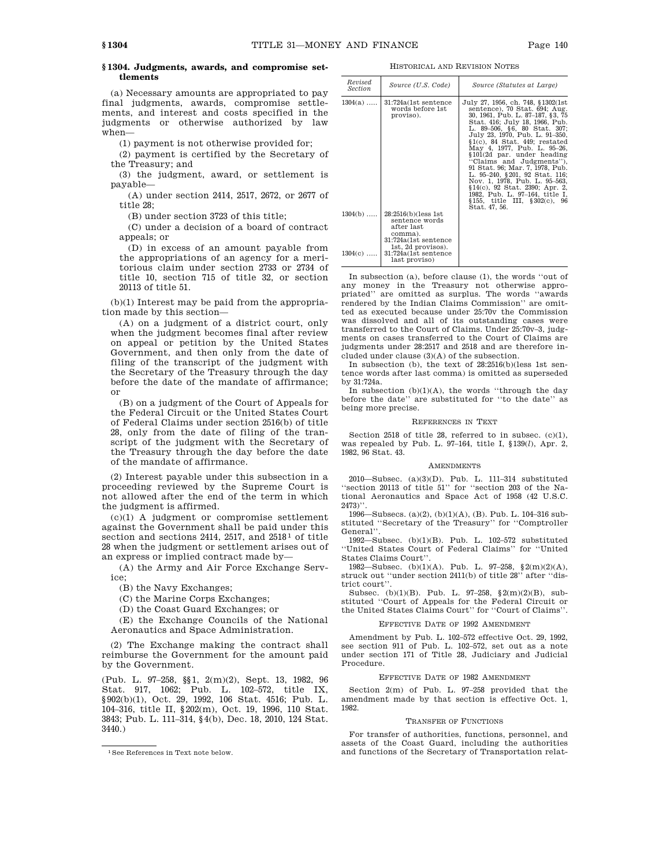(a) Necessary amounts are appropriated to pay final judgments, awards, compromise settlements, and interest and costs specified in the judgments or otherwise authorized by law when—

(1) payment is not otherwise provided for;

(2) payment is certified by the Secretary of the Treasury; and

(3) the judgment, award, or settlement is payable—

(A) under section 2414, 2517, 2672, or 2677 of title 28;

(B) under section 3723 of this title;

(C) under a decision of a board of contract appeals; or

(D) in excess of an amount payable from the appropriations of an agency for a meritorious claim under section 2733 or 2734 of title 10, section 715 of title 32, or section 20113 of title 51.

(b)(1) Interest may be paid from the appropriation made by this section—

(A) on a judgment of a district court, only when the judgment becomes final after review on appeal or petition by the United States Government, and then only from the date of filing of the transcript of the judgment with the Secretary of the Treasury through the day before the date of the mandate of affirmance; or

(B) on a judgment of the Court of Appeals for the Federal Circuit or the United States Court of Federal Claims under section 2516(b) of title 28, only from the date of filing of the transcript of the judgment with the Secretary of the Treasury through the day before the date of the mandate of affirmance.

(2) Interest payable under this subsection in a proceeding reviewed by the Supreme Court is not allowed after the end of the term in which the judgment is affirmed.

(c)(1) A judgment or compromise settlement against the Government shall be paid under this section and sections 2414, 2517, and  $2518<sup>1</sup>$  of title 28 when the judgment or settlement arises out of an express or implied contract made by—

(A) the Army and Air Force Exchange Service;

(B) the Navy Exchanges;

(C) the Marine Corps Exchanges;

(D) the Coast Guard Exchanges; or

(E) the Exchange Councils of the National Aeronautics and Space Administration.

(2) The Exchange making the contract shall reimburse the Government for the amount paid by the Government.

(Pub. L. 97–258, §§1, 2(m)(2), Sept. 13, 1982, 96 Stat. 917, 1062; Pub. L. 102–572, title IX, §902(b)(1), Oct. 29, 1992, 106 Stat. 4516; Pub. L. 104–316, title II, §202(m), Oct. 19, 1996, 110 Stat. 3843; Pub. L. 111–314, §4(b), Dec. 18, 2010, 124 Stat. 3440.)

HISTORICAL AND REVISION NOTES

| Revised<br>Section     | Source (U.S. Code)                                                                                                                                     | Source (Statutes at Large)                                                                                                                                                                                                                                                                                                                                                                                                                                                                                                                                         |
|------------------------|--------------------------------------------------------------------------------------------------------------------------------------------------------|--------------------------------------------------------------------------------------------------------------------------------------------------------------------------------------------------------------------------------------------------------------------------------------------------------------------------------------------------------------------------------------------------------------------------------------------------------------------------------------------------------------------------------------------------------------------|
| $1304(a)$              | 31:724a(1st sentence<br>words before 1st<br>proviso).                                                                                                  | July 27, 1956, ch. 748, §1302(1st<br>sentence), 70 Stat. 694; Aug.<br>30, 1961, Pub. L. 87-187, §3, 75<br>Stat. 416; July 18, 1966, Pub.<br>L. 89–506, §6, 80 Stat. 307;<br>July 23, 1970, Pub. L. 91-350,<br>$$1(c)$ , 84 Stat. 449; restated<br>May 4, 1977, Pub. L. 95-26,<br>§101(2d par. under heading<br>"Claims and Judgments"),<br>91 Stat. 96; Mar. 7, 1978, Pub.<br>L. 95-240, §201, 92 Stat. 116;<br>Nov. 1, 1978, Pub. L. 95-563,<br>§14(c), 92 Stat. 2390; Apr. 2,<br>1982, Pub. L. 97-164, title I,<br>§155, title III, §302(c), 96<br>Stat. 47, 56. |
| $1304(b)$<br>$1304(c)$ | 28:2516(b)(less 1st)<br>sentence words<br>after last<br>comma).<br>31:724a(1st sentence<br>1st, 2d provisos).<br>31:724a(1st sentence<br>last proviso) |                                                                                                                                                                                                                                                                                                                                                                                                                                                                                                                                                                    |

In subsection (a), before clause (1), the words ''out of any money in the Treasury not otherwise appropriated'' are omitted as surplus. The words ''awards rendered by the Indian Claims Commission'' are omitted as executed because under 25:70v the Commission was dissolved and all of its outstanding cases were transferred to the Court of Claims. Under 25:70v–3, judgments on cases transferred to the Court of Claims are judgments under 28:2517 and 2518 and are therefore included under clause (3)(A) of the subsection.

In subsection (b), the text of 28:2516(b)(less 1st sentence words after last comma) is omitted as superseded by 31:724a.

In subsection  $(b)(1)(A)$ , the words "through the day before the date'' are substituted for ''to the date'' as being more precise.

#### REFERENCES IN TEXT

Section 2518 of title 28, referred to in subsec. (c)(1), was repealed by Pub. L. 97–164, title I, §139(*l*), Apr. 2, 1982, 96 Stat. 43.

#### **AMENDMENTS**

2010—Subsec. (a)(3)(D). Pub. L. 111–314 substituted ''section 20113 of title 51'' for ''section 203 of the National Aeronautics and Space Act of 1958 (42 U.S.C. 2473)''.

1996—Subsecs. (a)(2), (b)(1)(A), (B). Pub. L. 104–316 substituted ''Secretary of the Treasury'' for ''Comptroller General''.

1992—Subsec. (b)(1)(B). Pub. L. 102–572 substituted ''United States Court of Federal Claims'' for ''United States Claims Court''.

1982—Subsec. (b)(1)(A). Pub. L. 97–258, §2(m)(2)(A), struck out ''under section 2411(b) of title 28'' after ''district court''.

Subsec. (b)(1)(B). Pub. L. 97–258, §2(m)(2)(B), substituted ''Court of Appeals for the Federal Circuit or the United States Claims Court'' for ''Court of Claims''.

#### EFFECTIVE DATE OF 1992 AMENDMENT

Amendment by Pub. L. 102–572 effective Oct. 29, 1992, see section 911 of Pub. L. 102–572, set out as a note under section 171 of Title 28, Judiciary and Judicial Procedure.

#### EFFECTIVE DATE OF 1982 AMENDMENT

Section 2(m) of Pub. L. 97–258 provided that the amendment made by that section is effective Oct. 1, 1982.

### TRANSFER OF FUNCTIONS

For transfer of authorities, functions, personnel, and assets of the Coast Guard, including the authorities and functions of the Secretary of Transportation relat-

<sup>1</sup>See References in Text note below.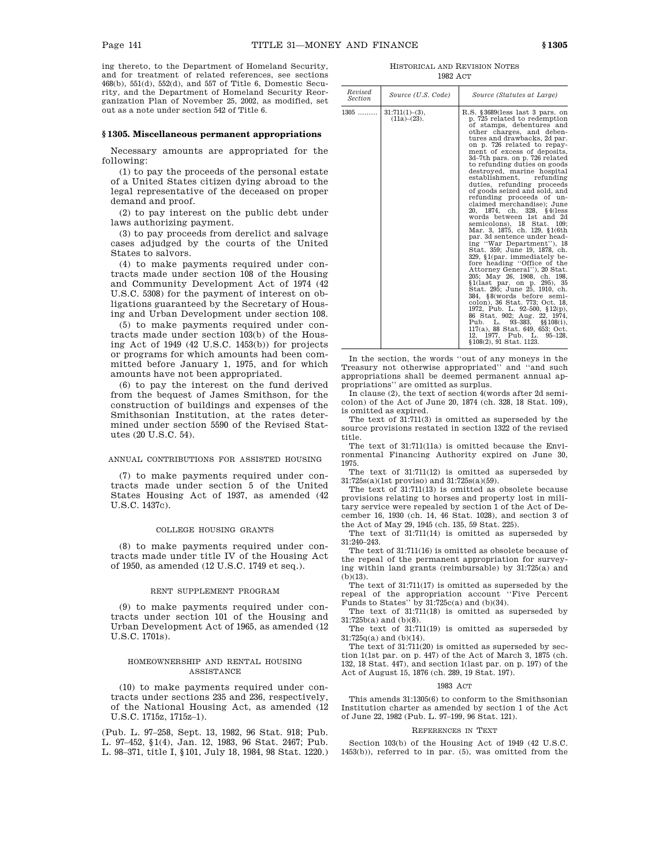ing thereto, to the Department of Homeland Security, and for treatment of related references, see sections 468(b), 551(d), 552(d), and 557 of Title 6, Domestic Security, and the Department of Homeland Security Reorganization Plan of November 25, 2002, as modified, set out as a note under section 542 of Title 6.

#### **§ 1305. Miscellaneous permanent appropriations**

Necessary amounts are appropriated for the following:

(1) to pay the proceeds of the personal estate of a United States citizen dying abroad to the legal representative of the deceased on proper demand and proof.

(2) to pay interest on the public debt under laws authorizing payment.

(3) to pay proceeds from derelict and salvage cases adjudged by the courts of the United States to salvors.

(4) to make payments required under contracts made under section 108 of the Housing and Community Development Act of 1974 (42 U.S.C. 5308) for the payment of interest on obligations guaranteed by the Secretary of Housing and Urban Development under section 108.

(5) to make payments required under contracts made under section 103(b) of the Housing Act of 1949 (42 U.S.C.  $1453(b)$ ) for projects or programs for which amounts had been committed before January 1, 1975, and for which amounts have not been appropriated.

(6) to pay the interest on the fund derived from the bequest of James Smithson, for the construction of buildings and expenses of the Smithsonian Institution, at the rates determined under section 5590 of the Revised Statutes (20 U.S.C. 54).

ANNUAL CONTRIBUTIONS FOR ASSISTED HOUSING

(7) to make payments required under contracts made under section 5 of the United States Housing Act of 1937, as amended (42 U.S.C. 1437c).

### COLLEGE HOUSING GRANTS

(8) to make payments required under contracts made under title IV of the Housing Act of 1950, as amended (12 U.S.C. 1749 et seq.).

### RENT SUPPLEMENT PROGRAM

(9) to make payments required under contracts under section 101 of the Housing and Urban Development Act of 1965, as amended (12 U.S.C. 1701s).

## HOMEOWNERSHIP AND RENTAL HOUSING ASSISTANCE

(10) to make payments required under contracts under sections 235 and 236, respectively, of the National Housing Act, as amended (12 U.S.C. 1715z, 1715z–1).

(Pub. L. 97–258, Sept. 13, 1982, 96 Stat. 918; Pub. L. 97–452, §1(4), Jan. 12, 1983, 96 Stat. 2467; Pub. L. 98–371, title I, §101, July 18, 1984, 98 Stat. 1220.)

HISTORICAL AND REVISION NOTES 1982 ACT

| Revised<br>Section | Source (U.S. Code)               | Source (Statutes at Large)                                                                                                                                                                                                                                                                                                                                                                                                                                                                                                                                                                                                                                                                                                                                                                                                                                                                                                                                                                                                                                                                                                                                                              |
|--------------------|----------------------------------|-----------------------------------------------------------------------------------------------------------------------------------------------------------------------------------------------------------------------------------------------------------------------------------------------------------------------------------------------------------------------------------------------------------------------------------------------------------------------------------------------------------------------------------------------------------------------------------------------------------------------------------------------------------------------------------------------------------------------------------------------------------------------------------------------------------------------------------------------------------------------------------------------------------------------------------------------------------------------------------------------------------------------------------------------------------------------------------------------------------------------------------------------------------------------------------------|
| $1305$             | $31:711(1)–(3)$ ,<br>(11a)–(23). | R.S. §3689(less last 3 pars. on<br>p. 725 related to redemption<br>of stamps, debentures and<br>other charges, and deben-<br>tures and drawbacks, 2d par.<br>on p. 726 related to repay-<br>ment of excess of deposits,<br>3d–7th pars, on p. 726 related<br>to refunding duties on goods<br>destroyed, marine hospital<br>establishment, refunding<br>duties, refunding proceeds<br>of goods seized and sold, and<br>refunding proceeds of un-<br>claimed merchandise); June<br>20, 1874, ch. 328, §4(less<br>words between 1st and 2d<br>semicolons), 18 Stat. 109;<br>Mar. 3, 1875, ch. 129, §1(6th<br>par. 3d sentence under head-<br>ing "War Department"), 18<br>Stat. 359; June 19, 1878, ch.<br>329, §1(par. immediately be-<br>fore heading "Office of the<br>Attorney General"), 20 Stat.<br>205; May 26, 1908, ch. 198,<br>§1(last par. on p. 295), 35<br>Stat. 295; June 25, 1910, ch.<br>384, §8(words before semi-<br>colon), 36 Stat. 773; Oct. 18,<br>1972, Pub. L. 92-500, §12(p),<br>86 Stat. 902; Aug. 22, 1974,<br>Pub. L.<br>$93 - 383$ , $\frac{8}{3}108(i)$ ,<br>117(a), 88 Stat. 649, 653; Oct.<br>12, 1977, Pub. L.<br>$95 - 128$ ,<br>§108(2), 91 Stat. 1123. |

In the section, the words ''out of any moneys in the Treasury not otherwise appropriated'' and ''and such appropriations shall be deemed permanent annual appropriations'' are omitted as surplus.

In clause (2), the text of section 4(words after 2d semicolon) of the Act of June 20, 1874 (ch. 328, 18 Stat. 109), is omitted as expired.

The text of 31:711(3) is omitted as superseded by the source provisions restated in section 1322 of the revised title.

The text of 31:711(11a) is omitted because the Environmental Financing Authority expired on June 30, 1975.

The text of 31:711(12) is omitted as superseded by  $31:725\mathrm{s}(a)(1\mathrm{st}$  proviso) and  $31:725\mathrm{s}(a)(59).$ 

The text of 31:711(13) is omitted as obsolete because provisions relating to horses and property lost in military service were repealed by section 1 of the Act of December 16, 1930 (ch. 14, 46 Stat. 1028), and section 3 of the Act of May 29, 1945 (ch. 135, 59 Stat. 225).

The text of 31:711(14) is omitted as superseded by  $31 \cdot 240 - 243$ 

The text of 31:711(16) is omitted as obsolete because of the repeal of the permanent appropriation for surveying within land grants (reimbursable) by 31:725(a) and (b)(13).

The text of 31:711(17) is omitted as superseded by the repeal of the appropriation account ''Five Percent Funds to States'' by 31:725c(a) and (b)(34).

The text of 31:711(18) is omitted as superseded by 31:725b(a) and (b)(8).

The text of 31:711(19) is omitted as superseded by 31:725q(a) and (b)(14).

The text of 31:711(20) is omitted as superseded by section 1(1st par. on p. 447) of the Act of March 3, 1875 (ch. 132, 18 Stat. 447), and section 1(last par. on p. 197) of the Act of August 15, 1876 (ch. 289, 19 Stat. 197).

### 1983 ACT

This amends 31:1305(6) to conform to the Smithsonian Institution charter as amended by section 1 of the Act of June 22, 1982 (Pub. L. 97–199, 96 Stat. 121).

#### REFERENCES IN TEXT

Section 103(b) of the Housing Act of 1949 (42 U.S.C. 1453(b)), referred to in par. (5), was omitted from the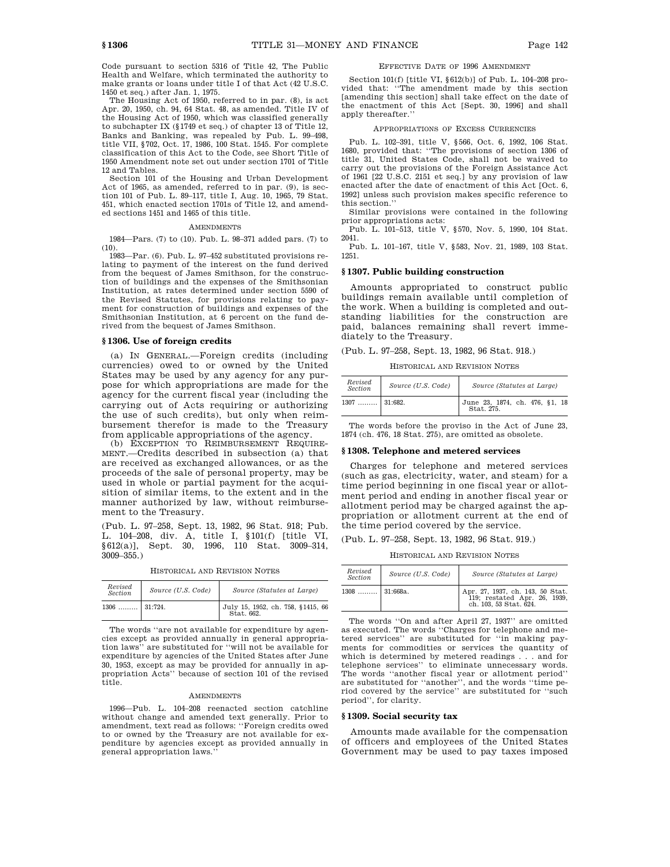Code pursuant to section 5316 of Title 42, The Public Health and Welfare, which terminated the authority to make grants or loans under title I of that Act (42 U.S.C. 1450 et seq.) after Jan. 1, 1975.

The Housing Act of 1950, referred to in par. (8), is act Apr. 20, 1950, ch. 94, 64 Stat. 48, as amended. Title IV of the Housing Act of 1950, which was classified generally to subchapter IX (§1749 et seq.) of chapter 13 of Title 12, Banks and Banking, was repealed by Pub. L. 99–498, title VII, §702, Oct. 17, 1986, 100 Stat. 1545. For complete classification of this Act to the Code, see Short Title of 1950 Amendment note set out under section 1701 of Title 12 and Tables.

Section 101 of the Housing and Urban Development Act of 1965, as amended, referred to in par. (9), is section 101 of Pub. L. 89–117, title I, Aug. 10, 1965, 79 Stat. 451, which enacted section 1701s of Title 12, and amended sections 1451 and 1465 of this title.

#### **AMENDMENTS**

1984—Pars. (7) to (10). Pub. L. 98–371 added pars. (7) to (10).

1983—Par. (6). Pub. L. 97–452 substituted provisions relating to payment of the interest on the fund derived from the bequest of James Smithson, for the construction of buildings and the expenses of the Smithsonian Institution, at rates determined under section 5590 of the Revised Statutes, for provisions relating to payment for construction of buildings and expenses of the Smithsonian Institution, at 6 percent on the fund derived from the bequest of James Smithson.

# **§ 1306. Use of foreign credits**

(a) IN GENERAL.—Foreign credits (including currencies) owed to or owned by the United States may be used by any agency for any purpose for which appropriations are made for the agency for the current fiscal year (including the carrying out of Acts requiring or authorizing the use of such credits), but only when reimbursement therefor is made to the Treasury from applicable appropriations of the agency.

(b) EXCEPTION TO REIMBURSEMENT REQUIRE-MENT.—Credits described in subsection (a) that are received as exchanged allowances, or as the proceeds of the sale of personal property, may be used in whole or partial payment for the acquisition of similar items, to the extent and in the manner authorized by law, without reimbursement to the Treasury.

(Pub. L. 97–258, Sept. 13, 1982, 96 Stat. 918; Pub. L. 104–208, div. A, title I, §101(f) [title VI, §612(a)], Sept. 30, 1996, 110 Stat. 3009–314, 3009–355.)

HISTORICAL AND REVISION NOTES

| Revised<br>Section | Source (U.S. Code) | Source (Statutes at Large)                      |
|--------------------|--------------------|-------------------------------------------------|
| $1306$             | 31:724.            | July 15, 1952, ch. 758, §1415, 66<br>Stat. 662. |

The words ''are not available for expenditure by agencies except as provided annually in general appropriation laws'' are substituted for ''will not be available for expenditure by agencies of the United States after June 30, 1953, except as may be provided for annually in appropriation Acts'' because of section 101 of the revised title.

#### **AMENDMENTS**

1996—Pub. L. 104–208 reenacted section catchline without change and amended text generally. Prior to amendment, text read as follows: ''Foreign credits owed to or owned by the Treasury are not available for expenditure by agencies except as provided annually in general appropriation laws.''

### EFFECTIVE DATE OF 1996 AMENDMENT

Section 101(f) [title VI, §612(b)] of Pub. L. 104–208 provided that: ''The amendment made by this section [amending this section] shall take effect on the date of the enactment of this Act [Sept. 30, 1996] and shall apply thereafter.''

#### APPROPRIATIONS OF EXCESS CURRENCIES

Pub. L. 102–391, title V, §566, Oct. 6, 1992, 106 Stat. 1680, provided that: ''The provisions of section 1306 of title 31, United States Code, shall not be waived to carry out the provisions of the Foreign Assistance Act of 1961 [22 U.S.C. 2151 et seq.] by any provision of law enacted after the date of enactment of this Act [Oct. 6, 1992] unless such provision makes specific reference to this section.''

Similar provisions were contained in the following prior appropriations acts:

Pub. L. 101–513, title V, §570, Nov. 5, 1990, 104 Stat. 2041.

Pub. L. 101–167, title V, §583, Nov. 21, 1989, 103 Stat. 1251.

## **§ 1307. Public building construction**

Amounts appropriated to construct public buildings remain available until completion of the work. When a building is completed and outstanding liabilities for the construction are paid, balances remaining shall revert immediately to the Treasury.

(Pub. L. 97–258, Sept. 13, 1982, 96 Stat. 918.)

HISTORICAL AND REVISION NOTES

| Revised<br><b>Section</b> | Source (U.S. Code) | Source (Statutes at Large)                   |
|---------------------------|--------------------|----------------------------------------------|
| $1307$                    | 31:682.            | June 23, 1874, ch. 476, §1, 18<br>Stat. 275. |

The words before the proviso in the Act of June 23, 1874 (ch. 476, 18 Stat. 275), are omitted as obsolete.

### **§ 1308. Telephone and metered services**

Charges for telephone and metered services (such as gas, electricity, water, and steam) for a time period beginning in one fiscal year or allotment period and ending in another fiscal year or allotment period may be charged against the appropriation or allotment current at the end of the time period covered by the service.

(Pub. L. 97–258, Sept. 13, 1982, 96 Stat. 919.)

HISTORICAL AND REVISION NOTES

| Revised<br>Section | Source (U.S. Code) | Source (Statutes at Large)                                                                 |
|--------------------|--------------------|--------------------------------------------------------------------------------------------|
| $1308$             | $31:668a$ .        | Apr. 27, 1937, ch. 143, 50 Stat.<br>119; restated Apr. 26, 1939,<br>ch. 103, 53 Stat. 624. |

The words ''On and after April 27, 1937'' are omitted as executed. The words ''Charges for telephone and metered services'' are substituted for ''in making payments for commodities or services the quantity of which is determined by metered readings . . . and for telephone services'' to eliminate unnecessary words. The words ''another fiscal year or allotment period'' are substituted for ''another'', and the words ''time period covered by the service'' are substituted for ''such period'', for clarity.

### **§ 1309. Social security tax**

Amounts made available for the compensation of officers and employees of the United States Government may be used to pay taxes imposed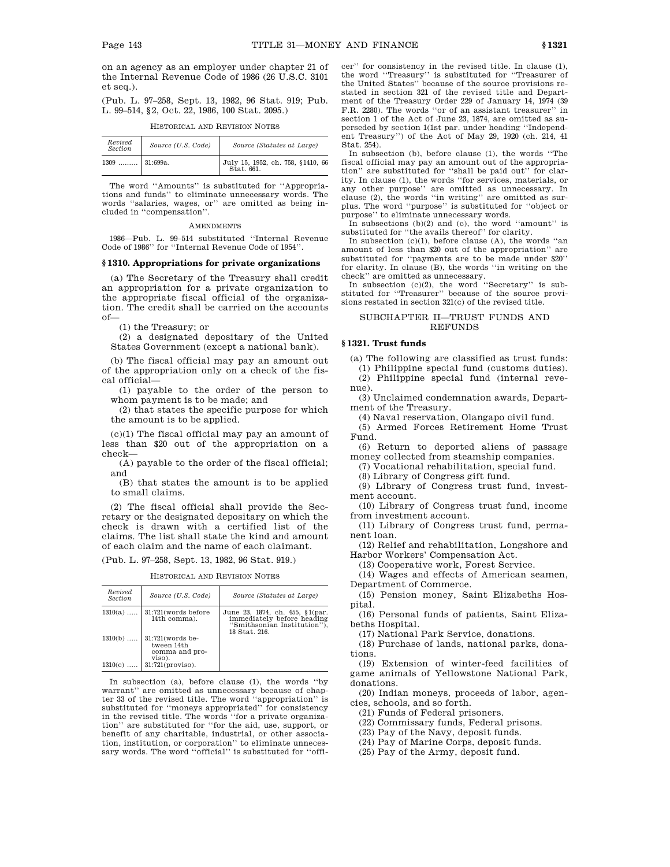on an agency as an employer under chapter 21 of the Internal Revenue Code of 1986 (26 U.S.C. 3101 et seq.).

(Pub. L. 97–258, Sept. 13, 1982, 96 Stat. 919; Pub. L. 99–514, §2, Oct. 22, 1986, 100 Stat. 2095.)

HISTORICAL AND REVISION NOTES

| Revised<br><b>Section</b> | Source (U.S. Code) | Source (Statutes at Large)                      |
|---------------------------|--------------------|-------------------------------------------------|
| $1309$   31:699a.         |                    | July 15, 1952, ch. 758, §1410, 66<br>Stat. 661. |

The word ''Amounts'' is substituted for ''Appropriations and funds'' to eliminate unnecessary words. The words ''salaries, wages, or'' are omitted as being included in ''compensation''.

### **AMENDMENTS**

1986—Pub. L. 99–514 substituted ''Internal Revenue Code of 1986'' for ''Internal Revenue Code of 1954''.

# **§ 1310. Appropriations for private organizations**

(a) The Secretary of the Treasury shall credit an appropriation for a private organization to the appropriate fiscal official of the organization. The credit shall be carried on the accounts  $\Omega$ f–

(1) the Treasury; or

(2) a designated depositary of the United States Government (except a national bank).

(b) The fiscal official may pay an amount out of the appropriation only on a check of the fiscal official—

(1) payable to the order of the person to whom payment is to be made; and

(2) that states the specific purpose for which the amount is to be applied.

(c)(1) The fiscal official may pay an amount of less than \$20 out of the appropriation on a check—

(A) payable to the order of the fiscal official; and

(B) that states the amount is to be applied to small claims.

(2) The fiscal official shall provide the Secretary or the designated depositary on which the check is drawn with a certified list of the claims. The list shall state the kind and amount of each claim and the name of each claimant.

(Pub. L. 97–258, Sept. 13, 1982, 96 Stat. 919.)

HISTORICAL AND REVISION NOTES

| Revised<br><b>Section</b> | Source (U.S. Code)                                                                   | Source (Statutes at Large)                                                                                    |
|---------------------------|--------------------------------------------------------------------------------------|---------------------------------------------------------------------------------------------------------------|
| $1310(a)$                 | 31:721(words before)<br>14th comma).                                                 | June 23, 1874, ch. 455, §1(par.<br>immediately before heading<br>"Smithsonian Institution").<br>18 Stat. 216. |
| $1310(b)$<br>1310(c)      | $31:721$ (words be-<br>tween 14th<br>comma and pro-<br>viso).<br>$31:721$ (proviso). |                                                                                                               |

In subsection (a), before clause (1), the words ''by warrant'' are omitted as unnecessary because of chapter 33 of the revised title. The word ''appropriation'' is substituted for ''moneys appropriated'' for consistency in the revised title. The words ''for a private organization'' are substituted for ''for the aid, use, support, or benefit of any charitable, industrial, or other association, institution, or corporation'' to eliminate unnecessary words. The word "official" is substituted for "officer'' for consistency in the revised title. In clause (1), the word ''Treasury'' is substituted for ''Treasurer of the United States'' because of the source provisions restated in section 321 of the revised title and Department of the Treasury Order 229 of January 14, 1974 (39 F.R. 2280). The words ''or of an assistant treasurer'' in section 1 of the Act of June 23, 1874, are omitted as superseded by section 1(1st par. under heading ''Independent Treasury'') of the Act of May 29, 1920 (ch. 214, 41 Stat. 254).

In subsection (b), before clause (1), the words ''The fiscal official may pay an amount out of the appropriation'' are substituted for ''shall be paid out'' for clarity. In clause (1), the words ''for services, materials, or any other purpose'' are omitted as unnecessary. In clause (2), the words ''in writing'' are omitted as surplus. The word ''purpose'' is substituted for ''object or purpose'' to eliminate unnecessary words.

In subsections (b)(2) and (c), the word ''amount'' is substituted for ''the avails thereof'' for clarity.

In subsection  $(c)(1)$ , before clause  $(A)$ , the words "an amount of less than \$20 out of the appropriation'' are substituted for ''payments are to be made under \$20'' for clarity. In clause (B), the words ''in writing on the

check'' are omitted as unnecessary. In subsection (c)(2), the word ''Secretary'' is substituted for ''Treasurer'' because of the source provisions restated in section 321(c) of the revised title.

# SUBCHAPTER II—TRUST FUNDS AND REFUNDS

# **§ 1321. Trust funds**

(a) The following are classified as trust funds: (1) Philippine special fund (customs duties).

(2) Philippine special fund (internal revenue).

(3) Unclaimed condemnation awards, Department of the Treasury.

(4) Naval reservation, Olangapo civil fund.

(5) Armed Forces Retirement Home Trust Fund.

(6) Return to deported aliens of passage money collected from steamship companies.

(7) Vocational rehabilitation, special fund.

(8) Library of Congress gift fund.

(9) Library of Congress trust fund, investment account.

(10) Library of Congress trust fund, income from investment account.

(11) Library of Congress trust fund, permanent loan.

(12) Relief and rehabilitation, Longshore and Harbor Workers' Compensation Act.

(13) Cooperative work, Forest Service.

(14) Wages and effects of American seamen, Department of Commerce.

(15) Pension money, Saint Elizabeths Hospital.

(16) Personal funds of patients, Saint Elizabeths Hospital.

(17) National Park Service, donations.

(18) Purchase of lands, national parks, donations.

(19) Extension of winter-feed facilities of game animals of Yellowstone National Park, donations.

(20) Indian moneys, proceeds of labor, agencies, schools, and so forth.

(21) Funds of Federal prisoners.

(22) Commissary funds, Federal prisons.

(23) Pay of the Navy, deposit funds.

(24) Pay of Marine Corps, deposit funds.

(25) Pay of the Army, deposit fund.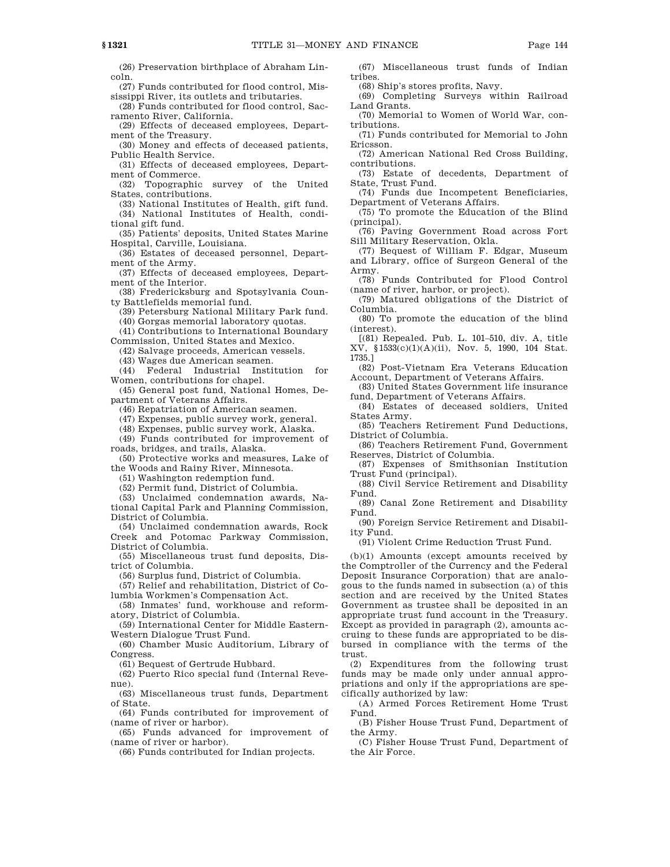(26) Preservation birthplace of Abraham Lincoln.

(27) Funds contributed for flood control, Mississippi River, its outlets and tributaries.

(28) Funds contributed for flood control, Sacramento River, California.

(29) Effects of deceased employees, Department of the Treasury.

(30) Money and effects of deceased patients, Public Health Service.

(31) Effects of deceased employees, Department of Commerce.

(32) Topographic survey of the United States, contributions.

(33) National Institutes of Health, gift fund.

(34) National Institutes of Health, conditional gift fund.

(35) Patients' deposits, United States Marine Hospital, Carville, Louisiana.

(36) Estates of deceased personnel, Department of the Army.

(37) Effects of deceased employees, Department of the Interior.

(38) Fredericksburg and Spotsylvania County Battlefields memorial fund.

(39) Petersburg National Military Park fund. (40) Gorgas memorial laboratory quotas.

(41) Contributions to International Boundary Commission, United States and Mexico.

(42) Salvage proceeds, American vessels.

(43) Wages due American seamen.

(44) Federal Industrial Institution for Women, contributions for chapel.

(45) General post fund, National Homes, Department of Veterans Affairs.

(46) Repatriation of American seamen.

(47) Expenses, public survey work, general.

(48) Expenses, public survey work, Alaska.

(49) Funds contributed for improvement of roads, bridges, and trails, Alaska.

(50) Protective works and measures, Lake of the Woods and Rainy River, Minnesota.

(51) Washington redemption fund.

(52) Permit fund, District of Columbia.

(53) Unclaimed condemnation awards, Na-

tional Capital Park and Planning Commission, District of Columbia.

(54) Unclaimed condemnation awards, Rock Creek and Potomac Parkway Commission, District of Columbia.

(55) Miscellaneous trust fund deposits, District of Columbia.

(56) Surplus fund, District of Columbia.

(57) Relief and rehabilitation, District of Columbia Workmen's Compensation Act.

(58) Inmates' fund, workhouse and reformatory, District of Columbia.

(59) International Center for Middle Eastern-Western Dialogue Trust Fund.

(60) Chamber Music Auditorium, Library of Congress.

(61) Bequest of Gertrude Hubbard.

(62) Puerto Rico special fund (Internal Revenue).

(63) Miscellaneous trust funds, Department of State.

(64) Funds contributed for improvement of (name of river or harbor).

(65) Funds advanced for improvement of (name of river or harbor).

(66) Funds contributed for Indian projects.

(67) Miscellaneous trust funds of Indian tribes.

(68) Ship's stores profits, Navy.

(69) Completing Surveys within Railroad Land Grants.

(70) Memorial to Women of World War, contributions.

(71) Funds contributed for Memorial to John Ericsson.

(72) American National Red Cross Building, contributions.

(73) Estate of decedents, Department of State, Trust Fund.

(74) Funds due Incompetent Beneficiaries, Department of Veterans Affairs.

(75) To promote the Education of the Blind (principal).

(76) Paving Government Road across Fort Sill Military Reservation, Okla.

(77) Bequest of William F. Edgar, Museum and Library, office of Surgeon General of the Army.

(78) Funds Contributed for Flood Control (name of river, harbor, or project).

(79) Matured obligations of the District of Columbia.

(80) To promote the education of the blind (interest).

[(81) Repealed. Pub. L. 101–510, div. A, title XV, §1533(c)(1)(A)(ii), Nov. 5, 1990, 104 Stat. 1735.]

(82) Post-Vietnam Era Veterans Education Account, Department of Veterans Affairs.

(83) United States Government life insurance fund, Department of Veterans Affairs.

(84) Estates of deceased soldiers, United States Army.

(85) Teachers Retirement Fund Deductions, District of Columbia.

(86) Teachers Retirement Fund, Government Reserves, District of Columbia.

(87) Expenses of Smithsonian Institution Trust Fund (principal).

(88) Civil Service Retirement and Disability Fund.

(89) Canal Zone Retirement and Disability Fund.

(90) Foreign Service Retirement and Disability Fund.

(91) Violent Crime Reduction Trust Fund.

(b)(1) Amounts (except amounts received by the Comptroller of the Currency and the Federal Deposit Insurance Corporation) that are analogous to the funds named in subsection (a) of this section and are received by the United States Government as trustee shall be deposited in an appropriate trust fund account in the Treasury. Except as provided in paragraph (2), amounts accruing to these funds are appropriated to be disbursed in compliance with the terms of the trust.

(2) Expenditures from the following trust funds may be made only under annual appropriations and only if the appropriations are specifically authorized by law:

(A) Armed Forces Retirement Home Trust Fund.

(B) Fisher House Trust Fund, Department of the Army.

(C) Fisher House Trust Fund, Department of the Air Force.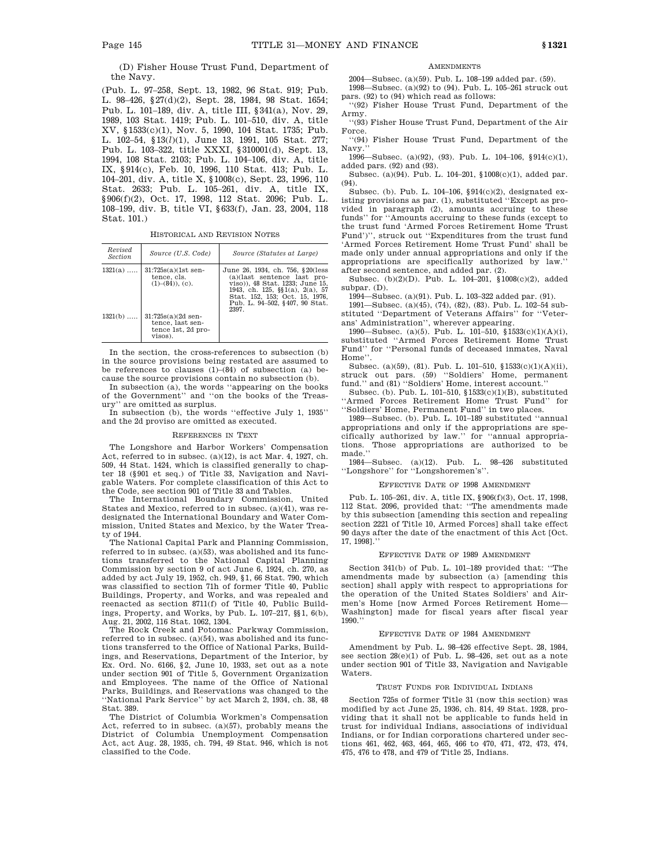(D) Fisher House Trust Fund, Department of the Navy.

(Pub. L. 97–258, Sept. 13, 1982, 96 Stat. 919; Pub. L. 98–426, §27(d)(2), Sept. 28, 1984, 98 Stat. 1654; Pub. L. 101–189, div. A, title III, §341(a), Nov. 29, 1989, 103 Stat. 1419; Pub. L. 101–510, div. A, title XV, §1533(c)(1), Nov. 5, 1990, 104 Stat. 1735; Pub. L. 102–54, §13(*l*)(1), June 13, 1991, 105 Stat. 277; Pub. L. 103–322, title XXXI, §310001(d), Sept. 13, 1994, 108 Stat. 2103; Pub. L. 104–106, div. A, title IX, §914(c), Feb. 10, 1996, 110 Stat. 413; Pub. L. 104–201, div. A, title X, §1008(c), Sept. 23, 1996, 110 Stat. 2633; Pub. L. 105–261, div. A, title IX, §906(f)(2), Oct. 17, 1998, 112 Stat. 2096; Pub. L. 108–199, div. B, title VI, §633(f), Jan. 23, 2004, 118 Stat. 101.)

HISTORICAL AND REVISION NOTES

| Revised<br><b>Section</b> | Source (U.S. Code)                                                        | Source (Statutes at Large)                                                                                                                                                                                               |
|---------------------------|---------------------------------------------------------------------------|--------------------------------------------------------------------------------------------------------------------------------------------------------------------------------------------------------------------------|
| $1321(a)$                 | $31:725s(a)(1st sen-$<br>tence, cls.<br>$(1)$ – $(84)$ ), $(c)$ .         | June 26, 1934, ch. 756, §20(less<br>$(a)(last sentence last pro-$<br>viso)), 48 Stat. 1233; June 15,<br>1943, ch. 125, $\S(1(a), 2(a), 57)$<br>Stat. 152, 153; Oct. 15, 1976,<br>Pub. L. 94-502, §407, 90 Stat.<br>2397. |
| $1321(b)$                 | $31:725s(a)(2d$ sen-<br>tence. last sen-<br>tence 1st, 2d pro-<br>visos). |                                                                                                                                                                                                                          |

In the section, the cross-references to subsection (b) in the source provisions being restated are assumed to be references to clauses (1)–(84) of subsection (a) because the source provisions contain no subsection (b).

In subsection (a), the words ''appearing on the books of the Government'' and ''on the books of the Treasury'' are omitted as surplus.

In subsection (b), the words ''effective July 1, 1935'' and the 2d proviso are omitted as executed.

#### REFERENCES IN TEXT

The Longshore and Harbor Workers' Compensation Act, referred to in subsec.  $(a)(12)$ , is act Mar. 4, 1927, ch. 509, 44 Stat. 1424, which is classified generally to chapter 18 (§901 et seq.) of Title 33, Navigation and Navigable Waters. For complete classification of this Act to the Code, see section 901 of Title 33 and Tables.

The International Boundary Commission, United States and Mexico, referred to in subsec. (a)(41), was redesignated the International Boundary and Water Commission, United States and Mexico, by the Water Treaty of 1944.

The National Capital Park and Planning Commission, referred to in subsec. (a)(53), was abolished and its functions transferred to the National Capital Planning Commission by section 9 of act June 6, 1924, ch. 270, as added by act July 19, 1952, ch. 949, §1, 66 Stat. 790, which was classified to section 71h of former Title 40, Public Buildings, Property, and Works, and was repealed and reenacted as section 8711(f) of Title 40, Public Buildings, Property, and Works, by Pub. L. 107–217, §§1, 6(b), Aug. 21, 2002, 116 Stat. 1062, 1304.

The Rock Creek and Potomac Parkway Commission, referred to in subsec.  $(a)(54)$ , was abolished and its functions transferred to the Office of National Parks, Buildings, and Reservations, Department of the Interior, by Ex. Ord. No. 6166, §2, June 10, 1933, set out as a note under section 901 of Title 5, Government Organization and Employees. The name of the Office of National Parks, Buildings, and Reservations was changed to the ''National Park Service'' by act March 2, 1934, ch. 38, 48 Stat. 389.

The District of Columbia Workmen's Compensation Act, referred to in subsec. (a)(57), probably means the District of Columbia Unemployment Compensation Act, act Aug. 28, 1935, ch. 794, 49 Stat. 946, which is not classified to the Code.

#### **AMENDMENTS**

2004—Subsec. (a)(59). Pub. L. 108–199 added par. (59). 1998—Subsec. (a)(92) to (94). Pub. L. 105–261 struck out

pars. (92) to (94) which read as follows: ''(92) Fisher House Trust Fund, Department of the

Army. ''(93) Fisher House Trust Fund, Department of the Air

Force. ''(94) Fisher House Trust Fund, Department of the

Navy.'' 1996—Subsec. (a)(92), (93). Pub. L. 104–106, §914(c)(1),

added pars. (92) and (93). Subsec. (a)(94). Pub. L. 104–201, §1008(c)(1), added par. (94).

Subsec. (b). Pub. L. 104–106, §914(c)(2), designated existing provisions as par. (1), substituted ''Except as provided in paragraph (2), amounts accruing to these funds'' for ''Amounts accruing to these funds (except to the trust fund 'Armed Forces Retirement Home Trust Fund')'', struck out "Expenditures from the trust fund 'Armed Forces Retirement Home Trust Fund' shall be made only under annual appropriations and only if the appropriations are specifically authorized by law.'' after second sentence, and added par. (2).

Subsec. (b)(2)(D). Pub. L. 104–201, §1008(c)(2), added subpar. (D).

1994—Subsec. (a)(91). Pub. L. 103–322 added par. (91).

1991—Subsec. (a)(45), (74), (82), (83). Pub. L. 102–54 substituted ''Department of Veterans Affairs'' for ''Veterans' Administration'', wherever appearing.

1990—Subsec. (a)(5). Pub. L. 101–510, §1533(c)(1)(A)(i), substituted ''Armed Forces Retirement Home Trust Fund'' for ''Personal funds of deceased inmates, Naval Home''.

Subsec. (a)(59), (81). Pub. L. 101–510, §1533(c)(1)(A)(ii), struck out pars. (59) ''Soldiers' Home, permanent fund.'' and (81) ''Soldiers' Home, interest account.''

Subsec. (b). Pub. L. 101–510, §1533(c)(1)(B), substituted ''Armed Forces Retirement Home Trust Fund'' for ''Soldiers' Home, Permanent Fund'' in two places.

1989—Subsec. (b). Pub. L. 101–189 substituted ''annual appropriations and only if the appropriations are specifically authorized by law.'' for ''annual appropria-Those appropriations are authorized to be tions.<br>made.''

1984—Subsec. (a)(12). Pub. L. 98–426 substituted ''Longshore'' for ''Longshoremen's''.

#### EFFECTIVE DATE OF 1998 AMENDMENT

Pub. L. 105–261, div. A, title IX, §906(f)(3), Oct. 17, 1998, 112 Stat. 2096, provided that: ''The amendments made by this subsection [amending this section and repealing section 2221 of Title 10, Armed Forces] shall take effect 90 days after the date of the enactment of this Act [Oct. 17, 1998].''

#### EFFECTIVE DATE OF 1989 AMENDMENT

Section 341(b) of Pub. L. 101–189 provided that: ''The amendments made by subsection (a) [amending this section] shall apply with respect to appropriations for the operation of the United States Soldiers' and Airmen's Home [now Armed Forces Retirement Home— Washington] made for fiscal years after fiscal year 1990.''

# EFFECTIVE DATE OF 1984 AMENDMENT

Amendment by Pub. L. 98–426 effective Sept. 28, 1984, see section 28(e)(1) of Pub. L. 98-426, set out as a note under section 901 of Title 33, Navigation and Navigable Waters.

### TRUST FUNDS FOR INDIVIDUAL INDIANS

Section 725s of former Title 31 (now this section) was modified by act June 25, 1936, ch. 814, 49 Stat. 1928, providing that it shall not be applicable to funds held in trust for individual Indians, associations of individual Indians, or for Indian corporations chartered under sections 461, 462, 463, 464, 465, 466 to 470, 471, 472, 473, 474, 475, 476 to 478, and 479 of Title 25, Indians.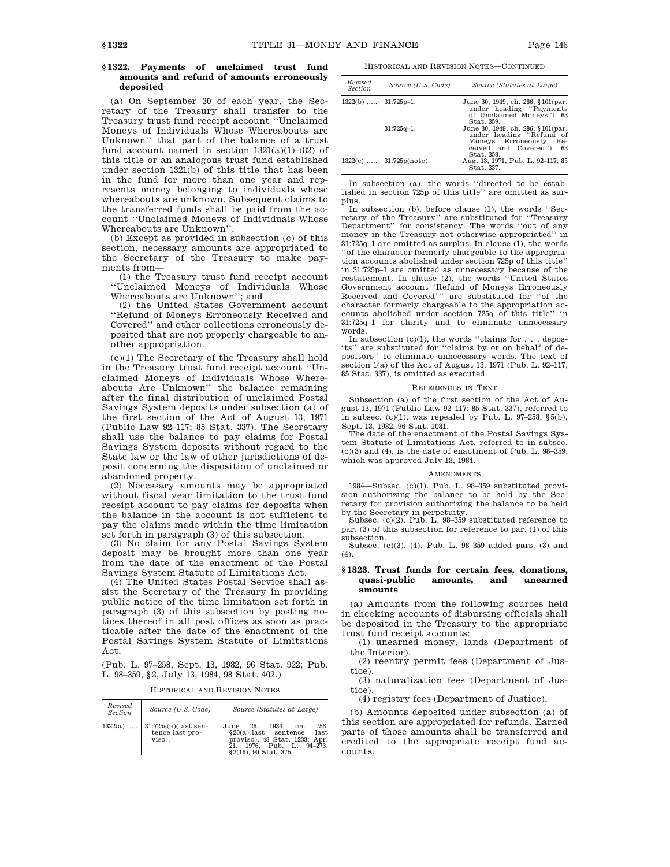# **§ 1322. Payments of unclaimed trust fund amounts and refund of amounts erroneously deposited**

(a) On September 30 of each year, the Secretary of the Treasury shall transfer to the Treasury trust fund receipt account ''Unclaimed Moneys of Individuals Whose Whereabouts are Unknown'' that part of the balance of a trust fund account named in section  $1321(a)(1)–(82)$  of this title or an analogous trust fund established under section 1321(b) of this title that has been in the fund for more than one year and represents money belonging to individuals whose whereabouts are unknown. Subsequent claims to the transferred funds shall be paid from the account ''Unclaimed Moneys of Individuals Whose Whereabouts are Unknown''.

(b) Except as provided in subsection (c) of this section, necessary amounts are appropriated to the Secretary of the Treasury to make payments from—

(1) the Treasury trust fund receipt account ''Unclaimed Moneys of Individuals Whose Whereabouts are Unknown''; and

(2) the United States Government account ''Refund of Moneys Erroneously Received and Covered'' and other collections erroneously deposited that are not properly chargeable to another appropriation.

(c)(1) The Secretary of the Treasury shall hold in the Treasury trust fund receipt account ''Unclaimed Moneys of Individuals Whose Whereabouts Are Unknown'' the balance remaining after the final distribution of unclaimed Postal Savings System deposits under subsection (a) of the first section of the Act of August 13, 1971 (Public Law 92–117; 85 Stat. 337). The Secretary shall use the balance to pay claims for Postal Savings System deposits without regard to the State law or the law of other jurisdictions of deposit concerning the disposition of unclaimed or abandoned property.

(2) Necessary amounts may be appropriated without fiscal year limitation to the trust fund receipt account to pay claims for deposits when the balance in the account is not sufficient to pay the claims made within the time limitation set forth in paragraph (3) of this subsection.

(3) No claim for any Postal Savings System deposit may be brought more than one year from the date of the enactment of the Postal Savings System Statute of Limitations Act.

(4) The United States Postal Service shall assist the Secretary of the Treasury in providing public notice of the time limitation set forth in paragraph (3) of this subsection by posting notices thereof in all post offices as soon as practicable after the date of the enactment of the Postal Savings System Statute of Limitations Act.

(Pub. L. 97–258, Sept. 13, 1982, 96 Stat. 922; Pub. L. 98–359, §2, July 13, 1984, 98 Stat. 402.)

HISTORICAL AND REVISION NOTES

| Revised<br>Section | Source (U.S. Code)                                  | Source (Statutes at Large)                                                                                                                                          |
|--------------------|-----------------------------------------------------|---------------------------------------------------------------------------------------------------------------------------------------------------------------------|
| $1322(a)$          | $31:725s(a)(last sen-$<br>tence last pro-<br>viso). | 756.<br>1934.<br>26.<br>June<br>ch.<br>\$20(a)(last sentence)<br>last<br>proviso), 48 Stat. 1233; Apr.<br>1976. Pub. L. 94–273.<br>21.<br>$\S2(16)$ , 90 Stat. 375. |

HISTORICAL AND REVISION NOTES—CONTINUED

| Revised<br>Section     | Source (U.S. Code)         | Source (Statutes at Large)                                                                                                                                                                                                     |
|------------------------|----------------------------|--------------------------------------------------------------------------------------------------------------------------------------------------------------------------------------------------------------------------------|
| $1322(b)$   31:725p-1. | $31:725q-1.$               | June 30, 1949, ch. 286, §101(par.<br>under heading "Payments<br>of Unclaimed Moneys"), 63<br>Stat. 359.<br>June 30, 1949, ch. 286, §101(par.<br>under heading "Refund of<br>Moneys Erroneously Re-<br>ceived and Covered"), 63 |
|                        | $1322(c)$   31:725p(note). | Stat. 358.<br>Aug. 13, 1971, Pub. L. 92-117, 85<br>Stat. 337.                                                                                                                                                                  |

In subsection (a), the words ''directed to be established in section 725p of this title'' are omitted as surplus.

In subsection (b), before clause (1), the words ''Secretary of the Treasury'' are substituted for ''Treasury Department'' for consistency. The words ''out of any money in the Treasury not otherwise appropriated'' in 31:725q–1 are omitted as surplus. In clause (1), the words ''of the character formerly chargeable to the appropriation accounts abolished under section 725p of this title'' in 31:725p–1 are omitted as unnecessary because of the restatement. In clause (2), the words ''United States Government account 'Refund of Moneys Erroneously Received and Covered''' are substituted for ''of the character formerly chargeable to the appropriation accounts abolished under section 725q of this title'' in 31:725q–1 for clarity and to eliminate unnecessary words.

In subsection  $(c)(1)$ , the words "claims for . . . deposits'' are substituted for ''claims by or on behalf of depositors'' to eliminate unnecessary words. The text of section 1(a) of the Act of August 13, 1971 (Pub. L. 92–117, 85 Stat. 337), is omitted as executed.

#### REFERENCES IN TEXT

Subsection (a) of the first section of the Act of August 13, 1971 (Public Law 92–117; 85 Stat. 337), referred to in subsec.  $(c)(1)$ , was repealed by Pub. L. 97-258,  $\S5(b)$ , Sept. 13, 1982, 96 Stat. 1081.

The date of the enactment of the Postal Savings System Statute of Limitations Act, referred to in subsec.  $(c)(3)$  and  $(4)$ , is the date of enactment of Pub. L. 98-359. which was approved July 13, 1984.

#### **AMENDMENTS**

1984—Subsec. (c)(1). Pub. L. 98–359 substituted provision authorizing the balance to be held by the Secretary for provision authorizing the balance to be held by the Secretary in perpetuity.

Subsec.  $(c)(2)$ . Pub. L.  $98-359$  substituted reference to par. (3) of this subsection for reference to par. (1) of this subsection.

Subsec. (c)(3), (4). Pub. L. 98–359 added pars. (3) and (4).

# **§ 1323. Trust funds for certain fees, donations, quasi-public amounts, and unearned amounts**

(a) Amounts from the following sources held in checking accounts of disbursing officials shall be deposited in the Treasury to the appropriate trust fund receipt accounts:

(1) unearned money, lands (Department of the Interior).

(2) reentry permit fees (Department of Justice).

(3) naturalization fees (Department of Justice).

(4) registry fees (Department of Justice).

(b) Amounts deposited under subsection (a) of this section are appropriated for refunds. Earned parts of those amounts shall be transferred and credited to the appropriate receipt fund accounts.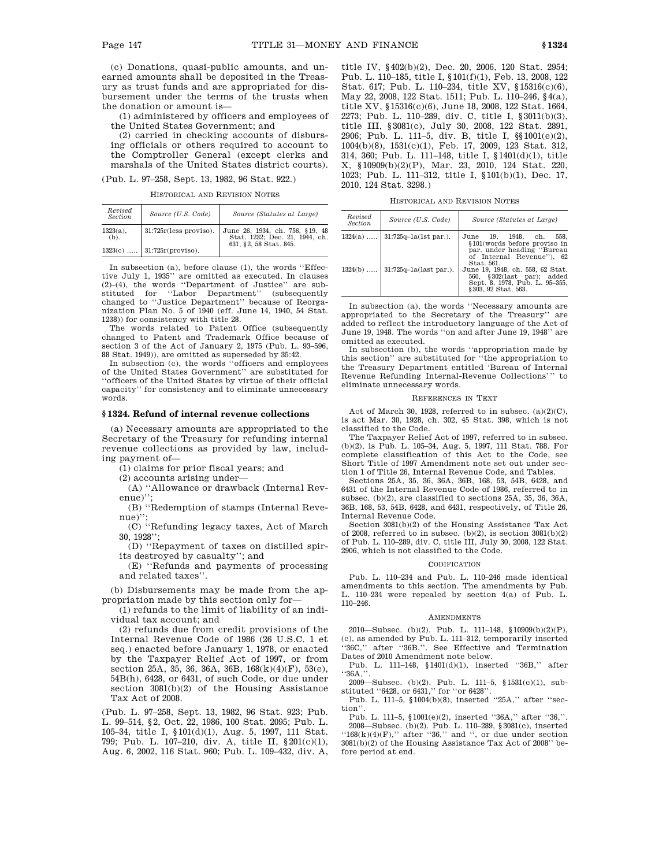(c) Donations, quasi-public amounts, and unearned amounts shall be deposited in the Treasury as trust funds and are appropriated for disbursement under the terms of the trusts when the donation or amount is—

(1) administered by officers and employees of the United States Government; and

(2) carried in checking accounts of disbursing officials or others required to account to the Comptroller General (except clerks and marshals of the United States district courts).

(Pub. L. 97–258, Sept. 13, 1982, 96 Stat. 922.)

HISTORICAL AND REVISION NOTES

| Revised<br>Section     | Source (U.S. Code)               | Source (Statutes at Large)                                        |
|------------------------|----------------------------------|-------------------------------------------------------------------|
| $1323(a)$ ,<br>$(b)$ . | 31:725r(less proviso).           | June 26, 1934, ch. 756, §19, 48<br>Stat. 1232; Dec. 21, 1944, ch. |
|                        | $1323(c)$   $31:725r$ (proviso). | 631, §2, 58 Stat. 845.                                            |

In subsection (a), before clause (1), the words ''Effective July 1, 1935'' are omitted as executed. In clauses (2)–(4), the words ''Department of Justice'' are substituted for ''Labor Department'' (subsequently changed to ''Justice Department'' because of Reorganization Plan No. 5 of 1940 (eff. June 14, 1940, 54 Stat. 1238)) for consistency with title 28.

The words related to Patent Office (subsequently changed to Patent and Trademark Office because of section 3 of the Act of January 2, 1975 (Pub. L. 93–596, 88 Stat. 1949)), are omitted as superseded by 35:42.

In subsection (c), the words ''officers and employees of the United States Government'' are substituted for ''officers of the United States by virtue of their official capacity'' for consistency and to eliminate unnecessary words.

# **§ 1324. Refund of internal revenue collections**

(a) Necessary amounts are appropriated to the Secretary of the Treasury for refunding internal revenue collections as provided by law, including payment of—

(1) claims for prior fiscal years; and

(2) accounts arising under—

(A) ''Allowance or drawback (Internal Revenue)''

(B) ''Redemption of stamps (Internal Revenue)'';

(C) ''Refunding legacy taxes, Act of March 30, 1928'';

(D) ''Repayment of taxes on distilled spirits destroyed by casualty''; and

(E) ''Refunds and payments of processing and related taxes''.

(b) Disbursements may be made from the appropriation made by this section only for—

(1) refunds to the limit of liability of an individual tax account; and

(2) refunds due from credit provisions of the Internal Revenue Code of 1986 (26 U.S.C. 1 et seq.) enacted before January 1, 1978, or enacted by the Taxpayer Relief Act of 1997, or from section 25A, 35, 36, 36A, 36B, 168(k)(4)(F), 53(e), 54B(h), 6428, or 6431, of such Code, or due under section 3081(b)(2) of the Housing Assistance Tax Act of 2008.

(Pub. L. 97–258, Sept. 13, 1982, 96 Stat. 923; Pub. L. 99–514, §2, Oct. 22, 1986, 100 Stat. 2095; Pub. L. 105–34, title I, §101(d)(1), Aug. 5, 1997, 111 Stat. 799; Pub. L. 107–210, div. A, title II, §201(c)(1), Aug. 6, 2002, 116 Stat. 960; Pub. L. 109–432, div. A, title IV, §402(b)(2), Dec. 20, 2006, 120 Stat. 2954; Pub. L. 110–185, title I, §101(f)(1), Feb. 13, 2008, 122 Stat. 617; Pub. L. 110–234, title XV, §15316(c)(6), May 22, 2008, 122 Stat. 1511; Pub. L. 110–246, §4(a), title XV, §15316(c)(6), June 18, 2008, 122 Stat. 1664, 2273; Pub. L. 110–289, div. C, title I, §3011(b)(3), title III, §3081(c), July 30, 2008, 122 Stat. 2891, 2906; Pub. L. 111–5, div. B, title I, §§1001(e)(2), 1004(b)(8), 1531(c)(1), Feb. 17, 2009, 123 Stat. 312, 314, 360; Pub. L. 111–148, title I, §1401(d)(1), title X, §10909(b)(2)(P), Mar. 23, 2010, 124 Stat. 220, 1023; Pub. L. 111–312, title I, §101(b)(1), Dec. 17, 2010, 124 Stat. 3298.)

HISTORICAL AND REVISION NOTES

| Revised<br>Section | Source (U.S. Code)                 | Source (Statutes at Large)                                                                                                          |
|--------------------|------------------------------------|-------------------------------------------------------------------------------------------------------------------------------------|
|                    | $1324(a)$ 31:725q-1a(1st par.).    | June 19. 1948. ch.<br>558.<br>§101(words before proviso in<br>par. under heading "Bureau<br>of Internal Revenue"), 62<br>Stat. 561. |
|                    | $1324(b)$   31:725q-1a(last par.). | June 19, 1948, ch. 558, 62 Stat.<br>560, §302 $(last par)$ ; added<br>Sept. 8, 1978, Pub. L. 95-355,<br>§303, 92 Stat. 563.         |

In subsection (a), the words ''Necessary amounts are appropriated to the Secretary of the Treasury'' are added to reflect the introductory language of the Act of June 19, 1948. The words ''on and after June 19, 1948'' are omitted as executed.

In subsection (b), the words ''appropriation made by this section'' are substituted for ''the appropriation to the Treasury Department entitled 'Bureau of Internal Revenue Refunding Internal-Revenue Collections''' to eliminate unnecessary words.

### REFERENCES IN TEXT

Act of March 30, 1928, referred to in subsec.  $(a)(2)(C)$ , is act Mar. 30, 1928, ch. 302, 45 Stat. 398, which is not classified to the Code.

The Taxpayer Relief Act of 1997, referred to in subsec. (b)(2), is Pub. L. 105–34, Aug. 5, 1997, 111 Stat. 788. For complete classification of this Act to the Code, see Short Title of 1997 Amendment note set out under section 1 of Title 26, Internal Revenue Code, and Tables.

Sections 25A, 35, 36, 36A, 36B, 168, 53, 54B, 6428, and 6431 of the Internal Revenue Code of 1986, referred to in subsec. (b)(2), are classified to sections 25A, 35, 36, 36A, 36B, 168, 53, 54B, 6428, and 6431, respectively, of Title 26, Internal Revenue Code.

Section 3081(b)(2) of the Housing Assistance Tax Act of 2008, referred to in subsec. (b)(2), is section  $3081(b)(2)$ of Pub. L. 110–289, div. C, title III, July 30, 2008, 122 Stat. 2906, which is not classified to the Code.

#### **CODIFICATION**

Pub. L. 110–234 and Pub. L. 110–246 made identical amendments to this section. The amendments by Pub. L. 110–234 were repealed by section 4(a) of Pub. L. 110–246.

#### **AMENDMENTS**

2010—Subsec. (b)(2). Pub. L. 111–148, §10909(b)(2)(P), (c), as amended by Pub. L. 111–312, temporarily inserted '36C," after "36B,". See Effective and Termination Dates of 2010 Amendment note below.

Pub. L. 111–148, §1401(d)(1), inserted ''36B,'' after  $^{14}36A$ 

2009—Subsec. (b)(2). Pub. L. 111–5, §1531(c)(1), substituted  $-6428$ , or 6431," for  $-6428$ ".

Pub. L. 111-5, §1004(b)(8), inserted "25A," after "section''.

Pub. L. 111-5, §1001(e)(2), inserted "36A," after "36," 2008—Subsec. (b)(2). Pub. L. 110–289, §3081(c), inserted

 $'168(k)(4)(F)$ , after ''36," and '', or due under section 3081(b)(2) of the Housing Assistance Tax Act of 2008'' before period at end.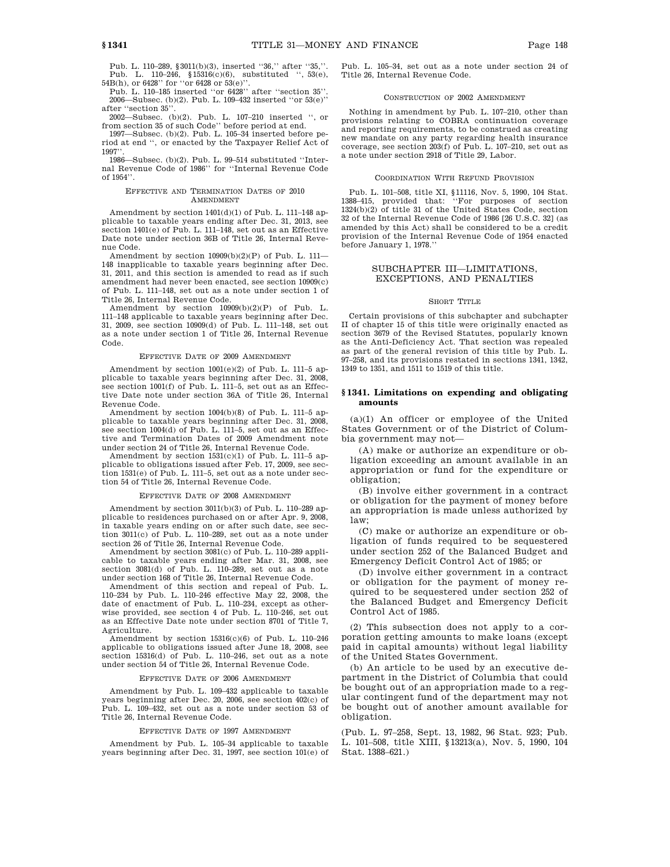Pub. L. 110–289, §3011(b)(3), inserted ''36,'' after ''35,''. Pub. L. 110–246, §15316(c)(6), substituted '', 53(e), 54B(h), or 6428'' for ''or 6428 or 53(e)''.

 $Pub(n)$ , or  $6428$  lor or  $6428$  or  $33(e)$ .<br>Pub. L. 110–185 inserted "or  $6428$ " after "section 35" 2006—Subsec. (b)(2). Pub. L. 109–432 inserted ''or 53(e)'' after ''section 35''.

2002—Subsec. (b)(2). Pub. L. 107–210 inserted '', or

from section 35 of such Code'' before period at end. 1997—Subsec. (b)(2). Pub. L. 105–34 inserted before period at end '', or enacted by the Taxpayer Relief Act of 1997''.

1986—Subsec. (b)(2). Pub. L. 99–514 substituted ''Internal Revenue Code of 1986'' for ''Internal Revenue Code of 1954''.

### EFFECTIVE AND TERMINATION DATES OF 2010 AMENDMENT

Amendment by section  $1401(d)(1)$  of Pub. L. 111–148 applicable to taxable years ending after Dec. 31, 2013, see section  $1401(e)$  of Pub. L. 111-148, set out as an Effective Date note under section 36B of Title 26, Internal Revenue Code.

Amendment by section  $10909(b)(2)(P)$  of Pub. L. 111-148 inapplicable to taxable years beginning after Dec. 31, 2011, and this section is amended to read as if such amendment had never been enacted, see section 10909(c) of Pub. L. 111–148, set out as a note under section 1 of Title 26, Internal Revenue Code.

Amendment by section 10909(b)(2)(P) of Pub. L. 111–148 applicable to taxable years beginning after Dec. 31, 2009, see section 10909(d) of Pub. L. 111–148, set out as a note under section 1 of Title 26, Internal Revenue Code.

# EFFECTIVE DATE OF 2009 AMENDMENT

Amendment by section 1001(e)(2) of Pub. L. 111–5 applicable to taxable years beginning after Dec. 31, 2008, see section 1001(f) of Pub. L. 111–5, set out as an Effective Date note under section 36A of Title 26, Internal Revenue Code.

Amendment by section 1004(b)(8) of Pub. L. 111–5 applicable to taxable years beginning after Dec. 31, 2008, see section 1004(d) of Pub. L. 111–5, set out as an Effective and Termination Dates of 2009 Amendment note under section 24 of Title 26, Internal Revenue Code.

Amendment by section  $1531(c)(1)$  of Pub. L. 111-5 applicable to obligations issued after Feb. 17, 2009, see section 1531(e) of Pub. L. 111–5, set out as a note under section 54 of Title 26, Internal Revenue Code.

#### EFFECTIVE DATE OF 2008 AMENDMENT

Amendment by section 3011(b)(3) of Pub. L. 110–289 applicable to residences purchased on or after Apr. 9, 2008, in taxable years ending on or after such date, see section 3011(c) of Pub. L. 110–289, set out as a note under section 26 of Title 26, Internal Revenue Code.

Amendment by section 3081(c) of Pub. L. 110–289 applicable to taxable years ending after Mar. 31, 2008, see section 3081(d) of Pub. L. 110–289, set out as a note under section 168 of Title 26, Internal Revenue Code.

Amendment of this section and repeal of Pub. L. 110–234 by Pub. L. 110–246 effective May 22, 2008, the date of enactment of Pub. L. 110–234, except as otherwise provided, see section 4 of Pub. L. 110–246, set out as an Effective Date note under section 8701 of Title 7, Agriculture.

Amendment by section 15316(c)(6) of Pub. L. 110–246 applicable to obligations issued after June 18, 2008, see section 15316(d) of Pub. L. 110–246, set out as a note under section 54 of Title 26, Internal Revenue Code.

### EFFECTIVE DATE OF 2006 AMENDMENT

Amendment by Pub. L. 109–432 applicable to taxable years beginning after Dec. 20, 2006, see section 402(c) of Pub. L. 109–432, set out as a note under section 53 of Title 26, Internal Revenue Code.

#### EFFECTIVE DATE OF 1997 AMENDMENT

Amendment by Pub. L. 105–34 applicable to taxable years beginning after Dec. 31, 1997, see section 101(e) of Pub. L. 105–34, set out as a note under section 24 of Title 26, Internal Revenue Code.

#### CONSTRUCTION OF 2002 AMENDMENT

Nothing in amendment by Pub. L. 107–210, other than provisions relating to COBRA continuation coverage and reporting requirements, to be construed as creating new mandate on any party regarding health insurance coverage, see section 203(f) of Pub. L. 107–210, set out as a note under section 2918 of Title 29, Labor.

#### COORDINATION WITH REFUND PROVISION

Pub. L. 101–508, title XI, §11116, Nov. 5, 1990, 104 Stat. 1388–415, provided that: ''For purposes of section 1324(b)(2) of title 31 of the United States Code, section 32 of the Internal Revenue Code of 1986 [26 U.S.C. 32] (as amended by this Act) shall be considered to be a credit provision of the Internal Revenue Code of 1954 enacted before January 1, 1978.''

# SUBCHAPTER III—LIMITATIONS, EXCEPTIONS, AND PENALTIES

#### SHORT TITLE

Certain provisions of this subchapter and subchapter II of chapter 15 of this title were originally enacted as section 3679 of the Revised Statutes, popularly known as the Anti-Deficiency Act. That section was repealed as part of the general revision of this title by Pub. L. 97–258, and its provisions restated in sections 1341, 1342, 1349 to 1351, and 1511 to 1519 of this title.

### **§ 1341. Limitations on expending and obligating amounts**

(a)(1) An officer or employee of the United States Government or of the District of Columbia government may not—

(A) make or authorize an expenditure or obligation exceeding an amount available in an appropriation or fund for the expenditure or obligation;

(B) involve either government in a contract or obligation for the payment of money before an appropriation is made unless authorized by law;

(C) make or authorize an expenditure or obligation of funds required to be sequestered under section 252 of the Balanced Budget and Emergency Deficit Control Act of 1985; or

(D) involve either government in a contract or obligation for the payment of money required to be sequestered under section 252 of the Balanced Budget and Emergency Deficit Control Act of 1985.

(2) This subsection does not apply to a corporation getting amounts to make loans (except paid in capital amounts) without legal liability of the United States Government.

(b) An article to be used by an executive department in the District of Columbia that could be bought out of an appropriation made to a regular contingent fund of the department may not be bought out of another amount available for obligation.

(Pub. L. 97–258, Sept. 13, 1982, 96 Stat. 923; Pub. L. 101–508, title XIII, §13213(a), Nov. 5, 1990, 104 Stat. 1388–621.)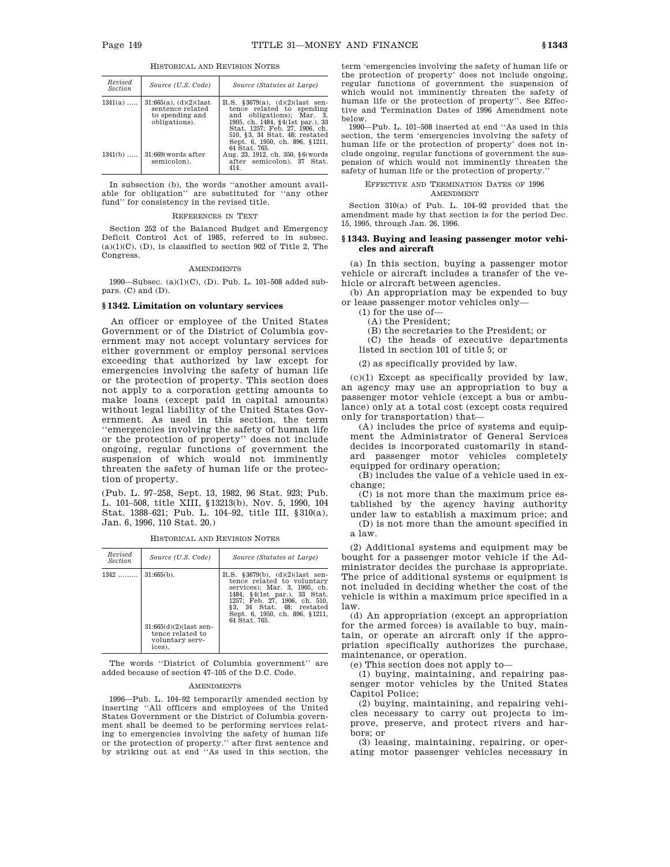HISTORICAL AND REVISION NOTES

| Revised<br><b>Section</b> | Source (U.S. Code)                                                              | Source (Statutes at Large)                                                                                                                                                                                                                              |
|---------------------------|---------------------------------------------------------------------------------|---------------------------------------------------------------------------------------------------------------------------------------------------------------------------------------------------------------------------------------------------------|
| $1341(a)$                 | 31:665(a), (d)(2)(last)<br>sentence related<br>to spending and<br>obligations). | R.S. § 3679(a), $(d)(2)(last$ sen-<br>tence related to spending<br>and obligations): Mar. 3.<br>1905, ch. 1484, §4(1st par.), 33<br>Stat. 1257: Feb. 27, 1906. ch.<br>510, §3, 34 Stat. 48; restated<br>Sept. 6, 1950, ch. 896, §1211,<br>64 Stat. 765. |
| $1341(b)$                 | 31:669(words after<br>semicolon).                                               | Aug. 23, 1912, ch. 350, §6(words)<br>after semicolon), 37 Stat.<br>414.                                                                                                                                                                                 |

In subsection (b), the words ''another amount available for obligation'' are substituted for ''any other fund'' for consistency in the revised title.

### REFERENCES IN TEXT

Section 252 of the Balanced Budget and Emergency Deficit Control Act of 1985, referred to in subsec.  $(a)(1)(C)$ ,  $(D)$ , is classified to section 902 of Title 2, The Congress.

#### **AMENDMENTS**

1990—Subsec. (a)(1)(C), (D). Pub. L. 101–508 added subpars. (C) and (D).

# **§ 1342. Limitation on voluntary services**

An officer or employee of the United States Government or of the District of Columbia government may not accept voluntary services for either government or employ personal services exceeding that authorized by law except for emergencies involving the safety of human life or the protection of property. This section does not apply to a corporation getting amounts to make loans (except paid in capital amounts) without legal liability of the United States Government. As used in this section, the term ''emergencies involving the safety of human life or the protection of property'' does not include ongoing, regular functions of government the suspension of which would not imminently threaten the safety of human life or the protection of property.

(Pub. L. 97–258, Sept. 13, 1982, 96 Stat. 923; Pub. L. 101–508, title XIII, §13213(b), Nov. 5, 1990, 104 Stat. 1388–621; Pub. L. 104–92, title III, §310(a), Jan. 6, 1996, 110 Stat. 20.)

| Revised<br><b>Section</b> | Source (U.S. Code)                                                                         | Source (Statutes at Large)                                                                                                                                                                                                                       |
|---------------------------|--------------------------------------------------------------------------------------------|--------------------------------------------------------------------------------------------------------------------------------------------------------------------------------------------------------------------------------------------------|
| $1342$                    | $31:665(b)$ .<br>$31:665(d)(2)(last sen-$<br>tence related to<br>voluntary serv-<br>ices). | R.S. §3679(b), $(d)(2)(last sen-$<br>tence related to voluntary<br>services): Mar. 3. 1905. ch.<br>1484, §4(1st par.), 33 Stat.<br>1257: Feb. 27, 1906, ch. 510.<br>§3. 34 Stat. 48: restated<br>Sept. 6, 1950, ch. 896, §1211,<br>64 Stat. 765. |

HISTORICAL AND REVISION NOTES

The words ''District of Columbia government'' are added because of section 47–105 of the D.C. Code.

### AMENDMENTS

1996—Pub. L. 104–92 temporarily amended section by inserting ''All officers and employees of the United States Government or the District of Columbia government shall be deemed to be performing services relating to emergencies involving the safety of human life or the protection of property.'' after first sentence and by striking out at end ''As used in this section, the

term 'emergencies involving the safety of human life or the protection of property' does not include ongoing, regular functions of government the suspension of which would not imminently threaten the safety of human life or the protection of property''. See Effective and Termination Dates of 1996 Amendment note below.

1990—Pub. L. 101–508 inserted at end ''As used in this section, the term 'emergencies involving the safety of human life or the protection of property' does not include ongoing, regular functions of government the suspension of which would not imminently threaten the safety of human life or the protection of property.

#### EFFECTIVE AND TERMINATION DATES OF 1996 AMENDMENT

Section 310(a) of Pub. L. 104–92 provided that the amendment made by that section is for the period Dec. 15, 1995, through Jan. 26, 1996.

# **§ 1343. Buying and leasing passenger motor vehicles and aircraft**

(a) In this section, buying a passenger motor vehicle or aircraft includes a transfer of the vehicle or aircraft between agencies.

(b) An appropriation may be expended to buy or lease passenger motor vehicles only—

(1) for the use of—

(A) the President;

(B) the secretaries to the President; or

(C) the heads of executive departments listed in section 101 of title 5; or

(2) as specifically provided by law.

(c)(1) Except as specifically provided by law, an agency may use an appropriation to buy a passenger motor vehicle (except a bus or ambulance) only at a total cost (except costs required only for transportation) that—

(A) includes the price of systems and equipment the Administrator of General Services decides is incorporated customarily in standard passenger motor vehicles completely equipped for ordinary operation;

(B) includes the value of a vehicle used in exchange;

(C) is not more than the maximum price established by the agency having authority under law to establish a maximum price; and

(D) is not more than the amount specified in a law.

(2) Additional systems and equipment may be bought for a passenger motor vehicle if the Administrator decides the purchase is appropriate. The price of additional systems or equipment is not included in deciding whether the cost of the vehicle is within a maximum price specified in a law.

(d) An appropriation (except an appropriation for the armed forces) is available to buy, maintain, or operate an aircraft only if the appropriation specifically authorizes the purchase, maintenance, or operation.

(e) This section does not apply to—

(1) buying, maintaining, and repairing passenger motor vehicles by the United States Capitol Police;

(2) buying, maintaining, and repairing vehicles necessary to carry out projects to improve, preserve, and protect rivers and harbors; or

(3) leasing, maintaining, repairing, or operating motor passenger vehicles necessary in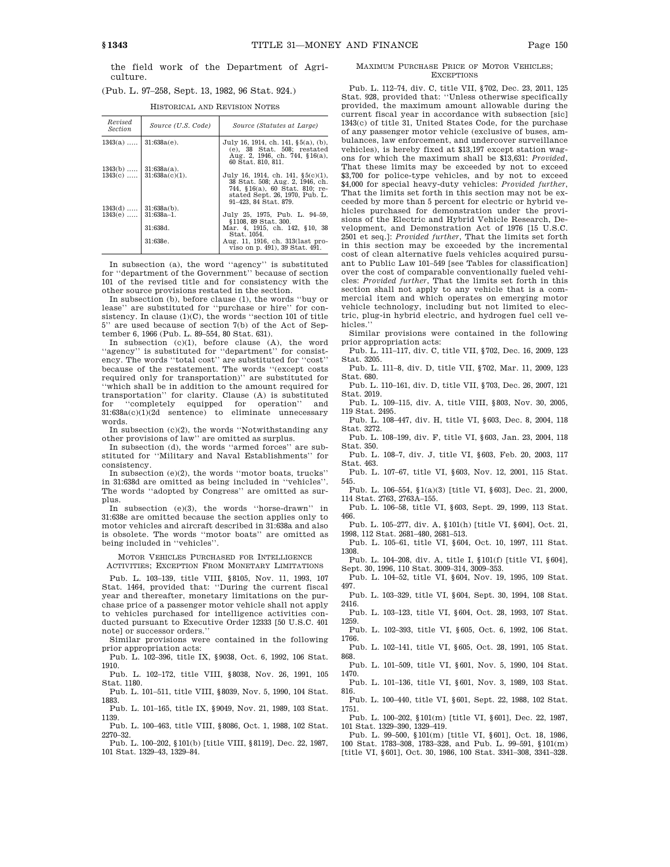the field work of the Department of Agriculture.

# (Pub. L. 97–258, Sept. 13, 1982, 96 Stat. 924.)

HISTORICAL AND REVISION NOTES

| Revised<br><i>Section</i> | Source (U.S. Code) | Source (Statutes at Large)                                                                                                                                            |
|---------------------------|--------------------|-----------------------------------------------------------------------------------------------------------------------------------------------------------------------|
| $1343(a)$                 | $31:638a(e)$ .     | July 16, 1914, ch. 141, §5(a), (b),<br>$(e)$ , 38 Stat, 508; restated<br>Aug. 2, 1946, ch. 744, §16(a),<br>60 Stat. 810, 811.                                         |
| $1343(b)$   31:638a(a).   |                    |                                                                                                                                                                       |
| $1343(c)$                 | $31:638a(c)(1)$ .  | July 16, 1914, ch. 141, $\S5(c)(1)$ ,<br>38 Stat. 508; Aug. 2, 1946, ch.<br>744, §16(a), 60 Stat. 810; re-<br>stated Sept. 26, 1970, Pub. L.<br>91-423, 84 Stat, 879. |
| $1343(d)$   31:638a(b).   |                    |                                                                                                                                                                       |
| $1343(e)$   31:638a-1.    |                    | July 25, 1975, Pub. L. 94-59,<br>§1108, 89 Stat, 300.                                                                                                                 |
|                           | 31:638d.           | Mar. 4, 1915, ch. 142, §10, 38<br>Stat. 1054.                                                                                                                         |
|                           | 31:638e.           | Aug. 11, 1916, ch. 313(last pro-<br>viso on p. 491), 39 Stat. 491.                                                                                                    |

In subsection (a), the word ''agency'' is substituted for ''department of the Government'' because of section 101 of the revised title and for consistency with the other source provisions restated in the section.

In subsection (b), before clause (1), the words ''buy or lease'' are substituted for ''purchase or hire'' for consistency. In clause (1)(C), the words ''section 101 of title 5'' are used because of section 7(b) of the Act of September 6, 1966 (Pub. L. 89–554, 80 Stat. 631).

In subsection  $(c)(1)$ , before clause  $(A)$ , the word "agency" is substituted for "department" for consistency. The words ''total cost'' are substituted for ''cost'' because of the restatement. The words ''(except costs required only for transportation)'' are substituted for ''which shall be in addition to the amount required for transportation'' for clarity. Clause (A) is substituted for ''completely equipped for operation'' and 31:638a(c)(1)(2d sentence) to eliminate unnecessary words.

In subsection  $(c)(2)$ , the words "Notwithstanding any other provisions of law'' are omitted as surplus.

In subsection (d), the words ''armed forces'' are substituted for ''Military and Naval Establishments'' for consistency.

In subsection (e)(2), the words ''motor boats, trucks'' in 31:638d are omitted as being included in ''vehicles''. The words ''adopted by Congress'' are omitted as surplus.

In subsection (e)(3), the words ''horse-drawn'' in 31:638e are omitted because the section applies only to motor vehicles and aircraft described in 31:638a and also is obsolete. The words ''motor boats'' are omitted as being included in ''vehicles''.

MOTOR VEHICLES PURCHASED FOR INTELLIGENCE

ACTIVITIES; EXCEPTION FROM MONETARY LIMITATIONS

Pub. L. 103–139, title VIII, §8105, Nov. 11, 1993, 107 Stat. 1464, provided that: ''During the current fiscal year and thereafter, monetary limitations on the purchase price of a passenger motor vehicle shall not apply to vehicles purchased for intelligence activities conducted pursuant to Executive Order 12333 [50 U.S.C. 401 note] or successor orders.''

Similar provisions were contained in the following prior appropriation acts:

Pub. L. 102–396, title IX, §9038, Oct. 6, 1992, 106 Stat. 1910.

Pub. L. 102–172, title VIII, §8038, Nov. 26, 1991, 105 Stat. 1180.

Pub. L. 101–511, title VIII, §8039, Nov. 5, 1990, 104 Stat. 1883.

Pub. L. 101–165, title IX, §9049, Nov. 21, 1989, 103 Stat. 1139.

Pub. L. 100–463, title VIII, §8086, Oct. 1, 1988, 102 Stat. 2270–32.

Pub. L. 100–202, §101(b) [title VIII, §8119], Dec. 22, 1987, 101 Stat. 1329–43, 1329–84.

Pub. L. 112–74, div. C, title VII, §702, Dec. 23, 2011, 125 Stat. 928, provided that: ''Unless otherwise specifically provided, the maximum amount allowable during the current fiscal year in accordance with subsection [sic] 1343(c) of title 31, United States Code, for the purchase of any passenger motor vehicle (exclusive of buses, ambulances, law enforcement, and undercover surveillance vehicles), is hereby fixed at \$13,197 except station wagons for which the maximum shall be \$13,631: *Provided*, That these limits may be exceeded by not to exceed \$3,700 for police-type vehicles, and by not to exceed \$4,000 for special heavy-duty vehicles: *Provided further*, That the limits set forth in this section may not be exceeded by more than 5 percent for electric or hybrid vehicles purchased for demonstration under the provisions of the Electric and Hybrid Vehicle Research, Development, and Demonstration Act of 1976 [15 U.S.C. 2501 et seq.]: *Provided further*, That the limits set forth in this section may be exceeded by the incremental cost of clean alternative fuels vehicles acquired pursuant to Public Law 101–549 [see Tables for classification] over the cost of comparable conventionally fueled vehicles: *Provided further*, That the limits set forth in this section shall not apply to any vehicle that is a commercial item and which operates on emerging motor vehicle technology, including but not limited to electric, plug-in hybrid electric, and hydrogen fuel cell vehicles.

Similar provisions were contained in the following prior appropriation acts:

Pub. L. 111–117, div. C, title VII, §702, Dec. 16, 2009, 123 Stat. 3205.

Pub. L. 111–8, div. D, title VII, §702, Mar. 11, 2009, 123 Stat. 680.

Pub. L. 110–161, div. D, title VII, §703, Dec. 26, 2007, 121 Stat. 2019.

Pub. L. 109–115, div. A, title VIII, §803, Nov. 30, 2005, 119 Stat. 2495.

Pub. L. 108–447, div. H, title VI, §603, Dec. 8, 2004, 118 Stat. 3272.

Pub. L. 108–199, div. F, title VI, §603, Jan. 23, 2004, 118 Stat. 350.

Pub. L. 108–7, div. J, title VI, §603, Feb. 20, 2003, 117 Stat. 463.

Pub. L. 107–67, title VI, §603, Nov. 12, 2001, 115 Stat. 545.

Pub. L. 106–554, §1(a)(3) [title VI, §603], Dec. 21, 2000, 114 Stat. 2763, 2763A–155.

Pub. L. 106–58, title VI, §603, Sept. 29, 1999, 113 Stat. 466.

Pub. L. 105–277, div. A, §101(h) [title VI, §604], Oct. 21, 1998, 112 Stat. 2681–480, 2681–513.

Pub. L. 105–61, title VI, §604, Oct. 10, 1997, 111 Stat. 1308.

Pub. L. 104–208, div. A, title I, §101(f) [title VI, §604], Sept. 30, 1996, 110 Stat. 3009–314, 3009–353.

Pub. L. 104–52, title VI, §604, Nov. 19, 1995, 109 Stat. 497.

Pub. L. 103–329, title VI, §604, Sept. 30, 1994, 108 Stat. 2416.

Pub. L. 103–123, title VI, §604, Oct. 28, 1993, 107 Stat. 1259. Pub. L. 102–393, title VI, §605, Oct. 6, 1992, 106 Stat.

- 1766. Pub. L. 102–141, title VI, §605, Oct. 28, 1991, 105 Stat.
- 868. Pub. L. 101–509, title VI, §601, Nov. 5, 1990, 104 Stat.
- 1470. Pub. L. 101–136, title VI, §601, Nov. 3, 1989, 103 Stat. 816.
- Pub. L. 100–440, title VI, §601, Sept. 22, 1988, 102 Stat. 1751.
- Pub. L. 100–202, §101(m) [title VI, §601], Dec. 22, 1987, 101 Stat. 1329–390, 1329–419.
- Pub. L. 99–500, §101(m) [title VI, §601], Oct. 18, 1986, 100 Stat. 1783–308, 1783–328, and Pub. L. 99–591, §101(m) [title VI, §601], Oct. 30, 1986, 100 Stat. 3341–308, 3341–328.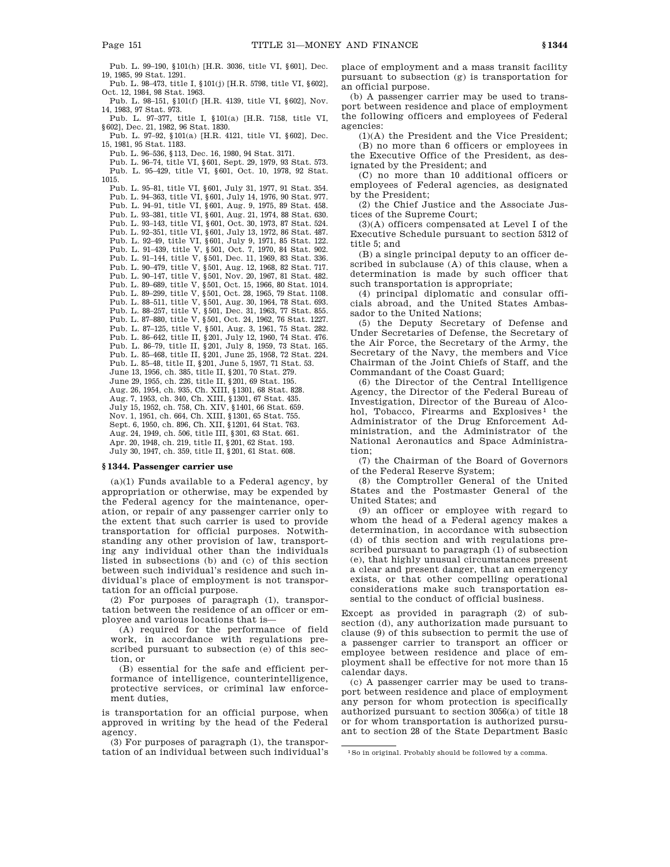Pub. L. 99–190, §101(h) [H.R. 3036, title VI, §601], Dec. 19, 1985, 99 Stat. 1291.

Pub. L. 98–473, title I, §101(j) [H.R. 5798, title VI, §602], Oct. 12, 1984, 98 Stat. 1963.

Pub. L. 98–151, §101(f) [H.R. 4139, title VI, §602], Nov. 14, 1983, 97 Stat. 973.

Pub. L. 97–377, title I, §101(a) [H.R. 7158, title VI, §602], Dec. 21, 1982, 96 Stat. 1830.

Pub. L. 97–92, §101(a) [H.R. 4121, title VI, §602], Dec. 15, 1981, 95 Stat. 1183.

Pub. L. 96–536, §113, Dec. 16, 1980, 94 Stat. 3171.

Pub. L. 96–74, title VI, §601, Sept. 29, 1979, 93 Stat. 573. Pub. L. 95–429, title VI, §601, Oct. 10, 1978, 92 Stat. 1015.

Pub. L. 95–81, title VI, §601, July 31, 1977, 91 Stat. 354. Pub. L. 94–363, title VI, §601, July 14, 1976, 90 Stat. 977. Pub. L. 94–91, title VI, §601, Aug. 9, 1975, 89 Stat. 458. Pub. L. 93–381, title VI, §601, Aug. 21, 1974, 88 Stat. 630. Pub. L. 93–143, title VI, §601, Oct. 30, 1973, 87 Stat. 524. Pub. L. 92–351, title VI, §601, July 13, 1972, 86 Stat. 487. Pub. L. 92–49, title VI, §601, July 9, 1971, 85 Stat. 122. Pub. L. 91–439, title V, §501, Oct. 7, 1970, 84 Stat. 902. Pub. L. 91–144, title V, §501, Dec. 11, 1969, 83 Stat. 336. Pub. L. 90–479, title V, §501, Aug. 12, 1968, 82 Stat. 717. Pub. L. 90–147, title V, §501, Nov. 20, 1967, 81 Stat. 482. Pub. L. 89–689, title V, §501, Oct. 15, 1966, 80 Stat. 1014. Pub. L. 89–299, title V, §501, Oct. 28, 1965, 79 Stat. 1108. Pub. L. 88–511, title V, §501, Aug. 30, 1964, 78 Stat. 693. Pub. L. 88–257, title V, §501, Dec. 31, 1963, 77 Stat. 855. Pub. L. 87–880, title V, §501, Oct. 24, 1962, 76 Stat. 1227. Pub. L. 87–125, title V, §501, Aug. 3, 1961, 75 Stat. 282. Pub. L. 86–642, title II, §201, July 12, 1960, 74 Stat. 476. Pub. L. 86–79, title II, §201, July 8, 1959, 73 Stat. 165. Pub. L. 85–468, title II, §201, June 25, 1958, 72 Stat. 224. Pub. L. 85–48, title II, §201, June 5, 1957, 71 Stat. 53. June 13, 1956, ch. 385, title II, §201, 70 Stat. 279. June 29, 1955, ch. 226, title II, §201, 69 Stat. 195. Aug. 26, 1954, ch. 935, Ch. XIII, §1301, 68 Stat. 828. Aug. 7, 1953, ch. 340, Ch. XIII, §1301, 67 Stat. 435. July 15, 1952, ch. 758, Ch. XIV, §1401, 66 Stat. 659. Nov. 1, 1951, ch. 664, Ch. XIII, §1301, 65 Stat. 755. Sept. 6, 1950, ch. 896, Ch. XII, §1201, 64 Stat. 763. Aug. 24, 1949, ch. 506, title III, §301, 63 Stat. 661. Apr. 20, 1948, ch. 219, title II, §201, 62 Stat. 193. July 30, 1947, ch. 359, title II, §201, 61 Stat. 608.

### **§ 1344. Passenger carrier use**

(a)(1) Funds available to a Federal agency, by appropriation or otherwise, may be expended by the Federal agency for the maintenance, operation, or repair of any passenger carrier only to the extent that such carrier is used to provide transportation for official purposes. Notwithstanding any other provision of law, transporting any individual other than the individuals listed in subsections (b) and (c) of this section between such individual's residence and such individual's place of employment is not transportation for an official purpose.

(2) For purposes of paragraph (1), transportation between the residence of an officer or employee and various locations that is—

(A) required for the performance of field work, in accordance with regulations prescribed pursuant to subsection (e) of this section, or

(B) essential for the safe and efficient performance of intelligence, counterintelligence, protective services, or criminal law enforcement duties,

is transportation for an official purpose, when approved in writing by the head of the Federal agency.

(3) For purposes of paragraph (1), the transportation of an individual between such individual's place of employment and a mass transit facility pursuant to subsection (g) is transportation for an official purpose.

(b) A passenger carrier may be used to transport between residence and place of employment the following officers and employees of Federal agencies:

(1)(A) the President and the Vice President; (B) no more than 6 officers or employees in the Executive Office of the President, as designated by the President; and

(C) no more than 10 additional officers or employees of Federal agencies, as designated by the President;

(2) the Chief Justice and the Associate Justices of the Supreme Court;

(3)(A) officers compensated at Level I of the Executive Schedule pursuant to section 5312 of title 5; and

(B) a single principal deputy to an officer described in subclause (A) of this clause, when a determination is made by such officer that such transportation is appropriate;

(4) principal diplomatic and consular officials abroad, and the United States Ambassador to the United Nations;

(5) the Deputy Secretary of Defense and Under Secretaries of Defense, the Secretary of the Air Force, the Secretary of the Army, the Secretary of the Navy, the members and Vice Chairman of the Joint Chiefs of Staff, and the Commandant of the Coast Guard;

(6) the Director of the Central Intelligence Agency, the Director of the Federal Bureau of Investigation, Director of the Bureau of Alcohol, Tobacco, Firearms and Explosives<sup>1</sup> the Administrator of the Drug Enforcement Administration, and the Administrator of the National Aeronautics and Space Administration;

(7) the Chairman of the Board of Governors of the Federal Reserve System;

(8) the Comptroller General of the United States and the Postmaster General of the United States; and

(9) an officer or employee with regard to whom the head of a Federal agency makes a determination, in accordance with subsection (d) of this section and with regulations prescribed pursuant to paragraph (1) of subsection (e), that highly unusual circumstances present a clear and present danger, that an emergency exists, or that other compelling operational considerations make such transportation essential to the conduct of official business.

Except as provided in paragraph (2) of subsection (d), any authorization made pursuant to clause (9) of this subsection to permit the use of a passenger carrier to transport an officer or employee between residence and place of employment shall be effective for not more than 15 calendar days.

(c) A passenger carrier may be used to transport between residence and place of employment any person for whom protection is specifically authorized pursuant to section 3056(a) of title 18 or for whom transportation is authorized pursuant to section 28 of the State Department Basic

<sup>1</sup>So in original. Probably should be followed by a comma.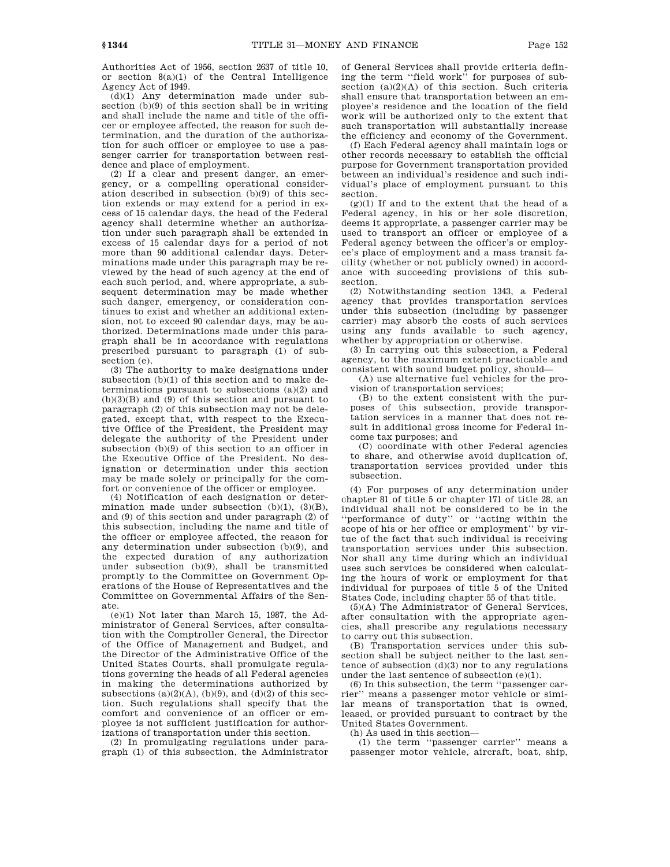Authorities Act of 1956, section 2637 of title 10, or section 8(a)(1) of the Central Intelligence Agency Act of 1949.

 $(d)(1)$  Any determination made under subsection (b)(9) of this section shall be in writing and shall include the name and title of the officer or employee affected, the reason for such determination, and the duration of the authorization for such officer or employee to use a passenger carrier for transportation between residence and place of employment.

(2) If a clear and present danger, an emergency, or a compelling operational consideration described in subsection (b)(9) of this section extends or may extend for a period in excess of 15 calendar days, the head of the Federal agency shall determine whether an authorization under such paragraph shall be extended in excess of 15 calendar days for a period of not more than 90 additional calendar days. Determinations made under this paragraph may be reviewed by the head of such agency at the end of each such period, and, where appropriate, a subsequent determination may be made whether such danger, emergency, or consideration continues to exist and whether an additional extension, not to exceed 90 calendar days, may be authorized. Determinations made under this paragraph shall be in accordance with regulations prescribed pursuant to paragraph (1) of subsection (e).

(3) The authority to make designations under subsection (b)(1) of this section and to make determinations pursuant to subsections (a)(2) and  $(b)(3)(B)$  and  $(9)$  of this section and pursuant to paragraph (2) of this subsection may not be delegated, except that, with respect to the Executive Office of the President, the President may delegate the authority of the President under subsection (b)(9) of this section to an officer in the Executive Office of the President. No designation or determination under this section may be made solely or principally for the comfort or convenience of the officer or employee.

(4) Notification of each designation or determination made under subsection  $(b)(1)$ ,  $(3)(B)$ , and (9) of this section and under paragraph (2) of this subsection, including the name and title of the officer or employee affected, the reason for any determination under subsection (b)(9), and the expected duration of any authorization under subsection (b)(9), shall be transmitted promptly to the Committee on Government Operations of the House of Representatives and the Committee on Governmental Affairs of the Senate.

(e)(1) Not later than March 15, 1987, the Administrator of General Services, after consultation with the Comptroller General, the Director of the Office of Management and Budget, and the Director of the Administrative Office of the United States Courts, shall promulgate regulations governing the heads of all Federal agencies in making the determinations authorized by subsections  $(a)(2)(A)$ ,  $(b)(9)$ , and  $(d)(2)$  of this section. Such regulations shall specify that the comfort and convenience of an officer or employee is not sufficient justification for authorizations of transportation under this section.

(2) In promulgating regulations under paragraph (1) of this subsection, the Administrator

of General Services shall provide criteria defining the term ''field work'' for purposes of subsection  $(a)(2)(A)$  of this section. Such criteria shall ensure that transportation between an employee's residence and the location of the field work will be authorized only to the extent that such transportation will substantially increase the efficiency and economy of the Government.

(f) Each Federal agency shall maintain logs or other records necessary to establish the official purpose for Government transportation provided between an individual's residence and such individual's place of employment pursuant to this section.

 $(g)(1)$  If and to the extent that the head of a Federal agency, in his or her sole discretion, deems it appropriate, a passenger carrier may be used to transport an officer or employee of a Federal agency between the officer's or employee's place of employment and a mass transit facility (whether or not publicly owned) in accordance with succeeding provisions of this subsection.

(2) Notwithstanding section 1343, a Federal agency that provides transportation services under this subsection (including by passenger carrier) may absorb the costs of such services using any funds available to such agency, whether by appropriation or otherwise.

(3) In carrying out this subsection, a Federal agency, to the maximum extent practicable and consistent with sound budget policy, should—

(A) use alternative fuel vehicles for the provision of transportation services;

(B) to the extent consistent with the purposes of this subsection, provide transportation services in a manner that does not result in additional gross income for Federal income tax purposes; and

(C) coordinate with other Federal agencies to share, and otherwise avoid duplication of, transportation services provided under this subsection.

(4) For purposes of any determination under chapter 81 of title 5 or chapter 171 of title 28, an individual shall not be considered to be in the ''performance of duty'' or ''acting within the scope of his or her office or employment'' by virtue of the fact that such individual is receiving transportation services under this subsection. Nor shall any time during which an individual uses such services be considered when calculating the hours of work or employment for that individual for purposes of title 5 of the United States Code, including chapter 55 of that title.

(5)(A) The Administrator of General Services, after consultation with the appropriate agencies, shall prescribe any regulations necessary to carry out this subsection.

(B) Transportation services under this subsection shall be subject neither to the last sentence of subsection (d)(3) nor to any regulations under the last sentence of subsection (e)(1).

(6) In this subsection, the term ''passenger carrier'' means a passenger motor vehicle or similar means of transportation that is owned, leased, or provided pursuant to contract by the United States Government.

(h) As used in this section—

(1) the term ''passenger carrier'' means a passenger motor vehicle, aircraft, boat, ship,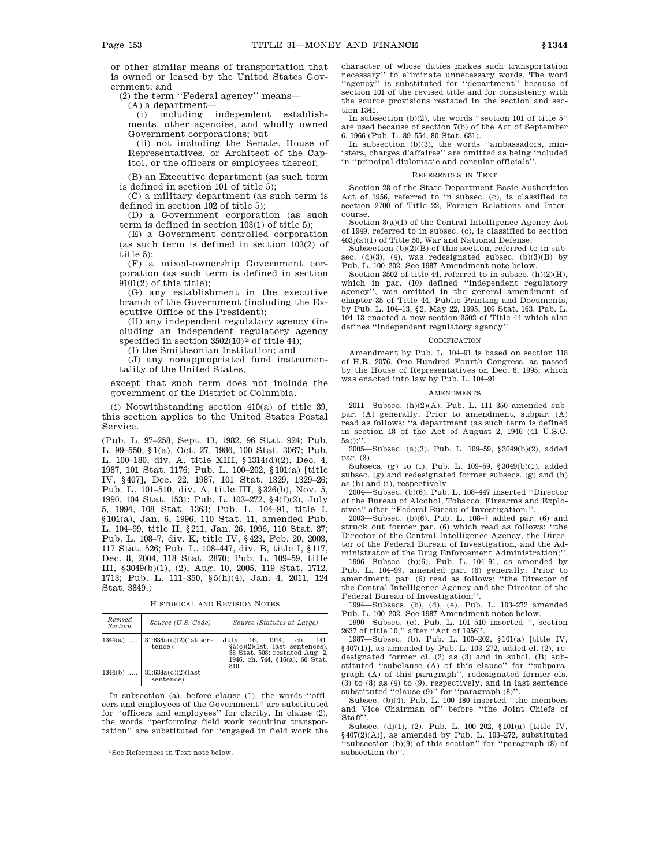or other similar means of transportation that is owned or leased by the United States Government; and

(2) the term ''Federal agency'' means—

(A) a department—

(i) including independent establishments, other agencies, and wholly owned Government corporations; but

(ii) not including the Senate, House of Representatives, or Architect of the Capitol, or the officers or employees thereof;

(B) an Executive department (as such term is defined in section 101 of title 5);

(C) a military department (as such term is defined in section 102 of title 5);

(D) a Government corporation (as such term is defined in section 103(1) of title 5);

(E) a Government controlled corporation (as such term is defined in section 103(2) of title 5);

(F) a mixed-ownership Government corporation (as such term is defined in section 9101(2) of this title);

(G) any establishment in the executive branch of the Government (including the Executive Office of the President);

(H) any independent regulatory agency (including an independent regulatory agency specified in section  $3502(10)^2$  of title 44);

(I) the Smithsonian Institution; and

(J) any nonappropriated fund instrumentality of the United States,

except that such term does not include the government of the District of Columbia.

(i) Notwithstanding section 410(a) of title 39, this section applies to the United States Postal Service.

(Pub. L. 97–258, Sept. 13, 1982, 96 Stat. 924; Pub. L. 99–550, §1(a), Oct. 27, 1986, 100 Stat. 3067; Pub. L. 100–180, div. A, title XIII, §1314(d)(2), Dec. 4, 1987, 101 Stat. 1176; Pub. L. 100–202, §101(a) [title IV, §407], Dec. 22, 1987, 101 Stat. 1329, 1329–26; Pub. L. 101–510, div. A, title III, §326(b), Nov. 5, 1990, 104 Stat. 1531; Pub. L. 103–272, §4(f)(2), July 5, 1994, 108 Stat. 1363; Pub. L. 104–91, title I, §101(a), Jan. 6, 1996, 110 Stat. 11, amended Pub. L. 104–99, title II, §211, Jan. 26, 1996, 110 Stat. 37; Pub. L. 108–7, div. K, title IV, §423, Feb. 20, 2003, 117 Stat. 526; Pub. L. 108–447, div. B, title I, §117, Dec. 8, 2004, 118 Stat. 2870; Pub. L. 109–59, title III, §3049(b)(1), (2), Aug. 10, 2005, 119 Stat. 1712, 1713; Pub. L. 111–350, §5(h)(4), Jan. 4, 2011, 124 Stat. 3849.)

HISTORICAL AND REVISION NOTES

| Revised<br>Section | Source (U.S. Code)                  | Source (Statutes at Large)                                                                                                                         |
|--------------------|-------------------------------------|----------------------------------------------------------------------------------------------------------------------------------------------------|
| $1344(a)$          | $31:638a(c)(2)(1st sen-$<br>tence). | July<br>16. 1914.<br>ch.<br>141.<br>$\S5(c)(2)(1st, last sentences).$<br>38 Stat. 508; restated Aug. 2.<br>1946. ch. 744. §16(a). 60 Stat.<br>810. |
| $1344(b)$          | 31:638a(c)(2)(last<br>sentence).    |                                                                                                                                                    |

In subsection (a), before clause (1), the words ''officers and employees of the Government'' are substituted for ''officers and employees'' for clarity. In clause (2), the words ''performing field work requiring transportation'' are substituted for ''engaged in field work the

character of whose duties makes such transportation necessary'' to eliminate unnecessary words. The word ''agency'' is substituted for ''department'' because of section 101 of the revised title and for consistency with the source provisions restated in the section and section 1341.

In subsection (b)(2), the words ''section 101 of title 5'' are used because of section 7(b) of the Act of September 6, 1966 (Pub. L. 89–554, 80 Stat. 631).

In subsection (b)(3), the words ''ambassadors, ministers, charges d'affaires'' are omitted as being included in ''principal diplomatic and consular officials''.

### REFERENCES IN TEXT

Section 28 of the State Department Basic Authorities Act of 1956, referred to in subsec. (c), is classified to section 2700 of Title 22, Foreign Relations and Intercourse.

Section 8(a)(1) of the Central Intelligence Agency Act of 1949, referred to in subsec. (c), is classified to section 403j(a)(1) of Title 50, War and National Defense.

Subsection (b)(2)(B) of this section, referred to in subsec.  $(d)(3)$ ,  $(4)$ , was redesignated subsec.  $(b)(3)(B)$  by Pub. L. 100–202. See 1987 Amendment note below.

Section 3502 of title 44, referred to in subsec. (h)(2)(H), which in par. (10) defined ''independent regulatory agency'', was omitted in the general amendment of chapter 35 of Title 44, Public Printing and Documents, by Pub. L. 104–13, §2, May 22, 1995, 109 Stat. 163. Pub. L. 104–13 enacted a new section 3502 of Title 44 which also defines ''independent regulatory agency''.

#### CODIFICATION

Amendment by Pub. L. 104–91 is based on section 118 of H.R. 2076, One Hundred Fourth Congress, as passed by the House of Representatives on Dec. 6, 1995, which was enacted into law by Pub. L. 104–91.

#### **AMENDMENTS**

2011—Subsec. (h)(2)(A). Pub. L. 111–350 amended subpar. (A) generally. Prior to amendment, subpar. (A) read as follows: ''a department (as such term is defined in section 18 of the Act of August 2, 1946 (41 U.S.C. 5a));''.

2005—Subsec. (a)(3). Pub. L. 109–59, §3049(b)(2), added par. (3).

Subsecs. (g) to (i). Pub. L. 109–59, §3049(b)(1), added subsec. (g) and redesignated former subsecs. (g) and (h) as (h) and (i), respectively.

2004—Subsec. (b)(6). Pub. L. 108–447 inserted ''Director of the Bureau of Alcohol, Tobacco, Firearms and Explosives'' after ''Federal Bureau of Investigation,''.

2003—Subsec. (b)(6). Pub. L. 108–7 added par. (6) and struck out former par. (6) which read as follows: ''the Director of the Central Intelligence Agency, the Director of the Federal Bureau of Investigation, and the Administrator of the Drug Enforcement Administration;''.

1996—Subsec. (b)(6). Pub. L. 104–91, as amended by Pub. L. 104–99, amended par. (6) generally. Prior to amendment, par. (6) read as follows: ''the Director of the Central Intelligence Agency and the Director of the Federal Bureau of Investigation;'

1994—Subsecs. (b), (d), (e). Pub. L. 103–272 amended Pub. L. 100–202. See 1987 Amendment notes below.

1990—Subsec. (c). Pub. L. 101–510 inserted '', section 2637 of title 10,'' after ''Act of 1956''.

1987—Subsec. (b). Pub. L. 100–202, §101(a) [title IV, §407(1)], as amended by Pub. L. 103-272, added cl. (2), redesignated former cl. (2) as (3) and in subcl. (B) substituted ''subclause (A) of this clause'' for ''subparagraph (A) of this paragraph'', redesignated former cls. (3) to (8) as (4) to (9), respectively, and in last sentence substituted ''clause (9)'' for ''paragraph (8)''.

Subsec. (b)(4). Pub. L. 100–180 inserted ''the members and Vice Chairman of'' before ''the Joint Chiefs of Staff''.

Subsec. (d)(1), (2). Pub. L. 100–202, §101(a) [title IV, §407(2)(A)], as amended by Pub. L. 103–272, substituted ''subsection (b)(9) of this section'' for ''paragraph (8) of subsection (b)".

<sup>2</sup>See References in Text note below.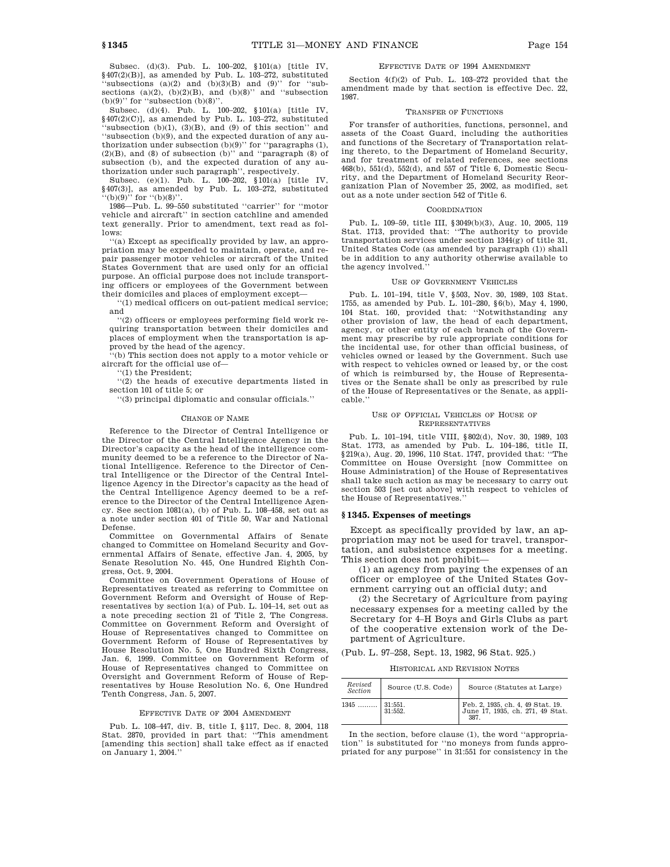Subsec. (d)(3). Pub. L. 100–202, §101(a) [title IV, §407(2)(B)], as amended by Pub. L. 103-272, substituted "subsections  $(a)(2)$  and  $(b)(3)(B)$  and  $(9)$ " for "subsections  $(a)(2)$ ,  $(b)(2)(B)$ , and  $(b)(8)$ " and "subsection  $(b)(9)$ " for "subsection  $(b)(8)$ ".

Subsec. (d)(4). Pub. L. 100–202, §101(a) [title IV,  $§407(2)(C)$ ], as amended by Pub. L. 103-272, substituted 'subsection  $(b)(1)$ ,  $(3)(B)$ , and  $(9)$  of this section'' and ''subsection (b)(9), and the expected duration of any authorization under subsection (b)(9)'' for ''paragraphs (1),  $(2)(B)$ , and  $(8)$  of subsection  $(b)$ <sup>"</sup> and "paragraph  $(8)$  of subsection (b), and the expected duration of any authorization under such paragraph'', respectively.

Subsec. (e)(1). Pub. L. 100–202, §101(a) [title IV, §407(3)], as amended by Pub. L. 103-272, substituted  $\cdot$  (b)(9)" for  $\cdot$  (b)(8)".

1986—Pub. L. 99–550 substituted ''carrier'' for ''motor vehicle and aircraft'' in section catchline and amended text generally. Prior to amendment, text read as follows:

''(a) Except as specifically provided by law, an appropriation may be expended to maintain, operate, and repair passenger motor vehicles or aircraft of the United States Government that are used only for an official purpose. An official purpose does not include transporting officers or employees of the Government between their domiciles and places of employment except—

''(1) medical officers on out-patient medical service; and

''(2) officers or employees performing field work requiring transportation between their domiciles and places of employment when the transportation is approved by the head of the agency.

''(b) This section does not apply to a motor vehicle or aircraft for the official use of—

''(1) the President;

''(2) the heads of executive departments listed in section 101 of title 5; or

''(3) principal diplomatic and consular officials.''

#### CHANGE OF NAME

Reference to the Director of Central Intelligence or the Director of the Central Intelligence Agency in the Director's capacity as the head of the intelligence community deemed to be a reference to the Director of National Intelligence. Reference to the Director of Central Intelligence or the Director of the Central Intelligence Agency in the Director's capacity as the head of the Central Intelligence Agency deemed to be a reference to the Director of the Central Intelligence Agency. See section 1081(a), (b) of Pub. L. 108–458, set out as a note under section 401 of Title 50, War and National Defense.

Committee on Governmental Affairs of Senate changed to Committee on Homeland Security and Governmental Affairs of Senate, effective Jan. 4, 2005, by Senate Resolution No. 445, One Hundred Eighth Congress, Oct. 9, 2004.

Committee on Government Operations of House of Representatives treated as referring to Committee on Government Reform and Oversight of House of Representatives by section 1(a) of Pub. L. 104–14, set out as a note preceding section 21 of Title 2, The Congress. Committee on Government Reform and Oversight of House of Representatives changed to Committee on Government Reform of House of Representatives by House Resolution No. 5, One Hundred Sixth Congress, Jan. 6, 1999. Committee on Government Reform of House of Representatives changed to Committee on Oversight and Government Reform of House of Representatives by House Resolution No. 6, One Hundred Tenth Congress, Jan. 5, 2007.

#### EFFECTIVE DATE OF 2004 AMENDMENT

Pub. L. 108–447, div. B, title I, §117, Dec. 8, 2004, 118 Stat. 2870, provided in part that: ''This amendment [amending this section] shall take effect as if enacted on January 1, 2004.''

### EFFECTIVE DATE OF 1994 AMENDMENT

Section 4(f)(2) of Pub. L. 103–272 provided that the amendment made by that section is effective Dec. 22, 1987.

#### TRANSFER OF FUNCTIONS

For transfer of authorities, functions, personnel, and assets of the Coast Guard, including the authorities and functions of the Secretary of Transportation relating thereto, to the Department of Homeland Security, and for treatment of related references, see sections 468(b), 551(d), 552(d), and 557 of Title 6, Domestic Security, and the Department of Homeland Security Reorganization Plan of November 25, 2002, as modified, set out as a note under section 542 of Title 6.

### **COORDINATION**

Pub. L. 109–59, title III, §3049(b)(3), Aug. 10, 2005, 119 Stat. 1713, provided that: ''The authority to provide transportation services under section 1344(g) of title 31, United States Code (as amended by paragraph (1)) shall be in addition to any authority otherwise available to the agency involved.

#### USE OF GOVERNMENT VEHICLES

Pub. L. 101–194, title V, §503, Nov. 30, 1989, 103 Stat. 1755, as amended by Pub. L. 101–280, §6(b), May 4, 1990, 104 Stat. 160, provided that: ''Notwithstanding any other provision of law, the head of each department, agency, or other entity of each branch of the Government may prescribe by rule appropriate conditions for the incidental use, for other than official business, of vehicles owned or leased by the Government. Such use with respect to vehicles owned or leased by, or the cost of which is reimbursed by, the House of Representatives or the Senate shall be only as prescribed by rule of the House of Representatives or the Senate, as applicable.''

#### USE OF OFFICIAL VEHICLES OF HOUSE OF REPRESENTATIVES

Pub. L. 101–194, title VIII, §802(d), Nov. 30, 1989, 103 Stat. 1773, as amended by Pub. L. 104–186, title II, §219(a), Aug. 20, 1996, 110 Stat. 1747, provided that: ''The Committee on House Oversight [now Committee on House Administration] of the House of Representatives shall take such action as may be necessary to carry out section 503 [set out above] with respect to vehicles of the House of Representatives.''

# **§ 1345. Expenses of meetings**

Except as specifically provided by law, an appropriation may not be used for travel, transportation, and subsistence expenses for a meeting. This section does not prohibit—

(1) an agency from paying the expenses of an officer or employee of the United States Government carrying out an official duty; and

(2) the Secretary of Agriculture from paying necessary expenses for a meeting called by the Secretary for 4–H Boys and Girls Clubs as part of the cooperative extension work of the Department of Agriculture.

(Pub. L. 97–258, Sept. 13, 1982, 96 Stat. 925.)

HISTORICAL AND REVISION NOTES

| Revised<br>Section        | Source (U.S. Code) | Source (Statutes at Large)                                                    |
|---------------------------|--------------------|-------------------------------------------------------------------------------|
| $1345$ 31:551.<br>31:552. |                    | Feb. 2, 1935, ch. 4, 49 Stat. 19.<br>June 17, 1935, ch. 271, 49 Stat.<br>387. |

In the section, before clause (1), the word ''appropriation'' is substituted for ''no moneys from funds appropriated for any purpose'' in 31:551 for consistency in the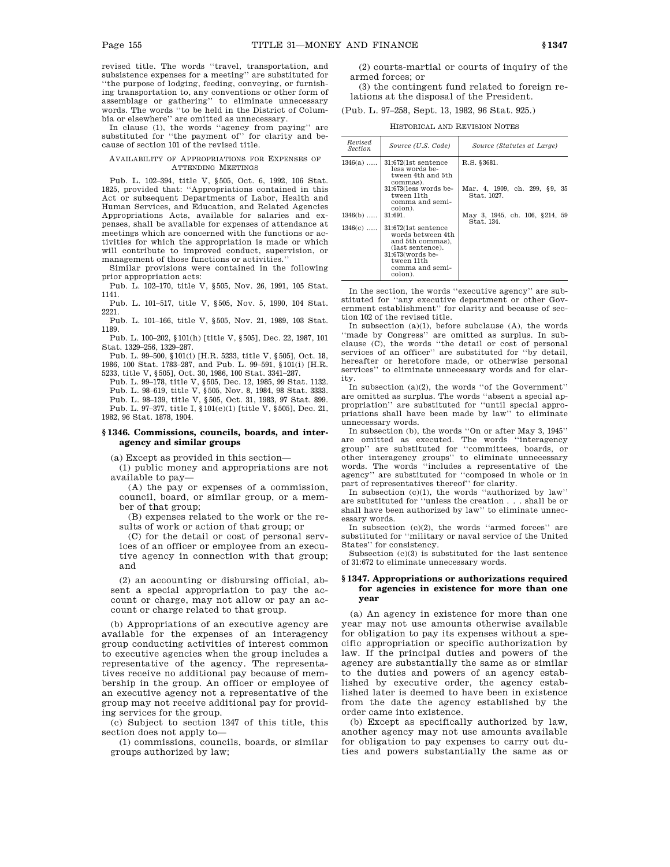revised title. The words ''travel, transportation, and subsistence expenses for a meeting'' are substituted for ''the purpose of lodging, feeding, conveying, or furnishing transportation to, any conventions or other form of assemblage or gathering'' to eliminate unnecessary words. The words ''to be held in the District of Columbia or elsewhere'' are omitted as unnecessary.

In clause (1), the words ''agency from paying'' are substituted for ''the payment of'' for clarity and because of section 101 of the revised title.

#### AVAILABILITY OF APPROPRIATIONS FOR EXPENSES OF ATTENDING MEETINGS

Pub. L. 102–394, title V, §505, Oct. 6, 1992, 106 Stat. 1825, provided that: ''Appropriations contained in this Act or subsequent Departments of Labor, Health and Human Services, and Education, and Related Agencies Appropriations Acts, available for salaries and expenses, shall be available for expenses of attendance at meetings which are concerned with the functions or activities for which the appropriation is made or which will contribute to improved conduct, supervision, or management of those functions or activities.''

Similar provisions were contained in the following prior appropriation acts:

Pub. L. 102–170, title V, §505, Nov. 26, 1991, 105 Stat. 1141.

Pub. L. 101–517, title V, §505, Nov. 5, 1990, 104 Stat. 2221.

Pub. L. 101–166, title V, §505, Nov. 21, 1989, 103 Stat. 1189.

Pub. L. 100–202, §101(h) [title V, §505], Dec. 22, 1987, 101 Stat. 1329–256, 1329–287.

Pub. L. 99–500, §101(i) [H.R. 5233, title V, §505], Oct. 18, 1986, 100 Stat. 1783–287, and Pub. L. 99–591, §101(i) [H.R. 5233, title V, §505], Oct. 30, 1986, 100 Stat. 3341–287.

Pub. L. 99–178, title V, §505, Dec. 12, 1985, 99 Stat. 1132. Pub. L. 98–619, title V, §505, Nov. 8, 1984, 98 Stat. 3333. Pub. L. 98–139, title V, §505, Oct. 31, 1983, 97 Stat. 899. Pub. L. 97–377, title I, §101(e)(1) [title V, §505], Dec. 21, 1982, 96 Stat. 1878, 1904.

## **§ 1346. Commissions, councils, boards, and interagency and similar groups**

(a) Except as provided in this section—

(1) public money and appropriations are not available to pay—

(A) the pay or expenses of a commission, council, board, or similar group, or a member of that group;

(B) expenses related to the work or the results of work or action of that group; or

(C) for the detail or cost of personal services of an officer or employee from an executive agency in connection with that group; and

(2) an accounting or disbursing official, absent a special appropriation to pay the account or charge, may not allow or pay an account or charge related to that group.

(b) Appropriations of an executive agency are available for the expenses of an interagency group conducting activities of interest common to executive agencies when the group includes a representative of the agency. The representatives receive no additional pay because of membership in the group. An officer or employee of an executive agency not a representative of the group may not receive additional pay for providing services for the group.

(c) Subject to section 1347 of this title, this section does not apply to—

(1) commissions, councils, boards, or similar groups authorized by law;

(2) courts-martial or courts of inquiry of the armed forces; or

(3) the contingent fund related to foreign relations at the disposal of the President.

(Pub. L. 97–258, Sept. 13, 1982, 96 Stat. 925.)

HISTORICAL AND REVISION NOTES

| Revised<br><i>Section</i> | Source (U.S. Code)                                                                                                                                  | Source (Statutes at Large)                   |
|---------------------------|-----------------------------------------------------------------------------------------------------------------------------------------------------|----------------------------------------------|
| $1346(a)$                 | 31:672(1st sentence<br>less words be-<br>tween 4th and 5th<br>commas).                                                                              | R.S. §3681.                                  |
|                           | $31:673$ (less words be-<br>tween 11th<br>comma and semi-<br>colon).                                                                                | Mar. 4, 1909, ch. 299, §9, 35<br>Stat. 1027. |
| $1346(b)$                 | 31:691.                                                                                                                                             | May 3, 1945, ch. 106, §214, 59<br>Stat. 134. |
| $1346(c)$                 | 31:672(1st sentence<br>words between 4th<br>and 5th commas).<br>(last sentence).<br>$31:673$ (words be-<br>tween 11th<br>comma and semi-<br>colon). |                                              |

In the section, the words ''executive agency'' are substituted for ''any executive department or other Government establishment'' for clarity and because of section 102 of the revised title.

In subsection (a)(1), before subclause (A), the words ''made by Congress'' are omitted as surplus. In subclause (C), the words ''the detail or cost of personal services of an officer'' are substituted for ''by detail, hereafter or heretofore made, or otherwise personal services'' to eliminate unnecessary words and for clarity.

In subsection (a)(2), the words ''of the Government'' are omitted as surplus. The words ''absent a special appropriation'' are substituted for ''until special appropriations shall have been made by law'' to eliminate unnecessary words.

In subsection (b), the words ''On or after May 3,  $1945$  '' are omitted as executed. The words ''interagency group'' are substituted for ''committees, boards, or other interagency groups'' to eliminate unnecessary words. The words ''includes a representative of the agency'' are substituted for ''composed in whole or in part of representatives thereof'' for clarity.

In subsection (c)(1), the words ''authorized by law'' are substituted for ''unless the creation . . . shall be or shall have been authorized by law'' to eliminate unnecessary words.

In subsection (c)(2), the words ''armed forces'' are substituted for ''military or naval service of the United States'' for consistency.

Subsection (c)(3) is substituted for the last sentence of 31:672 to eliminate unnecessary words.

### **§ 1347. Appropriations or authorizations required for agencies in existence for more than one year**

(a) An agency in existence for more than one year may not use amounts otherwise available for obligation to pay its expenses without a specific appropriation or specific authorization by law. If the principal duties and powers of the agency are substantially the same as or similar to the duties and powers of an agency established by executive order, the agency established later is deemed to have been in existence from the date the agency established by the order came into existence.

(b) Except as specifically authorized by law, another agency may not use amounts available for obligation to pay expenses to carry out duties and powers substantially the same as or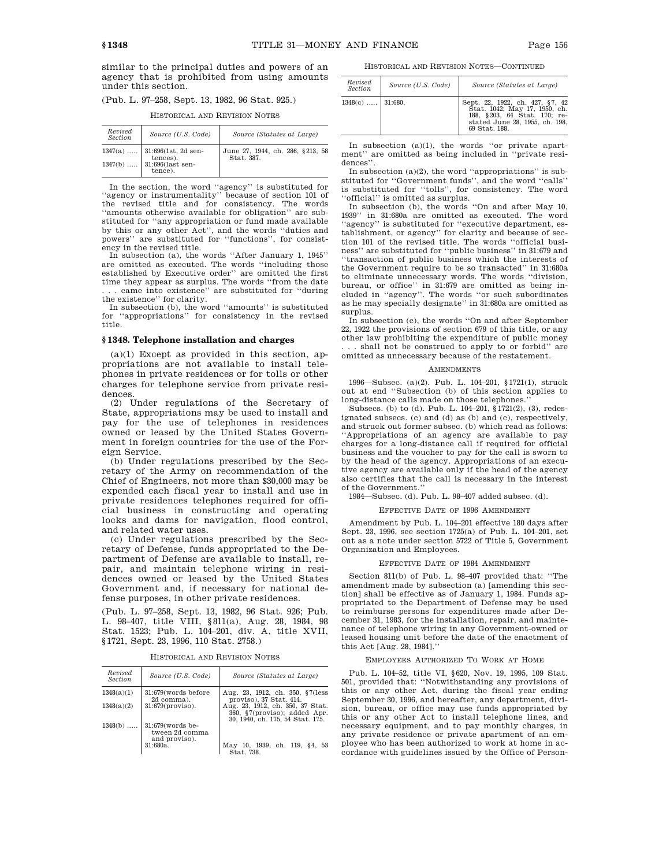similar to the principal duties and powers of an agency that is prohibited from using amounts under this section.

### (Pub. L. 97–258, Sept. 13, 1982, 96 Stat. 925.)

HISTORICAL AND REVISION NOTES

| Revised<br>Section | Source (U.S. Code)                          | Source (Statutes at Large)                     |
|--------------------|---------------------------------------------|------------------------------------------------|
|                    | $1347(a)$   31:696(1st, 2d sen-<br>tences). | June 27, 1944, ch. 286, §213, 58<br>Stat. 387. |
|                    | $1347(b)$ 31:696(last sen-<br>tence).       |                                                |

In the section, the word "agency" is substituted for "agency or instrumentality" because of section 101 of the revised title and for consistency. The words ''amounts otherwise available for obligation'' are substituted for ''any appropriation or fund made available by this or any other Act'', and the words ''duties and powers'' are substituted for ''functions'', for consistency in the revised title.

In subsection (a), the words ''After January 1, 1945'' are omitted as executed. The words ''including those established by Executive order'' are omitted the first time they appear as surplus. The words ''from the date . . . came into existence'' are substituted for ''during the existence'' for clarity.

In subsection (b), the word ''amounts'' is substituted for ''appropriations'' for consistency in the revised title.

### **§ 1348. Telephone installation and charges**

 $(a)(1)$  Except as provided in this section, appropriations are not available to install telephones in private residences or for tolls or other charges for telephone service from private residences.

(2) Under regulations of the Secretary of State, appropriations may be used to install and pay for the use of telephones in residences owned or leased by the United States Government in foreign countries for the use of the Foreign Service.

(b) Under regulations prescribed by the Secretary of the Army on recommendation of the Chief of Engineers, not more than \$30,000 may be expended each fiscal year to install and use in private residences telephones required for official business in constructing and operating locks and dams for navigation, flood control, and related water uses.

(c) Under regulations prescribed by the Secretary of Defense, funds appropriated to the Department of Defense are available to install, repair, and maintain telephone wiring in residences owned or leased by the United States Government and, if necessary for national defense purposes, in other private residences.

(Pub. L. 97–258, Sept. 13, 1982, 96 Stat. 926; Pub. L. 98–407, title VIII, §811(a), Aug. 28, 1984, 98 Stat. 1523; Pub. L. 104–201, div. A, title XVII, §1721, Sept. 23, 1996, 110 Stat. 2758.)

| Revised<br><b>Section</b> | Source (U.S. Code)                                                 | Source (Statutes at Large)                                                                           |
|---------------------------|--------------------------------------------------------------------|------------------------------------------------------------------------------------------------------|
| 1348(a)(1)                | 31:679(words before<br>2d comma).                                  | Aug. 23, 1912, ch. 350, §7(less<br>proviso), 37 Stat. 414.                                           |
| 1348(a)(2)                | $31:679$ (proviso).                                                | Aug. 23, 1912, ch. 350, 37 Stat.<br>360. §7(proviso): added Apr.<br>30, 1940, ch. 175, 54 Stat. 175. |
| $1348(b)$                 | $31:679$ (words be-<br>tween 2d comma<br>and proviso).<br>31:680a. | May 10, 1939, ch. 119, §4, 53<br>Stat. 738.                                                          |

| Revised<br>Section  | Source (U.S. Code) | Source (Statutes at Large)                                                                                                                          |
|---------------------|--------------------|-----------------------------------------------------------------------------------------------------------------------------------------------------|
| $1348(c)$   31:680. |                    | Sept. 22, 1922, ch. 427, §7, 42<br>Stat. 1042; May 17, 1950, ch.<br>188, §203, 64 Stat. 170; re-<br>stated June 28, 1955, ch. 198.<br>69 Stat. 188. |

In subsection (a)(1), the words ''or private apartment'' are omitted as being included in ''private residences''.

In subsection  $(a)(2)$ , the word "appropriations" is substituted for ''Government funds'', and the word ''calls'' is substituted for ''tolls'', for consistency. The word ''official'' is omitted as surplus.

In subsection (b), the words ''On and after May 10, 1939'' in 31:680a are omitted as executed. The word ''agency'' is substituted for ''executive department, establishment, or agency'' for clarity and because of section 101 of the revised title. The words ''official business'' are substituted for ''public business'' in 31:679 and ''transaction of public business which the interests of the Government require to be so transacted'' in 31:680a to eliminate unnecessary words. The words ''division, bureau, or office'' in 31:679 are omitted as being included in ''agency''. The words ''or such subordinates as he may specially designate'' in 31:680a are omitted as surplus.

In subsection (c), the words ''On and after September 22, 1922 the provisions of section 679 of this title, or any other law prohibiting the expenditure of public money . . . shall not be construed to apply to or forbid'' are omitted as unnecessary because of the restatement.

#### **AMENDMENTS**

1996—Subsec. (a)(2). Pub. L. 104–201, §1721(1), struck out at end ''Subsection (b) of this section applies to long-distance calls made on those telephones.

Subsecs. (b) to (d). Pub. L. 104–201, §1721(2), (3), redesignated subsecs. (c) and (d) as (b) and (c), respectively, and struck out former subsec. (b) which read as follows: ''Appropriations of an agency are available to pay charges for a long-distance call if required for official business and the voucher to pay for the call is sworn to by the head of the agency. Appropriations of an executive agency are available only if the head of the agency also certifies that the call is necessary in the interest of the Government.''

1984—Subsec. (d). Pub. L. 98–407 added subsec. (d).

#### EFFECTIVE DATE OF 1996 AMENDMENT

Amendment by Pub. L. 104–201 effective 180 days after Sept. 23, 1996, see section 1725(a) of Pub. L. 104–201, set out as a note under section 5722 of Title 5, Government Organization and Employees.

#### EFFECTIVE DATE OF 1984 AMENDMENT

Section 811(b) of Pub. L. 98–407 provided that: ''The amendment made by subsection (a) [amending this section] shall be effective as of January 1, 1984. Funds appropriated to the Department of Defense may be used to reimburse persons for expenditures made after December 31, 1983, for the installation, repair, and maintenance of telephone wiring in any Government-owned or leased housing unit before the date of the enactment of this Act [Aug. 28, 1984].''

#### EMPLOYEES AUTHORIZED TO WORK AT HOME

Pub. L. 104–52, title VI, §620, Nov. 19, 1995, 109 Stat. 501, provided that: ''Notwithstanding any provisions of this or any other Act, during the fiscal year ending September 30, 1996, and hereafter, any department, division, bureau, or office may use funds appropriated by this or any other Act to install telephone lines, and necessary equipment, and to pay monthly charges, in any private residence or private apartment of an employee who has been authorized to work at home in accordance with guidelines issued by the Office of Person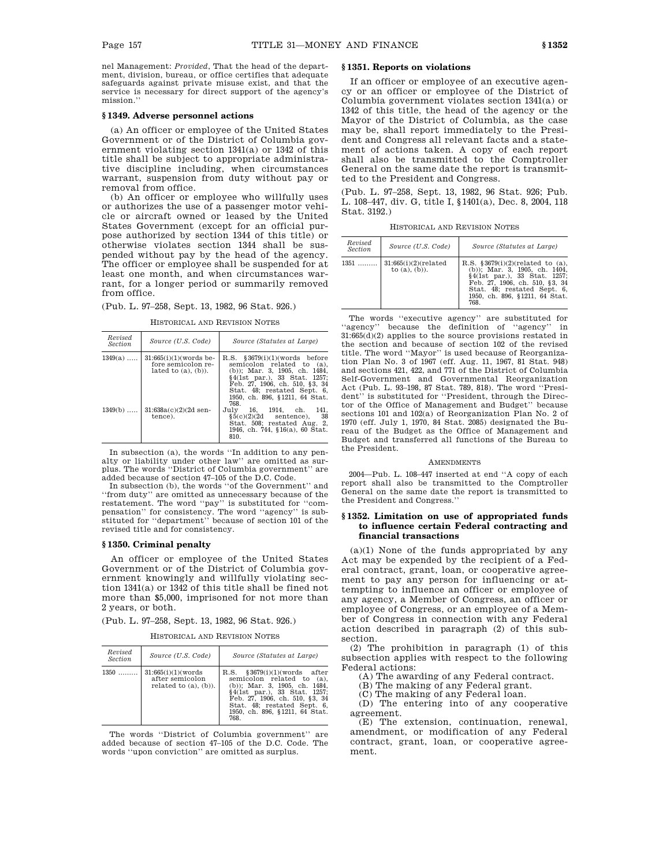nel Management: *Provided*, That the head of the department, division, bureau, or office certifies that adequate safeguards against private misuse exist, and that the service is necessary for direct support of the agency's mission.''

### **§ 1349. Adverse personnel actions**

(a) An officer or employee of the United States Government or of the District of Columbia government violating section 1341(a) or 1342 of this title shall be subject to appropriate administrative discipline including, when circumstances warrant, suspension from duty without pay or removal from office.

(b) An officer or employee who willfully uses or authorizes the use of a passenger motor vehicle or aircraft owned or leased by the United States Government (except for an official purpose authorized by section 1344 of this title) or otherwise violates section 1344 shall be suspended without pay by the head of the agency. The officer or employee shall be suspended for at least one month, and when circumstances warrant, for a longer period or summarily removed from office.

(Pub. L. 97–258, Sept. 13, 1982, 96 Stat. 926.)

HISTORICAL AND REVISION NOTES

| Revised<br><i>Section</i> | Source (U.S. Code)                                                          | Source (Statutes at Large)                                                                                                                                                                                                                  |
|---------------------------|-----------------------------------------------------------------------------|---------------------------------------------------------------------------------------------------------------------------------------------------------------------------------------------------------------------------------------------|
| $1349(a)$                 | $31:665(i)(1)(words be-$<br>fore semicolon re-<br>lated to $(a)$ , $(b)$ ). | R.S. $$3679(i)(1)(words)$ before<br>semicolon related to (a).<br>$(b)$ : Mar. 3, 1905, ch. 1484,<br>§4(1st par.), 33 Stat. 1257;<br>Feb. 27, 1906, ch. 510, §3, 34<br>Stat. 48: restated Sept. 6.<br>1950. ch. 896. §1211. 64 Stat.<br>768. |
| $1349(b)$                 | $31:638a(c)(2)(2d$ sen-<br>tence).                                          | July 16, 1914, ch.<br>141.<br>$\S5(c)(2)(2d$ sentence), 38<br>Stat. 508: restated Aug. 2.<br>1946, ch. 744, §16(a), 60 Stat.<br>810.                                                                                                        |

In subsection (a), the words ''In addition to any penalty or liability under other law'' are omitted as sur-plus. The words ''District of Columbia government'' are

added because of section 47–105 of the D.C. Code. In subsection (b), the words ''of the Government'' and ''from duty'' are omitted as unnecessary because of the restatement. The word ''pay'' is substituted for ''compensation'' for consistency. The word ''agency'' is sub-stituted for ''department'' because of section 101 of the revised title and for consistency.

#### **§ 1350. Criminal penalty**

An officer or employee of the United States Government or of the District of Columbia government knowingly and willfully violating section 1341(a) or 1342 of this title shall be fined not more than \$5,000, imprisoned for not more than 2 years, or both.

(Pub. L. 97–258, Sept. 13, 1982, 96 Stat. 926.)

HISTORICAL AND REVISION NOTES

| Revised<br>Section | Source (U.S. Code)                                                    | Source (Statutes at Large)                                                                                                                                                                                                                |
|--------------------|-----------------------------------------------------------------------|-------------------------------------------------------------------------------------------------------------------------------------------------------------------------------------------------------------------------------------------|
| $1350$             | 31:665(i)(1)(words)<br>after semicolon<br>related to $(a)$ , $(b)$ ). | \$3679(i)(1)(words after<br>R.S.<br>semicolon related to (a).<br>(b)); Mar. 3, 1905, ch. 1484,<br>§4(1st par.), 33 Stat. 1257;<br>Feb. 27, 1906, ch. 510, §3, 34<br>Stat. 48: restated Sept. 6.<br>1950. ch. 896. §1211. 64 Stat.<br>768. |

The words ''District of Columbia government'' are added because of section 47–105 of the D.C. Code. The words ''upon conviction'' are omitted as surplus.

# **§ 1351. Reports on violations**

If an officer or employee of an executive agency or an officer or employee of the District of Columbia government violates section 1341(a) or 1342 of this title, the head of the agency or the Mayor of the District of Columbia, as the case may be, shall report immediately to the President and Congress all relevant facts and a statement of actions taken. A copy of each report shall also be transmitted to the Comptroller General on the same date the report is transmitted to the President and Congress.

(Pub. L. 97–258, Sept. 13, 1982, 96 Stat. 926; Pub. L. 108–447, div. G, title I, §1401(a), Dec. 8, 2004, 118 Stat. 3192.)

HISTORICAL AND REVISION NOTES

| Revised<br>Section | Source (U.S. Code)                          | Source (Statutes at Large)                                                                                                                                                                                      |
|--------------------|---------------------------------------------|-----------------------------------------------------------------------------------------------------------------------------------------------------------------------------------------------------------------|
| $1351$             | 31:665(i)(2)(related<br>to $(a)$ , $(b)$ ). | R.S. $$3679(i)(2)(related to (a)).$<br>(b)): Mar. 3, 1905, ch. 1404.<br>§4(1st par.), 33 Stat. 1257;<br>Feb. 27, 1906, ch. 510, §3, 34<br>Stat. 48; restated Sept. 6,<br>1950. ch. 896. §1211. 64 Stat.<br>768. |

The words ''executive agency'' are substituted for "agency" because the definition of "agency" in  $31:665(d)(2)$  applies to the source provisions restated in the section and because of section 102 of the revised title. The word ''Mayor'' is used because of Reorganization Plan No. 3 of 1967 (eff. Aug. 11, 1967, 81 Stat. 948) and sections 421, 422, and 771 of the District of Columbia Self-Government and Governmental Reorganization Act (Pub. L. 93–198, 87 Stat. 789, 818). The word ''President'' is substituted for "President, through the Director of the Office of Management and Budget'' because sections 101 and 102(a) of Reorganization Plan No. 2 of 1970 (eff. July 1, 1970, 84 Stat. 2085) designated the Bureau of the Budget as the Office of Management and Budget and transferred all functions of the Bureau to the President.

#### **AMENDMENTS**

2004—Pub. L. 108–447 inserted at end ''A copy of each report shall also be transmitted to the Comptroller General on the same date the report is transmitted to the President and Congress.''

### **§ 1352. Limitation on use of appropriated funds to influence certain Federal contracting and financial transactions**

(a)(1) None of the funds appropriated by any Act may be expended by the recipient of a Federal contract, grant, loan, or cooperative agreement to pay any person for influencing or attempting to influence an officer or employee of any agency, a Member of Congress, an officer or employee of Congress, or an employee of a Member of Congress in connection with any Federal action described in paragraph (2) of this subsection.

(2) The prohibition in paragraph (1) of this subsection applies with respect to the following Federal actions:

(A) The awarding of any Federal contract.

(B) The making of any Federal grant.

(C) The making of any Federal loan.

(D) The entering into of any cooperative agreement.

(E) The extension, continuation, renewal, amendment, or modification of any Federal contract, grant, loan, or cooperative agreement.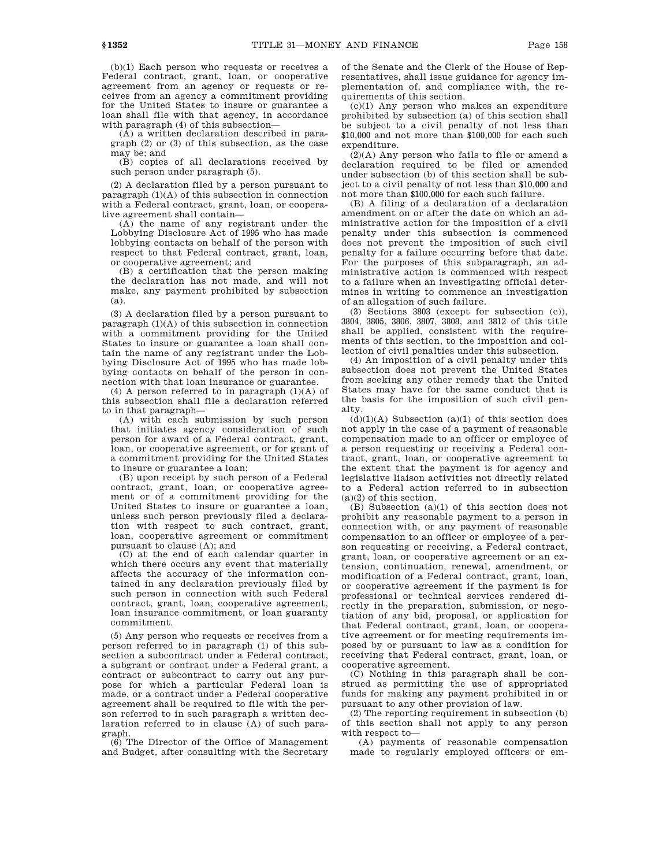(b)(1) Each person who requests or receives a Federal contract, grant, loan, or cooperative agreement from an agency or requests or receives from an agency a commitment providing for the United States to insure or guarantee a loan shall file with that agency, in accordance with paragraph (4) of this subsection—

(A) a written declaration described in paragraph (2) or (3) of this subsection, as the case may be; and

(B) copies of all declarations received by such person under paragraph (5).

(2) A declaration filed by a person pursuant to paragraph  $(1)(A)$  of this subsection in connection with a Federal contract, grant, loan, or cooperative agreement shall contain—

(A) the name of any registrant under the Lobbying Disclosure Act of 1995 who has made lobbying contacts on behalf of the person with respect to that Federal contract, grant, loan, or cooperative agreement; and

(B) a certification that the person making the declaration has not made, and will not make, any payment prohibited by subsection (a).

(3) A declaration filed by a person pursuant to paragraph  $(1)(A)$  of this subsection in connection with a commitment providing for the United States to insure or guarantee a loan shall contain the name of any registrant under the Lobbying Disclosure Act of 1995 who has made lobbying contacts on behalf of the person in connection with that loan insurance or guarantee.

(4) A person referred to in paragraph  $(1)(A)$  of this subsection shall file a declaration referred to in that paragraph—

(A) with each submission by such person that initiates agency consideration of such person for award of a Federal contract, grant, loan, or cooperative agreement, or for grant of a commitment providing for the United States to insure or guarantee a loan;

(B) upon receipt by such person of a Federal contract, grant, loan, or cooperative agreement or of a commitment providing for the United States to insure or guarantee a loan, unless such person previously filed a declaration with respect to such contract, grant, loan, cooperative agreement or commitment pursuant to clause (A); and

(C) at the end of each calendar quarter in which there occurs any event that materially affects the accuracy of the information contained in any declaration previously filed by such person in connection with such Federal contract, grant, loan, cooperative agreement, loan insurance commitment, or loan guaranty commitment.

(5) Any person who requests or receives from a person referred to in paragraph (1) of this subsection a subcontract under a Federal contract, a subgrant or contract under a Federal grant, a contract or subcontract to carry out any purpose for which a particular Federal loan is made, or a contract under a Federal cooperative agreement shall be required to file with the person referred to in such paragraph a written declaration referred to in clause (A) of such paragraph.

(6) The Director of the Office of Management and Budget, after consulting with the Secretary of the Senate and the Clerk of the House of Representatives, shall issue guidance for agency implementation of, and compliance with, the requirements of this section.

 $(c)(1)$  Any person who makes an expenditure prohibited by subsection (a) of this section shall be subject to a civil penalty of not less than \$10,000 and not more than \$100,000 for each such expenditure.

(2)(A) Any person who fails to file or amend a declaration required to be filed or amended under subsection (b) of this section shall be subject to a civil penalty of not less than \$10,000 and not more than \$100,000 for each such failure.

(B) A filing of a declaration of a declaration amendment on or after the date on which an administrative action for the imposition of a civil penalty under this subsection is commenced does not prevent the imposition of such civil penalty for a failure occurring before that date. For the purposes of this subparagraph, an administrative action is commenced with respect to a failure when an investigating official determines in writing to commence an investigation of an allegation of such failure.

(3) Sections 3803 (except for subsection (c)), 3804, 3805, 3806, 3807, 3808, and 3812 of this title shall be applied, consistent with the requirements of this section, to the imposition and collection of civil penalties under this subsection.

(4) An imposition of a civil penalty under this subsection does not prevent the United States from seeking any other remedy that the United States may have for the same conduct that is the basis for the imposition of such civil penalty.

 $(d)(1)(A)$  Subsection  $(a)(1)$  of this section does not apply in the case of a payment of reasonable compensation made to an officer or employee of a person requesting or receiving a Federal contract, grant, loan, or cooperative agreement to the extent that the payment is for agency and legislative liaison activities not directly related to a Federal action referred to in subsection  $(a)(2)$  of this section.

(B) Subsection (a)(1) of this section does not prohibit any reasonable payment to a person in connection with, or any payment of reasonable compensation to an officer or employee of a person requesting or receiving, a Federal contract, grant, loan, or cooperative agreement or an extension, continuation, renewal, amendment, or modification of a Federal contract, grant, loan, or cooperative agreement if the payment is for professional or technical services rendered directly in the preparation, submission, or negotiation of any bid, proposal, or application for that Federal contract, grant, loan, or cooperative agreement or for meeting requirements imposed by or pursuant to law as a condition for receiving that Federal contract, grant, loan, or cooperative agreement.

(C) Nothing in this paragraph shall be construed as permitting the use of appropriated funds for making any payment prohibited in or pursuant to any other provision of law.

(2) The reporting requirement in subsection (b) of this section shall not apply to any person with respect to—

(A) payments of reasonable compensation made to regularly employed officers or em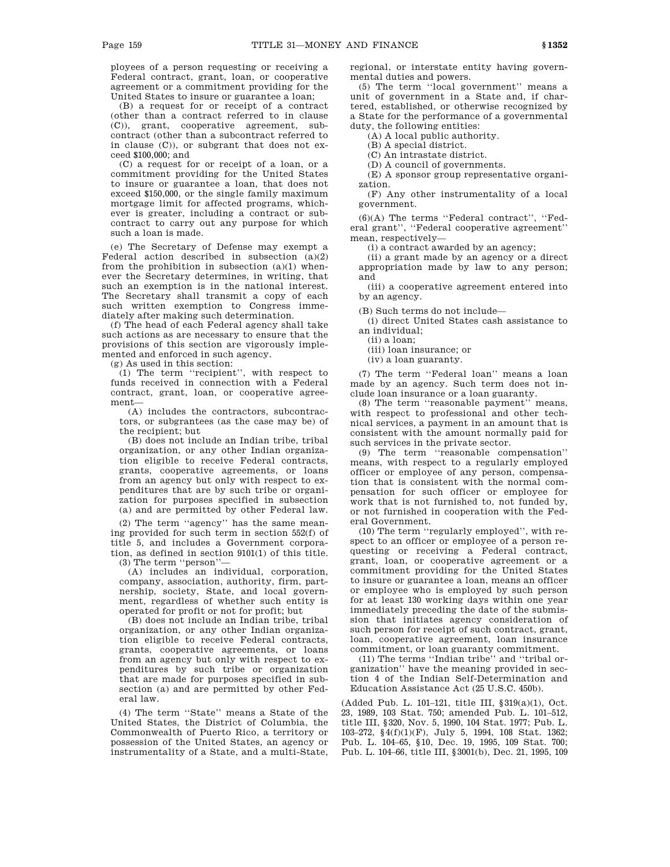ployees of a person requesting or receiving a Federal contract, grant, loan, or cooperative agreement or a commitment providing for the United States to insure or guarantee a loan;

(B) a request for or receipt of a contract (other than a contract referred to in clause (C)), grant, cooperative agreement, subcontract (other than a subcontract referred to in clause (C)), or subgrant that does not exceed \$100,000; and

(C) a request for or receipt of a loan, or a commitment providing for the United States to insure or guarantee a loan, that does not exceed \$150,000, or the single family maximum mortgage limit for affected programs, whichever is greater, including a contract or subcontract to carry out any purpose for which such a loan is made.

(e) The Secretary of Defense may exempt a Federal action described in subsection (a)(2) from the prohibition in subsection  $(a)(1)$  whenever the Secretary determines, in writing, that such an exemption is in the national interest. The Secretary shall transmit a copy of each such written exemption to Congress immediately after making such determination.

(f) The head of each Federal agency shall take such actions as are necessary to ensure that the provisions of this section are vigorously implemented and enforced in such agency.

(g) As used in this section:

(1) The term ''recipient'', with respect to funds received in connection with a Federal contract, grant, loan, or cooperative agreement—

(A) includes the contractors, subcontractors, or subgrantees (as the case may be) of the recipient; but

(B) does not include an Indian tribe, tribal organization, or any other Indian organization eligible to receive Federal contracts, grants, cooperative agreements, or loans from an agency but only with respect to expenditures that are by such tribe or organization for purposes specified in subsection (a) and are permitted by other Federal law.

(2) The term ''agency'' has the same meaning provided for such term in section 552(f) of title 5, and includes a Government corporation, as defined in section 9101(1) of this title. (3) The term ''person''—

(A) includes an individual, corporation, company, association, authority, firm, partnership, society, State, and local government, regardless of whether such entity is operated for profit or not for profit; but

(B) does not include an Indian tribe, tribal organization, or any other Indian organization eligible to receive Federal contracts, grants, cooperative agreements, or loans from an agency but only with respect to expenditures by such tribe or organization that are made for purposes specified in subsection (a) and are permitted by other Federal law.

(4) The term ''State'' means a State of the United States, the District of Columbia, the Commonwealth of Puerto Rico, a territory or possession of the United States, an agency or instrumentality of a State, and a multi-State,

regional, or interstate entity having governmental duties and powers.

(5) The term ''local government'' means a unit of government in a State and, if chartered, established, or otherwise recognized by a State for the performance of a governmental duty, the following entities:

(A) A local public authority.

(B) A special district.

(C) An intrastate district.

(D) A council of governments.

(E) A sponsor group representative organization.

(F) Any other instrumentality of a local government.

(6)(A) The terms ''Federal contract'', ''Federal grant'', ''Federal cooperative agreement'' mean, respectively—

(i) a contract awarded by an agency;

(ii) a grant made by an agency or a direct appropriation made by law to any person; and

(iii) a cooperative agreement entered into by an agency.

(B) Such terms do not include—

(i) direct United States cash assistance to an individual;

(ii) a loan;

(iii) loan insurance; or

(iv) a loan guaranty.

(7) The term ''Federal loan'' means a loan made by an agency. Such term does not include loan insurance or a loan guaranty.

(8) The term ''reasonable payment'' means, with respect to professional and other technical services, a payment in an amount that is consistent with the amount normally paid for such services in the private sector.

(9) The term ''reasonable compensation'' means, with respect to a regularly employed officer or employee of any person, compensation that is consistent with the normal compensation for such officer or employee for work that is not furnished to, not funded by, or not furnished in cooperation with the Federal Government.

(10) The term ''regularly employed'', with respect to an officer or employee of a person requesting or receiving a Federal contract, grant, loan, or cooperative agreement or a commitment providing for the United States to insure or guarantee a loan, means an officer or employee who is employed by such person for at least 130 working days within one year immediately preceding the date of the submission that initiates agency consideration of such person for receipt of such contract, grant, loan, cooperative agreement, loan insurance commitment, or loan guaranty commitment.

(11) The terms ''Indian tribe'' and ''tribal organization'' have the meaning provided in section 4 of the Indian Self-Determination and Education Assistance Act (25 U.S.C. 450b).

(Added Pub. L. 101–121, title III, §319(a)(1), Oct. 23, 1989, 103 Stat. 750; amended Pub. L. 101–512, title III, §320, Nov. 5, 1990, 104 Stat. 1977; Pub. L. 103–272, §4(f)(1)(F), July 5, 1994, 108 Stat. 1362; Pub. L. 104–65, §10, Dec. 19, 1995, 109 Stat. 700; Pub. L. 104–66, title III, §3001(b), Dec. 21, 1995, 109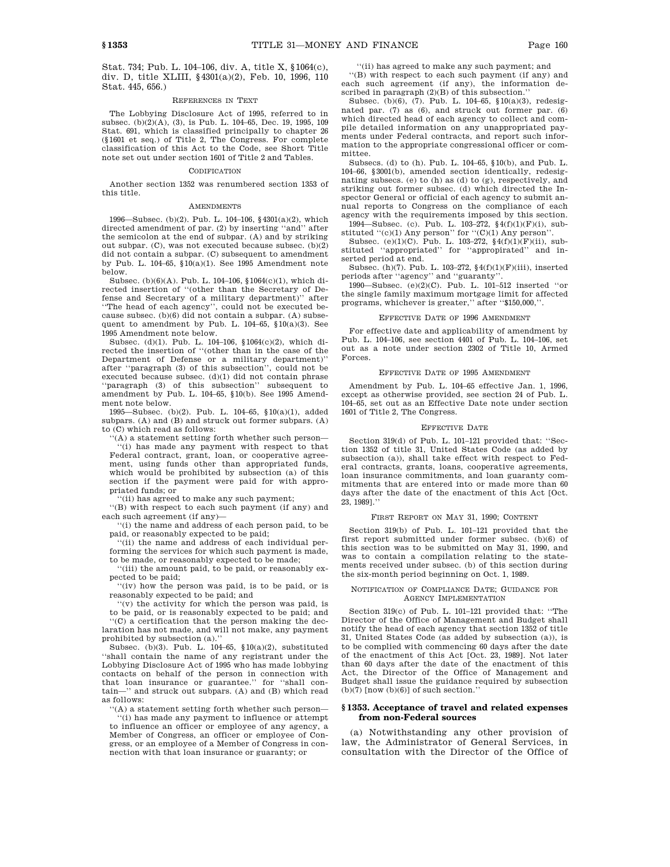Stat. 734; Pub. L. 104–106, div. A, title X, §1064(c), div. D, title XLIII, §4301(a)(2), Feb. 10, 1996, 110 Stat. 445, 656.)

### REFERENCES IN TEXT

The Lobbying Disclosure Act of 1995, referred to in subsec. (b)(2)(A), (3), is Pub. L. 104–65, Dec. 19, 1995, 109 Stat. 691, which is classified principally to chapter 26 (§1601 et seq.) of Title 2, The Congress. For complete classification of this Act to the Code, see Short Title note set out under section 1601 of Title 2 and Tables.

#### CODIFICATION

Another section 1352 was renumbered section 1353 of this title.

#### AMENDMENTS

1996—Subsec. (b)(2). Pub. L. 104–106, §4301(a)(2), which directed amendment of par. (2) by inserting ''and'' after the semicolon at the end of subpar. (A) and by striking out subpar. (C), was not executed because subsec. (b)(2) did not contain a subpar. (C) subsequent to amendment by Pub. L. 104–65,  $$10(a)(1)$ . See 1995 Amendment note below.

Subsec. (b)(6)(A). Pub. L. 104–106, §1064(c)(1), which directed insertion of ''(other than the Secretary of Defense and Secretary of a military department)'' after ''The head of each agency'', could not be executed because subsec. (b)(6) did not contain a subpar. (A) subsequent to amendment by Pub. L.  $104-65$ ,  $$10(a)(3)$ . See 1995 Amendment note below.

Subsec. (d)(1). Pub. L. 104–106, §1064(c)(2), which directed the insertion of ''(other than in the case of the Department of Defense or a military department)'' after ''paragraph (3) of this subsection'', could not be executed because subsec. (d)(1) did not contain phrase ''paragraph (3) of this subsection'' subsequent to amendment by Pub. L. 104–65, §10(b). See 1995 Amendment note below.

1995—Subsec. (b)(2). Pub. L. 104–65, §10(a)(1), added subpars. (A) and (B) and struck out former subpars. (A) to (C) which read as follows:

 $\lq\lq (\mathrm{A})$  a statement setting forth whether such person– ''(i) has made any payment with respect to that Federal contract, grant, loan, or cooperative agreement, using funds other than appropriated funds, which would be prohibited by subsection (a) of this section if the payment were paid for with appropriated funds; or

''(ii) has agreed to make any such payment;

''(B) with respect to each such payment (if any) and each such agreement (if any)—

''(i) the name and address of each person paid, to be paid, or reasonably expected to be paid;

''(ii) the name and address of each individual performing the services for which such payment is made, to be made, or reasonably expected to be made;

''(iii) the amount paid, to be paid, or reasonably expected to be paid;

''(iv) how the person was paid, is to be paid, or is reasonably expected to be paid; and

''(v) the activity for which the person was paid, is to be paid, or is reasonably expected to be paid; and

''(C) a certification that the person making the declaration has not made, and will not make, any payment prohibited by subsection (a).''

Subsec. (b)(3). Pub. L. 104–65, §10(a)(2), substituted ''shall contain the name of any registrant under the Lobbying Disclosure Act of 1995 who has made lobbying contacts on behalf of the person in connection with that loan insurance or guarantee.'' for ''shall contain—'' and struck out subpars. (A) and (B) which read as follows:

''(A) a statement setting forth whether such person— '(i) has made any payment to influence or attempt to influence an officer or employee of any agency, a Member of Congress, an officer or employee of Congress, or an employee of a Member of Congress in connection with that loan insurance or guaranty; or

''(ii) has agreed to make any such payment; and

''(B) with respect to each such payment (if any) and each such agreement (if any), the information described in paragraph (2)(B) of this subsection.''

Subsec. (b)(6), (7). Pub. L. 104–65, §10(a)(3), redesignated par.  $(7)$  as  $(6)$ , and struck out former par.  $(6)$ which directed head of each agency to collect and compile detailed information on any unappropriated payments under Federal contracts, and report such information to the appropriate congressional officer or committee.

Subsecs. (d) to (h). Pub. L. 104–65, §10(b), and Pub. L. 104–66, §3001(b), amended section identically, redesignating subsecs. (e) to (h) as (d) to (g), respectively, and striking out former subsec. (d) which directed the Inspector General or official of each agency to submit annual reports to Congress on the compliance of each agency with the requirements imposed by this section. 1994—Subsec. (c). Pub. L. 103–272, §4(f)(1)(F)(i), sub-

stituted  $(C)(1)$  Any person" for  $(C)(1)$  Any person". Subsec. (e)(1)(C). Pub. L. 103-272,  $§4(f)(1)(F)(ii)$ , sub-

stituted ''appropriated'' for ''appropirated'' and inserted period at end.

Subsec. (h)(7). Pub. L. 103–272, §4(f)(1)(F)(iii), inserted periods after ''agency'' and ''guaranty''.

1990—Subsec. (e)(2)(C). Pub. L. 101–512 inserted ''or the single family maximum mortgage limit for affected programs, whichever is greater,'' after ''\$150,000,''.

### EFFECTIVE DATE OF 1996 AMENDMENT

For effective date and applicability of amendment by Pub. L. 104–106, see section 4401 of Pub. L. 104–106, set out as a note under section 2302 of Title 10, Armed Forces.

### EFFECTIVE DATE OF 1995 AMENDMENT

Amendment by Pub. L. 104–65 effective Jan. 1, 1996, except as otherwise provided, see section 24 of Pub. L. 104–65, set out as an Effective Date note under section 1601 of Title 2, The Congress.

#### EFFECTIVE DATE

Section 319(d) of Pub. L. 101–121 provided that: ''Section 1352 of title 31, United States Code (as added by subsection (a)), shall take effect with respect to Federal contracts, grants, loans, cooperative agreements, loan insurance commitments, and loan guaranty commitments that are entered into or made more than 60 days after the date of the enactment of this Act [Oct. 23, 1989].''

### FIRST REPORT ON MAY 31, 1990; CONTENT

Section 319(b) of Pub. L. 101–121 provided that the first report submitted under former subsec. (b)(6) of this section was to be submitted on May 31, 1990, and was to contain a compilation relating to the statements received under subsec. (b) of this section during the six-month period beginning on Oct. 1, 1989.

### NOTIFICATION OF COMPLIANCE DATE; GUIDANCE FOR AGENCY IMPLEMENTATION

Section 319(c) of Pub. L. 101–121 provided that: ''The Director of the Office of Management and Budget shall notify the head of each agency that section 1352 of title 31, United States Code (as added by subsection (a)), is to be complied with commencing 60 days after the date of the enactment of this Act [Oct. 23, 1989]. Not later than 60 days after the date of the enactment of this Act, the Director of the Office of Management and Budget shall issue the guidance required by subsection  $(b)(7)$  [now  $(b)(6)$ ] of such section."

#### **§ 1353. Acceptance of travel and related expenses from non-Federal sources**

(a) Notwithstanding any other provision of law, the Administrator of General Services, in consultation with the Director of the Office of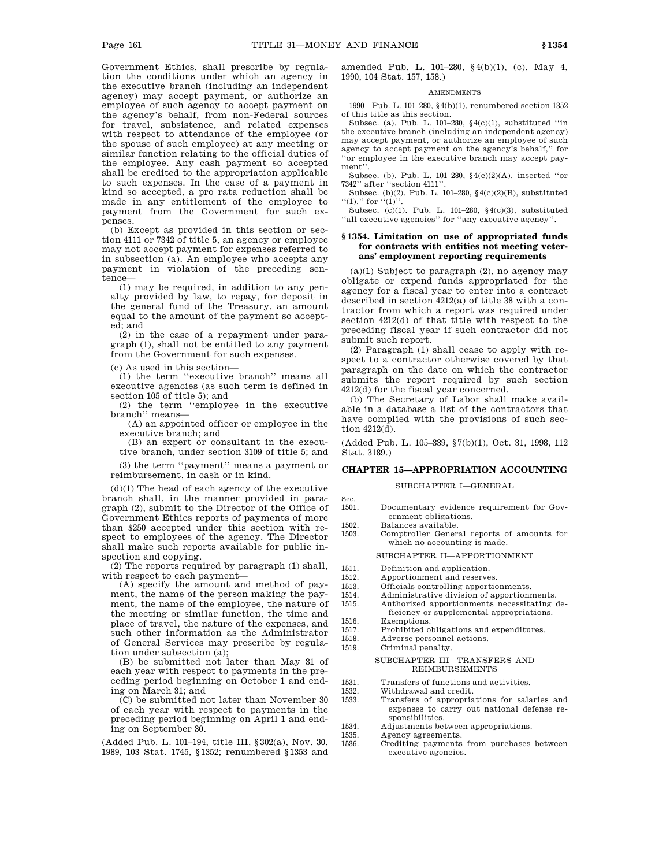Government Ethics, shall prescribe by regulation the conditions under which an agency in the executive branch (including an independent agency) may accept payment, or authorize an employee of such agency to accept payment on the agency's behalf, from non-Federal sources for travel, subsistence, and related expenses with respect to attendance of the employee (or the spouse of such employee) at any meeting or similar function relating to the official duties of the employee. Any cash payment so accepted shall be credited to the appropriation applicable to such expenses. In the case of a payment in kind so accepted, a pro rata reduction shall be made in any entitlement of the employee to payment from the Government for such expenses.

(b) Except as provided in this section or section 4111 or 7342 of title 5, an agency or employee may not accept payment for expenses referred to in subsection (a). An employee who accepts any payment in violation of the preceding sentence—

(1) may be required, in addition to any penalty provided by law, to repay, for deposit in the general fund of the Treasury, an amount equal to the amount of the payment so accepted; and

(2) in the case of a repayment under paragraph (1), shall not be entitled to any payment from the Government for such expenses.

(c) As used in this section—

(1) the term ''executive branch'' means all executive agencies (as such term is defined in section 105 of title 5); and

(2) the term ''employee in the executive branch'' means—

(A) an appointed officer or employee in the executive branch; and

(B) an expert or consultant in the executive branch, under section 3109 of title 5; and

(3) the term ''payment'' means a payment or reimbursement, in cash or in kind.

(d)(1) The head of each agency of the executive branch shall, in the manner provided in paragraph (2), submit to the Director of the Office of Government Ethics reports of payments of more than \$250 accepted under this section with respect to employees of the agency. The Director shall make such reports available for public inspection and copying.

(2) The reports required by paragraph (1) shall, with respect to each payment—

(A) specify the amount and method of payment, the name of the person making the payment, the name of the employee, the nature of the meeting or similar function, the time and place of travel, the nature of the expenses, and such other information as the Administrator of General Services may prescribe by regulation under subsection (a);

(B) be submitted not later than May 31 of each year with respect to payments in the preceding period beginning on October 1 and ending on March 31; and

(C) be submitted not later than November 30 of each year with respect to payments in the preceding period beginning on April 1 and ending on September 30.

(Added Pub. L. 101–194, title III, §302(a), Nov. 30, 1989, 103 Stat. 1745, §1352; renumbered §1353 and amended Pub. L. 101–280, §4(b)(1), (c), May 4, 1990, 104 Stat. 157, 158.)

#### **AMENDMENTS**

1990—Pub. L. 101–280, §4(b)(1), renumbered section 1352 of this title as this section.

Subsec. (a). Pub. L. 101–280, §4(c)(1), substituted ''in the executive branch (including an independent agency) may accept payment, or authorize an employee of such agency to accept payment on the agency's behalf,'' for ''or employee in the executive branch may accept payment''.

Subsec. (b). Pub. L. 101–280, §4(c)(2)(A), inserted ''or 7342'' after ''section 4111''.

Subsec. (b)(2). Pub. L. 101–280, §4(c)(2)(B), substituted  $'(1)$ ," for  $''(1)$ "

Subsec. (c)(1). Pub. L. 101–280, §4(c)(3), substituted ''all executive agencies'' for ''any executive agency''.

# **§ 1354. Limitation on use of appropriated funds for contracts with entities not meeting veterans' employment reporting requirements**

(a)(1) Subject to paragraph (2), no agency may obligate or expend funds appropriated for the agency for a fiscal year to enter into a contract described in section 4212(a) of title 38 with a contractor from which a report was required under section 4212(d) of that title with respect to the preceding fiscal year if such contractor did not submit such report.

(2) Paragraph (1) shall cease to apply with respect to a contractor otherwise covered by that paragraph on the date on which the contractor submits the report required by such section 4212(d) for the fiscal year concerned.

(b) The Secretary of Labor shall make available in a database a list of the contractors that have complied with the provisions of such section 4212(d).

(Added Pub. L. 105–339, §7(b)(1), Oct. 31, 1998, 112 Stat. 3189.)

### **CHAPTER 15—APPROPRIATION ACCOUNTING**

SUBCHAPTER I—GENERAL

- Sec. 1501. Documentary evidence requirement for Government obligations.
- 1502. Balances available.
- 1503. Comptroller General reports of amounts for which no accounting is made.

### SUBCHAPTER II—APPORTIONMENT

- 1511. Definition and application.
- 1512. Apportionment and reserves.<br>1513. Officials controlling apportion
- 1513. Officials controlling apportionments.<br>1514. Administrative division of apportion
	- Administrative division of apportionments.
- 1515. Authorized apportionments necessitating deficiency or supplemental appropriations.
- 1516. Exemptions.<br>1517. Prohibited o
- 1517. Prohibited obligations and expenditures.<br>1518. Adverse personnel actions.
- 1518. Adverse personnel actions.<br>1519. Criminal penalty.
	- Criminal penalty.

# SUBCHAPTER III—TRANSFERS AND REIMBURSEMENTS

- 1531. Transfers of functions and activities.<br>1532 Withdrawal and credit
- 1532. Withdrawal and credit.<br>1533. Transfers of appropria
	- Transfers of appropriations for salaries and expenses to carry out national defense responsibilities.
- 1534. Adjustments between appropriations.
- 1535. Agency agreements.
- 1536. Crediting payments from purchases between executive agencies.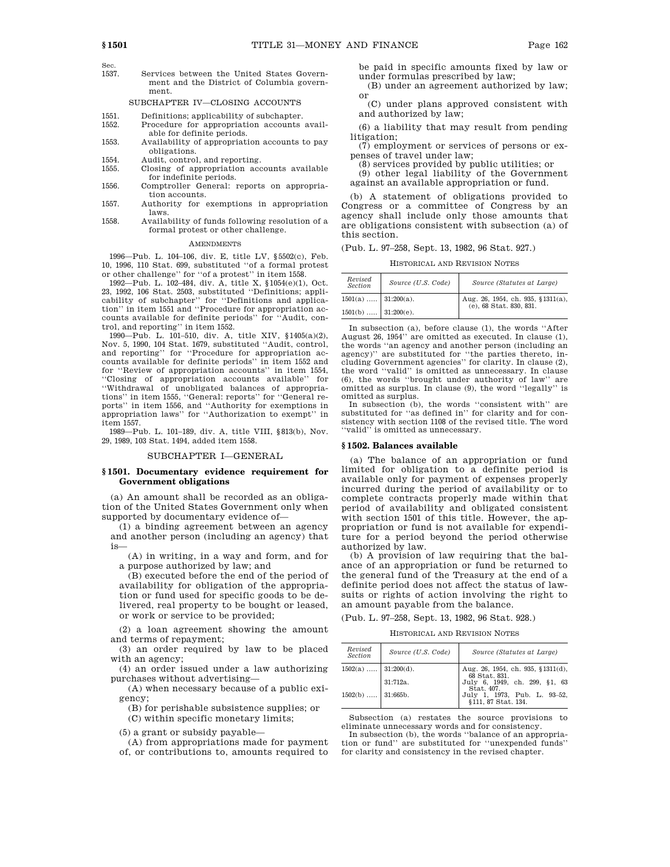Sec.<br>1537 Services between the United States Government and the District of Columbia government.

SUBCHAPTER IV—CLOSING ACCOUNTS

- 1551. Definitions; applicability of subchapter.<br>1552. Procedure for appropriation accounts.
- Procedure for appropriation accounts available for definite periods.
- 1553. Availability of appropriation accounts to pay obligations.
- 1554. Audit, control, and reporting.
- 1555. Closing of appropriation accounts available for indefinite periods.
- 1556. Comptroller General: reports on appropriation accounts.
- 1557. Authority for exemptions in appropriation laws.
- 1558. Availability of funds following resolution of a formal protest or other challenge.

#### AMENDMENTS

1996—Pub. L. 104–106, div. E, title LV, §5502(c), Feb. 10, 1996, 110 Stat. 699, substituted ''of a formal protest or other challenge'' for ''of a protest'' in item 1558.

1992—Pub. L. 102–484, div. A, title X, §1054(e)(1), Oct. 23, 1992, 106 Stat. 2503, substituted ''Definitions; applicability of subchapter'' for ''Definitions and application'' in item 1551 and ''Procedure for appropriation accounts available for definite periods'' for ''Audit, control, and reporting'' in item 1552.

1990—Pub. L. 101–510, div. A, title XIV, §1405(a)(2), Nov. 5, 1990, 104 Stat. 1679, substituted ''Audit, control, and reporting'' for ''Procedure for appropriation accounts available for definite periods'' in item 1552 and for ''Review of appropriation accounts'' in item 1554, ''Closing of appropriation accounts available'' for ''Withdrawal of unobligated balances of appropriations'' in item 1555, ''General: reports'' for ''General reports'' in item 1556, and ''Authority for exemptions in appropriation laws'' for ''Authorization to exempt'' in item 1557.

1989—Pub. L. 101–189, div. A, title VIII, §813(b), Nov. 29, 1989, 103 Stat. 1494, added item 1558.

### SUBCHAPTER I—GENERAL

## **§ 1501. Documentary evidence requirement for Government obligations**

(a) An amount shall be recorded as an obligation of the United States Government only when supported by documentary evidence of—

(1) a binding agreement between an agency and another person (including an agency) that is—

(A) in writing, in a way and form, and for a purpose authorized by law; and

(B) executed before the end of the period of availability for obligation of the appropriation or fund used for specific goods to be delivered, real property to be bought or leased, or work or service to be provided;

(2) a loan agreement showing the amount and terms of repayment;

(3) an order required by law to be placed with an agency;

(4) an order issued under a law authorizing purchases without advertising—

(A) when necessary because of a public exigency;

- (B) for perishable subsistence supplies; or
- (C) within specific monetary limits;

(5) a grant or subsidy payable—

(A) from appropriations made for payment of, or contributions to, amounts required to be paid in specific amounts fixed by law or under formulas prescribed by law;

(B) under an agreement authorized by law; or

(C) under plans approved consistent with and authorized by law;

(6) a liability that may result from pending litigation;

(7) employment or services of persons or expenses of travel under law;

(8) services provided by public utilities; or

(9) other legal liability of the Government

against an available appropriation or fund.

(b) A statement of obligations provided to Congress or a committee of Congress by an agency shall include only those amounts that are obligations consistent with subsection (a) of this section.

(Pub. L. 97–258, Sept. 13, 1982, 96 Stat. 927.)

HISTORICAL AND REVISION NOTES

| Revised<br><b>Section</b> | Source (U.S. Code) | Source (Statutes at Large)                                     |
|---------------------------|--------------------|----------------------------------------------------------------|
| $1501(a)$   31:200(a).    |                    | Aug. 26, 1954, ch. 935, $$1311(a),$<br>(e), 68 Stat. 830, 831. |
| $1501(b)$   31:200(e).    |                    |                                                                |

In subsection (a), before clause (1), the words ''After August 26, 1954'' are omitted as executed. In clause (1), the words ''an agency and another person (including an agency)'' are substituted for ''the parties thereto, in-cluding Government agencies'' for clarity. In clause (2), the word ''valid'' is omitted as unnecessary. In clause (6), the words ''brought under authority of law'' are omitted as surplus. In clause (9), the word ''legally'' is omitted as surplus.

In subsection (b), the words "consistent with" are substituted for "as defined in" for clarity and for consistency with section 1108 of the revised title. The word ''valid'' is omitted as unnecessary.

### **§ 1502. Balances available**

(a) The balance of an appropriation or fund limited for obligation to a definite period is available only for payment of expenses properly incurred during the period of availability or to complete contracts properly made within that period of availability and obligated consistent with section 1501 of this title. However, the appropriation or fund is not available for expenditure for a period beyond the period otherwise authorized by law.

(b) A provision of law requiring that the balance of an appropriation or fund be returned to the general fund of the Treasury at the end of a definite period does not affect the status of lawsuits or rights of action involving the right to an amount payable from the balance.

(Pub. L. 97–258, Sept. 13, 1982, 96 Stat. 928.)

HISTORICAL AND REVISION NOTES

| Revised<br>Section     | Source (U.S. Code) | Source (Statutes at Large)                            |
|------------------------|--------------------|-------------------------------------------------------|
| $1502(a)$   31:200(d). |                    | Aug. $26$ , 1954, ch. 935, §1311(d),<br>68 Stat. 831. |
|                        | $31:712a$ .        | July 6, 1949, ch. 299, §1, 63<br>Stat. 407.           |
| $1502(b)$   31:665b.   |                    | July 1, 1973, Pub. L. 93-52,<br>§111, 87 Stat. 134.   |

Subsection (a) restates the source provisions to eliminate unnecessary words and for consistency. In subsection (b), the words ''balance of an appropria-

tion or fund'' are substituted for ''unexpended funds'' for clarity and consistency in the revised chapter.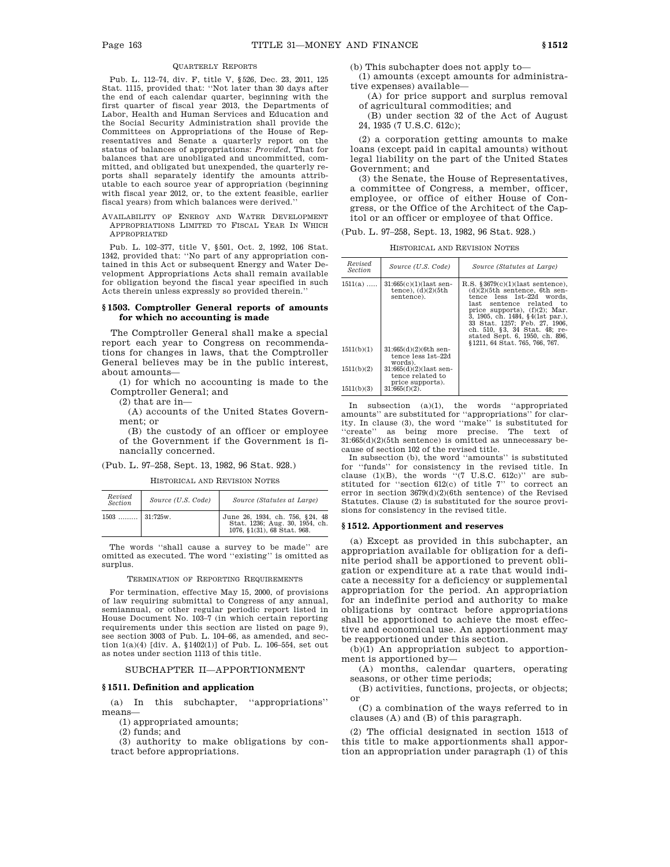### QUARTERLY REPORTS

Pub. L. 112–74, div. F, title V, §526, Dec. 23, 2011, 125 Stat. 1115, provided that: ''Not later than 30 days after the end of each calendar quarter, beginning with the first quarter of fiscal year 2013, the Departments of Labor, Health and Human Services and Education and the Social Security Administration shall provide the Committees on Appropriations of the House of Representatives and Senate a quarterly report on the status of balances of appropriations: *Provided*, That for balances that are unobligated and uncommitted, committed, and obligated but unexpended, the quarterly reports shall separately identify the amounts attributable to each source year of appropriation (beginning with fiscal year 2012, or, to the extent feasible, earlier fiscal years) from which balances were derived.''

AVAILABILITY OF ENERGY AND WATER DEVELOPMENT APPROPRIATIONS LIMITED TO FISCAL YEAR IN WHICH APPROPRIATED

Pub. L. 102–377, title V, §501, Oct. 2, 1992, 106 Stat. 1342, provided that: ''No part of any appropriation contained in this Act or subsequent Energy and Water Development Appropriations Acts shall remain available for obligation beyond the fiscal year specified in such Acts therein unless expressly so provided therein.''

### **§ 1503. Comptroller General reports of amounts for which no accounting is made**

The Comptroller General shall make a special report each year to Congress on recommendations for changes in laws, that the Comptroller General believes may be in the public interest, about amounts—

(1) for which no accounting is made to the Comptroller General; and

(2) that are in—

(A) accounts of the United States Government; or

(B) the custody of an officer or employee of the Government if the Government is financially concerned.

(Pub. L. 97–258, Sept. 13, 1982, 96 Stat. 928.)

HISTORICAL AND REVISION NOTES

| Revised<br>Section | Source (U.S. Code) | Source (Statutes at Large)                                                                       |
|--------------------|--------------------|--------------------------------------------------------------------------------------------------|
| $1503$   31:725w.  |                    | June 26, 1934, ch. 756, §24, 48<br>Stat. 1236; Aug. 30, 1954, ch.<br>1076, §1(31), 68 Stat. 968. |

The words ''shall cause a survey to be made'' are omitted as executed. The word ''existing'' is omitted as surplus.

#### TERMINATION OF REPORTING REQUIREMENTS

For termination, effective May 15, 2000, of provisions of law requiring submittal to Congress of any annual, semiannual, or other regular periodic report listed in House Document No. 103–7 (in which certain reporting requirements under this section are listed on page 9), see section 3003 of Pub. L. 104–66, as amended, and section 1(a)(4) [div. A, §1402(1)] of Pub. L. 106–554, set out as notes under section 1113 of this title.

### SUBCHAPTER II—APPORTIONMENT

# **§ 1511. Definition and application**

(a) In this subchapter, ''appropriations'' means—

(1) appropriated amounts;

 $(2)$  funds; and

(3) authority to make obligations by contract before appropriations.

(b) This subchapter does not apply to—

(1) amounts (except amounts for administrative expenses) available—

(A) for price support and surplus removal of agricultural commodities; and

(B) under section 32 of the Act of August 24, 1935 (7 U.S.C. 612c);

(2) a corporation getting amounts to make loans (except paid in capital amounts) without legal liability on the part of the United States Government; and

(3) the Senate, the House of Representatives, a committee of Congress, a member, officer, employee, or office of either House of Congress, or the Office of the Architect of the Capitol or an officer or employee of that Office.

(Pub. L. 97–258, Sept. 13, 1982, 96 Stat. 928.)

HISTORICAL AND REVISION NOTES

| Revised<br><i>Section</i> | Source (U.S. Code)                                               | Source (Statutes at Large)                                                                                                                                                                                                                                                                                                                        |
|---------------------------|------------------------------------------------------------------|---------------------------------------------------------------------------------------------------------------------------------------------------------------------------------------------------------------------------------------------------------------------------------------------------------------------------------------------------|
| $1511(a)$                 | $31:665(c)(1)(last sen-$<br>tence), $(d)(2)(5th)$<br>sentence).  | $R.S.$ § 3679 $(c)(1)(last sentence)$ ,<br>$(d)(2)(5th$ sentence, 6th sen-<br>tence less 1st-22d words.<br>last sentence related to<br>price supports), $(f)(2)$ ; Mar.<br>3, 1905, ch. 1484, §4(1st par.),<br>33 Stat. 1257; Feb. 27, 1906,<br>ch. 510, §3, 34 Stat. 48; re-<br>stated Sept. 6, 1950, ch. 896,<br>§1211, 64 Stat, 765, 766, 767. |
| 1511(b)(1)                | $31:665(d)(2)(6th$ sen-<br>tence less 1st-22d<br>words).         |                                                                                                                                                                                                                                                                                                                                                   |
| 1511(b)(2)                | $31:665(d)(2)(last sen-$<br>tence related to<br>price supports). |                                                                                                                                                                                                                                                                                                                                                   |
| 1511(b)(3)                | $31:665(f)(2)$ .                                                 |                                                                                                                                                                                                                                                                                                                                                   |

In subsection (a)(1), the words ''appropriated amounts'' are substituted for ''appropriations'' for clarity. In clause (3), the word ''make'' is substituted for ''create'' as being more precise. The text of  $31:665(d)(2)(5th \ sentence)$  is omitted as unnecessary because of section 102 of the revised title.

In subsection (b), the word ''amounts'' is substituted for ''funds'' for consistency in the revised title. In clause  $(1)(B)$ , the words " $(7 \text{ U.S.C. } 612c)$ " are substituted for ''section 612(c) of title 7'' to correct an error in section  $3679(d)(2)(6th$  sentence) of the Revised Statutes. Clause (2) is substituted for the source provisions for consistency in the revised title.

#### **§ 1512. Apportionment and reserves**

(a) Except as provided in this subchapter, an appropriation available for obligation for a definite period shall be apportioned to prevent obligation or expenditure at a rate that would indicate a necessity for a deficiency or supplemental appropriation for the period. An appropriation for an indefinite period and authority to make obligations by contract before appropriations shall be apportioned to achieve the most effective and economical use. An apportionment may be reapportioned under this section.

(b)(1) An appropriation subject to apportionment is apportioned by—

(A) months, calendar quarters, operating seasons, or other time periods;

(B) activities, functions, projects, or objects; or

(C) a combination of the ways referred to in clauses (A) and (B) of this paragraph.

(2) The official designated in section 1513 of this title to make apportionments shall apportion an appropriation under paragraph (1) of this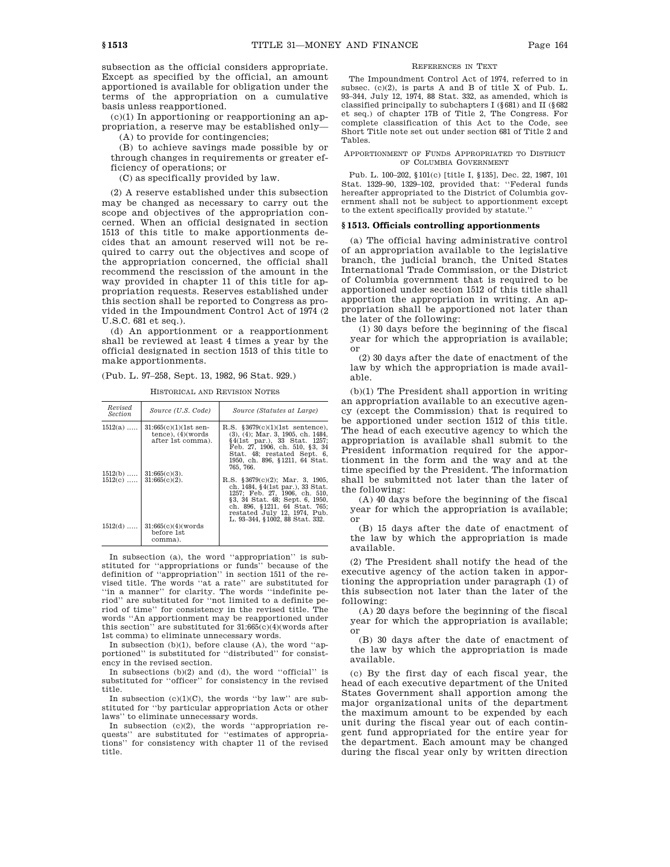subsection as the official considers appropriate. Except as specified by the official, an amount apportioned is available for obligation under the terms of the appropriation on a cumulative basis unless reapportioned.

 $(c)(1)$  In apportioning or reapportioning an appropriation, a reserve may be established only—

(A) to provide for contingencies;

(B) to achieve savings made possible by or through changes in requirements or greater efficiency of operations; or

(C) as specifically provided by law.

(2) A reserve established under this subsection may be changed as necessary to carry out the scope and objectives of the appropriation concerned. When an official designated in section 1513 of this title to make apportionments decides that an amount reserved will not be required to carry out the objectives and scope of the appropriation concerned, the official shall recommend the rescission of the amount in the way provided in chapter 11 of this title for appropriation requests. Reserves established under this section shall be reported to Congress as provided in the Impoundment Control Act of 1974 (2 U.S.C. 681 et seq.).

(d) An apportionment or a reapportionment shall be reviewed at least 4 times a year by the official designated in section 1513 of this title to make apportionments.

(Pub. L. 97–258, Sept. 13, 1982, 96 Stat. 929.)

HISTORICAL AND REVISION NOTES

| Revised<br><i>Section</i> | Source (U.S. Code)                                                     | Source (Statutes at Large)                                                                                                                                                                                                                     |
|---------------------------|------------------------------------------------------------------------|------------------------------------------------------------------------------------------------------------------------------------------------------------------------------------------------------------------------------------------------|
| $1512(a)$                 | $31:665(c)(1)(1st$ sen-<br>$tence$ , $(4)(words)$<br>after 1st comma). | R.S. $$3679(c)(1)(1st sentence)$ ,<br>$(3)$ , $(4)$ : Mar, 3, 1905, ch, 1484.<br>§4(1st par.), 33 Stat. 1257;<br>Feb. 27, 1906, ch. 510, §3, 34<br>Stat. 48; restated Sept. 6,<br>1950. ch. 896. §1211. 64 Stat.<br>765.766.                   |
| $1512(b)$                 | $31:665(c)(3)$ .                                                       |                                                                                                                                                                                                                                                |
| $1512(c)$                 | $31:665(c)(2)$ .                                                       | R.S. $$3679(c)(2)$ ; Mar. 3, 1905,<br>ch. 1484, §4(1st par.), 33 Stat.<br>1257; Feb. 27, 1906, ch. 510,<br>§3, 34 Stat. 48; Sept. 6, 1950.<br>ch. 896, §1211, 64 Stat. 765;<br>restated July 12, 1974, Pub.<br>L. 93-344, §1002, 88 Stat. 332. |
| $1512(d)$                 | $31:665(c)(4)$ (words<br>before 1st<br>comma).                         |                                                                                                                                                                                                                                                |

In subsection (a), the word ''appropriation'' is substituted for ''appropriations or funds'' because of the definition of ''appropriation'' in section 1511 of the revised title. The words ''at a rate'' are substituted for ''in a manner'' for clarity. The words ''indefinite period'' are substituted for ''not limited to a definite period of time'' for consistency in the revised title. The words ''An apportionment may be reapportioned under this section'' are substituted for 31:665(c)(4)(words after 1st comma) to eliminate unnecessary words.

In subsection (b)(1), before clause (A), the word "apportioned'' is substituted for ''distributed'' for consistency in the revised section.

In subsections (b)(2) and (d), the word ''official'' is substituted for ''officer'' for consistency in the revised title.

In subsection  $(c)(1)(C)$ , the words "by law" are substituted for ''by particular appropriation Acts or other laws'' to eliminate unnecessary words.

In subsection  $(c)(2)$ , the words "appropriation requests'' are substituted for ''estimates of appropriations'' for consistency with chapter 11 of the revised title.

# REFERENCES IN TEXT

The Impoundment Control Act of 1974, referred to in subsec. (c)(2), is parts A and B of title X of Pub. L. 93–344, July 12, 1974, 88 Stat. 332, as amended, which is classified principally to subchapters I (§681) and II (§682 et seq.) of chapter 17B of Title 2, The Congress. For complete classification of this Act to the Code, see Short Title note set out under section 681 of Title 2 and Tables.

#### APPORTIONMENT OF FUNDS APPROPRIATED TO DISTRICT OF COLUMBIA GOVERNMENT

Pub. L. 100–202, §101(c) [title I, §135], Dec. 22, 1987, 101 Stat. 1329–90, 1329–102, provided that: ''Federal funds hereafter appropriated to the District of Columbia government shall not be subject to apportionment except to the extent specifically provided by statute.''

# **§ 1513. Officials controlling apportionments**

(a) The official having administrative control of an appropriation available to the legislative branch, the judicial branch, the United States International Trade Commission, or the District of Columbia government that is required to be apportioned under section 1512 of this title shall apportion the appropriation in writing. An appropriation shall be apportioned not later than the later of the following:

(1) 30 days before the beginning of the fiscal year for which the appropriation is available; or

(2) 30 days after the date of enactment of the law by which the appropriation is made available.

(b)(1) The President shall apportion in writing an appropriation available to an executive agency (except the Commission) that is required to be apportioned under section 1512 of this title. The head of each executive agency to which the appropriation is available shall submit to the President information required for the apportionment in the form and the way and at the time specified by the President. The information shall be submitted not later than the later of the following:

(A) 40 days before the beginning of the fiscal year for which the appropriation is available; or

(B) 15 days after the date of enactment of the law by which the appropriation is made available.

(2) The President shall notify the head of the executive agency of the action taken in apportioning the appropriation under paragraph (1) of this subsection not later than the later of the following:

(A) 20 days before the beginning of the fiscal year for which the appropriation is available; or

(B) 30 days after the date of enactment of the law by which the appropriation is made available.

(c) By the first day of each fiscal year, the head of each executive department of the United States Government shall apportion among the major organizational units of the department the maximum amount to be expended by each unit during the fiscal year out of each contingent fund appropriated for the entire year for the department. Each amount may be changed during the fiscal year only by written direction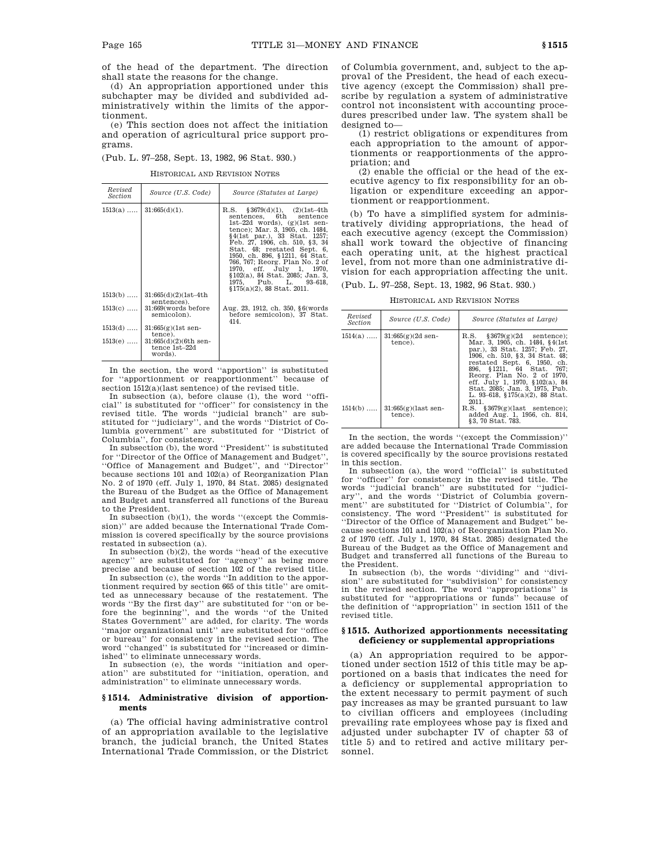of the head of the department. The direction shall state the reasons for the change.

(d) An appropriation apportioned under this subchapter may be divided and subdivided administratively within the limits of the apportionment.

(e) This section does not affect the initiation and operation of agricultural price support programs.

(Pub. L. 97–258, Sept. 13, 1982, 96 Stat. 930.)

HISTORICAL AND REVISION NOTES

| Revised<br>Section | Source (U.S. Code)                                  | Source (Statutes at Large)                                                                                                                                                                                                                                                                                                                                                                                                    |
|--------------------|-----------------------------------------------------|-------------------------------------------------------------------------------------------------------------------------------------------------------------------------------------------------------------------------------------------------------------------------------------------------------------------------------------------------------------------------------------------------------------------------------|
| $1513(a)$          | $31:665(d)(1)$ .                                    | R.S. $$3679(d)(1), (2)(1st-4th)$<br>sentences, 6th sentence<br>$1st-22d$ words), $(g)(1st$ sen-<br>tence); Mar. 3, 1905, ch. 1484,<br>§4(1st par.), 33 Stat. 1257;<br>Feb. 27, 1906, ch. 510, §3, 34<br>Stat. 48; restated Sept. 6,<br>1950, ch. 896, §1211, 64 Stat.<br>766, 767; Reorg. Plan No. 2 of<br>1970, eff. July 1, 1970,<br>§102(a), 84 Stat. 2085; Jan. 3,<br>1975, Pub. L. 93–618,<br>§175(a)(2), 88 Stat. 2011. |
| $1513(b)$          | $31:665(d)(2)(1st-4th)$<br>sentences).              |                                                                                                                                                                                                                                                                                                                                                                                                                               |
| $1513(c)$          | 31:669(words before<br>semicolon).                  | Aug. 23, 1912, ch. 350, §6(words)<br>before semicolon), 37 Stat.<br>414.                                                                                                                                                                                                                                                                                                                                                      |
| $1513(d)$          | $31:665(g)(1st sen-$<br>tence).                     |                                                                                                                                                                                                                                                                                                                                                                                                                               |
| $1513(e)$          | $31:665(d)(2)(6th$ sen-<br>tence 1st-22d<br>words). |                                                                                                                                                                                                                                                                                                                                                                                                                               |

In the section, the word ''apportion'' is substituted for ''apportionment or reapportionment'' because of section 1512(a)(last sentence) of the revised title.

In subsection (a), before clause (1), the word ''official'' is substituted for ''officer'' for consistency in the revised title. The words ''judicial branch'' are substituted for ''judiciary'', and the words ''District of Columbia government'' are substituted for ''District of Columbia'', for consistency.

In subsection (b), the word ''President'' is substituted for ''Director of the Office of Management and Budget'', ''Office of Management and Budget'', and ''Director'' because sections 101 and 102(a) of Reorganization Plan No. 2 of 1970 (eff. July 1, 1970, 84 Stat. 2085) designated the Bureau of the Budget as the Office of Management and Budget and transferred all functions of the Bureau to the President.

In subsection (b)(1), the words ''(except the Commission)'' are added because the International Trade Commission is covered specifically by the source provisions restated in subsection (a).

In subsection (b)(2), the words ''head of the executive agency'' are substituted for ''agency'' as being more precise and because of section 102 of the revised title.

In subsection (c), the words ''In addition to the apportionment required by section 665 of this title'' are omitted as unnecessary because of the restatement. The words ''By the first day'' are substituted for ''on or before the beginning'', and the words ''of the United States Government'' are added, for clarity. The words ''major organizational unit'' are substituted for ''office or bureau'' for consistency in the revised section. The word ''changed'' is substituted for ''increased or dimin-

ished'' to eliminate unnecessary words. In subsection (e), the words ''initiation and operation'' are substituted for ''initiation, operation, and administration'' to eliminate unnecessary words.

# **§ 1514. Administrative division of apportionments**

(a) The official having administrative control of an appropriation available to the legislative branch, the judicial branch, the United States International Trade Commission, or the District of Columbia government, and, subject to the approval of the President, the head of each executive agency (except the Commission) shall prescribe by regulation a system of administrative control not inconsistent with accounting procedures prescribed under law. The system shall be designed to—

(1) restrict obligations or expenditures from each appropriation to the amount of apportionments or reapportionments of the appropriation; and

(2) enable the official or the head of the executive agency to fix responsibility for an obligation or expenditure exceeding an apportionment or reapportionment.

(b) To have a simplified system for administratively dividing appropriations, the head of each executive agency (except the Commission) shall work toward the objective of financing each operating unit, at the highest practical level, from not more than one administrative division for each appropriation affecting the unit.

(Pub. L. 97–258, Sept. 13, 1982, 96 Stat. 930.)

HISTORICAL AND REVISION NOTES

| Revised<br><i>Section</i> | Source (U.S. Code)               | Source (Statutes at Large)                                                                                                                                                                                                                                                                                                                      |
|---------------------------|----------------------------------|-------------------------------------------------------------------------------------------------------------------------------------------------------------------------------------------------------------------------------------------------------------------------------------------------------------------------------------------------|
| $1514(a)$                 | $31:665(g)(2d$ sen-<br>tence).   | R.S. $$3679(g)(2d$ sentence);<br>Mar. 3, 1905. ch. 1484. §4(1st)<br>par.), 33 Stat. 1257: Feb. 27.<br>1906, ch. 510, §3, 34 Stat. 48;<br>restated Sept. 6, 1950, ch.<br>896, §1211, 64 Stat. 767;<br>Reorg. Plan No. 2 of 1970.<br>eff. July 1, 1970, §102(a), 84<br>Stat. 2085: Jan. 3. 1975. Pub.<br>L. 93-618, §175(a)(2), 88 Stat.<br>2011. |
| $1514(b)$                 | $31:665(g)(last sen-$<br>tence). | R.S. $$3679(g)(last sentence):$<br>added Aug. 1, 1956, ch. 814,<br>§3.70 Stat.783.                                                                                                                                                                                                                                                              |

In the section, the words ''(except the Commission)'' are added because the International Trade Commission is covered specifically by the source provisions restated in this section.

In subsection (a), the word ''official'' is substituted for ''officer'' for consistency in the revised title. The words ''judicial branch'' are substituted for ''judiciary'', and the words ''District of Columbia govern-ment'' are substituted for ''District of Columbia'', for consistency. The word ''President'' is substituted for ''Director of the Office of Management and Budget'' because sections 101 and 102(a) of Reorganization Plan No. 2 of 1970 (eff. July 1, 1970, 84 Stat. 2085) designated the Bureau of the Budget as the Office of Management and Budget and transferred all functions of the Bureau to the President.

In subsection (b), the words ''dividing'' and ''divi-sion'' are substituted for ''subdivision'' for consistency in the revised section. The word ''appropriations'' is substituted for ''appropriations or funds'' because of the definition of ''appropriation'' in section 1511 of the revised title.

## **§ 1515. Authorized apportionments necessitating deficiency or supplemental appropriations**

(a) An appropriation required to be apportioned under section 1512 of this title may be apportioned on a basis that indicates the need for a deficiency or supplemental appropriation to the extent necessary to permit payment of such pay increases as may be granted pursuant to law to civilian officers and employees (including prevailing rate employees whose pay is fixed and adjusted under subchapter IV of chapter 53 of title 5) and to retired and active military personnel.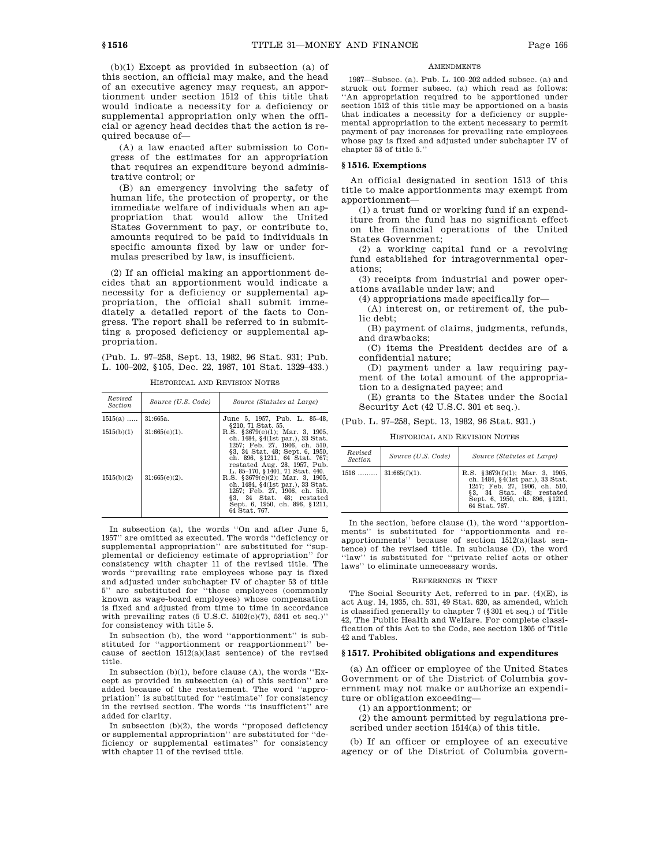(b)(1) Except as provided in subsection (a) of this section, an official may make, and the head of an executive agency may request, an apportionment under section 1512 of this title that would indicate a necessity for a deficiency or supplemental appropriation only when the official or agency head decides that the action is required because of-

(A) a law enacted after submission to Congress of the estimates for an appropriation that requires an expenditure beyond administrative control; or

(B) an emergency involving the safety of human life, the protection of property, or the immediate welfare of individuals when an appropriation that would allow the United States Government to pay, or contribute to, amounts required to be paid to individuals in specific amounts fixed by law or under formulas prescribed by law, is insufficient.

(2) If an official making an apportionment decides that an apportionment would indicate a necessity for a deficiency or supplemental appropriation, the official shall submit immediately a detailed report of the facts to Congress. The report shall be referred to in submitting a proposed deficiency or supplemental appropriation.

(Pub. L. 97–258, Sept. 13, 1982, 96 Stat. 931; Pub. L. 100–202, §105, Dec. 22, 1987, 101 Stat. 1329–433.)

| Revised<br><i>Section</i> | Source (U.S. Code) | Source (Statutes at Large)                                                                                                                                                                                                                     |
|---------------------------|--------------------|------------------------------------------------------------------------------------------------------------------------------------------------------------------------------------------------------------------------------------------------|
| $1515(a)$                 | $31:665a$ .        | June 5, 1957. Pub. L. 85–48.<br>§ 210. 71 Stat. 55.                                                                                                                                                                                            |
| 1515(b)(1)                | $31:665(e)(1)$ .   | R.S. $$3679(e)(1)$ ; Mar. 3, 1905,<br>ch. 1484, §4(1st par.), 33 Stat.<br>1257: Feb. 27, 1906, ch. 510.<br>§3. 34 Stat. 48: Sept. 6. 1950.<br>ch. 896, §1211, 64 Stat. 767:<br>restated Aug. 28, 1957, Pub.<br>L. 85-170, §1401, 71 Stat. 440. |
| 1515(b)(2)                | $31:665(e)(2)$ .   | R.S. $$3679(e)(2)$ ; Mar. 3, 1905,<br>ch. 1484, §4(1st par.), 33 Stat.<br>1257: Feb. 27, 1906, ch. 510.<br>§3. 34 Stat. 48: restated<br>Sept. 6, 1950, ch. 896, §1211,<br>64 Stat. 767.                                                        |

HISTORICAL AND REVISION NOTES

In subsection (a), the words ''On and after June 5, 1957'' are omitted as executed. The words ''deficiency or supplemental appropriation'' are substituted for ''supplemental or deficiency estimate of appropriation'' for consistency with chapter 11 of the revised title. The words ''prevailing rate employees whose pay is fixed and adjusted under subchapter IV of chapter 53 of title 5'' are substituted for ''those employees (commonly known as wage-board employees) whose compensation is fixed and adjusted from time to time in accordance with prevailing rates  $(5 \text{ U.S.C. } 5102(c)(7), 5341 \text{ et seq.})$ " for consistency with title 5.

In subsection (b), the word ''apportionment'' is substituted for ''apportionment or reapportionment'' because of section 1512(a)(last sentence) of the revised title.

In subsection (b)(1), before clause (A), the words ''Except as provided in subsection (a) of this section'' are added because of the restatement. The word ''appropriation'' is substituted for ''estimate'' for consistency in the revised section. The words ''is insufficient'' are added for clarity.

In subsection  $(b)(2)$ , the words "proposed deficiency" or supplemental appropriation'' are substituted for ''deficiency or supplemental estimates'' for consistency with chapter 11 of the revised title.

### **AMENDMENTS**

1987—Subsec. (a). Pub. L. 100–202 added subsec. (a) and struck out former subsec. (a) which read as follows: ''An appropriation required to be apportioned under section 1512 of this title may be apportioned on a basis that indicates a necessity for a deficiency or supplemental appropriation to the extent necessary to permit payment of pay increases for prevailing rate employees whose pay is fixed and adjusted under subchapter IV of chapter 53 of title 5.''

### **§ 1516. Exemptions**

An official designated in section 1513 of this title to make apportionments may exempt from apportionment—

(1) a trust fund or working fund if an expenditure from the fund has no significant effect on the financial operations of the United States Government;

(2) a working capital fund or a revolving fund established for intragovernmental operations;

(3) receipts from industrial and power operations available under law; and

(4) appropriations made specifically for—

(A) interest on, or retirement of, the public debt;

(B) payment of claims, judgments, refunds, and drawbacks;

(C) items the President decides are of a confidential nature;

(D) payment under a law requiring payment of the total amount of the appropriation to a designated payee; and

(E) grants to the States under the Social Security Act (42 U.S.C. 301 et seq.).

(Pub. L. 97–258, Sept. 13, 1982, 96 Stat. 931.)

HISTORICAL AND REVISION NOTES

| Revised<br>Section | Source (U.S. Code)     | Source (Statutes at Large)                                                                                                                                                             |
|--------------------|------------------------|----------------------------------------------------------------------------------------------------------------------------------------------------------------------------------------|
|                    | $1516$   31:665(f)(1). | R.S. $$3679(f)(1);$ Mar. 3, 1905,<br>ch. 1484, §4(1st par.), 33 Stat.<br>1257; Feb. 27, 1906, ch. 510,<br>§3, 34 Stat. 48; restated<br>Sept. 6, 1950, ch. 896, §1211.<br>64 Stat. 767. |

In the section, before clause (1), the word ''apportionments'' is substituted for ''apportionments and reapportionments'' because of section 1512(a)(last sentence) of the revised title. In subclause (D), the word ''law'' is substituted for ''private relief acts or other laws'' to eliminate unnecessary words.

#### REFERENCES IN TEXT

The Social Security Act, referred to in par. (4)(E), is act Aug. 14, 1935, ch. 531, 49 Stat. 620, as amended, which is classified generally to chapter 7 (§301 et seq.) of Title 42, The Public Health and Welfare. For complete classification of this Act to the Code, see section 1305 of Title 42 and Tables.

### **§ 1517. Prohibited obligations and expenditures**

(a) An officer or employee of the United States Government or of the District of Columbia government may not make or authorize an expenditure or obligation exceeding—

(1) an apportionment; or

(2) the amount permitted by regulations prescribed under section 1514(a) of this title.

(b) If an officer or employee of an executive agency or of the District of Columbia govern-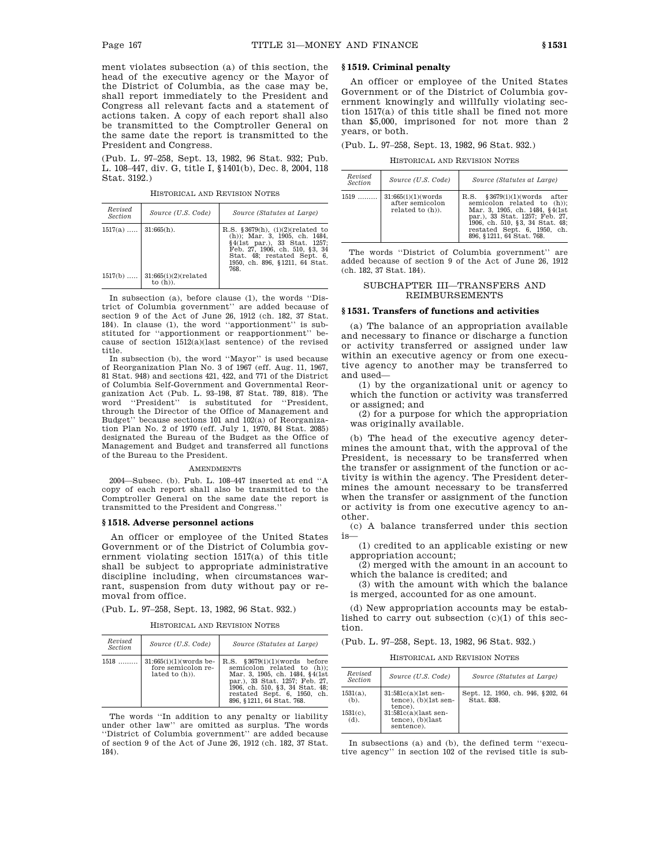ment violates subsection (a) of this section, the head of the executive agency or the Mayor of the District of Columbia, as the case may be, shall report immediately to the President and Congress all relevant facts and a statement of actions taken. A copy of each report shall also be transmitted to the Comptroller General on the same date the report is transmitted to the President and Congress.

(Pub. L. 97–258, Sept. 13, 1982, 96 Stat. 932; Pub. L. 108–447, div. G, title I, §1401(b), Dec. 8, 2004, 118 Stat. 3192.)

HISTORICAL AND REVISION NOTES

| Revised<br>Section                  | Source (U.S. Code)    | Source (Statutes at Large)                                                                                                                                                                                           |
|-------------------------------------|-----------------------|----------------------------------------------------------------------------------------------------------------------------------------------------------------------------------------------------------------------|
| $1517(a)$   31:665(h).<br>$1517(b)$ | 31:665(i)(2)(related) | R.S. §3679 $(h)$ , $(i)(2)(related to$<br>$(h)$ ; Mar. 3, 1905, ch. 1484,<br>§4(1st par.), 33 Stat. 1257;<br>Feb. 27, 1906, ch. 510, §3, 34<br>Stat. 48; restated Sept. 6,<br>1950. ch. 896. §1211. 64 Stat.<br>768. |
|                                     | $to (h)$ ).           |                                                                                                                                                                                                                      |

In subsection (a), before clause (1), the words ''District of Columbia government'' are added because of section 9 of the Act of June 26, 1912 (ch. 182, 37 Stat. 184). In clause (1), the word ''apportionment'' is substituted for ''apportionment or reapportionment'' because of section 1512(a)(last sentence) of the revised title.

In subsection (b), the word ''Mayor'' is used because of Reorganization Plan No. 3 of 1967 (eff. Aug. 11, 1967, 81 Stat. 948) and sections 421, 422, and 771 of the District of Columbia Self-Government and Governmental Reorganization Act (Pub. L. 93–198, 87 Stat. 789, 818). The word ''President'' is substituted for ''President, through the Director of the Office of Management and Budget'' because sections 101 and 102(a) of Reorganization Plan No. 2 of 1970 (eff. July 1, 1970, 84 Stat. 2085) designated the Bureau of the Budget as the Office of Management and Budget and transferred all functions of the Bureau to the President.

#### **AMENDMENTS**

2004—Subsec. (b). Pub. L. 108–447 inserted at end ''A copy of each report shall also be transmitted to the Comptroller General on the same date the report is transmitted to the President and Congress.''

### **§ 1518. Adverse personnel actions**

An officer or employee of the United States Government or of the District of Columbia government violating section 1517(a) of this title shall be subject to appropriate administrative discipline including, when circumstances warrant, suspension from duty without pay or removal from office.

(Pub. L. 97–258, Sept. 13, 1982, 96 Stat. 932.)

HISTORICAL AND REVISION NOTES

| Revised<br>Section | Source (U.S. Code)                                                  | Source (Statutes at Large)                                                                                                                                                                                                        |
|--------------------|---------------------------------------------------------------------|-----------------------------------------------------------------------------------------------------------------------------------------------------------------------------------------------------------------------------------|
| $1518$             | $31:665(i)(1)(words be-$<br>fore semicolon re-<br>lated to $(h)$ ). | R.S. $$3679(i)(1)(words)$ before<br>semicolon related to (h)):<br>Mar. 3, 1905, ch. 1484, §4(1st<br>par.), 33 Stat. 1257; Feb. 27,<br>1906, ch. 510, §3, 34 Stat. 48;<br>restated Sept. 6, 1950, ch.<br>896, §1211, 64 Stat. 768. |

The words ''In addition to any penalty or liability under other law'' are omitted as surplus. The words ''District of Columbia government'' are added because of section 9 of the Act of June 26, 1912 (ch. 182, 37 Stat. 184).

# **§ 1519. Criminal penalty**

An officer or employee of the United States Government or of the District of Columbia government knowingly and willfully violating section 1517(a) of this title shall be fined not more than \$5,000, imprisoned for not more than 2 years, or both.

(Pub. L. 97–258, Sept. 13, 1982, 96 Stat. 932.)

HISTORICAL AND REVISION NOTES

| Revised<br><b>Section</b> | Source (U.S. Code)                                         | Source (Statutes at Large)                                                                                                                                                                                                         |
|---------------------------|------------------------------------------------------------|------------------------------------------------------------------------------------------------------------------------------------------------------------------------------------------------------------------------------------|
| $1519$                    | 31:665(i)(1)(words)<br>after semicolon<br>related to (h)). | \$3679(i)(1)(words after<br>R.S.<br>semicolon related to (h)):<br>Mar. 3, 1905, ch. 1484, §4(1st)<br>par.), 33 Stat. 1257: Feb. 27.<br>1906, ch. 510, §3, 34 Stat. 48;<br>restated Sept. 6, 1950, ch.<br>896, §1211, 64 Stat, 768. |

The words ''District of Columbia government'' are added because of section 9 of the Act of June 26, 1912 (ch. 182, 37 Stat. 184).

### SUBCHAPTER III—TRANSFERS AND REIMBURSEMENTS

### **§ 1531. Transfers of functions and activities**

(a) The balance of an appropriation available and necessary to finance or discharge a function or activity transferred or assigned under law within an executive agency or from one executive agency to another may be transferred to and used—

(1) by the organizational unit or agency to which the function or activity was transferred or assigned; and

(2) for a purpose for which the appropriation was originally available.

(b) The head of the executive agency determines the amount that, with the approval of the President, is necessary to be transferred when the transfer or assignment of the function or activity is within the agency. The President determines the amount necessary to be transferred when the transfer or assignment of the function or activity is from one executive agency to another.

(c) A balance transferred under this section is—

(1) credited to an applicable existing or new appropriation account;

(2) merged with the amount in an account to which the balance is credited; and

(3) with the amount with which the balance is merged, accounted for as one amount.

(d) New appropriation accounts may be established to carry out subsection (c)(1) of this section.

(Pub. L. 97–258, Sept. 13, 1982, 96 Stat. 932.)

HISTORICAL AND REVISION NOTES

| Revised<br><b>Section</b>                        | Source (U.S. Code)                                                                                                        | Source (Statutes at Large)                      |
|--------------------------------------------------|---------------------------------------------------------------------------------------------------------------------------|-------------------------------------------------|
| $1531(a)$ ,<br>$(b)$ .<br>$1531(c)$ ,<br>$(d)$ . | $31:581c(a)(1st sen-$<br>$tence$ , $(b)(1st sen-$<br>tence).<br>$31:581c(a)(last sen-$<br>tence), (b)(last)<br>sentence). | Sept. 12, 1950, ch. 946, §202, 64<br>Stat. 838. |

In subsections (a) and (b), the defined term ''executive agency'' in section 102 of the revised title is sub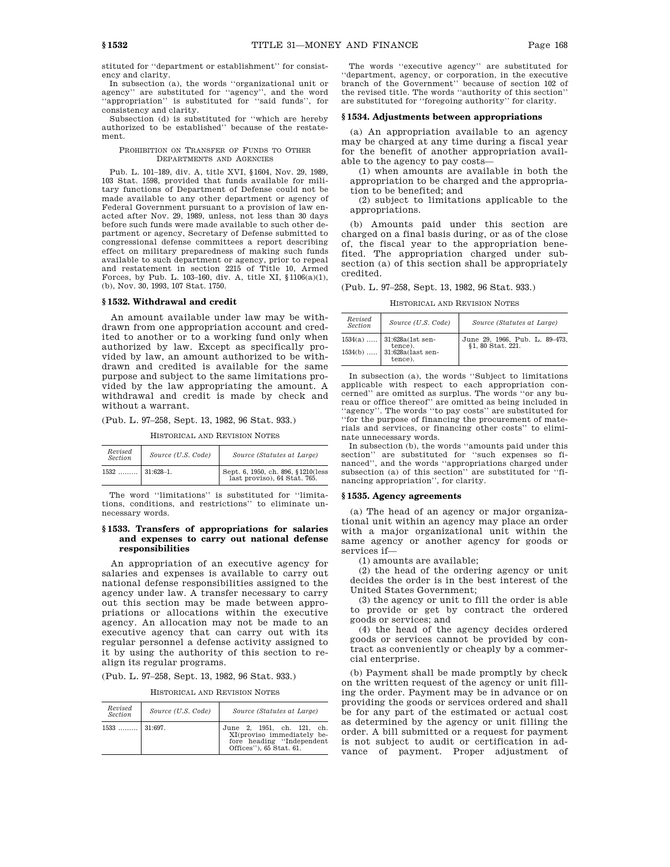stituted for ''department or establishment'' for consistency and clarity.

In subsection (a), the words ''organizational unit or agency'' are substituted for ''agency'', and the word ''appropriation'' is substituted for ''said funds'', for consistency and clarity.

Subsection (d) is substituted for ''which are hereby authorized to be established'' because of the restatement.

### PROHIBITION ON TRANSFER OF FUNDS TO OTHER DEPARTMENTS AND AGENCIES

Pub. L. 101–189, div. A, title XVI, §1604, Nov. 29, 1989, 103 Stat. 1598, provided that funds available for military functions of Department of Defense could not be made available to any other department or agency of Federal Government pursuant to a provision of law enacted after Nov. 29, 1989, unless, not less than 30 days before such funds were made available to such other department or agency, Secretary of Defense submitted to congressional defense committees a report describing effect on military preparedness of making such funds available to such department or agency, prior to repeal and restatement in section 2215 of Title 10, Armed Forces, by Pub. L. 103–160, div. A, title XI, §1106(a)(1), (b), Nov. 30, 1993, 107 Stat. 1750.

# **§ 1532. Withdrawal and credit**

An amount available under law may be withdrawn from one appropriation account and credited to another or to a working fund only when authorized by law. Except as specifically provided by law, an amount authorized to be withdrawn and credited is available for the same purpose and subject to the same limitations provided by the law appropriating the amount. A withdrawal and credit is made by check and without a warrant.

(Pub. L. 97–258, Sept. 13, 1982, 96 Stat. 933.)

HISTORICAL AND REVISION NOTES

| Revised<br><b>Section</b> | Source (U.S. Code) | Source (Statutes at Large)                                      |
|---------------------------|--------------------|-----------------------------------------------------------------|
| $1532$   31:628-1.        |                    | Sept. 6, 1950, ch. 896, §1210(less last proviso), 64 Stat. 765. |

The word ''limitations'' is substituted for ''limitations, conditions, and restrictions'' to eliminate unnecessary words.

## **§ 1533. Transfers of appropriations for salaries and expenses to carry out national defense responsibilities**

An appropriation of an executive agency for salaries and expenses is available to carry out national defense responsibilities assigned to the agency under law. A transfer necessary to carry out this section may be made between appropriations or allocations within the executive agency. An allocation may not be made to an executive agency that can carry out with its regular personnel a defense activity assigned to it by using the authority of this section to realign its regular programs.

| (Pub. L. 97–258, Sept. 13, 1982, 96 Stat. 933.) |  |
|-------------------------------------------------|--|
|-------------------------------------------------|--|

HISTORICAL AND REVISION NOTES

| Revised<br>Section | Source (U.S. Code) | Source (Statutes at Large)                                                                                       |
|--------------------|--------------------|------------------------------------------------------------------------------------------------------------------|
| $1533$   31:697.   |                    | June 2, 1951, ch. 121, ch.<br>XI(proviso immediately be-<br>fore heading "Independent<br>Offices"), 65 Stat. 61. |

The words ''executive agency'' are substituted for ''department, agency, or corporation, in the executive branch of the Government'' because of section 102 of the revised title. The words ''authority of this section'' are substituted for ''foregoing authority'' for clarity.

#### **§ 1534. Adjustments between appropriations**

(a) An appropriation available to an agency may be charged at any time during a fiscal year for the benefit of another appropriation available to the agency to pay costs—

(1) when amounts are available in both the appropriation to be charged and the appropriation to be benefited; and

(2) subject to limitations applicable to the appropriations.

(b) Amounts paid under this section are charged on a final basis during, or as of the close of, the fiscal year to the appropriation benefited. The appropriation charged under subsection (a) of this section shall be appropriately credited.

(Pub. L. 97–258, Sept. 13, 1982, 96 Stat. 933.)

HISTORICAL AND REVISION NOTES

| Revised<br>Section | Source (U.S. Code)                                                                | Source (Statutes at Large)                          |
|--------------------|-----------------------------------------------------------------------------------|-----------------------------------------------------|
|                    | $1534(a)$   31:628a(1st sen-<br>tence).<br>$1534(b)$ 31:628a(last sen-<br>tence). | June 29, 1966, Pub. L. 89-473,<br>§1, 80 Stat. 221. |

In subsection (a), the words ''Subject to limitations applicable with respect to each appropriation concerned'' are omitted as surplus. The words ''or any bureau or office thereof'' are omitted as being included in 'agency". The words "to pay costs" are substituted for ''for the purpose of financing the procurement of materials and services, or financing other costs'' to eliminate unnecessary words.

In subsection (b), the words ''amounts paid under this section'' are substituted for "such expenses so financed'', and the words ''appropriations charged under subsection (a) of this section'' are substituted for ''financing appropriation'', for clarity.

### **§ 1535. Agency agreements**

(a) The head of an agency or major organizational unit within an agency may place an order with a major organizational unit within the same agency or another agency for goods or services if—

(1) amounts are available;

(2) the head of the ordering agency or unit decides the order is in the best interest of the United States Government;

(3) the agency or unit to fill the order is able to provide or get by contract the ordered goods or services; and

(4) the head of the agency decides ordered goods or services cannot be provided by contract as conveniently or cheaply by a commercial enterprise.

(b) Payment shall be made promptly by check on the written request of the agency or unit filling the order. Payment may be in advance or on providing the goods or services ordered and shall be for any part of the estimated or actual cost as determined by the agency or unit filling the order. A bill submitted or a request for payment is not subject to audit or certification in advance of payment. Proper adjustment of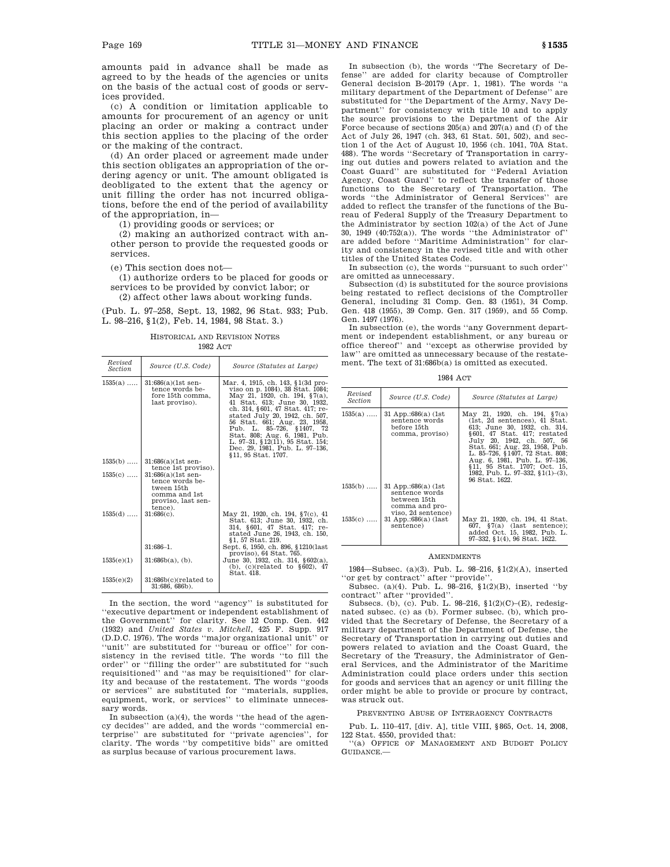amounts paid in advance shall be made as agreed to by the heads of the agencies or units on the basis of the actual cost of goods or services provided.

(c) A condition or limitation applicable to amounts for procurement of an agency or unit placing an order or making a contract under this section applies to the placing of the order or the making of the contract.

(d) An order placed or agreement made under this section obligates an appropriation of the ordering agency or unit. The amount obligated is deobligated to the extent that the agency or unit filling the order has not incurred obligations, before the end of the period of availability of the appropriation, in—

(1) providing goods or services; or

(2) making an authorized contract with another person to provide the requested goods or services.

(e) This section does not—

(1) authorize orders to be placed for goods or services to be provided by convict labor; or (2) affect other laws about working funds.

(Pub. L. 97–258, Sept. 13, 1982, 96 Stat. 933; Pub. L. 98–216, §1(2), Feb. 14, 1984, 98 Stat. 3.)

| HISTORICAL AND REVISION NOTES |          |  |
|-------------------------------|----------|--|
|                               | 1982 ACT |  |

| Revised<br><i>Section</i> | Source (U.S. Code)                                                                                                             | Source (Statutes at Large)                                                                                                                                                                                                                                                                                                                                                                              |
|---------------------------|--------------------------------------------------------------------------------------------------------------------------------|---------------------------------------------------------------------------------------------------------------------------------------------------------------------------------------------------------------------------------------------------------------------------------------------------------------------------------------------------------------------------------------------------------|
| $1535(a)$                 | $31:686(a)(1st sen-$<br>tence words be-<br>fore 15th comma,<br>last proviso).                                                  | Mar. 4, 1915, ch. 143, §1(3d pro-<br>viso on p. 1084), 38 Stat. 1084;<br>May 21, 1920, ch. 194, §7(a),<br>41 Stat. 613: June 30, 1932.<br>ch. 314, §601, 47 Stat. 417; re-<br>stated July 20, 1942, ch. 507,<br>56 Stat. 661; Aug. 23, 1958,<br>Pub. L. 85-726, §1407, 72<br>Stat. 808; Aug. 6, 1981, Pub.<br>L. 97-31, §12(11), 95 Stat. 154;<br>Dec. 29, 1981, Pub. L. 97-136,<br>§11, 95 Stat. 1707. |
| $1535(b)$                 | $31:686(a)(1st sen-$                                                                                                           |                                                                                                                                                                                                                                                                                                                                                                                                         |
| $1535(c)$                 | tence 1st proviso).<br>$31:686(a)(1st sen-$<br>tence words be-<br>tween 15th<br>comma and 1st<br>proviso, last sen-<br>tence). |                                                                                                                                                                                                                                                                                                                                                                                                         |
| $1535(d)$                 | $31:686(c)$ .<br>$31:686 - 1.$                                                                                                 | May 21, 1920, ch. 194, §7(c), 41<br>Stat. 613; June 30, 1932, ch.<br>314, §601, 47 Stat. 417; re-<br>stated June 26, 1943, ch. 150,<br>§1, 57 Stat. 219.<br>Sept. 6, 1950, ch. 896, §1210(last                                                                                                                                                                                                          |
| 1535(e)(1)                | $31:686b(a)$ , (b).                                                                                                            | proviso), 64 Stat. 765.<br>June 30, 1932, ch. 314, §602(a),<br>(b), $(c)(related to §602)$ , 47<br>Stat. 418.                                                                                                                                                                                                                                                                                           |
| 1535(e)(2)                | $31:686b(c)$ related to<br>31:686, 686b).                                                                                      |                                                                                                                                                                                                                                                                                                                                                                                                         |

In the section, the word ''agency'' is substituted for ''executive department or independent establishment of the Government'' for clarity. See 12 Comp. Gen. 442 (1932) and *United States v. Mitchell*, 425 F. Supp. 917 (D.D.C. 1976). The words ''major organizational unit'' or ''unit'' are substituted for ''bureau or office'' for consistency in the revised title. The words ''to fill the order'' or ''filling the order'' are substituted for ''such requisitioned'' and ''as may be requisitioned'' for clarity and because of the restatement. The words ''goods or services'' are substituted for ''materials, supplies, equipment, work, or services'' to eliminate unnecessary words.

In subsection  $(a)(4)$ , the words "the head of the agency decides'' are added, and the words ''commercial enterprise'' are substituted for ''private agencies'', for clarity. The words ''by competitive bids'' are omitted as surplus because of various procurement laws.

In subsection (b), the words ''The Secretary of Defense'' are added for clarity because of Comptroller General decision B–20179 (Apr. 1, 1981). The words ''a military department of the Department of Defense'' are substituted for ''the Department of the Army, Navy Department'' for consistency with title 10 and to apply the source provisions to the Department of the Air Force because of sections 205(a) and 207(a) and (f) of the Act of July 26, 1947 (ch. 343, 61 Stat. 501, 502), and section 1 of the Act of August 10, 1956 (ch. 1041, 70A Stat. 488). The words ''Secretary of Transportation in carrying out duties and powers related to aviation and the Coast Guard'' are substituted for ''Federal Aviation Agency, Coast Guard'' to reflect the transfer of those functions to the Secretary of Transportation. The words ''the Administrator of General Services'' are added to reflect the transfer of the functions of the Bureau of Federal Supply of the Treasury Department to the Administrator by section 102(a) of the Act of June 30, 1949 (40:752(a)). The words ''the Administrator of'' are added before ''Maritime Administration'' for clarity and consistency in the revised title and with other titles of the United States Code.

In subsection (c), the words ''pursuant to such order'' are omitted as unnecessary.

Subsection (d) is substituted for the source provisions being restated to reflect decisions of the Comptroller General, including 31 Comp. Gen. 83 (1951), 34 Comp. Gen. 418 (1955), 39 Comp. Gen. 317 (1959), and 55 Comp. Gen. 1497 (1976).

In subsection (e), the words ''any Government department or independent establishment, or any bureau or office thereof'' and ''except as otherwise provided by law'' are omitted as unnecessary because of the restatement. The text of 31:686b(a) is omitted as executed.

1984 A CT

| Revised<br>Section | Source (U.S. Code)                                                                               | Source (Statutes at Large)                                                                                                                                                                                                                                                                                                                                |
|--------------------|--------------------------------------------------------------------------------------------------|-----------------------------------------------------------------------------------------------------------------------------------------------------------------------------------------------------------------------------------------------------------------------------------------------------------------------------------------------------------|
| $1535(a)$          | $31$ App.:686(a) (1st)<br>sentence words<br>before 15th<br>comma, proviso)                       | May 21, 1920, ch. 194, §7(a)<br>(1st, 2d sentences), 41 Stat.<br>613; June 30, 1932, ch. 314,<br>$§601, 47$ Stat. 417; restated<br>July 20, 1942, ch. 507, 56<br>Stat. 661; Aug. 23, 1958, Pub.<br>L. 85–726, §1407, 72 Stat, 808;<br>Aug. 6, 1981, Pub. L. 97-136,<br>§11. 95 Stat. 1707: Oct. 15.<br>1982, Pub. L. 97–332, §1(1)–(3),<br>96 Stat. 1622. |
| $1535(b)$          | $31$ App.:686(a) (1st)<br>sentence words<br>between 15th<br>comma and pro-<br>viso. 2d sentence) |                                                                                                                                                                                                                                                                                                                                                           |
| $1535(c)$          | 31 App.:686(a) (last<br>sentence)                                                                | May 21, 1920, ch. 194, 41 Stat.<br>$607$ , $\S7(a)$ (last sentence);<br>added Oct. 15, 1982, Pub. L.<br>97–332, §1(4), 96 Stat. 1622.                                                                                                                                                                                                                     |

#### **AMENDMENTS**

1984—Subsec. (a)(3). Pub. L. 98–216, §1(2)(A), inserted

''or get by contract'' after ''provide''. Subsec. (a)(4). Pub. L. 98–216, §1(2)(B), inserted ''by contract'' after ''provided''.

Subsecs. (b), (c). Pub. L. 98–216, §1(2)(C)–(E), redesignated subsec. (c) as (b). Former subsec. (b), which provided that the Secretary of Defense, the Secretary of a military department of the Department of Defense, the Secretary of Transportation in carrying out duties and powers related to aviation and the Coast Guard, the Secretary of the Treasury, the Administrator of General Services, and the Administrator of the Maritime Administration could place orders under this section for goods and services that an agency or unit filling the order might be able to provide or procure by contract, was struck out.

#### PREVENTING ABUSE OF INTERAGENCY CONTRACTS

Pub. L. 110–417, [div. A], title VIII, §865, Oct. 14, 2008, 122 Stat. 4550, provided that:

''(a) OFFICE OF MANAGEMENT AND BUDGET POLICY GUIDANCE.—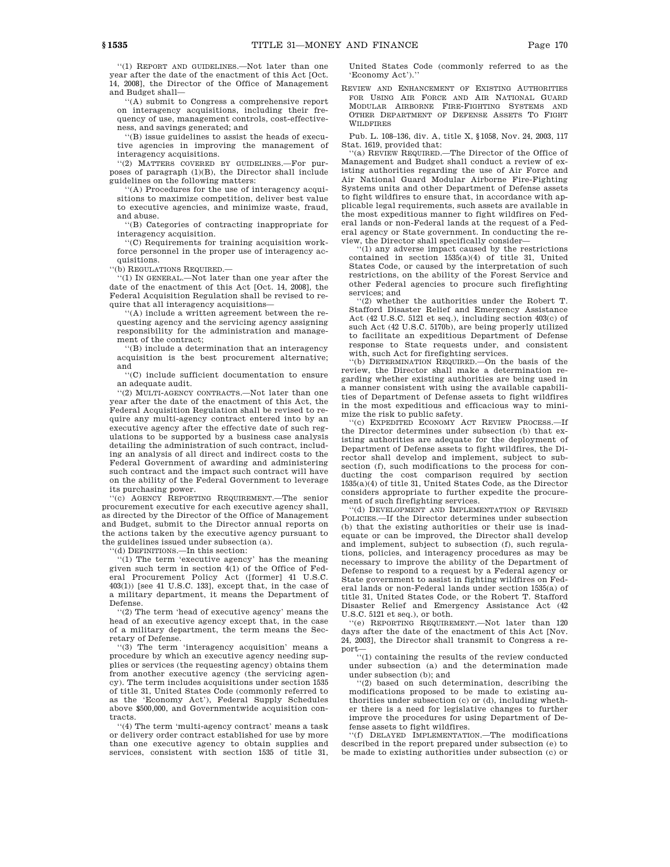''(1) REPORT AND GUIDELINES.—Not later than one year after the date of the enactment of this Act [Oct. 14, 2008], the Director of the Office of Management and Budget shall—

''(A) submit to Congress a comprehensive report on interagency acquisitions, including their frequency of use, management controls, cost-effectiveness, and savings generated; and

''(B) issue guidelines to assist the heads of executive agencies in improving the management of interagency acquisitions.

''(2) MATTERS COVERED BY GUIDELINES.—For purposes of paragraph (1)(B), the Director shall include guidelines on the following matters:

''(A) Procedures for the use of interagency acquisitions to maximize competition, deliver best value to executive agencies, and minimize waste, fraud, and abuse.

''(B) Categories of contracting inappropriate for interagency acquisition.

''(C) Requirements for training acquisition workforce personnel in the proper use of interagency acquisitions.

''(b) REGULATIONS REQUIRED.—

''(1) IN GENERAL.—Not later than one year after the date of the enactment of this Act [Oct. 14, 2008], the Federal Acquisition Regulation shall be revised to require that all interagency acquisitions-

''(A) include a written agreement between the requesting agency and the servicing agency assigning responsibility for the administration and management of the contract;

''(B) include a determination that an interagency acquisition is the best procurement alternative; and

''(C) include sufficient documentation to ensure an adequate audit.

''(2) MULTI-AGENCY CONTRACTS.—Not later than one year after the date of the enactment of this Act, the Federal Acquisition Regulation shall be revised to require any multi-agency contract entered into by an executive agency after the effective date of such regulations to be supported by a business case analysis detailing the administration of such contract, including an analysis of all direct and indirect costs to the Federal Government of awarding and administering such contract and the impact such contract will have on the ability of the Federal Government to leverage its purchasing power.

''(c) AGENCY REPORTING REQUIREMENT.—The senior procurement executive for each executive agency shall, as directed by the Director of the Office of Management and Budget, submit to the Director annual reports on the actions taken by the executive agency pursuant to the guidelines issued under subsection (a).

''(d) DEFINITIONS.—In this section:

''(1) The term 'executive agency' has the meaning given such term in section 4(1) of the Office of Federal Procurement Policy Act ([former] 41 U.S.C. 403(1)) [see 41 U.S.C. 133], except that, in the case of a military department, it means the Department of Defense.

''(2) The term 'head of executive agency' means the head of an executive agency except that, in the case of a military department, the term means the Secretary of Defense.

''(3) The term 'interagency acquisition' means a procedure by which an executive agency needing supplies or services (the requesting agency) obtains them from another executive agency (the servicing agency). The term includes acquisitions under section 1535 of title 31, United States Code (commonly referred to as the 'Economy Act'), Federal Supply Schedules above \$500,000, and Governmentwide acquisition contracts.

 $``(4)$  The term 'multi-agency contract' means a  $\rm task$ or delivery order contract established for use by more than one executive agency to obtain supplies and services, consistent with section 1535 of title 31, United States Code (commonly referred to as the 'Economy Act').''

REVIEW AND ENHANCEMENT OF EXISTING AUTHORITIES FOR USING AIR FORCE AND AIR NATIONAL GUARD MODULAR AIRBORNE FIRE-FIGHTING SYSTEMS AND OTHER DEPARTMENT OF DEFENSE ASSETS TO FIGHT WILDFIRES

Pub. L. 108–136, div. A, title X, §1058, Nov. 24, 2003, 117 Stat. 1619, provided that:

''(a) REVIEW REQUIRED.—The Director of the Office of Management and Budget shall conduct a review of existing authorities regarding the use of Air Force and Air National Guard Modular Airborne Fire-Fighting Systems units and other Department of Defense assets to fight wildfires to ensure that, in accordance with applicable legal requirements, such assets are available in the most expeditious manner to fight wildfires on Federal lands or non-Federal lands at the request of a Federal agency or State government. In conducting the review, the Director shall specifically consider—

''(1) any adverse impact caused by the restrictions contained in section 1535(a)(4) of title 31, United States Code, or caused by the interpretation of such restrictions, on the ability of the Forest Service and other Federal agencies to procure such firefighting services; and

'(2) whether the authorities under the Robert T. Stafford Disaster Relief and Emergency Assistance Act (42 U.S.C. 5121 et seq.), including section 403(c) of such Act (42 U.S.C. 5170b), are being properly utilized to facilitate an expeditious Department of Defense response to State requests under, and consistent with, such Act for firefighting services.

''(b) DETERMINATION REQUIRED.—On the basis of the review, the Director shall make a determination regarding whether existing authorities are being used in a manner consistent with using the available capabilities of Department of Defense assets to fight wildfires in the most expeditious and efficacious way to minimize the risk to public safety.

''(c) EXPEDITED ECONOMY ACT REVIEW PROCESS.—If the Director determines under subsection (b) that existing authorities are adequate for the deployment of Department of Defense assets to fight wildfires, the Director shall develop and implement, subject to subsection (f), such modifications to the process for conducting the cost comparison required by section 1535(a)(4) of title 31, United States Code, as the Director considers appropriate to further expedite the procurement of such firefighting services.

'(d) DEVELOPMENT AND IMPLEMENTATION OF REVISED POLICIES.—If the Director determines under subsection (b) that the existing authorities or their use is inadequate or can be improved, the Director shall develop and implement, subject to subsection (f), such regulations, policies, and interagency procedures as may be necessary to improve the ability of the Department of Defense to respond to a request by a Federal agency or State government to assist in fighting wildfires on Federal lands or non-Federal lands under section 1535(a) of title 31, United States Code, or the Robert T. Stafford Disaster Relief and Emergency Assistance Act (42 U.S.C. 5121 et seq.), or both.

''(e) REPORTING REQUIREMENT.—Not later than 120 days after the date of the enactment of this Act [Nov. 24, 2003], the Director shall transmit to Congress a re-

port— ''(1) containing the results of the review conducted under subsection (a) and the determination made under subsection (b); and

''(2) based on such determination, describing the modifications proposed to be made to existing authorities under subsection (c) or (d), including whether there is a need for legislative changes to further improve the procedures for using Department of Defense assets to fight wildfires.

''(f) DELAYED IMPLEMENTATION.—The modifications described in the report prepared under subsection (e) to be made to existing authorities under subsection (c) or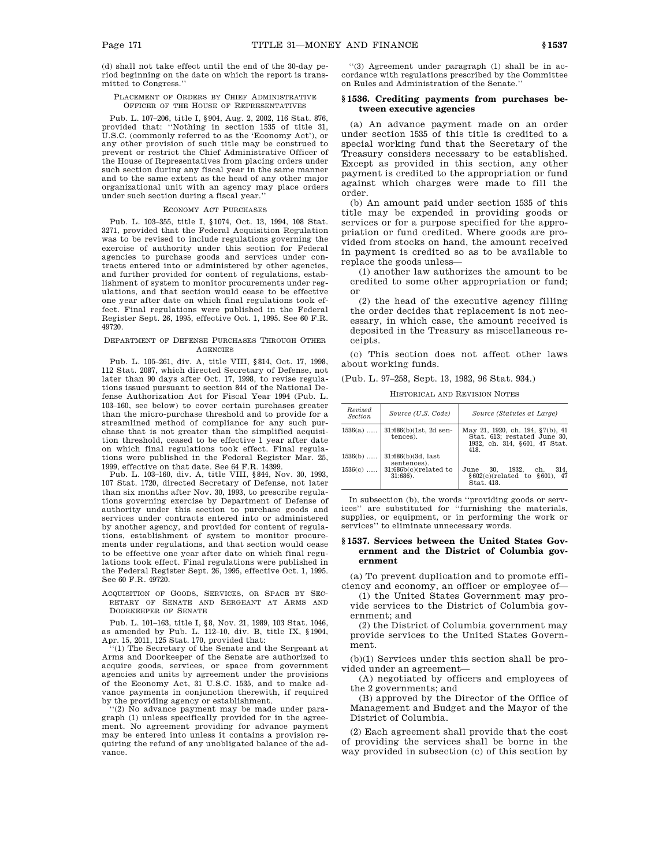(d) shall not take effect until the end of the 30-day period beginning on the date on which the report is transmitted to Congress.''

#### PLACEMENT OF ORDERS BY CHIEF ADMINISTRATIVE OFFICER OF THE HOUSE OF REPRESENTATIVES

Pub. L. 107–206, title I, §904, Aug. 2, 2002, 116 Stat. 876, provided that: ''Nothing in section 1535 of title 31, U.S.C. (commonly referred to as the 'Economy Act'), or any other provision of such title may be construed to prevent or restrict the Chief Administrative Officer of the House of Representatives from placing orders under such section during any fiscal year in the same manner and to the same extent as the head of any other major organizational unit with an agency may place orders under such section during a fiscal year.''

### ECONOMY ACT PURCHASES

Pub. L. 103–355, title I, §1074, Oct. 13, 1994, 108 Stat. 3271, provided that the Federal Acquisition Regulation was to be revised to include regulations governing the exercise of authority under this section for Federal agencies to purchase goods and services under contracts entered into or administered by other agencies, and further provided for content of regulations, establishment of system to monitor procurements under regulations, and that section would cease to be effective one year after date on which final regulations took effect. Final regulations were published in the Federal Register Sept. 26, 1995, effective Oct. 1, 1995. See 60 F.R. 49720.

#### DEPARTMENT OF DEFENSE PURCHASES THROUGH OTHER **AGENCIES**

Pub. L. 105–261, div. A, title VIII, §814, Oct. 17, 1998, 112 Stat. 2087, which directed Secretary of Defense, not later than 90 days after Oct. 17, 1998, to revise regulations issued pursuant to section 844 of the National Defense Authorization Act for Fiscal Year 1994 (Pub. L. 103–160, see below) to cover certain purchases greater than the micro-purchase threshold and to provide for a streamlined method of compliance for any such purchase that is not greater than the simplified acquisition threshold, ceased to be effective 1 year after date on which final regulations took effect. Final regulations were published in the Federal Register Mar. 25,

1999, effective on that date. See 64 F.R. 14399. Pub. L. 103–160, div. A, title VIII, §844, Nov. 30, 1993, 107 Stat. 1720, directed Secretary of Defense, not later than six months after Nov. 30, 1993, to prescribe regulations governing exercise by Department of Defense of authority under this section to purchase goods and services under contracts entered into or administered by another agency, and provided for content of regulations, establishment of system to monitor procurements under regulations, and that section would cease to be effective one year after date on which final regulations took effect. Final regulations were published in the Federal Register Sept. 26, 1995, effective Oct. 1, 1995. See 60 F.R. 49720.

ACQUISITION OF GOODS, SERVICES, OR SPACE BY SEC-RETARY OF SENATE AND SERGEANT AT ARMS AND DOORKEEPER OF SENATE

Pub. L. 101–163, title I, §8, Nov. 21, 1989, 103 Stat. 1046, as amended by Pub. L. 112–10, div. B, title IX, §1904, Apr. 15, 2011, 125 Stat. 170, provided that:

''(1) The Secretary of the Senate and the Sergeant at Arms and Doorkeeper of the Senate are authorized to acquire goods, services, or space from government agencies and units by agreement under the provisions of the Economy Act, 31 U.S.C. 1535, and to make advance payments in conjunction therewith, if required by the providing agency or establishment. ''(2) No advance payment may be made under para-

graph (1) unless specifically provided for in the agreement. No agreement providing for advance payment may be entered into unless it contains a provision requiring the refund of any unobligated balance of the advance.

''(3) Agreement under paragraph (1) shall be in accordance with regulations prescribed by the Committee on Rules and Administration of the Senate.''

## **§ 1536. Crediting payments from purchases between executive agencies**

(a) An advance payment made on an order under section 1535 of this title is credited to a special working fund that the Secretary of the Treasury considers necessary to be established. Except as provided in this section, any other payment is credited to the appropriation or fund against which charges were made to fill the order.

(b) An amount paid under section 1535 of this title may be expended in providing goods or services or for a purpose specified for the appropriation or fund credited. Where goods are provided from stocks on hand, the amount received in payment is credited so as to be available to replace the goods unless—

(1) another law authorizes the amount to be credited to some other appropriation or fund; or

(2) the head of the executive agency filling the order decides that replacement is not necessary, in which case, the amount received is deposited in the Treasury as miscellaneous receipts.

(c) This section does not affect other laws about working funds.

(Pub. L. 97–258, Sept. 13, 1982, 96 Stat. 934.)

HISTORICAL AND REVISION NOTES

| Revised<br>Section | Source (U.S. Code)                      | Source (Statutes at Large)                                                                                |
|--------------------|-----------------------------------------|-----------------------------------------------------------------------------------------------------------|
| $1536(a)$          | $31:686(b)(1st, 2d sen-$<br>tences).    | May 21, 1920, ch. 194, §7(b), 41<br>Stat. 613: restated June 30.<br>1932, ch. 314, §601, 47 Stat.<br>418. |
| $1536(b)$          | 31:686(b)(3d, 1ast<br>sentences).       |                                                                                                           |
| $1536(c)$          | $31:686b(c)$ (related to<br>$31:686$ ). | 1932.<br>30.<br>314.<br>June<br>ch.<br>§602(c)(related to §601), 47<br>Stat. 418.                         |

In subsection (b), the words ''providing goods or services'' are substituted for ''furnishing the materials, supplies, or equipment, or in performing the work or services'' to eliminate unnecessary words.

## **§ 1537. Services between the United States Government and the District of Columbia government**

(a) To prevent duplication and to promote efficiency and economy, an officer or employee of—

(1) the United States Government may provide services to the District of Columbia government; and

(2) the District of Columbia government may provide services to the United States Government.

(b)(1) Services under this section shall be provided under an agreement—

(A) negotiated by officers and employees of the 2 governments; and

(B) approved by the Director of the Office of Management and Budget and the Mayor of the District of Columbia.

(2) Each agreement shall provide that the cost of providing the services shall be borne in the way provided in subsection (c) of this section by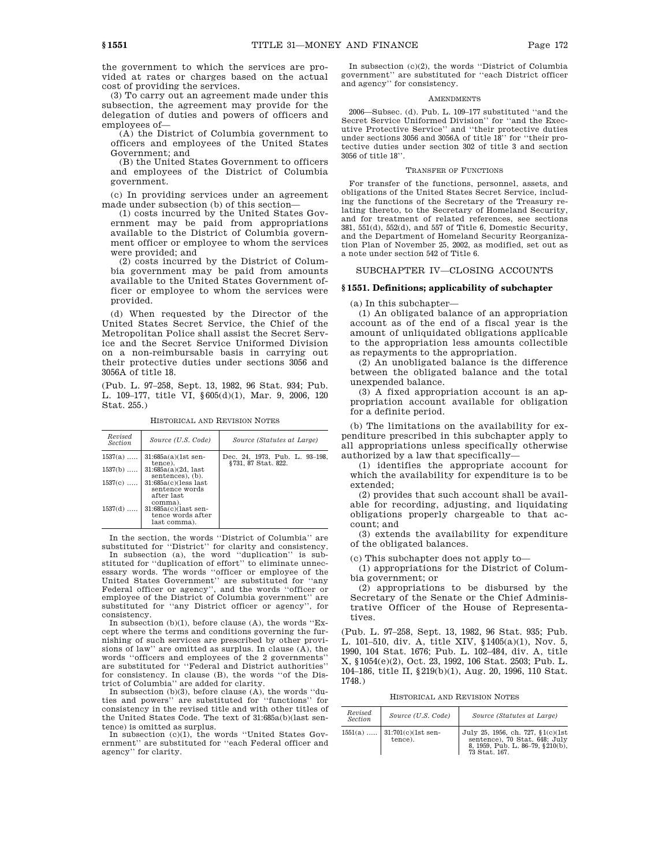the government to which the services are provided at rates or charges based on the actual cost of providing the services.

(3) To carry out an agreement made under this subsection, the agreement may provide for the delegation of duties and powers of officers and employees of—

(A) the District of Columbia government to officers and employees of the United States Government; and

(B) the United States Government to officers and employees of the District of Columbia government.

(c) In providing services under an agreement made under subsection (b) of this section—

(1) costs incurred by the United States Government may be paid from appropriations available to the District of Columbia government officer or employee to whom the services were provided; and

(2) costs incurred by the District of Columbia government may be paid from amounts available to the United States Government officer or employee to whom the services were provided.

(d) When requested by the Director of the United States Secret Service, the Chief of the Metropolitan Police shall assist the Secret Service and the Secret Service Uniformed Division on a non-reimbursable basis in carrying out their protective duties under sections 3056 and 3056A of title 18.

(Pub. L. 97–258, Sept. 13, 1982, 96 Stat. 934; Pub. L. 109–177, title VI, §605(d)(1), Mar. 9, 2006, 120 Stat. 255.)

| Revised<br><b>Section</b> | Source (U.S. Code)                                               | Source (Statutes at Large)                            |
|---------------------------|------------------------------------------------------------------|-------------------------------------------------------|
| $1537(a)$                 | $31:685a(a)(1st sen-$<br>tence).                                 | Dec. 24, 1973, Pub. L. 93-198,<br>§731, 87 Stat. 822. |
| $1537(b)$                 | 31:685a(a)(2d, last)<br>sentences), (b).                         |                                                       |
| $1537(c)$                 | 31:685a(c)(less last)<br>sentence words<br>after last<br>comma). |                                                       |
| $1537(d)$                 | $31:685a(c)(last sen-$<br>tence words after<br>last comma).      |                                                       |

HISTORICAL AND REVISION NOTES

In the section, the words ''District of Columbia'' are substituted for ''District'' for clarity and consistency.

In subsection (a), the word ''duplication'' is substituted for ''duplication of effort'' to eliminate unnecessary words. The words ''officer or employee of the United States Government'' are substituted for ''any Federal officer or agency'', and the words ''officer or employee of the District of Columbia government'' are substituted for "any District officer or agency", for consistency.

In subsection (b)(1), before clause (A), the words "Except where the terms and conditions governing the furnishing of such services are prescribed by other provisions of law'' are omitted as surplus. In clause (A), the words ''officers and employees of the 2 governments'' are substituted for ''Federal and District authorities'' for consistency. In clause (B), the words ''of the District of Columbia'' are added for clarity.

In subsection (b)(3), before clause (A), the words ''duties and powers'' are substituted for ''functions'' for consistency in the revised title and with other titles of the United States Code. The text of 31:685a(b)(last sentence) is omitted as surplus.

In subsection (c)(1), the words ''United States Government'' are substituted for ''each Federal officer and agency'' for clarity.

In subsection (c)(2), the words ''District of Columbia government'' are substituted for ''each District officer and agency'' for consistency.

#### AMENDMENTS

2006—Subsec. (d). Pub. L. 109–177 substituted ''and the Secret Service Uniformed Division'' for ''and the Executive Protective Service'' and ''their protective duties under sections 3056 and 3056A of title 18'' for ''their protective duties under section 302 of title 3 and section 3056 of title 18''.

#### TRANSFER OF FUNCTIONS

For transfer of the functions, personnel, assets, and obligations of the United States Secret Service, including the functions of the Secretary of the Treasury relating thereto, to the Secretary of Homeland Security, and for treatment of related references, see sections 381, 551(d), 552(d), and 557 of Title 6, Domestic Security, and the Department of Homeland Security Reorganization Plan of November 25, 2002, as modified, set out as a note under section 542 of Title 6.

# SUBCHAPTER IV—CLOSING ACCOUNTS

# **§ 1551. Definitions; applicability of subchapter**

(a) In this subchapter—

(1) An obligated balance of an appropriation account as of the end of a fiscal year is the amount of unliquidated obligations applicable to the appropriation less amounts collectible as repayments to the appropriation.

(2) An unobligated balance is the difference between the obligated balance and the total unexpended balance.

(3) A fixed appropriation account is an appropriation account available for obligation for a definite period.

(b) The limitations on the availability for expenditure prescribed in this subchapter apply to all appropriations unless specifically otherwise authorized by a law that specifically—

(1) identifies the appropriate account for which the availability for expenditure is to be extended;

(2) provides that such account shall be available for recording, adjusting, and liquidating obligations properly chargeable to that account; and

(3) extends the availability for expenditure of the obligated balances.

(c) This subchapter does not apply to—

(1) appropriations for the District of Columbia government; or

(2) appropriations to be disbursed by the Secretary of the Senate or the Chief Administrative Officer of the House of Representatives.

(Pub. L. 97–258, Sept. 13, 1982, 96 Stat. 935; Pub. L. 101–510, div. A, title XIV, §1405(a)(1), Nov. 5, 1990, 104 Stat. 1676; Pub. L. 102–484, div. A, title X, §1054(e)(2), Oct. 23, 1992, 106 Stat. 2503; Pub. L. 104–186, title II, §219(b)(1), Aug. 20, 1996, 110 Stat. 1748.)

HISTORICAL AND REVISION NOTES

| Revised<br>Section | Source (U.S. Code)                        | Source (Statutes at Large)                                                                                              |
|--------------------|-------------------------------------------|-------------------------------------------------------------------------------------------------------------------------|
|                    | $1551(a)$   31:701(c)(1st sen-<br>tence). | July 25, 1956, ch. 727, §1(c)(1st<br>sentence), 70 Stat. 648; July<br>8, 1959, Pub. L. 86-79, §210(b),<br>73 Stat. 167. |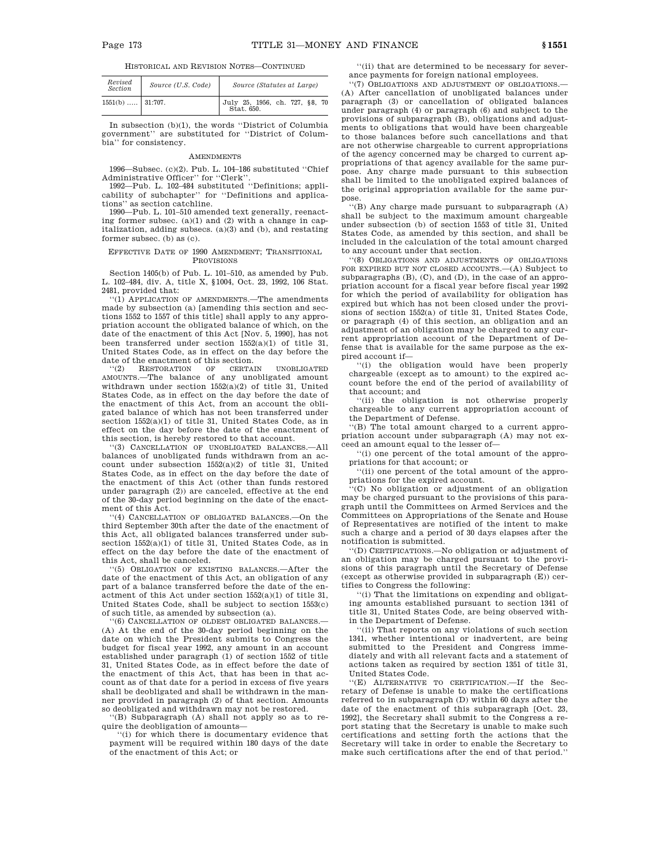| Revised<br>Section  | Source (U.S. Code) | Source (Statutes at Large)                                                         |
|---------------------|--------------------|------------------------------------------------------------------------------------|
| $1551(b)$   31:707. |                    | $\frac{1 \text{ July } 25, 1956, \text{ ch. } 727, \text{ }$ \$8, 70<br>Stat. 650. |

In subsection (b)(1), the words ''District of Columbia government'' are substituted for ''District of Columbia'' for consistency.

#### AMENDMENTS

1996—Subsec. (c)(2). Pub. L. 104–186 substituted ''Chief Administrative Officer'' for ''Clerk''.

1992—Pub. L. 102–484 substituted ''Definitions; applicability of subchapter'' for ''Definitions and applications'' as section catchline.

1990—Pub. L. 101–510 amended text generally, reenacting former subsec.  $(a)(1)$  and  $(2)$  with a change in capitalization, adding subsecs. (a)(3) and (b), and restating former subsec. (b) as (c).

## EFFECTIVE DATE OF 1990 AMENDMENT; TRANSITIONAL PROVISIONS

Section 1405(b) of Pub. L. 101–510, as amended by Pub. L. 102–484, div. A, title X, §1004, Oct. 23, 1992, 106 Stat. 2481, provided that:

''(1) APPLICATION OF AMENDMENTS.—The amendments made by subsection (a) [amending this section and sections 1552 to 1557 of this title] shall apply to any appropriation account the obligated balance of which, on the date of the enactment of this Act [Nov. 5, 1990], has not been transferred under section 1552(a)(1) of title 31, United States Code, as in effect on the day before the date of the enactment of this section.

''(2) RESTORATION OF CERTAIN UNOBLIGATED AMOUNTS.—The balance of any unobligated amount withdrawn under section 1552(a)(2) of title 31, United States Code, as in effect on the day before the date of the enactment of this Act, from an account the obligated balance of which has not been transferred under section 1552(a)(1) of title 31, United States Code, as in effect on the day before the date of the enactment of this section, is hereby restored to that account.

''(3) CANCELLATION OF UNOBLIGATED BALANCES.—All balances of unobligated funds withdrawn from an account under subsection 1552(a)(2) of title 31, United States Code, as in effect on the day before the date of the enactment of this Act (other than funds restored under paragraph (2)) are canceled, effective at the end of the 30-day period beginning on the date of the enactment of this Act.

''(4) CANCELLATION OF OBLIGATED BALANCES.—On the third September 30th after the date of the enactment of this Act, all obligated balances transferred under subsection 1552(a)(1) of title 31, United States Code, as in effect on the day before the date of the enactment of this Act, shall be canceled.

''(5) OBLIGATION OF EXISTING BALANCES.—After the date of the enactment of this Act, an obligation of any part of a balance transferred before the date of the enactment of this Act under section 1552(a)(1) of title 31, United States Code, shall be subject to section 1553(c) of such title, as amended by subsection (a).

'(6) CANCELLATION OF OLDEST OBLIGATED BALANCES.-(A) At the end of the 30-day period beginning on the date on which the President submits to Congress the budget for fiscal year 1992, any amount in an account established under paragraph (1) of section 1552 of title 31, United States Code, as in effect before the date of the enactment of this Act, that has been in that account as of that date for a period in excess of five years shall be deobligated and shall be withdrawn in the manner provided in paragraph (2) of that section. Amounts so deobligated and withdrawn may not be restored.

'(B) Subparagraph (A) shall not apply so as to require the deobligation of amounts—

''(i) for which there is documentary evidence that payment will be required within 180 days of the date of the enactment of this Act; or

''(ii) that are determined to be necessary for severance payments for foreign national employees.

''(7) OBLIGATIONS AND ADJUSTMENT OF OBLIGATIONS.— (A) After cancellation of unobligated balances under paragraph (3) or cancellation of obligated balances under paragraph (4) or paragraph (6) and subject to the provisions of subparagraph (B), obligations and adjustments to obligations that would have been chargeable to those balances before such cancellations and that are not otherwise chargeable to current appropriations of the agency concerned may be charged to current appropriations of that agency available for the same purpose. Any charge made pursuant to this subsection shall be limited to the unobligated expired balances of the original appropriation available for the same purpose.

''(B) Any charge made pursuant to subparagraph (A) shall be subject to the maximum amount chargeable under subsection (b) of section 1553 of title 31, United States Code, as amended by this section, and shall be included in the calculation of the total amount charged to any account under that section.

''(8) OBLIGATIONS AND ADJUSTMENTS OF OBLIGATIONS FOR EXPIRED BUT NOT CLOSED ACCOUNTS.-- (A) Subject to subparagraphs (B), (C), and (D), in the case of an appropriation account for a fiscal year before fiscal year 1992 for which the period of availability for obligation has expired but which has not been closed under the provisions of section 1552(a) of title 31, United States Code, or paragraph (4) of this section, an obligation and an adjustment of an obligation may be charged to any current appropriation account of the Department of Defense that is available for the same purpose as the expired account if—

''(i) the obligation would have been properly chargeable (except as to amount) to the expired account before the end of the period of availability of that account; and

''(ii) the obligation is not otherwise properly chargeable to any current appropriation account of the Department of Defense.

''(B) The total amount charged to a current appropriation account under subparagraph (A) may not exceed an amount equal to the lesser of—

''(i) one percent of the total amount of the appropriations for that account; or

''(ii) one percent of the total amount of the appropriations for the expired account.

''(C) No obligation or adjustment of an obligation may be charged pursuant to the provisions of this paragraph until the Committees on Armed Services and the Committees on Appropriations of the Senate and House of Representatives are notified of the intent to make such a charge and a period of 30 days elapses after the notification is submitted.

''(D) CERTIFICATIONS.—No obligation or adjustment of an obligation may be charged pursuant to the provisions of this paragraph until the Secretary of Defense (except as otherwise provided in subparagraph (E)) certifies to Congress the following:

''(i) That the limitations on expending and obligating amounts established pursuant to section 1341 of title 31, United States Code, are being observed within the Department of Defense.

''(ii) That reports on any violations of such section 1341, whether intentional or inadvertent, are being submitted to the President and Congress immediately and with all relevant facts and a statement of actions taken as required by section 1351 of title 31, United States Code.

''(E) ALTERNATIVE TO CERTIFICATION.—If the Secretary of Defense is unable to make the certifications referred to in subparagraph (D) within 60 days after the date of the enactment of this subparagraph [Oct. 23, 1992], the Secretary shall submit to the Congress a report stating that the Secretary is unable to make such certifications and setting forth the actions that the Secretary will take in order to enable the Secretary to make such certifications after the end of that period.''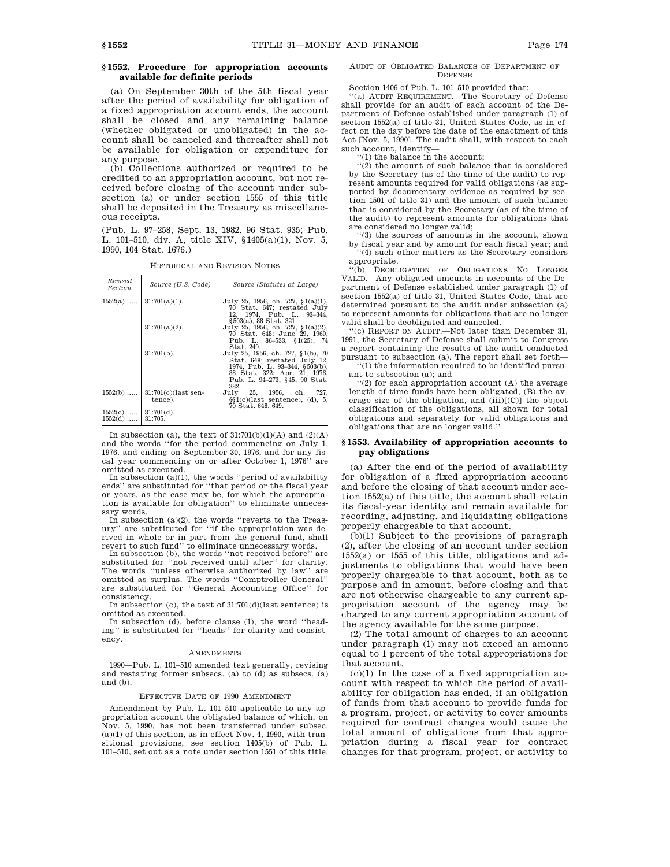# **§ 1552. Procedure for appropriation accounts available for definite periods**

(a) On September 30th of the 5th fiscal year after the period of availability for obligation of a fixed appropriation account ends, the account shall be closed and any remaining balance (whether obligated or unobligated) in the account shall be canceled and thereafter shall not be available for obligation or expenditure for any purpose.

(b) Collections authorized or required to be credited to an appropriation account, but not received before closing of the account under subsection (a) or under section 1555 of this title shall be deposited in the Treasury as miscellaneous receipts.

(Pub. L. 97–258, Sept. 13, 1982, 96 Stat. 935; Pub. L. 101–510, div. A, title XIV, §1405(a)(1), Nov. 5, 1990, 104 Stat. 1676.)

| Revised<br><i>Section</i> | Source (U.S. Code)                | Source (Statutes at Large)                                                                                                                                                   |
|---------------------------|-----------------------------------|------------------------------------------------------------------------------------------------------------------------------------------------------------------------------|
| $1552(a)$                 | $31:701(a)(1)$ .                  | July 25, 1956, ch. 727, $\S1(a)(1)$ ,<br>70 Stat, 647; restated July<br>12. 1974. Pub. L. 93-344.<br>§ 503(a), 88 Stat, 321.                                                 |
|                           | $31:701(a)(2)$ .                  | July 25, 1956, ch. 727, §1(a)(2),<br>70 Stat. 648; June 29, 1960,<br>Pub. L. 86–533, §1(25), 74<br>Stat. 249.                                                                |
|                           | $31:701(b)$ .                     | July 25, 1956, ch. 727, §1(b), 70<br>Stat. 648; restated July 12.<br>1974, Pub. L. 93-344, §503(b),<br>88 Stat. 322; Apr. 21, 1976,<br>Pub. L. 94-273, §45, 90 Stat.<br>382. |
| $1552(b)$                 | $31:701(c)$ (last sen-<br>tence). | July 25, 1956, ch. 727,<br>$\S(1(c))$ (ast sentence), (d), 5,<br>70 Stat. 648, 649.                                                                                          |
| $1552(c)$<br>$1552(d)$    | $31:701(d)$ .<br>31:705.          |                                                                                                                                                                              |

HISTORICAL AND REVISION NOTES

In subsection (a), the text of  $31:701(b)(1)(A)$  and  $(2)(A)$ and the words ''for the period commencing on July 1, 1976, and ending on September 30, 1976, and for any fiscal year commencing on or after October 1, 1976'' are omitted as executed.

In subsection (a)(1), the words ''period of availability ends'' are substituted for ''that period or the fiscal year or years, as the case may be, for which the appropriation is available for obligation'' to eliminate unnecessary words.

In subsection  $(a)(2)$ , the words "reverts to the Treasury'' are substituted for ''if the appropriation was derived in whole or in part from the general fund, shall revert to such fund'' to eliminate unnecessary words.

In subsection (b), the words ''not received before'' are substituted for ''not received until after'' for clarity. The words ''unless otherwise authorized by law'' are omitted as surplus. The words ''Comptroller General'' are substituted for ''General Accounting Office'' for

consistency. In subsection (c), the text of 31:701(d)(last sentence) is omitted as executed.

In subsection (d), before clause (1), the word ''heading'' is substituted for ''heads'' for clarity and consistency.

#### **AMENDMENTS**

1990—Pub. L. 101–510 amended text generally, revising and restating former subsecs. (a) to (d) as subsecs. (a) and (b).

#### EFFECTIVE DATE OF 1990 AMENDMENT

Amendment by Pub. L. 101–510 applicable to any appropriation account the obligated balance of which, on Nov. 5, 1990, has not been transferred under subsec.  $(a)(1)$  of this section, as in effect Nov. 4, 1990, with transitional provisions, see section 1405(b) of Pub. L. 101–510, set out as a note under section 1551 of this title.

AUDIT OF OBLIGATED BALANCES OF DEPARTMENT OF DEFENSE

## Section 1406 of Pub. L. 101–510 provided that:

''(a) AUDIT REQUIREMENT.—The Secretary of Defense shall provide for an audit of each account of the Department of Defense established under paragraph (1) of section 1552(a) of title 31, United States Code, as in effect on the day before the date of the enactment of this Act [Nov. 5, 1990]. The audit shall, with respect to each such account, identify—

''(1) the balance in the account;

''(2) the amount of such balance that is considered by the Secretary (as of the time of the audit) to represent amounts required for valid obligations (as supported by documentary evidence as required by section 1501 of title 31) and the amount of such balance that is considered by the Secretary (as of the time of the audit) to represent amounts for obligations that are considered no longer valid;

''(3) the sources of amounts in the account, shown by fiscal year and by amount for each fiscal year; and ''(4) such other matters as the Secretary considers

appropriate. ''(b) DEOBLIGATION OF OBLIGATIONS NO LONGER VALID.—Any obligated amounts in accounts of the Department of Defense established under paragraph (1) of section 1552(a) of title 31, United States Code, that are determined pursuant to the audit under subsection (a) to represent amounts for obligations that are no longer valid shall be deobligated and canceled.

''(c) REPORT ON AUDIT.—Not later than December 31, 1991, the Secretary of Defense shall submit to Congress a report containing the results of the audit conducted pursuant to subsection (a). The report shall set forth—

''(1) the information required to be identified pursuant to subsection (a); and

''(2) for each appropriation account (A) the average length of time funds have been obligated, (B) the average size of the obligation, and (iii)[(C)] the object classification of the obligations, all shown for total obligations and separately for valid obligations and obligations that are no longer valid.''

## **§ 1553. Availability of appropriation accounts to pay obligations**

(a) After the end of the period of availability for obligation of a fixed appropriation account and before the closing of that account under section 1552(a) of this title, the account shall retain its fiscal-year identity and remain available for recording, adjusting, and liquidating obligations properly chargeable to that account.

(b)(1) Subject to the provisions of paragraph (2), after the closing of an account under section 1552(a) or 1555 of this title, obligations and adjustments to obligations that would have been properly chargeable to that account, both as to purpose and in amount, before closing and that are not otherwise chargeable to any current appropriation account of the agency may be charged to any current appropriation account of the agency available for the same purpose.

(2) The total amount of charges to an account under paragraph (1) may not exceed an amount equal to 1 percent of the total appropriations for that account.

 $(c)(1)$  In the case of a fixed appropriation account with respect to which the period of availability for obligation has ended, if an obligation of funds from that account to provide funds for a program, project, or activity to cover amounts required for contract changes would cause the total amount of obligations from that appropriation during a fiscal year for contract changes for that program, project, or activity to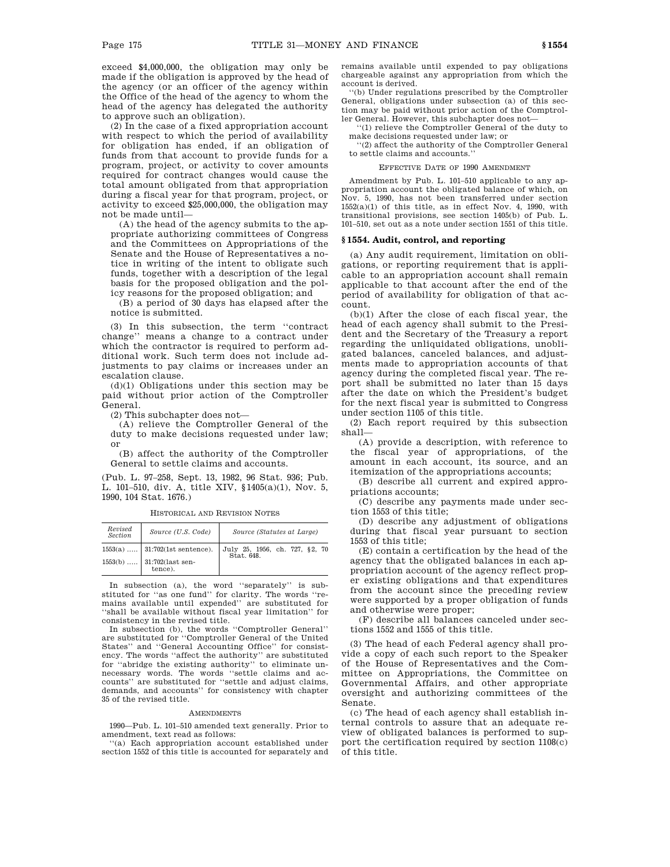exceed \$4,000,000, the obligation may only be made if the obligation is approved by the head of the agency (or an officer of the agency within the Office of the head of the agency to whom the head of the agency has delegated the authority to approve such an obligation).

(2) In the case of a fixed appropriation account with respect to which the period of availability for obligation has ended, if an obligation of funds from that account to provide funds for a program, project, or activity to cover amounts required for contract changes would cause the total amount obligated from that appropriation during a fiscal year for that program, project, or activity to exceed \$25,000,000, the obligation may not be made until—

(A) the head of the agency submits to the appropriate authorizing committees of Congress and the Committees on Appropriations of the Senate and the House of Representatives a notice in writing of the intent to obligate such funds, together with a description of the legal basis for the proposed obligation and the policy reasons for the proposed obligation; and

(B) a period of 30 days has elapsed after the notice is submitted.

(3) In this subsection, the term ''contract change'' means a change to a contract under which the contractor is required to perform additional work. Such term does not include adjustments to pay claims or increases under an escalation clause.

(d)(1) Obligations under this section may be paid without prior action of the Comptroller General.

(2) This subchapter does not—

(A) relieve the Comptroller General of the duty to make decisions requested under law; or

(B) affect the authority of the Comptroller General to settle claims and accounts.

(Pub. L. 97–258, Sept. 13, 1982, 96 Stat. 936; Pub. L. 101–510, div. A, title XIV, §1405(a)(1), Nov. 5, 1990, 104 Stat. 1676.)

| Revised<br>Section | Source (U.S. Code)                      | Source (Statutes at Large)                   |  |  |
|--------------------|-----------------------------------------|----------------------------------------------|--|--|
|                    | $1553(a)$   31:702(1st sentence).       | July 25, 1956, ch. 727, §2, 70<br>Stat. 648. |  |  |
|                    | $1553(b)$   31:702(last sen-<br>tence). |                                              |  |  |

HISTORICAL AND REVISION NOTES

In subsection (a), the word ''separately'' is substituted for ''as one fund'' for clarity. The words ''remains available until expended'' are substituted for ''shall be available without fiscal year limitation'' for consistency in the revised title.

In subsection (b), the words ''Comptroller General'' are substituted for ''Comptroller General of the United States'' and ''General Accounting Office'' for consistency. The words ''affect the authority'' are substituted for ''abridge the existing authority'' to eliminate unnecessary words. The words ''settle claims and accounts'' are substituted for ''settle and adjust claims, demands, and accounts'' for consistency with chapter 35 of the revised title.

## AMENDMENTS

1990—Pub. L. 101–510 amended text generally. Prior to amendment, text read as follows:

''(a) Each appropriation account established under section 1552 of this title is accounted for separately and remains available until expended to pay obligations chargeable against any appropriation from which the account is derived.

''(b) Under regulations prescribed by the Comptroller General, obligations under subsection (a) of this section may be paid without prior action of the Comptroller General. However, this subchapter does not—

'(1) relieve the Comptroller General of the duty to make decisions requested under law; or

''(2) affect the authority of the Comptroller General to settle claims and accounts.''

#### EFFECTIVE DATE OF 1990 AMENDMENT

Amendment by Pub. L. 101–510 applicable to any appropriation account the obligated balance of which, on Nov. 5, 1990, has not been transferred under section 1552(a)(1) of this title, as in effect Nov. 4, 1990, with transitional provisions, see section 1405(b) of Pub. L. 101–510, set out as a note under section 1551 of this title.

# **§ 1554. Audit, control, and reporting**

(a) Any audit requirement, limitation on obligations, or reporting requirement that is applicable to an appropriation account shall remain applicable to that account after the end of the period of availability for obligation of that account.

(b)(1) After the close of each fiscal year, the head of each agency shall submit to the President and the Secretary of the Treasury a report regarding the unliquidated obligations, unobligated balances, canceled balances, and adjustments made to appropriation accounts of that agency during the completed fiscal year. The report shall be submitted no later than 15 days after the date on which the President's budget for the next fiscal year is submitted to Congress under section 1105 of this title.

(2) Each report required by this subsection shall—

(A) provide a description, with reference to the fiscal year of appropriations, of the amount in each account, its source, and an itemization of the appropriations accounts;

(B) describe all current and expired appropriations accounts;

(C) describe any payments made under section 1553 of this title;

(D) describe any adjustment of obligations during that fiscal year pursuant to section 1553 of this title;

(E) contain a certification by the head of the agency that the obligated balances in each appropriation account of the agency reflect proper existing obligations and that expenditures from the account since the preceding review were supported by a proper obligation of funds and otherwise were proper;

(F) describe all balances canceled under sections 1552 and 1555 of this title.

(3) The head of each Federal agency shall provide a copy of each such report to the Speaker of the House of Representatives and the Committee on Appropriations, the Committee on Governmental Affairs, and other appropriate oversight and authorizing committees of the Senate.

(c) The head of each agency shall establish internal controls to assure that an adequate review of obligated balances is performed to support the certification required by section 1108(c) of this title.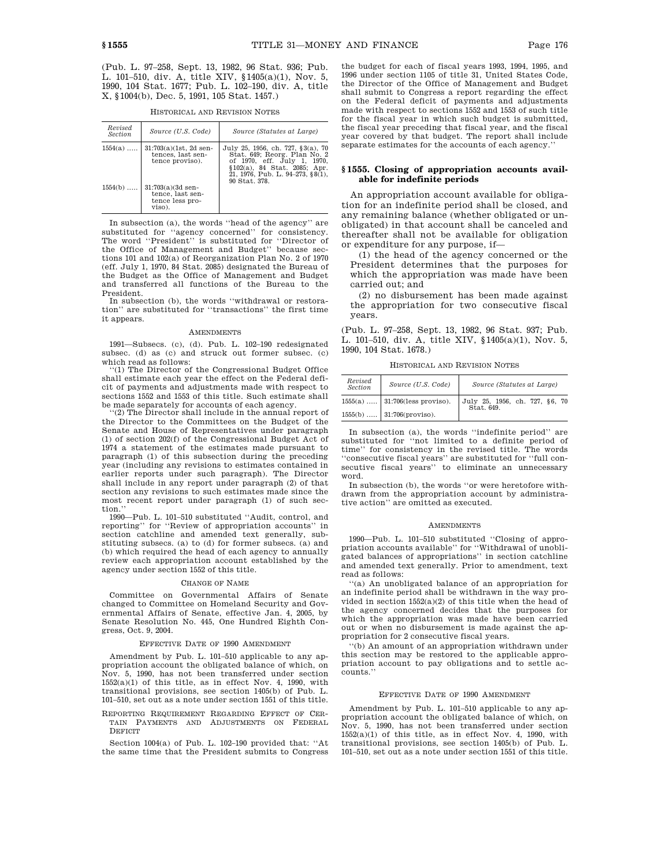(Pub. L. 97–258, Sept. 13, 1982, 96 Stat. 936; Pub. L. 101–510, div. A, title XIV, §1405(a)(1), Nov. 5, 1990, 104 Stat. 1677; Pub. L. 102–190, div. A, title

HISTORICAL AND REVISION NOTES

X, §1004(b), Dec. 5, 1991, 105 Stat. 1457.)

| Revised<br><i>Section</i> | Source (U.S. Code)                                                                                                                       | Source (Statutes at Large)                                                                                                                                                            |
|---------------------------|------------------------------------------------------------------------------------------------------------------------------------------|---------------------------------------------------------------------------------------------------------------------------------------------------------------------------------------|
| $1554(a)$<br>$1554(b)$    | $31:703(a)(1st, 2d sen-$<br>tences, last sen-<br>tence proviso).<br>$31:703(a)(3d$ sen-<br>tence. last sen-<br>tence less pro-<br>viso). | July 25, 1956, ch. 727, §3(a), 70<br>Stat. 649; Reorg. Plan No. 2<br>of 1970, eff. July 1, 1970,<br>§102(a), 84 Stat. 2085; Apr.<br>21, 1976, Pub. L. 94-273, §8(1),<br>90 Stat. 378. |

In subsection (a), the words ''head of the agency'' are substituted for ''agency concerned'' for consistency. The word ''President'' is substituted for ''Director of the Office of Management and Budget'' because sections 101 and 102(a) of Reorganization Plan No. 2 of 1970 (eff. July 1, 1970, 84 Stat. 2085) designated the Bureau of the Budget as the Office of Management and Budget and transferred all functions of the Bureau to the President.

In subsection (b), the words ''withdrawal or restoration'' are substituted for ''transactions'' the first time it appears.

#### **AMENDMENTS**

1991—Subsecs. (c), (d). Pub. L. 102–190 redesignated subsec. (d) as (c) and struck out former subsec. (c) which read as follows:

'(1) The Director of the Congressional Budget Office shall estimate each year the effect on the Federal deficit of payments and adjustments made with respect to sections 1552 and 1553 of this title. Such estimate shall be made separately for accounts of each agency.

(2) The Director shall include in the annual report of the Director to the Committees on the Budget of the Senate and House of Representatives under paragraph (1) of section 202(f) of the Congressional Budget Act of 1974 a statement of the estimates made pursuant to paragraph (1) of this subsection during the preceding year (including any revisions to estimates contained in earlier reports under such paragraph). The Director shall include in any report under paragraph (2) of that section any revisions to such estimates made since the most recent report under paragraph (1) of such section.

1990—Pub. L. 101–510 substituted ''Audit, control, and reporting'' for ''Review of appropriation accounts'' in section catchline and amended text generally, substituting subsecs. (a) to (d) for former subsecs. (a) and (b) which required the head of each agency to annually review each appropriation account established by the agency under section 1552 of this title.

#### CHANGE OF NAME

Committee on Governmental Affairs of Senate changed to Committee on Homeland Security and Governmental Affairs of Senate, effective Jan. 4, 2005, by Senate Resolution No. 445, One Hundred Eighth Congress, Oct. 9, 2004.

## EFFECTIVE DATE OF 1990 AMENDMENT

Amendment by Pub. L. 101–510 applicable to any appropriation account the obligated balance of which, on Nov. 5, 1990, has not been transferred under section  $1552(a)(1)$  of this title, as in effect Nov. 4, 1990, with transitional provisions, see section 1405(b) of Pub. L. 101–510, set out as a note under section 1551 of this title.

REPORTING REQUIREMENT REGARDING EFFECT OF CER-TAIN PAYMENTS AND ADJUSTMENTS ON FEDERAL DEFICIT

Section 1004(a) of Pub. L. 102–190 provided that: ''At the same time that the President submits to Congress the budget for each of fiscal years 1993, 1994, 1995, and 1996 under section 1105 of title 31, United States Code, the Director of the Office of Management and Budget shall submit to Congress a report regarding the effect on the Federal deficit of payments and adjustments made with respect to sections 1552 and 1553 of such title for the fiscal year in which such budget is submitted, the fiscal year preceding that fiscal year, and the fiscal year covered by that budget. The report shall include separate estimates for the accounts of each agency.''

## **§ 1555. Closing of appropriation accounts available for indefinite periods**

An appropriation account available for obligation for an indefinite period shall be closed, and any remaining balance (whether obligated or unobligated) in that account shall be canceled and thereafter shall not be available for obligation or expenditure for any purpose, if—

(1) the head of the agency concerned or the President determines that the purposes for which the appropriation was made have been carried out; and

(2) no disbursement has been made against the appropriation for two consecutive fiscal years.

(Pub. L. 97–258, Sept. 13, 1982, 96 Stat. 937; Pub. L. 101–510, div. A, title XIV, §1405(a)(1), Nov. 5, 1990, 104 Stat. 1678.)

HISTORICAL AND REVISION NOTES

| Revised<br>Section | Source (U.S. Code)              | Source (Statutes at Large)                   |
|--------------------|---------------------------------|----------------------------------------------|
|                    | $1555(a)$ 31:706(less proviso). | July 25, 1956, ch. 727, §6, 70<br>Stat. 649. |
|                    | $1555(b)$ 31:706(proviso).      |                                              |

In subsection (a), the words ''indefinite period'' are substituted for ''not limited to a definite period of time'' for consistency in the revised title. The words ''consecutive fiscal years'' are substituted for ''full consecutive fiscal years'' to eliminate an unnecessary word.

In subsection (b), the words ''or were heretofore withdrawn from the appropriation account by administrative action'' are omitted as executed.

## AMENDMENTS

1990—Pub. L. 101–510 substituted ''Closing of appropriation accounts available'' for ''Withdrawal of unobligated balances of appropriations'' in section catchline and amended text generally. Prior to amendment, text read as follows:

''(a) An unobligated balance of an appropriation for an indefinite period shall be withdrawn in the way provided in section 1552(a)(2) of this title when the head of the agency concerned decides that the purposes for which the appropriation was made have been carried out or when no disbursement is made against the appropriation for 2 consecutive fiscal years.

''(b) An amount of an appropriation withdrawn under this section may be restored to the applicable appropriation account to pay obligations and to settle accounts.''

#### EFFECTIVE DATE OF 1990 AMENDMENT

Amendment by Pub. L. 101–510 applicable to any appropriation account the obligated balance of which, on Nov. 5, 1990, has not been transferred under section  $1552(a)(1)$  of this title, as in effect Nov. 4, 1990, with transitional provisions, see section 1405(b) of Pub. L. 101–510, set out as a note under section 1551 of this title.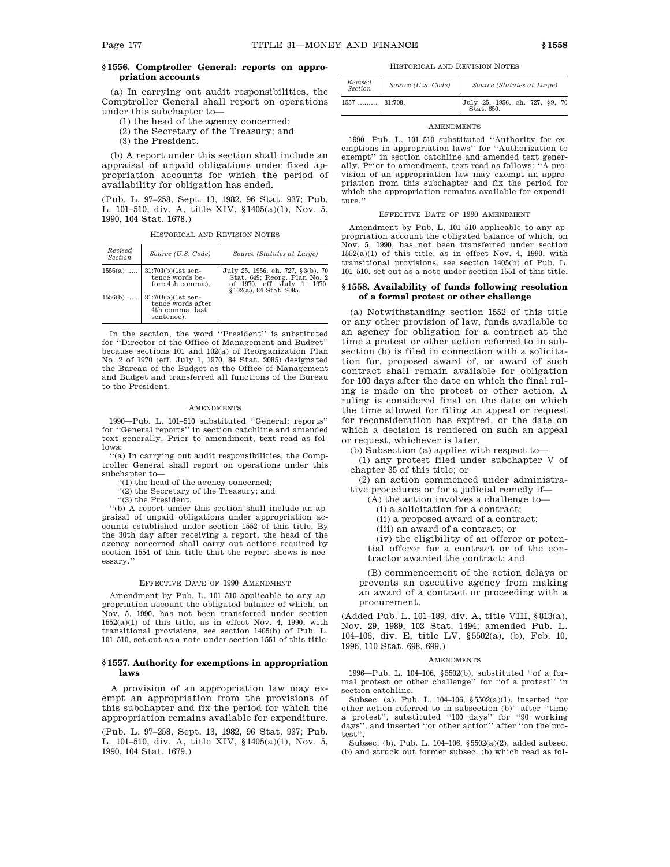# **§ 1556. Comptroller General: reports on appropriation accounts**

(a) In carrying out audit responsibilities, the Comptroller General shall report on operations under this subchapter to—

- (1) the head of the agency concerned;
- (2) the Secretary of the Treasury; and

(3) the President.

(b) A report under this section shall include an appraisal of unpaid obligations under fixed appropriation accounts for which the period of availability for obligation has ended.

(Pub. L. 97–258, Sept. 13, 1982, 96 Stat. 937; Pub. L. 101–510, div. A, title XIV, §1405(a)(1), Nov. 5, 1990, 104 Stat. 1678.)

HISTORICAL AND REVISION NOTES

| Revised<br>Section     | Source (U.S. Code)                                                                                                                      | Source (Statutes at Large)                                                                                                  |
|------------------------|-----------------------------------------------------------------------------------------------------------------------------------------|-----------------------------------------------------------------------------------------------------------------------------|
| $1556(a)$<br>$1556(b)$ | $31:703(b)(1st sen-$<br>tence words be-<br>fore 4th comma).<br>31:703(b)(1st sen-<br>tence words after<br>4th comma, last<br>sentence). | July 25, 1956, ch. 727, §3(b), 70<br>Stat. 649; Reorg. Plan No. 2<br>of 1970, eff. July 1, 1970,<br>§102(a), 84 Stat, 2085. |

In the section, the word ''President'' is substituted for ''Director of the Office of Management and Budget'' because sections 101 and 102(a) of Reorganization Plan No. 2 of 1970 (eff. July 1, 1970, 84 Stat. 2085) designated the Bureau of the Budget as the Office of Management and Budget and transferred all functions of the Bureau to the President.

## **AMENDMENTS**

1990—Pub. L. 101–510 substituted ''General: reports'' for ''General reports'' in section catchline and amended text generally. Prior to amendment, text read as follows:

''(a) In carrying out audit responsibilities, the Comptroller General shall report on operations under this subchapter to—

''(1) the head of the agency concerned;

''(2) the Secretary of the Treasury; and

''(3) the President.

''(b) A report under this section shall include an appraisal of unpaid obligations under appropriation accounts established under section 1552 of this title. By the 30th day after receiving a report, the head of the agency concerned shall carry out actions required by section 1554 of this title that the report shows is necessary.''

#### EFFECTIVE DATE OF 1990 AMENDMENT

Amendment by Pub. L. 101–510 applicable to any appropriation account the obligated balance of which, on Nov. 5, 1990, has not been transferred under section 1552(a)(1) of this title, as in effect Nov. 4, 1990, with transitional provisions, see section 1405(b) of Pub. L. 101–510, set out as a note under section 1551 of this title.

## **§ 1557. Authority for exemptions in appropriation laws**

A provision of an appropriation law may exempt an appropriation from the provisions of this subchapter and fix the period for which the appropriation remains available for expenditure.

(Pub. L. 97–258, Sept. 13, 1982, 96 Stat. 937; Pub. L. 101–510, div. A, title XIV, §1405(a)(1), Nov. 5, 1990, 104 Stat. 1679.)

#### HISTORICAL AND REVISION NOTES

| Revised<br><b>Section</b> | Source (U.S. Code) | Source (Statutes at Large)                   |
|---------------------------|--------------------|----------------------------------------------|
| 1557                      | 131:708.           | July 25, 1956, ch. 727, §9, 70<br>Stat. 650. |

## **AMENDMENTS**

1990—Pub. L. 101–510 substituted ''Authority for exemptions in appropriation laws'' for ''Authorization to exempt'' in section catchline and amended text generally. Prior to amendment, text read as follows: ''A provision of an appropriation law may exempt an appropriation from this subchapter and fix the period for which the appropriation remains available for expenditure.''

#### EFFECTIVE DATE OF 1990 AMENDMENT

Amendment by Pub. L. 101–510 applicable to any appropriation account the obligated balance of which, on Nov. 5, 1990, has not been transferred under section 1552(a)(1) of this title, as in effect Nov. 4, 1990, with transitional provisions, see section 1405(b) of Pub. L. 101–510, set out as a note under section 1551 of this title.

## **§ 1558. Availability of funds following resolution of a formal protest or other challenge**

(a) Notwithstanding section 1552 of this title or any other provision of law, funds available to an agency for obligation for a contract at the time a protest or other action referred to in subsection (b) is filed in connection with a solicitation for, proposed award of, or award of such contract shall remain available for obligation for 100 days after the date on which the final ruling is made on the protest or other action. A ruling is considered final on the date on which the time allowed for filing an appeal or request for reconsideration has expired, or the date on which a decision is rendered on such an appeal or request, whichever is later.

(b) Subsection (a) applies with respect to—

(1) any protest filed under subchapter V of chapter 35 of this title; or

(2) an action commenced under administrative procedures or for a judicial remedy if—

(A) the action involves a challenge to—

(i) a solicitation for a contract;

(ii) a proposed award of a contract;

(iii) an award of a contract; or

(iv) the eligibility of an offeror or potential offeror for a contract or of the contractor awarded the contract; and

(B) commencement of the action delays or prevents an executive agency from making an award of a contract or proceeding with a procurement.

(Added Pub. L. 101–189, div. A, title VIII, §813(a), Nov. 29, 1989, 103 Stat. 1494; amended Pub. L. 104–106, div. E, title LV, §5502(a), (b), Feb. 10, 1996, 110 Stat. 698, 699.)

#### AMENDMENTS

1996—Pub. L. 104–106, §5502(b), substituted ''of a formal protest or other challenge'' for ''of a protest'' in section catchline.

Subsec. (a). Pub. L. 104–106, §5502(a)(1), inserted ''or other action referred to in subsection (b)'' after ''time a protest'', substituted ''100 days'' for ''90 working days'', and inserted ''or other action'' after ''on the protest''.

Subsec. (b). Pub. L. 104–106, §5502(a)(2), added subsec. (b) and struck out former subsec. (b) which read as fol